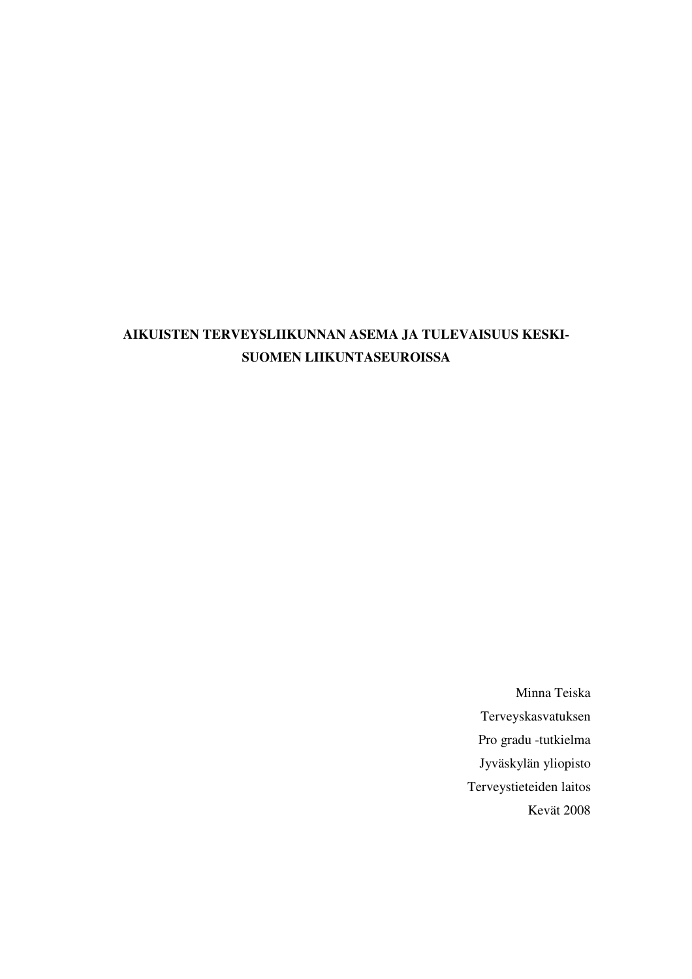# **AIKUISTEN TERVEYSLIIKUNNAN ASEMA JA TULEVAISUUS KESKI-SUOMEN LIIKUNTASEUROISSA**

Minna Teiska Terveyskasvatuksen Pro gradu -tutkielma Jyväskylän yliopisto Terveystieteiden laitos Kevät 2008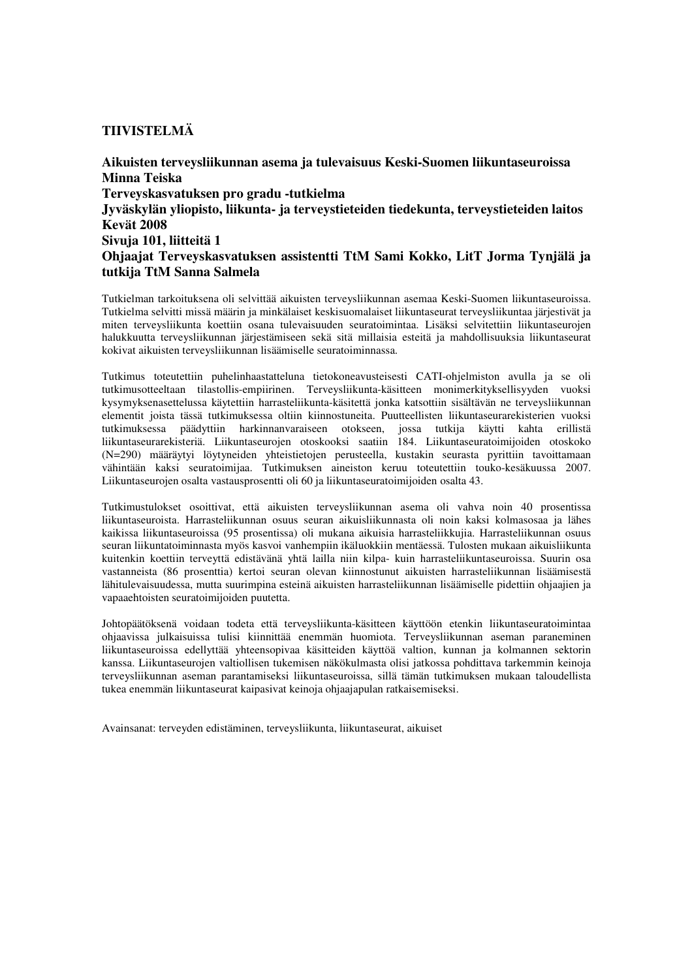## **TIIVISTELMÄ**

**Aikuisten terveysliikunnan asema ja tulevaisuus Keski-Suomen liikuntaseuroissa Minna Teiska Terveyskasvatuksen pro gradu -tutkielma Jyväskylän yliopisto, liikunta- ja terveystieteiden tiedekunta, terveystieteiden laitos Kevät 2008 Sivuja 101, liitteitä 1 Ohjaajat Terveyskasvatuksen assistentti TtM Sami Kokko, LitT Jorma Tynjälä ja tutkija TtM Sanna Salmela** 

Tutkielman tarkoituksena oli selvittää aikuisten terveysliikunnan asemaa Keski-Suomen liikuntaseuroissa. Tutkielma selvitti missä määrin ja minkälaiset keskisuomalaiset liikuntaseurat terveysliikuntaa järjestivät ja miten terveysliikunta koettiin osana tulevaisuuden seuratoimintaa. Lisäksi selvitettiin liikuntaseurojen halukkuutta terveysliikunnan järjestämiseen sekä sitä millaisia esteitä ja mahdollisuuksia liikuntaseurat kokivat aikuisten terveysliikunnan lisäämiselle seuratoiminnassa.

Tutkimus toteutettiin puhelinhaastatteluna tietokoneavusteisesti CATI-ohjelmiston avulla ja se oli tutkimusotteeltaan tilastollis-empiirinen. Terveysliikunta-käsitteen monimerkityksellisyyden vuoksi kysymyksenasettelussa käytettiin harrasteliikunta-käsitettä jonka katsottiin sisältävän ne terveysliikunnan elementit joista tässä tutkimuksessa oltiin kiinnostuneita. Puutteellisten liikuntaseurarekisterien vuoksi tutkimuksessa päädyttiin harkinnanvaraiseen otokseen, jossa tutkija käytti kahta erillistä liikuntaseurarekisteriä. Liikuntaseurojen otoskooksi saatiin 184. Liikuntaseuratoimijoiden otoskoko (N=290) määräytyi löytyneiden yhteistietojen perusteella, kustakin seurasta pyrittiin tavoittamaan vähintään kaksi seuratoimijaa. Tutkimuksen aineiston keruu toteutettiin touko-kesäkuussa 2007. Liikuntaseurojen osalta vastausprosentti oli 60 ja liikuntaseuratoimijoiden osalta 43.

Tutkimustulokset osoittivat, että aikuisten terveysliikunnan asema oli vahva noin 40 prosentissa liikuntaseuroista. Harrasteliikunnan osuus seuran aikuisliikunnasta oli noin kaksi kolmasosaa ja lähes kaikissa liikuntaseuroissa (95 prosentissa) oli mukana aikuisia harrasteliikkujia. Harrasteliikunnan osuus seuran liikuntatoiminnasta myös kasvoi vanhempiin ikäluokkiin mentäessä. Tulosten mukaan aikuisliikunta kuitenkin koettiin terveyttä edistävänä yhtä lailla niin kilpa- kuin harrasteliikuntaseuroissa. Suurin osa vastanneista (86 prosenttia) kertoi seuran olevan kiinnostunut aikuisten harrasteliikunnan lisäämisestä lähitulevaisuudessa, mutta suurimpina esteinä aikuisten harrasteliikunnan lisäämiselle pidettiin ohjaajien ja vapaaehtoisten seuratoimijoiden puutetta.

Johtopäätöksenä voidaan todeta että terveysliikunta-käsitteen käyttöön etenkin liikuntaseuratoimintaa ohjaavissa julkaisuissa tulisi kiinnittää enemmän huomiota. Terveysliikunnan aseman paraneminen liikuntaseuroissa edellyttää yhteensopivaa käsitteiden käyttöä valtion, kunnan ja kolmannen sektorin kanssa. Liikuntaseurojen valtiollisen tukemisen näkökulmasta olisi jatkossa pohdittava tarkemmin keinoja terveysliikunnan aseman parantamiseksi liikuntaseuroissa, sillä tämän tutkimuksen mukaan taloudellista tukea enemmän liikuntaseurat kaipasivat keinoja ohjaajapulan ratkaisemiseksi.

Avainsanat: terveyden edistäminen, terveysliikunta, liikuntaseurat, aikuiset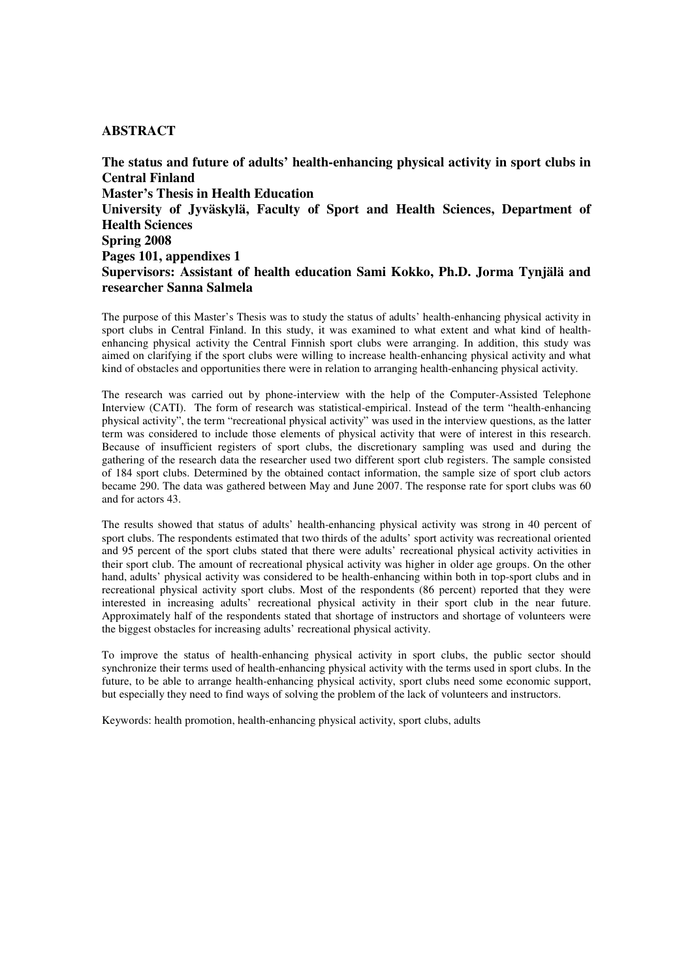#### **ABSTRACT**

**The status and future of adults' health-enhancing physical activity in sport clubs in Central Finland Master's Thesis in Health Education University of Jyväskylä, Faculty of Sport and Health Sciences, Department of Health Sciences Spring 2008 Pages 101, appendixes 1 Supervisors: Assistant of health education Sami Kokko, Ph.D. Jorma Tynjälä and researcher Sanna Salmela** 

The purpose of this Master's Thesis was to study the status of adults' health-enhancing physical activity in sport clubs in Central Finland. In this study, it was examined to what extent and what kind of healthenhancing physical activity the Central Finnish sport clubs were arranging. In addition, this study was aimed on clarifying if the sport clubs were willing to increase health-enhancing physical activity and what kind of obstacles and opportunities there were in relation to arranging health-enhancing physical activity.

The research was carried out by phone-interview with the help of the Computer-Assisted Telephone Interview (CATI). The form of research was statistical-empirical. Instead of the term "health-enhancing physical activity", the term "recreational physical activity" was used in the interview questions, as the latter term was considered to include those elements of physical activity that were of interest in this research. Because of insufficient registers of sport clubs, the discretionary sampling was used and during the gathering of the research data the researcher used two different sport club registers. The sample consisted of 184 sport clubs. Determined by the obtained contact information, the sample size of sport club actors became 290. The data was gathered between May and June 2007. The response rate for sport clubs was 60 and for actors 43.

The results showed that status of adults' health-enhancing physical activity was strong in 40 percent of sport clubs. The respondents estimated that two thirds of the adults' sport activity was recreational oriented and 95 percent of the sport clubs stated that there were adults' recreational physical activity activities in their sport club. The amount of recreational physical activity was higher in older age groups. On the other hand, adults' physical activity was considered to be health-enhancing within both in top-sport clubs and in recreational physical activity sport clubs. Most of the respondents (86 percent) reported that they were interested in increasing adults' recreational physical activity in their sport club in the near future. Approximately half of the respondents stated that shortage of instructors and shortage of volunteers were the biggest obstacles for increasing adults' recreational physical activity.

To improve the status of health-enhancing physical activity in sport clubs, the public sector should synchronize their terms used of health-enhancing physical activity with the terms used in sport clubs. In the future, to be able to arrange health-enhancing physical activity, sport clubs need some economic support, but especially they need to find ways of solving the problem of the lack of volunteers and instructors.

Keywords: health promotion, health-enhancing physical activity, sport clubs, adults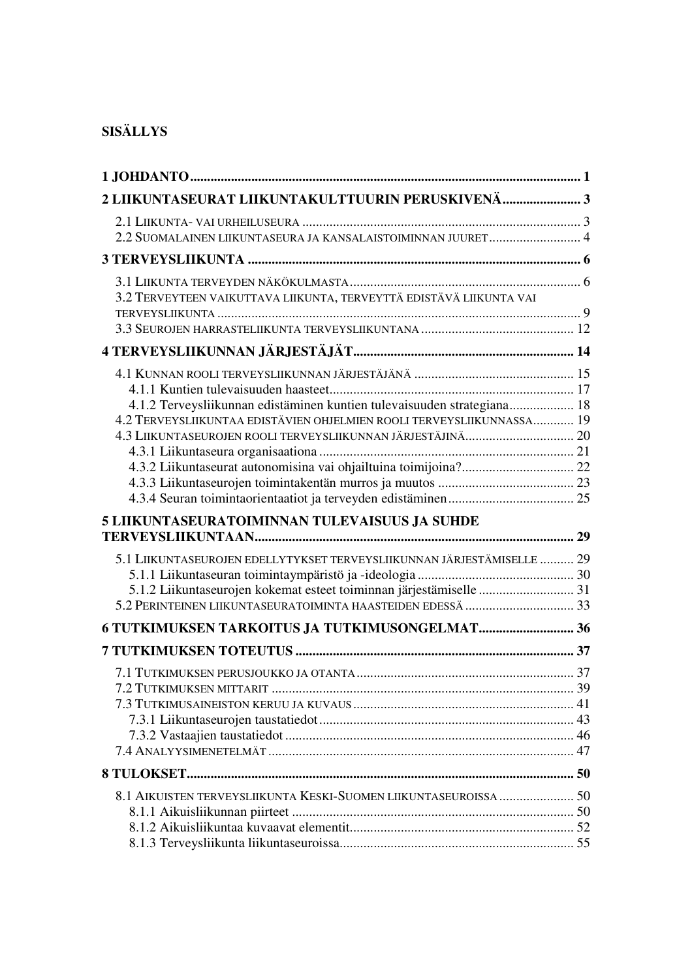# **SISÄLLYS**

| 2 LIIKUNTASEURAT LIIKUNTAKULTTUURIN PERUSKIVENÄ 3                       |  |
|-------------------------------------------------------------------------|--|
|                                                                         |  |
| 2.2 SUOMALAINEN LIIKUNTASEURA JA KANSALAISTOIMINNAN JUURET 4            |  |
|                                                                         |  |
|                                                                         |  |
| 3.2 TERVEYTEEN VAIKUTTAVA LIIKUNTA, TERVEYTTÄ EDISTÄVÄ LIIKUNTA VAI     |  |
|                                                                         |  |
|                                                                         |  |
|                                                                         |  |
|                                                                         |  |
| 4.1.2 Terveysliikunnan edistäminen kuntien tulevaisuuden strategiana 18 |  |
| 4.2 TERVEYSLIIKUNTAA EDISTÄVIEN OHJELMIEN ROOLI TERVEYSLIIKUNNASSA 19   |  |
|                                                                         |  |
|                                                                         |  |
|                                                                         |  |
|                                                                         |  |
|                                                                         |  |
| 5 LIIKUNTASEURATOIMINNAN TULEVAISUUS JA SUHDE                           |  |
|                                                                         |  |
| 5.1 LIIKUNTASEUROJEN EDELLYTYKSET TERVEYSLIIKUNNAN JÄRJESTÄMISELLE  29  |  |
|                                                                         |  |
| 5.1.2 Liikuntaseurojen kokemat esteet toiminnan järjestämiselle  31     |  |
|                                                                         |  |
| 6 TUTKIMUKSEN TARKOITUS JA TUTKIMUSONGELMAT 36                          |  |
|                                                                         |  |
|                                                                         |  |
| 7 2 TUTKIMUKSEN MITTARIT                                                |  |
|                                                                         |  |
|                                                                         |  |
|                                                                         |  |
|                                                                         |  |
|                                                                         |  |
|                                                                         |  |
| 8.1 AIKUISTEN TERVEYSLIIKUNTA KESKI-SUOMEN LIIKUNTASEUROISSA  50        |  |
|                                                                         |  |
|                                                                         |  |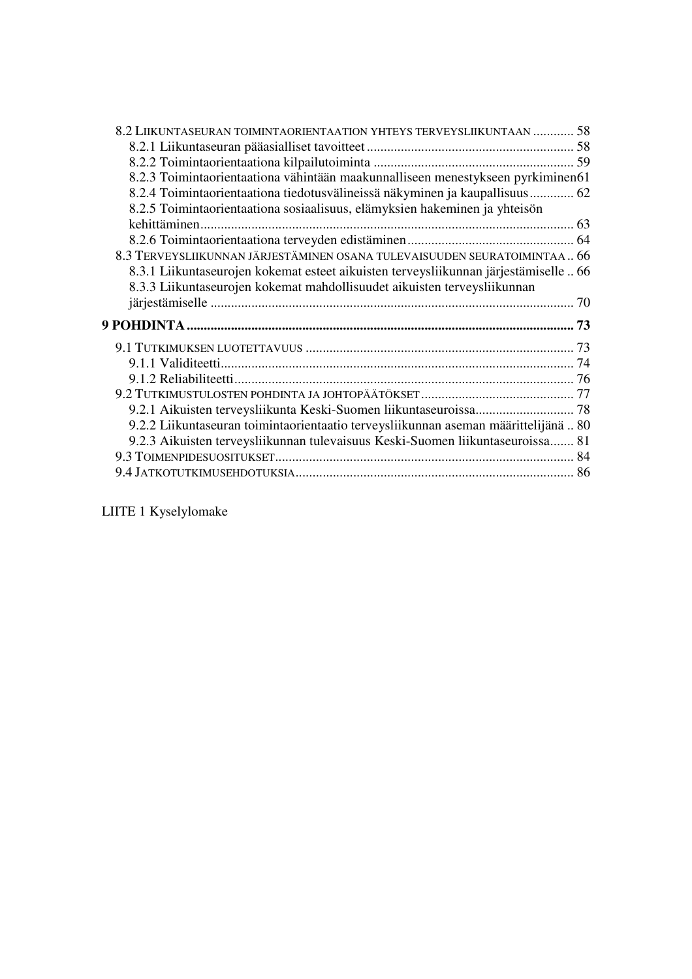| 8.2 LIIKUNTASEURAN TOIMINTAORIENTAATION YHTEYS TERVEYSLIIKUNTAAN  58                 |  |
|--------------------------------------------------------------------------------------|--|
|                                                                                      |  |
|                                                                                      |  |
| 8.2.3 Toimintaorientaationa vähintään maakunnalliseen menestykseen pyrkiminen61      |  |
| 8.2.4 Toimintaorientaationa tiedotusvälineissä näkyminen ja kaupallisuus 62          |  |
| 8.2.5 Toimintaorientaationa sosiaalisuus, elämyksien hakeminen ja yhteisön           |  |
|                                                                                      |  |
|                                                                                      |  |
| 8.3 TERVEYSLIIKUNNAN JÄRJESTÄMINEN OSANA TULEVAISUUDEN SEURATOIMINTAA 66             |  |
| 8.3.1 Liikuntaseurojen kokemat esteet aikuisten terveysliikunnan järjestämiselle  66 |  |
| 8.3.3 Liikuntaseurojen kokemat mahdollisuudet aikuisten terveysliikunnan             |  |
|                                                                                      |  |
|                                                                                      |  |
|                                                                                      |  |
|                                                                                      |  |
|                                                                                      |  |
|                                                                                      |  |
|                                                                                      |  |
|                                                                                      |  |
| 9.2.2 Liikuntaseuran toimintaorientaatio terveysliikunnan aseman määrittelijänä 80   |  |
| 9.2.3 Aikuisten terveysliikunnan tulevaisuus Keski-Suomen liikuntaseuroissa 81       |  |
|                                                                                      |  |
|                                                                                      |  |

LIITE 1 Kyselylomake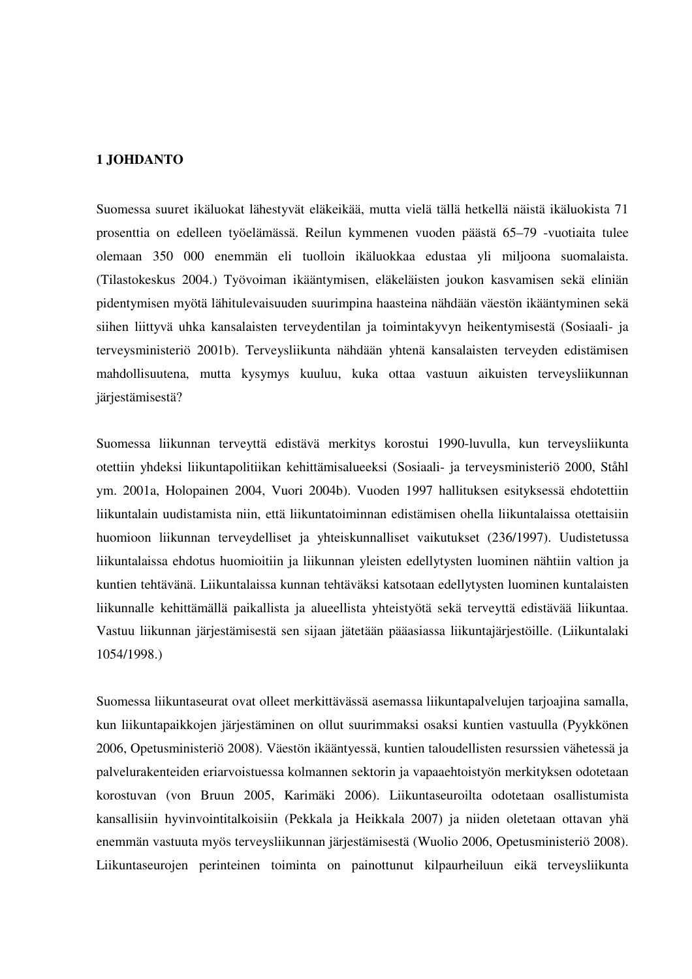## **1 JOHDANTO**

Suomessa suuret ikäluokat lähestyvät eläkeikää, mutta vielä tällä hetkellä näistä ikäluokista 71 prosenttia on edelleen työelämässä. Reilun kymmenen vuoden päästä 65–79 -vuotiaita tulee olemaan 350 000 enemmän eli tuolloin ikäluokkaa edustaa yli miljoona suomalaista. (Tilastokeskus 2004.) Työvoiman ikääntymisen, eläkeläisten joukon kasvamisen sekä eliniän pidentymisen myötä lähitulevaisuuden suurimpina haasteina nähdään väestön ikääntyminen sekä siihen liittyvä uhka kansalaisten terveydentilan ja toimintakyvyn heikentymisestä (Sosiaali- ja terveysministeriö 2001b). Terveysliikunta nähdään yhtenä kansalaisten terveyden edistämisen mahdollisuutena, mutta kysymys kuuluu, kuka ottaa vastuun aikuisten terveysliikunnan järjestämisestä?

Suomessa liikunnan terveyttä edistävä merkitys korostui 1990-luvulla, kun terveysliikunta otettiin yhdeksi liikuntapolitiikan kehittämisalueeksi (Sosiaali- ja terveysministeriö 2000, Ståhl ym. 2001a, Holopainen 2004, Vuori 2004b). Vuoden 1997 hallituksen esityksessä ehdotettiin liikuntalain uudistamista niin, että liikuntatoiminnan edistämisen ohella liikuntalaissa otettaisiin huomioon liikunnan terveydelliset ja yhteiskunnalliset vaikutukset (236/1997). Uudistetussa liikuntalaissa ehdotus huomioitiin ja liikunnan yleisten edellytysten luominen nähtiin valtion ja kuntien tehtävänä. Liikuntalaissa kunnan tehtäväksi katsotaan edellytysten luominen kuntalaisten liikunnalle kehittämällä paikallista ja alueellista yhteistyötä sekä terveyttä edistävää liikuntaa. Vastuu liikunnan järjestämisestä sen sijaan jätetään pääasiassa liikuntajärjestöille. (Liikuntalaki 1054/1998.)

Suomessa liikuntaseurat ovat olleet merkittävässä asemassa liikuntapalvelujen tarjoajina samalla, kun liikuntapaikkojen järjestäminen on ollut suurimmaksi osaksi kuntien vastuulla (Pyykkönen 2006, Opetusministeriö 2008). Väestön ikääntyessä, kuntien taloudellisten resurssien vähetessä ja palvelurakenteiden eriarvoistuessa kolmannen sektorin ja vapaaehtoistyön merkityksen odotetaan korostuvan (von Bruun 2005, Karimäki 2006). Liikuntaseuroilta odotetaan osallistumista kansallisiin hyvinvointitalkoisiin (Pekkala ja Heikkala 2007) ja niiden oletetaan ottavan yhä enemmän vastuuta myös terveysliikunnan järjestämisestä (Wuolio 2006, Opetusministeriö 2008). Liikuntaseurojen perinteinen toiminta on painottunut kilpaurheiluun eikä terveysliikunta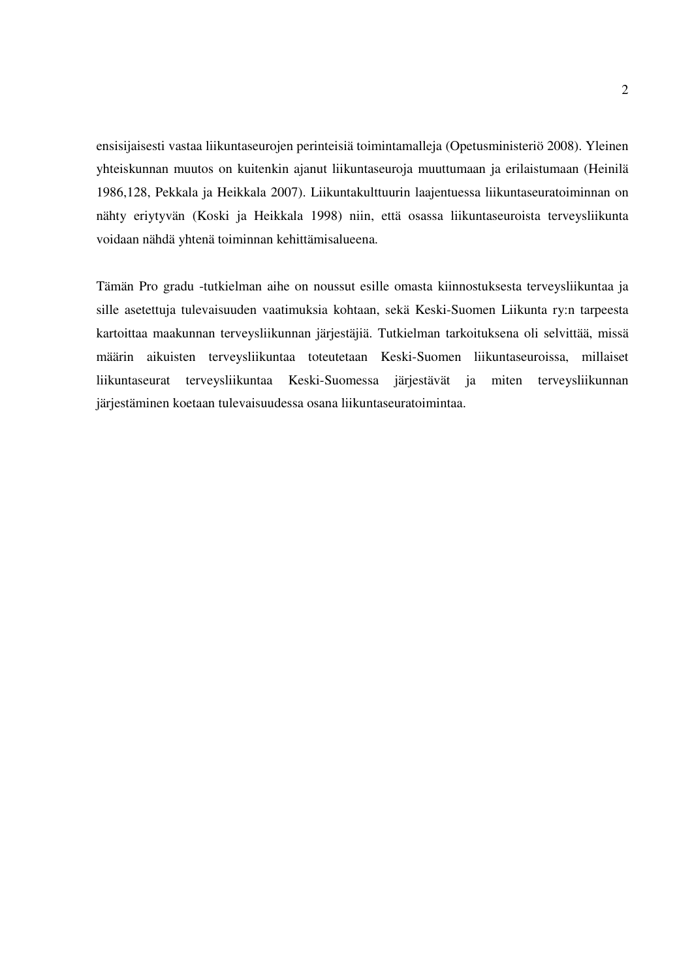ensisijaisesti vastaa liikuntaseurojen perinteisiä toimintamalleja (Opetusministeriö 2008). Yleinen yhteiskunnan muutos on kuitenkin ajanut liikuntaseuroja muuttumaan ja erilaistumaan (Heinilä 1986,128, Pekkala ja Heikkala 2007). Liikuntakulttuurin laajentuessa liikuntaseuratoiminnan on nähty eriytyvän (Koski ja Heikkala 1998) niin, että osassa liikuntaseuroista terveysliikunta voidaan nähdä yhtenä toiminnan kehittämisalueena.

Tämän Pro gradu -tutkielman aihe on noussut esille omasta kiinnostuksesta terveysliikuntaa ja sille asetettuja tulevaisuuden vaatimuksia kohtaan, sekä Keski-Suomen Liikunta ry:n tarpeesta kartoittaa maakunnan terveysliikunnan järjestäjiä. Tutkielman tarkoituksena oli selvittää, missä määrin aikuisten terveysliikuntaa toteutetaan Keski-Suomen liikuntaseuroissa, millaiset liikuntaseurat terveysliikuntaa Keski-Suomessa järjestävät ja miten terveysliikunnan järjestäminen koetaan tulevaisuudessa osana liikuntaseuratoimintaa.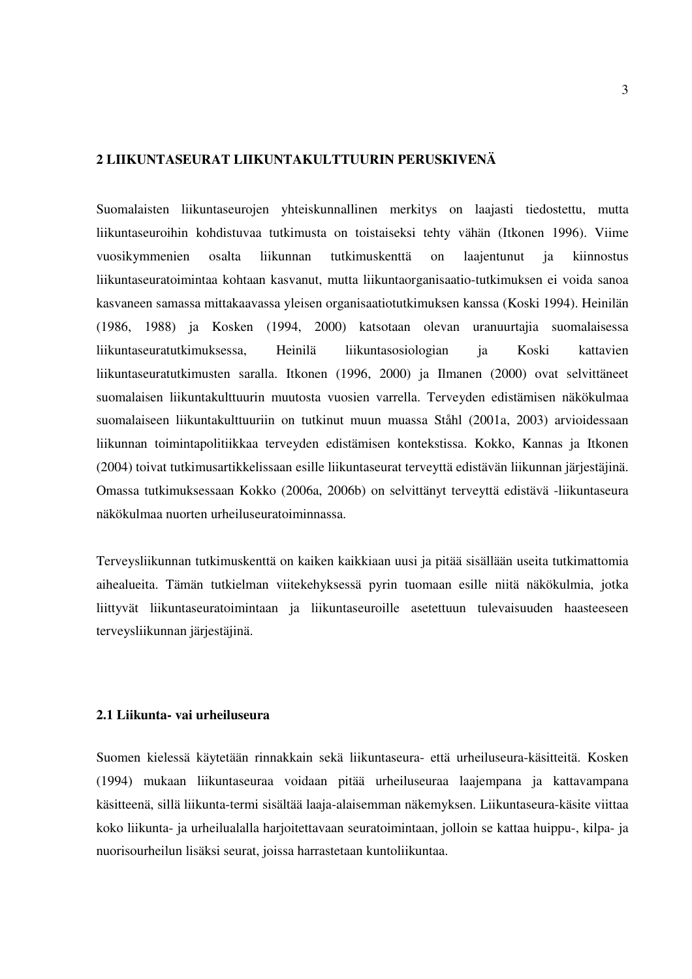# **2 LIIKUNTASEURAT LIIKUNTAKULTTUURIN PERUSKIVENÄ**

Suomalaisten liikuntaseurojen yhteiskunnallinen merkitys on laajasti tiedostettu, mutta liikuntaseuroihin kohdistuvaa tutkimusta on toistaiseksi tehty vähän (Itkonen 1996). Viime vuosikymmenien osalta liikunnan tutkimuskenttä on laajentunut ja kiinnostus liikuntaseuratoimintaa kohtaan kasvanut, mutta liikuntaorganisaatio-tutkimuksen ei voida sanoa kasvaneen samassa mittakaavassa yleisen organisaatiotutkimuksen kanssa (Koski 1994). Heinilän (1986, 1988) ja Kosken (1994, 2000) katsotaan olevan uranuurtajia suomalaisessa liikuntaseuratutkimuksessa, Heinilä liikuntasosiologian ja Koski kattavien liikuntaseuratutkimusten saralla. Itkonen (1996, 2000) ja Ilmanen (2000) ovat selvittäneet suomalaisen liikuntakulttuurin muutosta vuosien varrella. Terveyden edistämisen näkökulmaa suomalaiseen liikuntakulttuuriin on tutkinut muun muassa Ståhl (2001a, 2003) arvioidessaan liikunnan toimintapolitiikkaa terveyden edistämisen kontekstissa. Kokko, Kannas ja Itkonen (2004) toivat tutkimusartikkelissaan esille liikuntaseurat terveyttä edistävän liikunnan järjestäjinä. Omassa tutkimuksessaan Kokko (2006a, 2006b) on selvittänyt terveyttä edistävä -liikuntaseura näkökulmaa nuorten urheiluseuratoiminnassa.

Terveysliikunnan tutkimuskenttä on kaiken kaikkiaan uusi ja pitää sisällään useita tutkimattomia aihealueita. Tämän tutkielman viitekehyksessä pyrin tuomaan esille niitä näkökulmia, jotka liittyvät liikuntaseuratoimintaan ja liikuntaseuroille asetettuun tulevaisuuden haasteeseen terveysliikunnan järjestäjinä.

#### **2.1 Liikunta- vai urheiluseura**

Suomen kielessä käytetään rinnakkain sekä liikuntaseura- että urheiluseura-käsitteitä. Kosken (1994) mukaan liikuntaseuraa voidaan pitää urheiluseuraa laajempana ja kattavampana käsitteenä, sillä liikunta-termi sisältää laaja-alaisemman näkemyksen. Liikuntaseura-käsite viittaa koko liikunta- ja urheilualalla harjoitettavaan seuratoimintaan, jolloin se kattaa huippu-, kilpa- ja nuorisourheilun lisäksi seurat, joissa harrastetaan kuntoliikuntaa.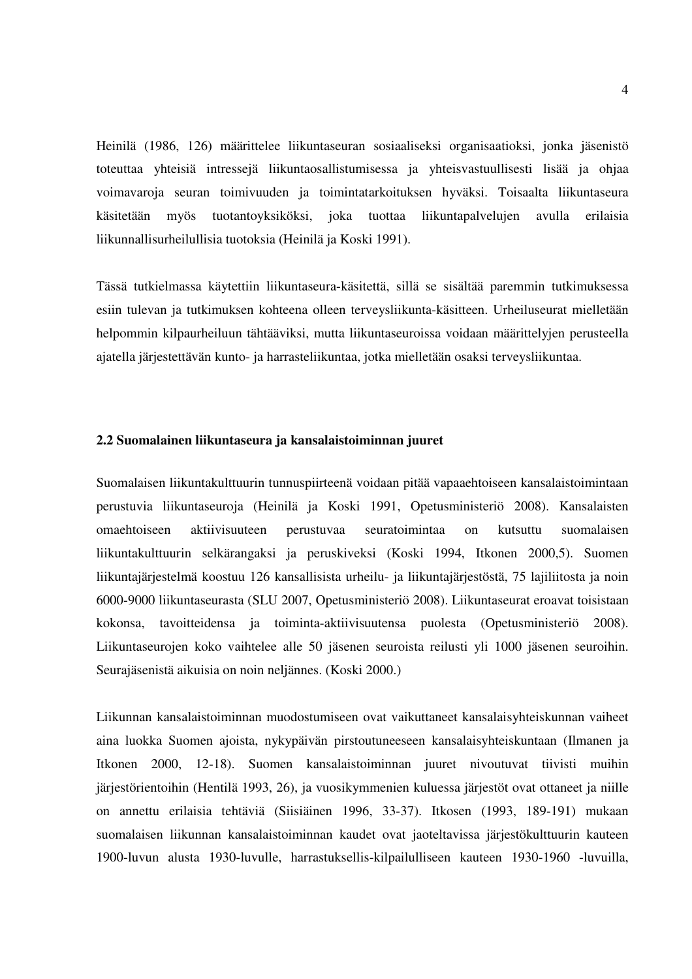Heinilä (1986, 126) määrittelee liikuntaseuran sosiaaliseksi organisaatioksi, jonka jäsenistö toteuttaa yhteisiä intressejä liikuntaosallistumisessa ja yhteisvastuullisesti lisää ja ohjaa voimavaroja seuran toimivuuden ja toimintatarkoituksen hyväksi. Toisaalta liikuntaseura käsitetään myös tuotantoyksiköksi, joka tuottaa liikuntapalvelujen avulla erilaisia liikunnallisurheilullisia tuotoksia (Heinilä ja Koski 1991).

Tässä tutkielmassa käytettiin liikuntaseura-käsitettä, sillä se sisältää paremmin tutkimuksessa esiin tulevan ja tutkimuksen kohteena olleen terveysliikunta-käsitteen. Urheiluseurat mielletään helpommin kilpaurheiluun tähtääviksi, mutta liikuntaseuroissa voidaan määrittelyjen perusteella ajatella järjestettävän kunto- ja harrasteliikuntaa, jotka mielletään osaksi terveysliikuntaa.

#### **2.2 Suomalainen liikuntaseura ja kansalaistoiminnan juuret**

Suomalaisen liikuntakulttuurin tunnuspiirteenä voidaan pitää vapaaehtoiseen kansalaistoimintaan perustuvia liikuntaseuroja (Heinilä ja Koski 1991, Opetusministeriö 2008). Kansalaisten omaehtoiseen aktiivisuuteen perustuvaa seuratoimintaa on kutsuttu suomalaisen liikuntakulttuurin selkärangaksi ja peruskiveksi (Koski 1994, Itkonen 2000,5). Suomen liikuntajärjestelmä koostuu 126 kansallisista urheilu- ja liikuntajärjestöstä, 75 lajiliitosta ja noin 6000-9000 liikuntaseurasta (SLU 2007, Opetusministeriö 2008). Liikuntaseurat eroavat toisistaan kokonsa, tavoitteidensa ja toiminta-aktiivisuutensa puolesta (Opetusministeriö 2008). Liikuntaseurojen koko vaihtelee alle 50 jäsenen seuroista reilusti yli 1000 jäsenen seuroihin. Seurajäsenistä aikuisia on noin neljännes. (Koski 2000.)

Liikunnan kansalaistoiminnan muodostumiseen ovat vaikuttaneet kansalaisyhteiskunnan vaiheet aina luokka Suomen ajoista, nykypäivän pirstoutuneeseen kansalaisyhteiskuntaan (Ilmanen ja Itkonen 2000, 12-18). Suomen kansalaistoiminnan juuret nivoutuvat tiivisti muihin järjestörientoihin (Hentilä 1993, 26), ja vuosikymmenien kuluessa järjestöt ovat ottaneet ja niille on annettu erilaisia tehtäviä (Siisiäinen 1996, 33-37). Itkosen (1993, 189-191) mukaan suomalaisen liikunnan kansalaistoiminnan kaudet ovat jaoteltavissa järjestökulttuurin kauteen 1900-luvun alusta 1930-luvulle, harrastuksellis-kilpailulliseen kauteen 1930-1960 -luvuilla,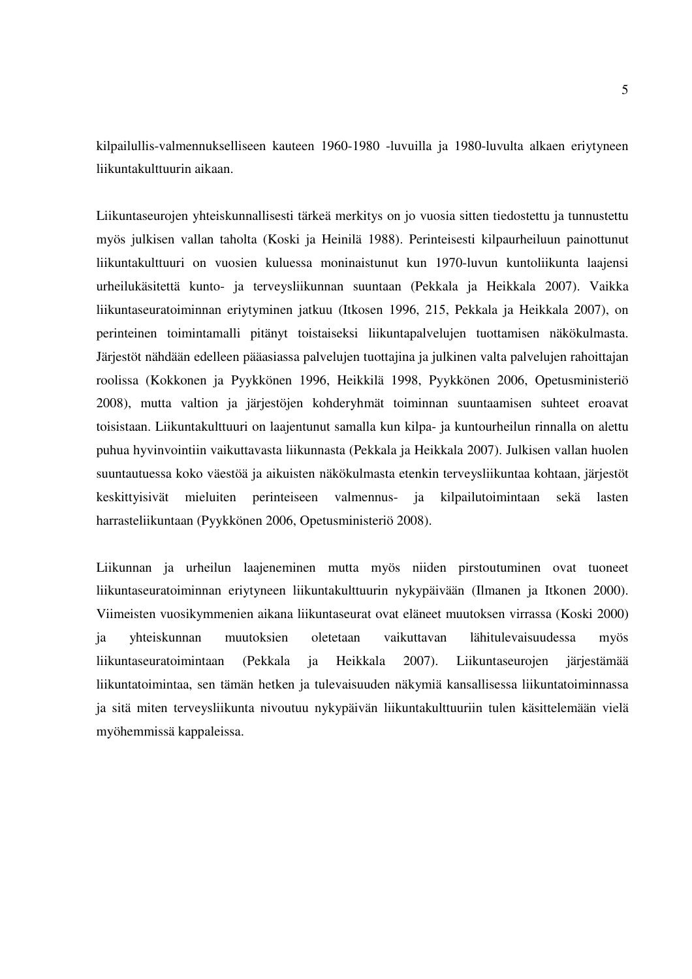kilpailullis-valmennukselliseen kauteen 1960-1980 -luvuilla ja 1980-luvulta alkaen eriytyneen liikuntakulttuurin aikaan.

Liikuntaseurojen yhteiskunnallisesti tärkeä merkitys on jo vuosia sitten tiedostettu ja tunnustettu myös julkisen vallan taholta (Koski ja Heinilä 1988). Perinteisesti kilpaurheiluun painottunut liikuntakulttuuri on vuosien kuluessa moninaistunut kun 1970-luvun kuntoliikunta laajensi urheilukäsitettä kunto- ja terveysliikunnan suuntaan (Pekkala ja Heikkala 2007). Vaikka liikuntaseuratoiminnan eriytyminen jatkuu (Itkosen 1996, 215, Pekkala ja Heikkala 2007), on perinteinen toimintamalli pitänyt toistaiseksi liikuntapalvelujen tuottamisen näkökulmasta. Järjestöt nähdään edelleen pääasiassa palvelujen tuottajina ja julkinen valta palvelujen rahoittajan roolissa (Kokkonen ja Pyykkönen 1996, Heikkilä 1998, Pyykkönen 2006, Opetusministeriö 2008), mutta valtion ja järjestöjen kohderyhmät toiminnan suuntaamisen suhteet eroavat toisistaan. Liikuntakulttuuri on laajentunut samalla kun kilpa- ja kuntourheilun rinnalla on alettu puhua hyvinvointiin vaikuttavasta liikunnasta (Pekkala ja Heikkala 2007). Julkisen vallan huolen suuntautuessa koko väestöä ja aikuisten näkökulmasta etenkin terveysliikuntaa kohtaan, järjestöt keskittyisivät mieluiten perinteiseen valmennus- ja kilpailutoimintaan sekä lasten harrasteliikuntaan (Pyykkönen 2006, Opetusministeriö 2008).

Liikunnan ja urheilun laajeneminen mutta myös niiden pirstoutuminen ovat tuoneet liikuntaseuratoiminnan eriytyneen liikuntakulttuurin nykypäivään (Ilmanen ja Itkonen 2000). Viimeisten vuosikymmenien aikana liikuntaseurat ovat eläneet muutoksen virrassa (Koski 2000) ja yhteiskunnan muutoksien oletetaan vaikuttavan lähitulevaisuudessa myös liikuntaseuratoimintaan (Pekkala ja Heikkala 2007). Liikuntaseurojen järjestämää liikuntatoimintaa, sen tämän hetken ja tulevaisuuden näkymiä kansallisessa liikuntatoiminnassa ja sitä miten terveysliikunta nivoutuu nykypäivän liikuntakulttuuriin tulen käsittelemään vielä myöhemmissä kappaleissa.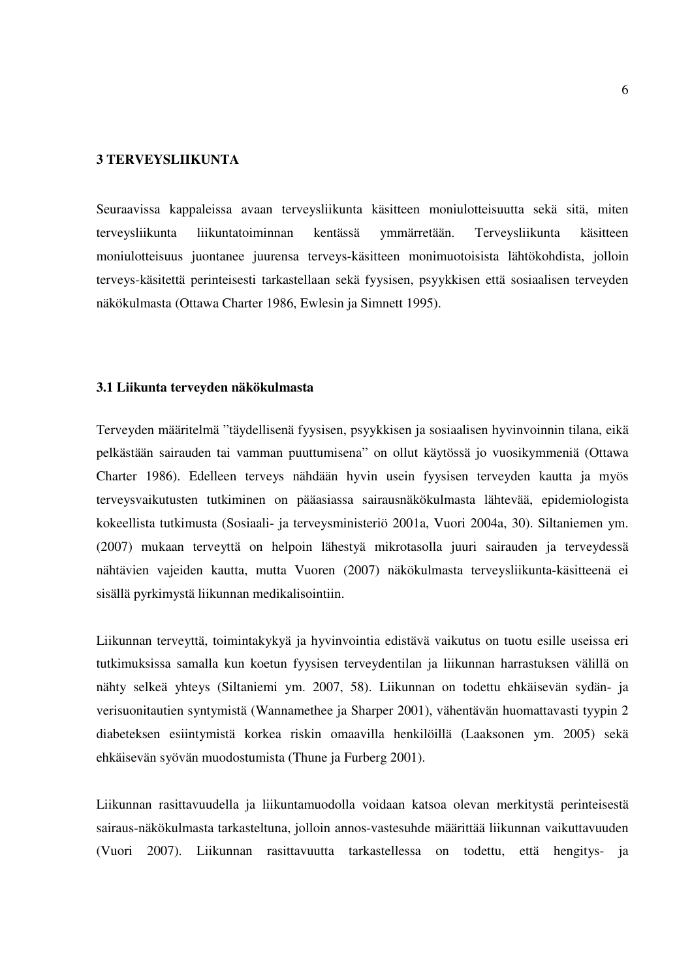## **3 TERVEYSLIIKUNTA**

Seuraavissa kappaleissa avaan terveysliikunta käsitteen moniulotteisuutta sekä sitä, miten terveysliikunta liikuntatoiminnan kentässä ymmärretään. Terveysliikunta käsitteen moniulotteisuus juontanee juurensa terveys-käsitteen monimuotoisista lähtökohdista, jolloin terveys-käsitettä perinteisesti tarkastellaan sekä fyysisen, psyykkisen että sosiaalisen terveyden näkökulmasta (Ottawa Charter 1986, Ewlesin ja Simnett 1995).

#### **3.1 Liikunta terveyden näkökulmasta**

Terveyden määritelmä "täydellisenä fyysisen, psyykkisen ja sosiaalisen hyvinvoinnin tilana, eikä pelkästään sairauden tai vamman puuttumisena" on ollut käytössä jo vuosikymmeniä (Ottawa Charter 1986). Edelleen terveys nähdään hyvin usein fyysisen terveyden kautta ja myös terveysvaikutusten tutkiminen on pääasiassa sairausnäkökulmasta lähtevää, epidemiologista kokeellista tutkimusta (Sosiaali- ja terveysministeriö 2001a, Vuori 2004a, 30). Siltaniemen ym. (2007) mukaan terveyttä on helpoin lähestyä mikrotasolla juuri sairauden ja terveydessä nähtävien vajeiden kautta, mutta Vuoren (2007) näkökulmasta terveysliikunta-käsitteenä ei sisällä pyrkimystä liikunnan medikalisointiin.

Liikunnan terveyttä, toimintakykyä ja hyvinvointia edistävä vaikutus on tuotu esille useissa eri tutkimuksissa samalla kun koetun fyysisen terveydentilan ja liikunnan harrastuksen välillä on nähty selkeä yhteys (Siltaniemi ym. 2007, 58). Liikunnan on todettu ehkäisevän sydän- ja verisuonitautien syntymistä (Wannamethee ja Sharper 2001), vähentävän huomattavasti tyypin 2 diabeteksen esiintymistä korkea riskin omaavilla henkilöillä (Laaksonen ym. 2005) sekä ehkäisevän syövän muodostumista (Thune ja Furberg 2001).

Liikunnan rasittavuudella ja liikuntamuodolla voidaan katsoa olevan merkitystä perinteisestä sairaus-näkökulmasta tarkasteltuna, jolloin annos-vastesuhde määrittää liikunnan vaikuttavuuden (Vuori 2007). Liikunnan rasittavuutta tarkastellessa on todettu, että hengitys- ja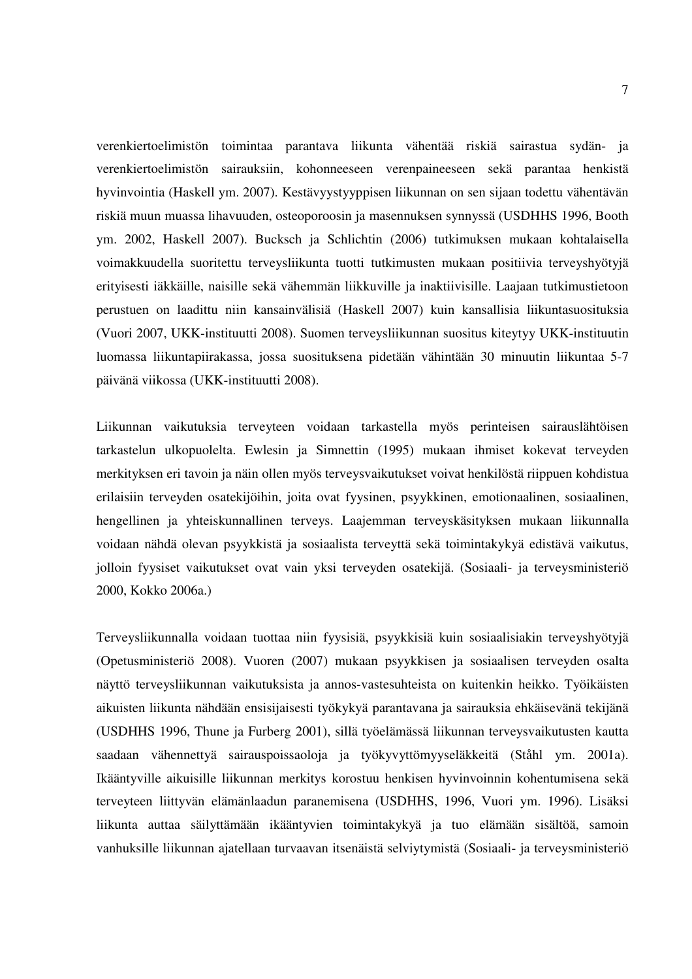verenkiertoelimistön toimintaa parantava liikunta vähentää riskiä sairastua sydän- ja verenkiertoelimistön sairauksiin, kohonneeseen verenpaineeseen sekä parantaa henkistä hyvinvointia (Haskell ym. 2007). Kestävyystyyppisen liikunnan on sen sijaan todettu vähentävän riskiä muun muassa lihavuuden, osteoporoosin ja masennuksen synnyssä (USDHHS 1996, Booth ym. 2002, Haskell 2007). Bucksch ja Schlichtin (2006) tutkimuksen mukaan kohtalaisella voimakkuudella suoritettu terveysliikunta tuotti tutkimusten mukaan positiivia terveyshyötyjä erityisesti iäkkäille, naisille sekä vähemmän liikkuville ja inaktiivisille. Laajaan tutkimustietoon perustuen on laadittu niin kansainvälisiä (Haskell 2007) kuin kansallisia liikuntasuosituksia (Vuori 2007, UKK-instituutti 2008). Suomen terveysliikunnan suositus kiteytyy UKK-instituutin luomassa liikuntapiirakassa, jossa suosituksena pidetään vähintään 30 minuutin liikuntaa 5-7 päivänä viikossa (UKK-instituutti 2008).

Liikunnan vaikutuksia terveyteen voidaan tarkastella myös perinteisen sairauslähtöisen tarkastelun ulkopuolelta. Ewlesin ja Simnettin (1995) mukaan ihmiset kokevat terveyden merkityksen eri tavoin ja näin ollen myös terveysvaikutukset voivat henkilöstä riippuen kohdistua erilaisiin terveyden osatekijöihin, joita ovat fyysinen, psyykkinen, emotionaalinen, sosiaalinen, hengellinen ja yhteiskunnallinen terveys. Laajemman terveyskäsityksen mukaan liikunnalla voidaan nähdä olevan psyykkistä ja sosiaalista terveyttä sekä toimintakykyä edistävä vaikutus, jolloin fyysiset vaikutukset ovat vain yksi terveyden osatekijä. (Sosiaali- ja terveysministeriö 2000, Kokko 2006a.)

Terveysliikunnalla voidaan tuottaa niin fyysisiä, psyykkisiä kuin sosiaalisiakin terveyshyötyjä (Opetusministeriö 2008). Vuoren (2007) mukaan psyykkisen ja sosiaalisen terveyden osalta näyttö terveysliikunnan vaikutuksista ja annos-vastesuhteista on kuitenkin heikko. Työikäisten aikuisten liikunta nähdään ensisijaisesti työkykyä parantavana ja sairauksia ehkäisevänä tekijänä (USDHHS 1996, Thune ja Furberg 2001), sillä työelämässä liikunnan terveysvaikutusten kautta saadaan vähennettyä sairauspoissaoloja ja työkyvyttömyyseläkkeitä (Ståhl ym. 2001a). Ikääntyville aikuisille liikunnan merkitys korostuu henkisen hyvinvoinnin kohentumisena sekä terveyteen liittyvän elämänlaadun paranemisena (USDHHS, 1996, Vuori ym. 1996). Lisäksi liikunta auttaa säilyttämään ikääntyvien toimintakykyä ja tuo elämään sisältöä, samoin vanhuksille liikunnan ajatellaan turvaavan itsenäistä selviytymistä (Sosiaali- ja terveysministeriö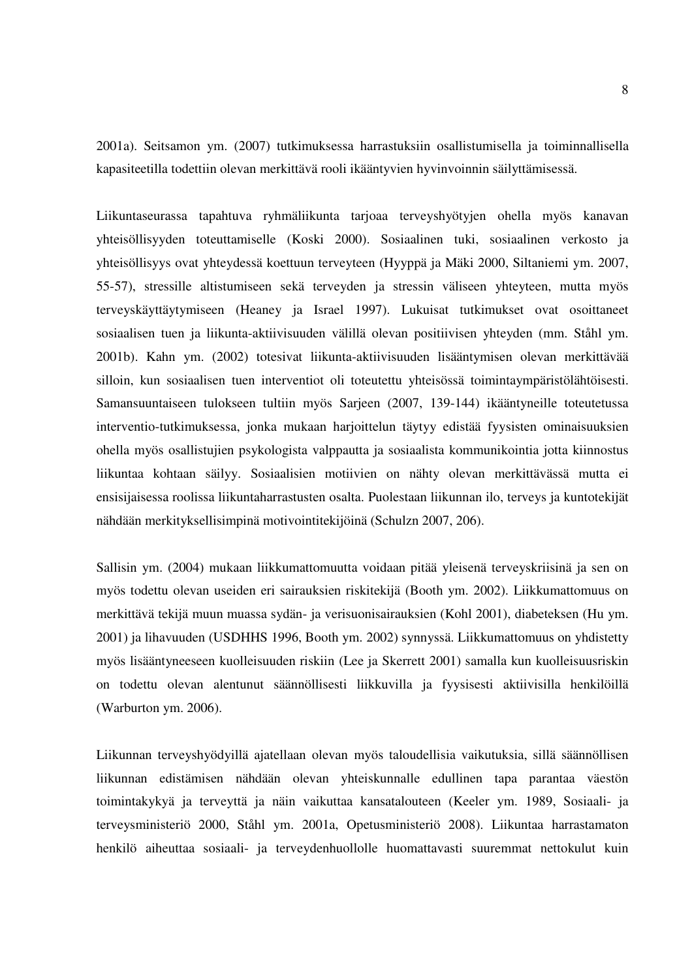2001a). Seitsamon ym. (2007) tutkimuksessa harrastuksiin osallistumisella ja toiminnallisella kapasiteetilla todettiin olevan merkittävä rooli ikääntyvien hyvinvoinnin säilyttämisessä.

Liikuntaseurassa tapahtuva ryhmäliikunta tarjoaa terveyshyötyjen ohella myös kanavan yhteisöllisyyden toteuttamiselle (Koski 2000). Sosiaalinen tuki, sosiaalinen verkosto ja yhteisöllisyys ovat yhteydessä koettuun terveyteen (Hyyppä ja Mäki 2000, Siltaniemi ym. 2007, 55-57), stressille altistumiseen sekä terveyden ja stressin väliseen yhteyteen, mutta myös terveyskäyttäytymiseen (Heaney ja Israel 1997). Lukuisat tutkimukset ovat osoittaneet sosiaalisen tuen ja liikunta-aktiivisuuden välillä olevan positiivisen yhteyden (mm. Ståhl ym. 2001b). Kahn ym. (2002) totesivat liikunta-aktiivisuuden lisääntymisen olevan merkittävää silloin, kun sosiaalisen tuen interventiot oli toteutettu yhteisössä toimintaympäristölähtöisesti. Samansuuntaiseen tulokseen tultiin myös Sarjeen (2007, 139-144) ikääntyneille toteutetussa interventio-tutkimuksessa, jonka mukaan harjoittelun täytyy edistää fyysisten ominaisuuksien ohella myös osallistujien psykologista valppautta ja sosiaalista kommunikointia jotta kiinnostus liikuntaa kohtaan säilyy. Sosiaalisien motiivien on nähty olevan merkittävässä mutta ei ensisijaisessa roolissa liikuntaharrastusten osalta. Puolestaan liikunnan ilo, terveys ja kuntotekijät nähdään merkityksellisimpinä motivointitekijöinä (Schulzn 2007, 206).

Sallisin ym. (2004) mukaan liikkumattomuutta voidaan pitää yleisenä terveyskriisinä ja sen on myös todettu olevan useiden eri sairauksien riskitekijä (Booth ym. 2002). Liikkumattomuus on merkittävä tekijä muun muassa sydän- ja verisuonisairauksien (Kohl 2001), diabeteksen (Hu ym. 2001) ja lihavuuden (USDHHS 1996, Booth ym. 2002) synnyssä. Liikkumattomuus on yhdistetty myös lisääntyneeseen kuolleisuuden riskiin (Lee ja Skerrett 2001) samalla kun kuolleisuusriskin on todettu olevan alentunut säännöllisesti liikkuvilla ja fyysisesti aktiivisilla henkilöillä (Warburton ym. 2006).

Liikunnan terveyshyödyillä ajatellaan olevan myös taloudellisia vaikutuksia, sillä säännöllisen liikunnan edistämisen nähdään olevan yhteiskunnalle edullinen tapa parantaa väestön toimintakykyä ja terveyttä ja näin vaikuttaa kansatalouteen (Keeler ym. 1989, Sosiaali- ja terveysministeriö 2000, Ståhl ym. 2001a, Opetusministeriö 2008). Liikuntaa harrastamaton henkilö aiheuttaa sosiaali- ja terveydenhuollolle huomattavasti suuremmat nettokulut kuin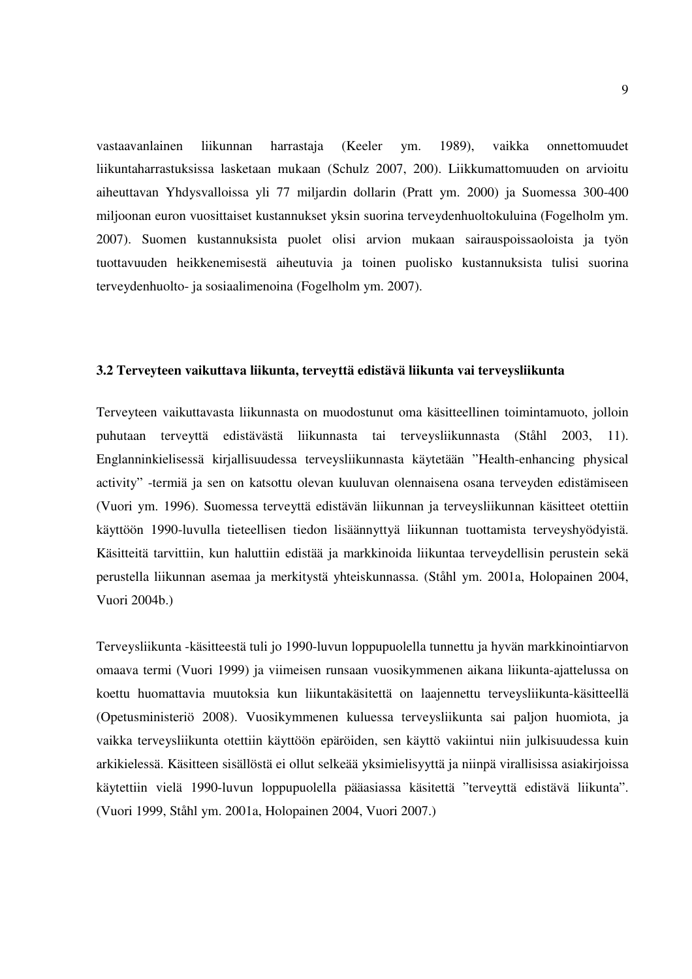vastaavanlainen liikunnan harrastaja (Keeler ym. 1989), vaikka onnettomuudet liikuntaharrastuksissa lasketaan mukaan (Schulz 2007, 200). Liikkumattomuuden on arvioitu aiheuttavan Yhdysvalloissa yli 77 miljardin dollarin (Pratt ym. 2000) ja Suomessa 300-400 miljoonan euron vuosittaiset kustannukset yksin suorina terveydenhuoltokuluina (Fogelholm ym. 2007). Suomen kustannuksista puolet olisi arvion mukaan sairauspoissaoloista ja työn tuottavuuden heikkenemisestä aiheutuvia ja toinen puolisko kustannuksista tulisi suorina terveydenhuolto- ja sosiaalimenoina (Fogelholm ym. 2007).

#### **3.2 Terveyteen vaikuttava liikunta, terveyttä edistävä liikunta vai terveysliikunta**

Terveyteen vaikuttavasta liikunnasta on muodostunut oma käsitteellinen toimintamuoto, jolloin puhutaan terveyttä edistävästä liikunnasta tai terveysliikunnasta (Ståhl 2003, 11). Englanninkielisessä kirjallisuudessa terveysliikunnasta käytetään "Health-enhancing physical activity" -termiä ja sen on katsottu olevan kuuluvan olennaisena osana terveyden edistämiseen (Vuori ym. 1996). Suomessa terveyttä edistävän liikunnan ja terveysliikunnan käsitteet otettiin käyttöön 1990-luvulla tieteellisen tiedon lisäännyttyä liikunnan tuottamista terveyshyödyistä. Käsitteitä tarvittiin, kun haluttiin edistää ja markkinoida liikuntaa terveydellisin perustein sekä perustella liikunnan asemaa ja merkitystä yhteiskunnassa. (Ståhl ym. 2001a, Holopainen 2004, Vuori 2004b.)

Terveysliikunta -käsitteestä tuli jo 1990-luvun loppupuolella tunnettu ja hyvän markkinointiarvon omaava termi (Vuori 1999) ja viimeisen runsaan vuosikymmenen aikana liikunta-ajattelussa on koettu huomattavia muutoksia kun liikuntakäsitettä on laajennettu terveysliikunta-käsitteellä (Opetusministeriö 2008). Vuosikymmenen kuluessa terveysliikunta sai paljon huomiota, ja vaikka terveysliikunta otettiin käyttöön epäröiden, sen käyttö vakiintui niin julkisuudessa kuin arkikielessä. Käsitteen sisällöstä ei ollut selkeää yksimielisyyttä ja niinpä virallisissa asiakirjoissa käytettiin vielä 1990-luvun loppupuolella pääasiassa käsitettä "terveyttä edistävä liikunta". (Vuori 1999, Ståhl ym. 2001a, Holopainen 2004, Vuori 2007.)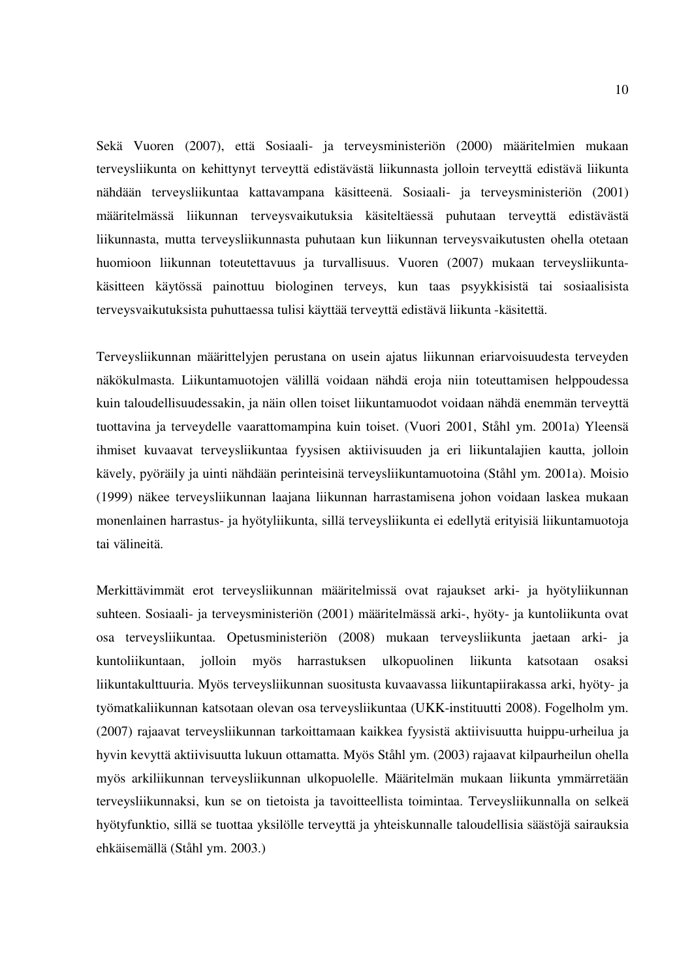Sekä Vuoren (2007), että Sosiaali- ja terveysministeriön (2000) määritelmien mukaan terveysliikunta on kehittynyt terveyttä edistävästä liikunnasta jolloin terveyttä edistävä liikunta nähdään terveysliikuntaa kattavampana käsitteenä. Sosiaali- ja terveysministeriön (2001) määritelmässä liikunnan terveysvaikutuksia käsiteltäessä puhutaan terveyttä edistävästä liikunnasta, mutta terveysliikunnasta puhutaan kun liikunnan terveysvaikutusten ohella otetaan huomioon liikunnan toteutettavuus ja turvallisuus. Vuoren (2007) mukaan terveysliikuntakäsitteen käytössä painottuu biologinen terveys, kun taas psyykkisistä tai sosiaalisista terveysvaikutuksista puhuttaessa tulisi käyttää terveyttä edistävä liikunta -käsitettä.

Terveysliikunnan määrittelyjen perustana on usein ajatus liikunnan eriarvoisuudesta terveyden näkökulmasta. Liikuntamuotojen välillä voidaan nähdä eroja niin toteuttamisen helppoudessa kuin taloudellisuudessakin, ja näin ollen toiset liikuntamuodot voidaan nähdä enemmän terveyttä tuottavina ja terveydelle vaarattomampina kuin toiset. (Vuori 2001, Ståhl ym. 2001a) Yleensä ihmiset kuvaavat terveysliikuntaa fyysisen aktiivisuuden ja eri liikuntalajien kautta, jolloin kävely, pyöräily ja uinti nähdään perinteisinä terveysliikuntamuotoina (Ståhl ym. 2001a). Moisio (1999) näkee terveysliikunnan laajana liikunnan harrastamisena johon voidaan laskea mukaan monenlainen harrastus- ja hyötyliikunta, sillä terveysliikunta ei edellytä erityisiä liikuntamuotoja tai välineitä.

Merkittävimmät erot terveysliikunnan määritelmissä ovat rajaukset arki- ja hyötyliikunnan suhteen. Sosiaali- ja terveysministeriön (2001) määritelmässä arki-, hyöty- ja kuntoliikunta ovat osa terveysliikuntaa. Opetusministeriön (2008) mukaan terveysliikunta jaetaan arki- ja kuntoliikuntaan, jolloin myös harrastuksen ulkopuolinen liikunta katsotaan osaksi liikuntakulttuuria. Myös terveysliikunnan suositusta kuvaavassa liikuntapiirakassa arki, hyöty- ja työmatkaliikunnan katsotaan olevan osa terveysliikuntaa (UKK-instituutti 2008). Fogelholm ym. (2007) rajaavat terveysliikunnan tarkoittamaan kaikkea fyysistä aktiivisuutta huippu-urheilua ja hyvin kevyttä aktiivisuutta lukuun ottamatta. Myös Ståhl ym. (2003) rajaavat kilpaurheilun ohella myös arkiliikunnan terveysliikunnan ulkopuolelle. Määritelmän mukaan liikunta ymmärretään terveysliikunnaksi, kun se on tietoista ja tavoitteellista toimintaa. Terveysliikunnalla on selkeä hyötyfunktio, sillä se tuottaa yksilölle terveyttä ja yhteiskunnalle taloudellisia säästöjä sairauksia ehkäisemällä (Ståhl ym. 2003.)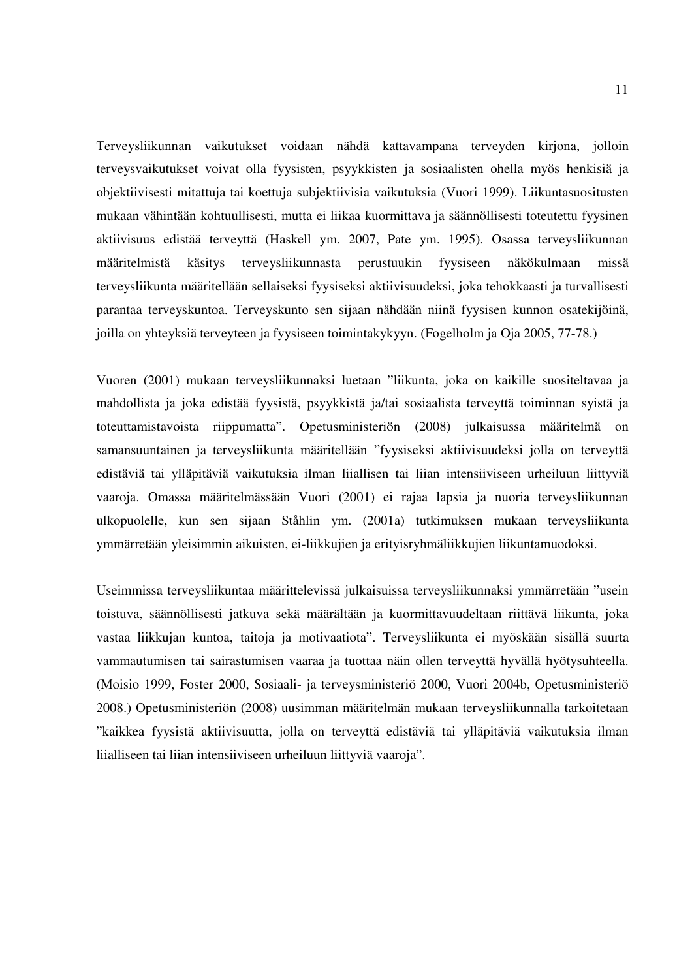Terveysliikunnan vaikutukset voidaan nähdä kattavampana terveyden kirjona, jolloin terveysvaikutukset voivat olla fyysisten, psyykkisten ja sosiaalisten ohella myös henkisiä ja objektiivisesti mitattuja tai koettuja subjektiivisia vaikutuksia (Vuori 1999). Liikuntasuositusten mukaan vähintään kohtuullisesti, mutta ei liikaa kuormittava ja säännöllisesti toteutettu fyysinen aktiivisuus edistää terveyttä (Haskell ym. 2007, Pate ym. 1995). Osassa terveysliikunnan määritelmistä käsitys terveysliikunnasta perustuukin fyysiseen näkökulmaan missä terveysliikunta määritellään sellaiseksi fyysiseksi aktiivisuudeksi, joka tehokkaasti ja turvallisesti parantaa terveyskuntoa. Terveyskunto sen sijaan nähdään niinä fyysisen kunnon osatekijöinä, joilla on yhteyksiä terveyteen ja fyysiseen toimintakykyyn. (Fogelholm ja Oja 2005, 77-78.)

Vuoren (2001) mukaan terveysliikunnaksi luetaan "liikunta, joka on kaikille suositeltavaa ja mahdollista ja joka edistää fyysistä, psyykkistä ja/tai sosiaalista terveyttä toiminnan syistä ja toteuttamistavoista riippumatta". Opetusministeriön (2008) julkaisussa määritelmä on samansuuntainen ja terveysliikunta määritellään "fyysiseksi aktiivisuudeksi jolla on terveyttä edistäviä tai ylläpitäviä vaikutuksia ilman liiallisen tai liian intensiiviseen urheiluun liittyviä vaaroja. Omassa määritelmässään Vuori (2001) ei rajaa lapsia ja nuoria terveysliikunnan ulkopuolelle, kun sen sijaan Ståhlin ym. (2001a) tutkimuksen mukaan terveysliikunta ymmärretään yleisimmin aikuisten, ei-liikkujien ja erityisryhmäliikkujien liikuntamuodoksi.

Useimmissa terveysliikuntaa määrittelevissä julkaisuissa terveysliikunnaksi ymmärretään "usein toistuva, säännöllisesti jatkuva sekä määrältään ja kuormittavuudeltaan riittävä liikunta, joka vastaa liikkujan kuntoa, taitoja ja motivaatiota". Terveysliikunta ei myöskään sisällä suurta vammautumisen tai sairastumisen vaaraa ja tuottaa näin ollen terveyttä hyvällä hyötysuhteella. (Moisio 1999, Foster 2000, Sosiaali- ja terveysministeriö 2000, Vuori 2004b, Opetusministeriö 2008.) Opetusministeriön (2008) uusimman määritelmän mukaan terveysliikunnalla tarkoitetaan "kaikkea fyysistä aktiivisuutta, jolla on terveyttä edistäviä tai ylläpitäviä vaikutuksia ilman liialliseen tai liian intensiiviseen urheiluun liittyviä vaaroja".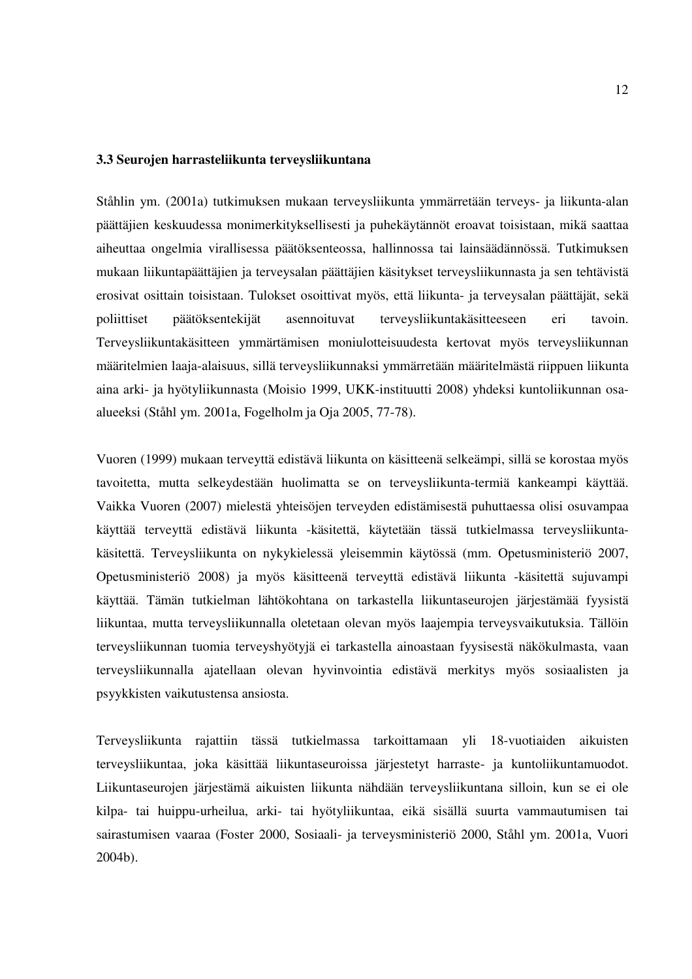#### **3.3 Seurojen harrasteliikunta terveysliikuntana**

Ståhlin ym. (2001a) tutkimuksen mukaan terveysliikunta ymmärretään terveys- ja liikunta-alan päättäjien keskuudessa monimerkityksellisesti ja puhekäytännöt eroavat toisistaan, mikä saattaa aiheuttaa ongelmia virallisessa päätöksenteossa, hallinnossa tai lainsäädännössä. Tutkimuksen mukaan liikuntapäättäjien ja terveysalan päättäjien käsitykset terveysliikunnasta ja sen tehtävistä erosivat osittain toisistaan. Tulokset osoittivat myös, että liikunta- ja terveysalan päättäjät, sekä poliittiset päätöksentekijät asennoituvat terveysliikuntakäsitteeseen eri tavoin. Terveysliikuntakäsitteen ymmärtämisen moniulotteisuudesta kertovat myös terveysliikunnan määritelmien laaja-alaisuus, sillä terveysliikunnaksi ymmärretään määritelmästä riippuen liikunta aina arki- ja hyötyliikunnasta (Moisio 1999, UKK-instituutti 2008) yhdeksi kuntoliikunnan osaalueeksi (Ståhl ym. 2001a, Fogelholm ja Oja 2005, 77-78).

Vuoren (1999) mukaan terveyttä edistävä liikunta on käsitteenä selkeämpi, sillä se korostaa myös tavoitetta, mutta selkeydestään huolimatta se on terveysliikunta-termiä kankeampi käyttää. Vaikka Vuoren (2007) mielestä yhteisöjen terveyden edistämisestä puhuttaessa olisi osuvampaa käyttää terveyttä edistävä liikunta -käsitettä, käytetään tässä tutkielmassa terveysliikuntakäsitettä. Terveysliikunta on nykykielessä yleisemmin käytössä (mm. Opetusministeriö 2007, Opetusministeriö 2008) ja myös käsitteenä terveyttä edistävä liikunta -käsitettä sujuvampi käyttää. Tämän tutkielman lähtökohtana on tarkastella liikuntaseurojen järjestämää fyysistä liikuntaa, mutta terveysliikunnalla oletetaan olevan myös laajempia terveysvaikutuksia. Tällöin terveysliikunnan tuomia terveyshyötyjä ei tarkastella ainoastaan fyysisestä näkökulmasta, vaan terveysliikunnalla ajatellaan olevan hyvinvointia edistävä merkitys myös sosiaalisten ja psyykkisten vaikutustensa ansiosta.

Terveysliikunta rajattiin tässä tutkielmassa tarkoittamaan yli 18-vuotiaiden aikuisten terveysliikuntaa, joka käsittää liikuntaseuroissa järjestetyt harraste- ja kuntoliikuntamuodot. Liikuntaseurojen järjestämä aikuisten liikunta nähdään terveysliikuntana silloin, kun se ei ole kilpa- tai huippu-urheilua, arki- tai hyötyliikuntaa, eikä sisällä suurta vammautumisen tai sairastumisen vaaraa (Foster 2000, Sosiaali- ja terveysministeriö 2000, Ståhl ym. 2001a, Vuori 2004b).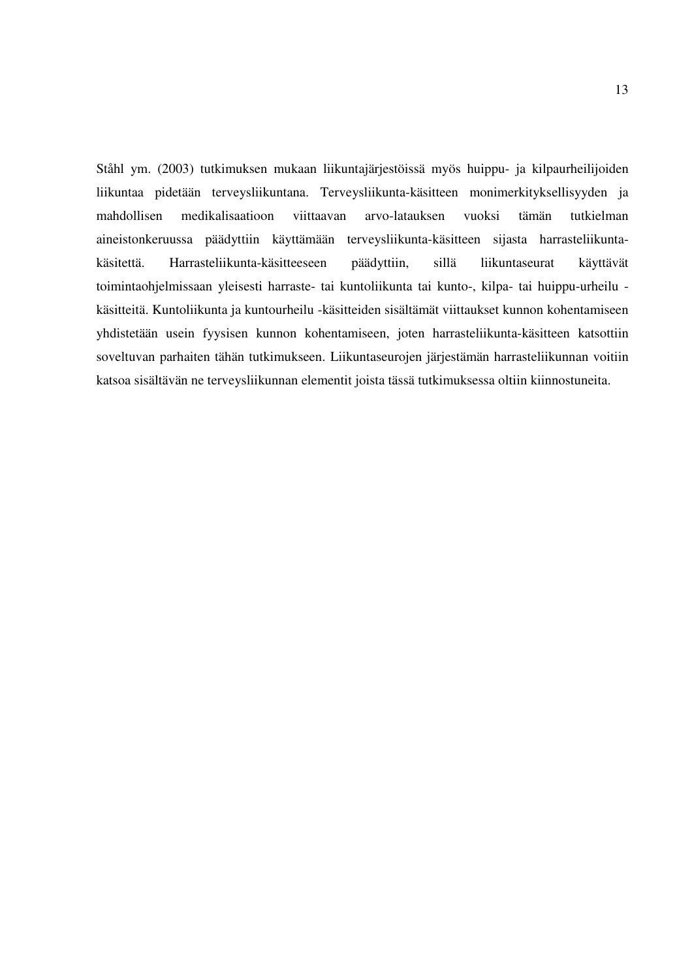Ståhl ym. (2003) tutkimuksen mukaan liikuntajärjestöissä myös huippu- ja kilpaurheilijoiden liikuntaa pidetään terveysliikuntana. Terveysliikunta-käsitteen monimerkityksellisyyden ja mahdollisen medikalisaatioon viittaavan arvo-latauksen vuoksi tämän tutkielman aineistonkeruussa päädyttiin käyttämään terveysliikunta-käsitteen sijasta harrasteliikuntakäsitettä. Harrasteliikunta-käsitteeseen päädyttiin, sillä liikuntaseurat käyttävät toimintaohjelmissaan yleisesti harraste- tai kuntoliikunta tai kunto-, kilpa- tai huippu-urheilu käsitteitä. Kuntoliikunta ja kuntourheilu -käsitteiden sisältämät viittaukset kunnon kohentamiseen yhdistetään usein fyysisen kunnon kohentamiseen, joten harrasteliikunta-käsitteen katsottiin soveltuvan parhaiten tähän tutkimukseen. Liikuntaseurojen järjestämän harrasteliikunnan voitiin katsoa sisältävän ne terveysliikunnan elementit joista tässä tutkimuksessa oltiin kiinnostuneita.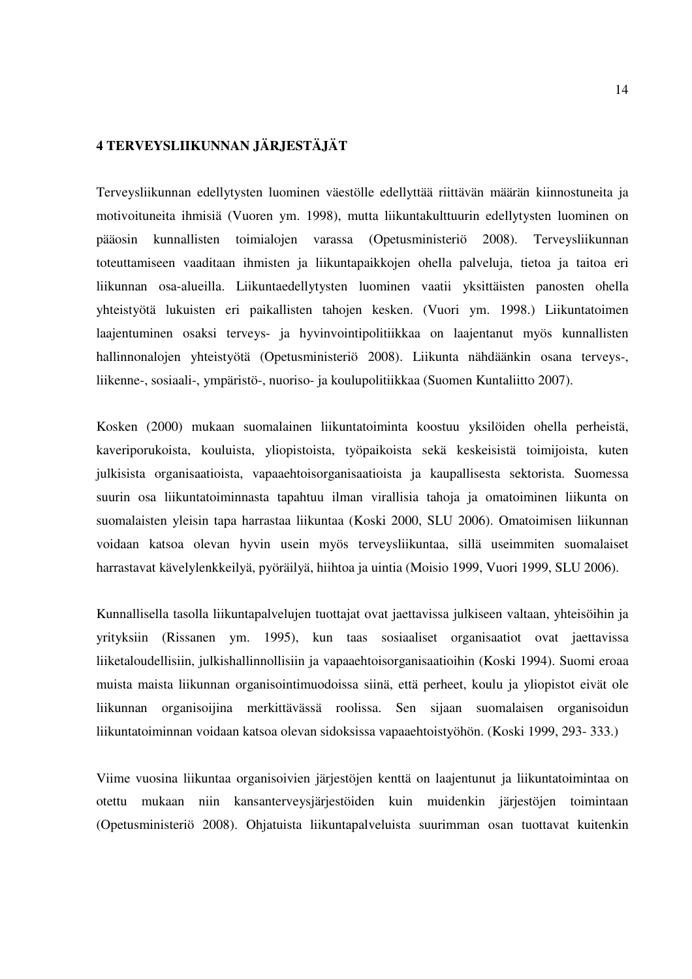# **4 TERVEYSLIIKUNNAN JÄRJESTÄJÄT**

Terveysliikunnan edellytysten luominen väestölle edellyttää riittävän määrän kiinnostuneita ja motivoituneita ihmisiä (Vuoren ym. 1998), mutta liikuntakulttuurin edellytysten luominen on pääosin kunnallisten toimialojen varassa (Opetusministeriö 2008). Terveysliikunnan toteuttamiseen vaaditaan ihmisten ja liikuntapaikkojen ohella palveluja, tietoa ja taitoa eri liikunnan osa-alueilla. Liikuntaedellytysten luominen vaatii yksittäisten panosten ohella yhteistyötä lukuisten eri paikallisten tahojen kesken. (Vuori ym. 1998.) Liikuntatoimen laajentuminen osaksi terveys- ja hyvinvointipolitiikkaa on laajentanut myös kunnallisten hallinnonalojen yhteistyötä (Opetusministeriö 2008). Liikunta nähdäänkin osana terveys-, liikenne-, sosiaali-, ympäristö-, nuoriso- ja koulupolitiikkaa (Suomen Kuntaliitto 2007).

Kosken (2000) mukaan suomalainen liikuntatoiminta koostuu yksilöiden ohella perheistä, kaveriporukoista, kouluista, yliopistoista, työpaikoista sekä keskeisistä toimijoista, kuten julkisista organisaatioista, vapaaehtoisorganisaatioista ja kaupallisesta sektorista. Suomessa suurin osa liikuntatoiminnasta tapahtuu ilman virallisia tahoja ja omatoiminen liikunta on suomalaisten yleisin tapa harrastaa liikuntaa (Koski 2000, SLU 2006). Omatoimisen liikunnan voidaan katsoa olevan hyvin usein myös terveysliikuntaa, sillä useimmiten suomalaiset harrastavat kävelylenkkeilyä, pyöräilyä, hiihtoa ja uintia (Moisio 1999, Vuori 1999, SLU 2006).

Kunnallisella tasolla liikuntapalvelujen tuottajat ovat jaettavissa julkiseen valtaan, yhteisöihin ja yrityksiin (Rissanen ym. 1995), kun taas sosiaaliset organisaatiot ovat jaettavissa liiketaloudellisiin, julkishallinnollisiin ja vapaaehtoisorganisaatioihin (Koski 1994). Suomi eroaa muista maista liikunnan organisointimuodoissa siinä, että perheet, koulu ja yliopistot eivät ole liikunnan organisoijina merkittävässä roolissa. Sen sijaan suomalaisen organisoidun liikuntatoiminnan voidaan katsoa olevan sidoksissa vapaaehtoistyöhön. (Koski 1999, 293- 333.)

Viime vuosina liikuntaa organisoivien järjestöjen kenttä on laajentunut ja liikuntatoimintaa on otettu mukaan niin kansanterveysjärjestöiden kuin muidenkin järjestöjen toimintaan (Opetusministeriö 2008). Ohjatuista liikuntapalveluista suurimman osan tuottavat kuitenkin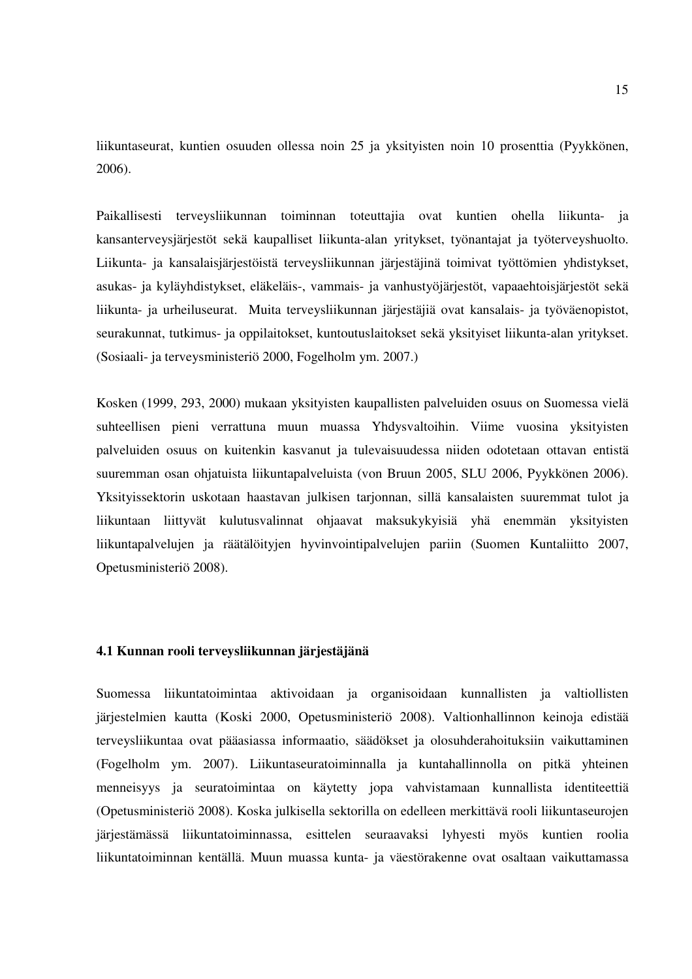liikuntaseurat, kuntien osuuden ollessa noin 25 ja yksityisten noin 10 prosenttia (Pyykkönen, 2006).

Paikallisesti terveysliikunnan toiminnan toteuttajia ovat kuntien ohella liikunta- ja kansanterveysjärjestöt sekä kaupalliset liikunta-alan yritykset, työnantajat ja työterveyshuolto. Liikunta- ja kansalaisjärjestöistä terveysliikunnan järjestäjinä toimivat työttömien yhdistykset, asukas- ja kyläyhdistykset, eläkeläis-, vammais- ja vanhustyöjärjestöt, vapaaehtoisjärjestöt sekä liikunta- ja urheiluseurat. Muita terveysliikunnan järjestäjiä ovat kansalais- ja työväenopistot, seurakunnat, tutkimus- ja oppilaitokset, kuntoutuslaitokset sekä yksityiset liikunta-alan yritykset. (Sosiaali- ja terveysministeriö 2000, Fogelholm ym. 2007.)

Kosken (1999, 293, 2000) mukaan yksityisten kaupallisten palveluiden osuus on Suomessa vielä suhteellisen pieni verrattuna muun muassa Yhdysvaltoihin. Viime vuosina yksityisten palveluiden osuus on kuitenkin kasvanut ja tulevaisuudessa niiden odotetaan ottavan entistä suuremman osan ohjatuista liikuntapalveluista (von Bruun 2005, SLU 2006, Pyykkönen 2006). Yksityissektorin uskotaan haastavan julkisen tarjonnan, sillä kansalaisten suuremmat tulot ja liikuntaan liittyvät kulutusvalinnat ohjaavat maksukykyisiä yhä enemmän yksityisten liikuntapalvelujen ja räätälöityjen hyvinvointipalvelujen pariin (Suomen Kuntaliitto 2007, Opetusministeriö 2008).

#### **4.1 Kunnan rooli terveysliikunnan järjestäjänä**

Suomessa liikuntatoimintaa aktivoidaan ja organisoidaan kunnallisten ja valtiollisten järjestelmien kautta (Koski 2000, Opetusministeriö 2008). Valtionhallinnon keinoja edistää terveysliikuntaa ovat pääasiassa informaatio, säädökset ja olosuhderahoituksiin vaikuttaminen (Fogelholm ym. 2007). Liikuntaseuratoiminnalla ja kuntahallinnolla on pitkä yhteinen menneisyys ja seuratoimintaa on käytetty jopa vahvistamaan kunnallista identiteettiä (Opetusministeriö 2008). Koska julkisella sektorilla on edelleen merkittävä rooli liikuntaseurojen järjestämässä liikuntatoiminnassa, esittelen seuraavaksi lyhyesti myös kuntien roolia liikuntatoiminnan kentällä. Muun muassa kunta- ja väestörakenne ovat osaltaan vaikuttamassa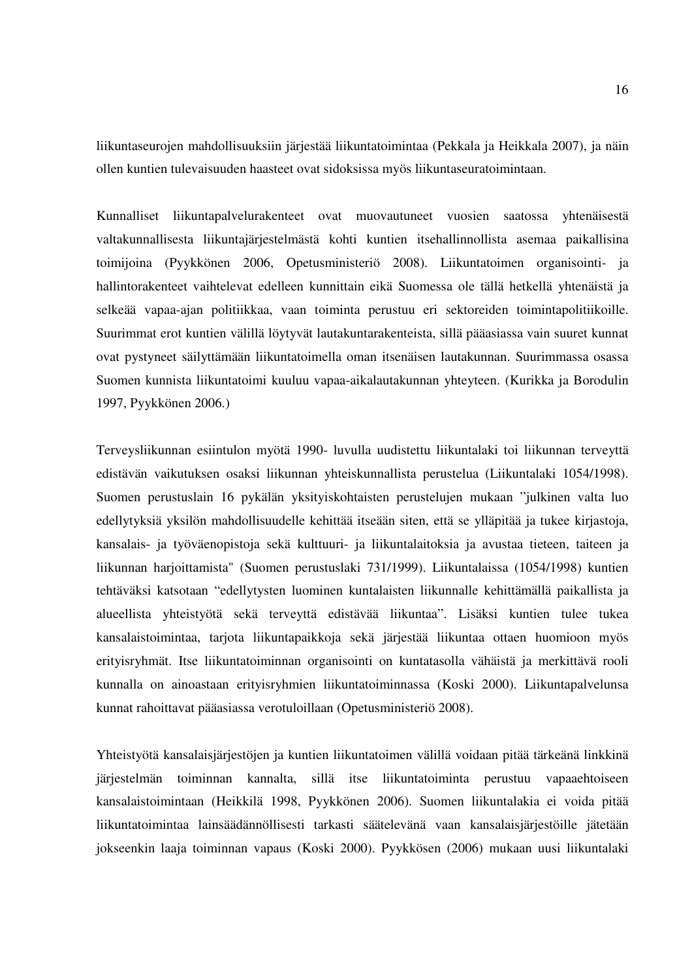liikuntaseurojen mahdollisuuksiin järjestää liikuntatoimintaa (Pekkala ja Heikkala 2007), ja näin ollen kuntien tulevaisuuden haasteet ovat sidoksissa myös liikuntaseuratoimintaan.

Kunnalliset liikuntapalvelurakenteet ovat muovautuneet vuosien saatossa yhtenäisestä valtakunnallisesta liikuntajärjestelmästä kohti kuntien itsehallinnollista asemaa paikallisina toimijoina (Pyykkönen 2006, Opetusministeriö 2008). Liikuntatoimen organisointi- ja hallintorakenteet vaihtelevat edelleen kunnittain eikä Suomessa ole tällä hetkellä yhtenäistä ja selkeää vapaa-ajan politiikkaa, vaan toiminta perustuu eri sektoreiden toimintapolitiikoille. Suurimmat erot kuntien välillä löytyvät lautakuntarakenteista, sillä pääasiassa vain suuret kunnat ovat pystyneet säilyttämään liikuntatoimella oman itsenäisen lautakunnan. Suurimmassa osassa Suomen kunnista liikuntatoimi kuuluu vapaa-aikalautakunnan yhteyteen. (Kurikka ja Borodulin 1997, Pyykkönen 2006.)

Terveysliikunnan esiintulon myötä 1990- luvulla uudistettu liikuntalaki toi liikunnan terveyttä edistävän vaikutuksen osaksi liikunnan yhteiskunnallista perustelua (Liikuntalaki 1054/1998). Suomen perustuslain 16 pykälän yksityiskohtaisten perustelujen mukaan "julkinen valta luo edellytyksiä yksilön mahdollisuudelle kehittää itseään siten, että se ylläpitää ja tukee kirjastoja, kansalais- ja työväenopistoja sekä kulttuuri- ja liikuntalaitoksia ja avustaa tieteen, taiteen ja liikunnan harjoittamista" (Suomen perustuslaki 731/1999). Liikuntalaissa (1054/1998) kuntien tehtäväksi katsotaan "edellytysten luominen kuntalaisten liikunnalle kehittämällä paikallista ja alueellista yhteistyötä sekä terveyttä edistävää liikuntaa". Lisäksi kuntien tulee tukea kansalaistoimintaa, tarjota liikuntapaikkoja sekä järjestää liikuntaa ottaen huomioon myös erityisryhmät. Itse liikuntatoiminnan organisointi on kuntatasolla vähäistä ja merkittävä rooli kunnalla on ainoastaan erityisryhmien liikuntatoiminnassa (Koski 2000). Liikuntapalvelunsa kunnat rahoittavat pääasiassa verotuloillaan (Opetusministeriö 2008).

Yhteistyötä kansalaisjärjestöjen ja kuntien liikuntatoimen välillä voidaan pitää tärkeänä linkkinä järjestelmän toiminnan kannalta, sillä itse liikuntatoiminta perustuu vapaaehtoiseen kansalaistoimintaan (Heikkilä 1998, Pyykkönen 2006). Suomen liikuntalakia ei voida pitää liikuntatoimintaa lainsäädännöllisesti tarkasti säätelevänä vaan kansalaisjärjestöille jätetään jokseenkin laaja toiminnan vapaus (Koski 2000). Pyykkösen (2006) mukaan uusi liikuntalaki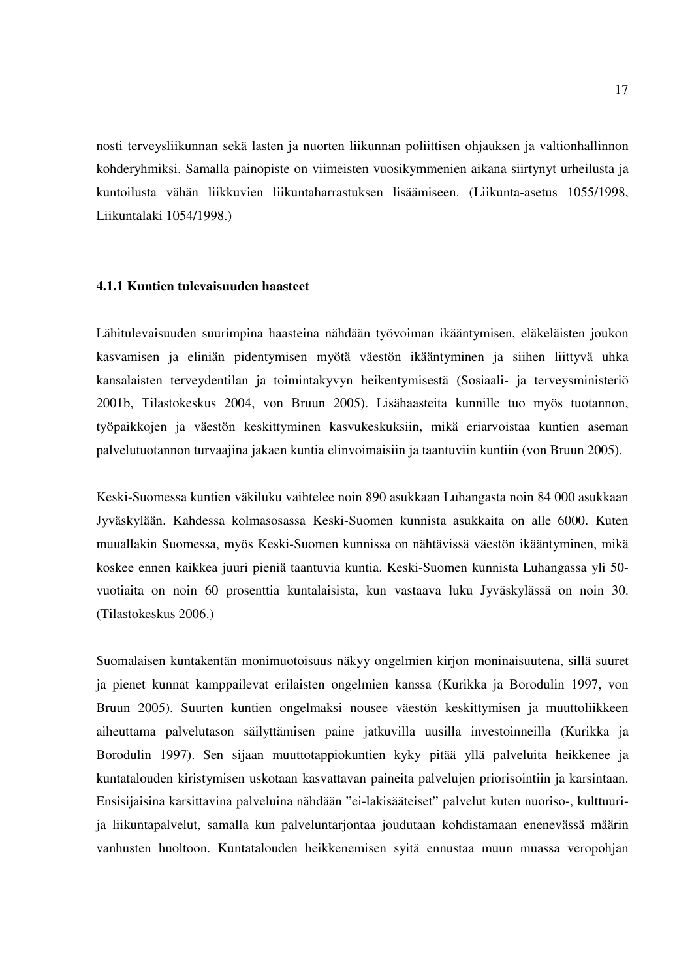nosti terveysliikunnan sekä lasten ja nuorten liikunnan poliittisen ohjauksen ja valtionhallinnon kohderyhmiksi. Samalla painopiste on viimeisten vuosikymmenien aikana siirtynyt urheilusta ja kuntoilusta vähän liikkuvien liikuntaharrastuksen lisäämiseen. (Liikunta-asetus 1055/1998, Liikuntalaki 1054/1998.)

#### **4.1.1 Kuntien tulevaisuuden haasteet**

Lähitulevaisuuden suurimpina haasteina nähdään työvoiman ikääntymisen, eläkeläisten joukon kasvamisen ja eliniän pidentymisen myötä väestön ikääntyminen ja siihen liittyvä uhka kansalaisten terveydentilan ja toimintakyvyn heikentymisestä (Sosiaali- ja terveysministeriö 2001b, Tilastokeskus 2004, von Bruun 2005). Lisähaasteita kunnille tuo myös tuotannon, työpaikkojen ja väestön keskittyminen kasvukeskuksiin, mikä eriarvoistaa kuntien aseman palvelutuotannon turvaajina jakaen kuntia elinvoimaisiin ja taantuviin kuntiin (von Bruun 2005).

Keski-Suomessa kuntien väkiluku vaihtelee noin 890 asukkaan Luhangasta noin 84 000 asukkaan Jyväskylään. Kahdessa kolmasosassa Keski-Suomen kunnista asukkaita on alle 6000. Kuten muuallakin Suomessa, myös Keski-Suomen kunnissa on nähtävissä väestön ikääntyminen, mikä koskee ennen kaikkea juuri pieniä taantuvia kuntia. Keski-Suomen kunnista Luhangassa yli 50 vuotiaita on noin 60 prosenttia kuntalaisista, kun vastaava luku Jyväskylässä on noin 30. (Tilastokeskus 2006.)

Suomalaisen kuntakentän monimuotoisuus näkyy ongelmien kirjon moninaisuutena, sillä suuret ja pienet kunnat kamppailevat erilaisten ongelmien kanssa (Kurikka ja Borodulin 1997, von Bruun 2005). Suurten kuntien ongelmaksi nousee väestön keskittymisen ja muuttoliikkeen aiheuttama palvelutason säilyttämisen paine jatkuvilla uusilla investoinneilla (Kurikka ja Borodulin 1997). Sen sijaan muuttotappiokuntien kyky pitää yllä palveluita heikkenee ja kuntatalouden kiristymisen uskotaan kasvattavan paineita palvelujen priorisointiin ja karsintaan. Ensisijaisina karsittavina palveluina nähdään "ei-lakisääteiset" palvelut kuten nuoriso-, kulttuurija liikuntapalvelut, samalla kun palveluntarjontaa joudutaan kohdistamaan enenevässä määrin vanhusten huoltoon. Kuntatalouden heikkenemisen syitä ennustaa muun muassa veropohjan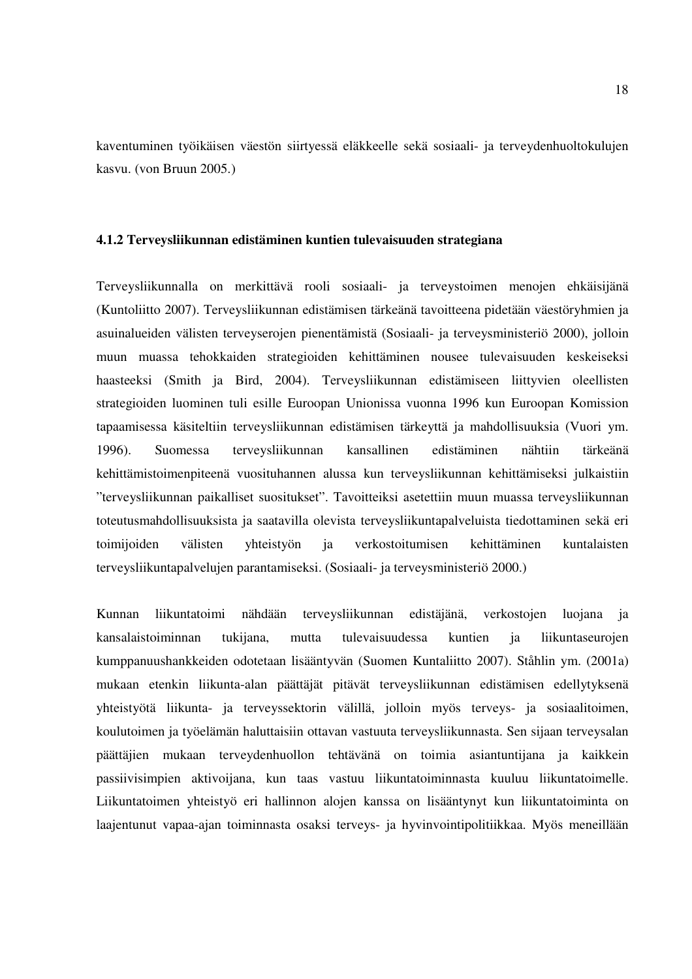kaventuminen työikäisen väestön siirtyessä eläkkeelle sekä sosiaali- ja terveydenhuoltokulujen kasvu. (von Bruun 2005.)

#### **4.1.2 Terveysliikunnan edistäminen kuntien tulevaisuuden strategiana**

Terveysliikunnalla on merkittävä rooli sosiaali- ja terveystoimen menojen ehkäisijänä (Kuntoliitto 2007). Terveysliikunnan edistämisen tärkeänä tavoitteena pidetään väestöryhmien ja asuinalueiden välisten terveyserojen pienentämistä (Sosiaali- ja terveysministeriö 2000), jolloin muun muassa tehokkaiden strategioiden kehittäminen nousee tulevaisuuden keskeiseksi haasteeksi (Smith ja Bird, 2004). Terveysliikunnan edistämiseen liittyvien oleellisten strategioiden luominen tuli esille Euroopan Unionissa vuonna 1996 kun Euroopan Komission tapaamisessa käsiteltiin terveysliikunnan edistämisen tärkeyttä ja mahdollisuuksia (Vuori ym. 1996). Suomessa terveysliikunnan kansallinen edistäminen nähtiin tärkeänä kehittämistoimenpiteenä vuosituhannen alussa kun terveysliikunnan kehittämiseksi julkaistiin "terveysliikunnan paikalliset suositukset". Tavoitteiksi asetettiin muun muassa terveysliikunnan toteutusmahdollisuuksista ja saatavilla olevista terveysliikuntapalveluista tiedottaminen sekä eri toimijoiden välisten yhteistyön ja verkostoitumisen kehittäminen kuntalaisten terveysliikuntapalvelujen parantamiseksi. (Sosiaali- ja terveysministeriö 2000.)

Kunnan liikuntatoimi nähdään terveysliikunnan edistäjänä, verkostojen luojana ja kansalaistoiminnan tukijana, mutta tulevaisuudessa kuntien ja liikuntaseurojen kumppanuushankkeiden odotetaan lisääntyvän (Suomen Kuntaliitto 2007). Ståhlin ym. (2001a) mukaan etenkin liikunta-alan päättäjät pitävät terveysliikunnan edistämisen edellytyksenä yhteistyötä liikunta- ja terveyssektorin välillä, jolloin myös terveys- ja sosiaalitoimen, koulutoimen ja työelämän haluttaisiin ottavan vastuuta terveysliikunnasta. Sen sijaan terveysalan päättäjien mukaan terveydenhuollon tehtävänä on toimia asiantuntijana ja kaikkein passiivisimpien aktivoijana, kun taas vastuu liikuntatoiminnasta kuuluu liikuntatoimelle. Liikuntatoimen yhteistyö eri hallinnon alojen kanssa on lisääntynyt kun liikuntatoiminta on laajentunut vapaa-ajan toiminnasta osaksi terveys- ja hyvinvointipolitiikkaa. Myös meneillään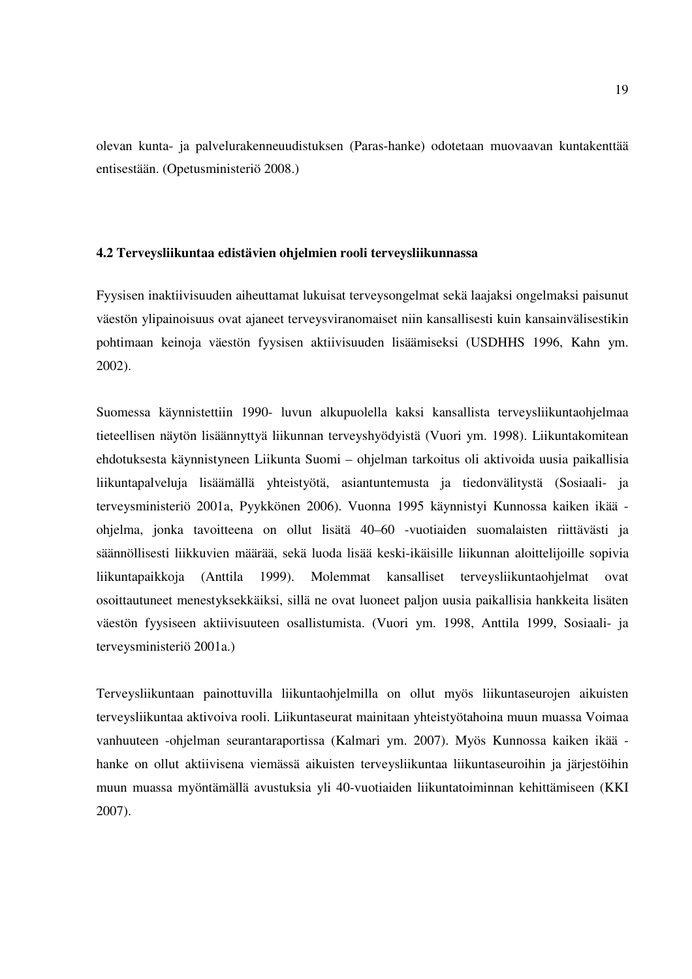olevan kunta- ja palvelurakenneuudistuksen (Paras-hanke) odotetaan muovaavan kuntakenttää entisestään. (Opetusministeriö 2008.)

#### **4.2 Terveysliikuntaa edistävien ohjelmien rooli terveysliikunnassa**

Fyysisen inaktiivisuuden aiheuttamat lukuisat terveysongelmat sekä laajaksi ongelmaksi paisunut väestön ylipainoisuus ovat ajaneet terveysviranomaiset niin kansallisesti kuin kansainvälisestikin pohtimaan keinoja väestön fyysisen aktiivisuuden lisäämiseksi (USDHHS 1996, Kahn ym. 2002).

Suomessa käynnistettiin 1990- luvun alkupuolella kaksi kansallista terveysliikuntaohjelmaa tieteellisen näytön lisäännyttyä liikunnan terveyshyödyistä (Vuori ym. 1998). Liikuntakomitean ehdotuksesta käynnistyneen Liikunta Suomi – ohjelman tarkoitus oli aktivoida uusia paikallisia liikuntapalveluja lisäämällä yhteistyötä, asiantuntemusta ja tiedonvälitystä (Sosiaali- ja terveysministeriö 2001a, Pyykkönen 2006). Vuonna 1995 käynnistyi Kunnossa kaiken ikää ohjelma, jonka tavoitteena on ollut lisätä 40–60 -vuotiaiden suomalaisten riittävästi ja säännöllisesti liikkuvien määrää, sekä luoda lisää keski-ikäisille liikunnan aloittelijoille sopivia liikuntapaikkoja (Anttila 1999). Molemmat kansalliset terveysliikuntaohjelmat ovat osoittautuneet menestyksekkäiksi, sillä ne ovat luoneet paljon uusia paikallisia hankkeita lisäten väestön fyysiseen aktiivisuuteen osallistumista. (Vuori ym. 1998, Anttila 1999, Sosiaali- ja terveysministeriö 2001a.)

Terveysliikuntaan painottuvilla liikuntaohjelmilla on ollut myös liikuntaseurojen aikuisten terveysliikuntaa aktivoiva rooli. Liikuntaseurat mainitaan yhteistyötahoina muun muassa Voimaa vanhuuteen -ohjelman seurantaraportissa (Kalmari ym. 2007). Myös Kunnossa kaiken ikää hanke on ollut aktiivisena viemässä aikuisten terveysliikuntaa liikuntaseuroihin ja järjestöihin muun muassa myöntämällä avustuksia yli 40-vuotiaiden liikuntatoiminnan kehittämiseen (KKI 2007).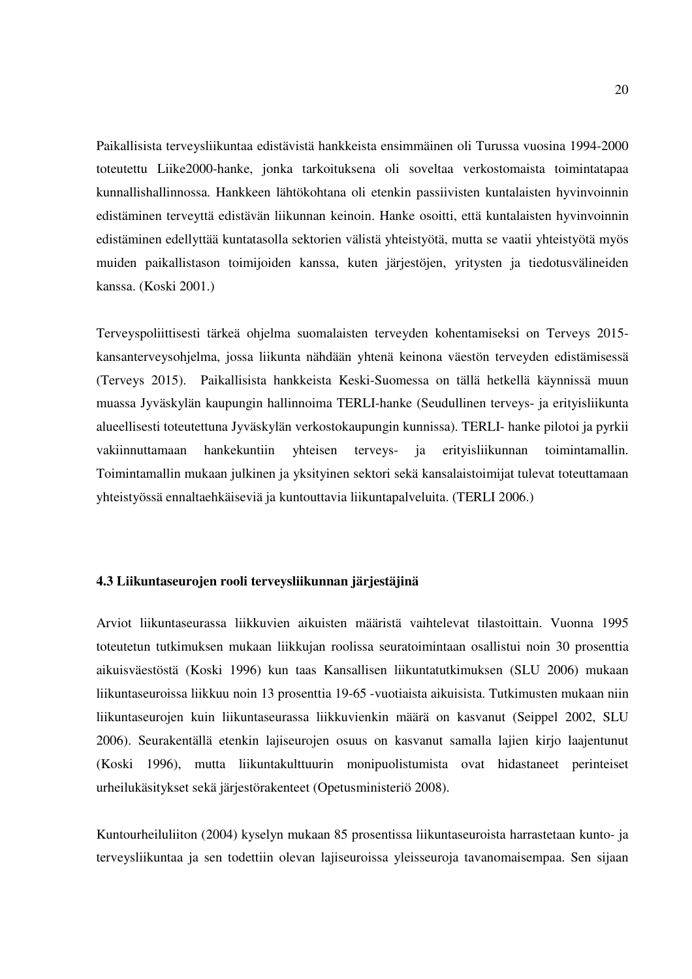Paikallisista terveysliikuntaa edistävistä hankkeista ensimmäinen oli Turussa vuosina 1994-2000 toteutettu Liike2000-hanke, jonka tarkoituksena oli soveltaa verkostomaista toimintatapaa kunnallishallinnossa. Hankkeen lähtökohtana oli etenkin passiivisten kuntalaisten hyvinvoinnin edistäminen terveyttä edistävän liikunnan keinoin. Hanke osoitti, että kuntalaisten hyvinvoinnin edistäminen edellyttää kuntatasolla sektorien välistä yhteistyötä, mutta se vaatii yhteistyötä myös muiden paikallistason toimijoiden kanssa, kuten järjestöjen, yritysten ja tiedotusvälineiden kanssa. (Koski 2001.)

Terveyspoliittisesti tärkeä ohjelma suomalaisten terveyden kohentamiseksi on Terveys 2015 kansanterveysohjelma, jossa liikunta nähdään yhtenä keinona väestön terveyden edistämisessä (Terveys 2015). Paikallisista hankkeista Keski-Suomessa on tällä hetkellä käynnissä muun muassa Jyväskylän kaupungin hallinnoima TERLI-hanke (Seudullinen terveys- ja erityisliikunta alueellisesti toteutettuna Jyväskylän verkostokaupungin kunnissa). TERLI- hanke pilotoi ja pyrkii vakiinnuttamaan hankekuntiin yhteisen terveys- ja erityisliikunnan toimintamallin. Toimintamallin mukaan julkinen ja yksityinen sektori sekä kansalaistoimijat tulevat toteuttamaan yhteistyössä ennaltaehkäiseviä ja kuntouttavia liikuntapalveluita. (TERLI 2006.)

### **4.3 Liikuntaseurojen rooli terveysliikunnan järjestäjinä**

Arviot liikuntaseurassa liikkuvien aikuisten määristä vaihtelevat tilastoittain. Vuonna 1995 toteutetun tutkimuksen mukaan liikkujan roolissa seuratoimintaan osallistui noin 30 prosenttia aikuisväestöstä (Koski 1996) kun taas Kansallisen liikuntatutkimuksen (SLU 2006) mukaan liikuntaseuroissa liikkuu noin 13 prosenttia 19-65 -vuotiaista aikuisista. Tutkimusten mukaan niin liikuntaseurojen kuin liikuntaseurassa liikkuvienkin määrä on kasvanut (Seippel 2002, SLU 2006). Seurakentällä etenkin lajiseurojen osuus on kasvanut samalla lajien kirjo laajentunut (Koski 1996), mutta liikuntakulttuurin monipuolistumista ovat hidastaneet perinteiset urheilukäsitykset sekä järjestörakenteet (Opetusministeriö 2008).

Kuntourheiluliiton (2004) kyselyn mukaan 85 prosentissa liikuntaseuroista harrastetaan kunto- ja terveysliikuntaa ja sen todettiin olevan lajiseuroissa yleisseuroja tavanomaisempaa. Sen sijaan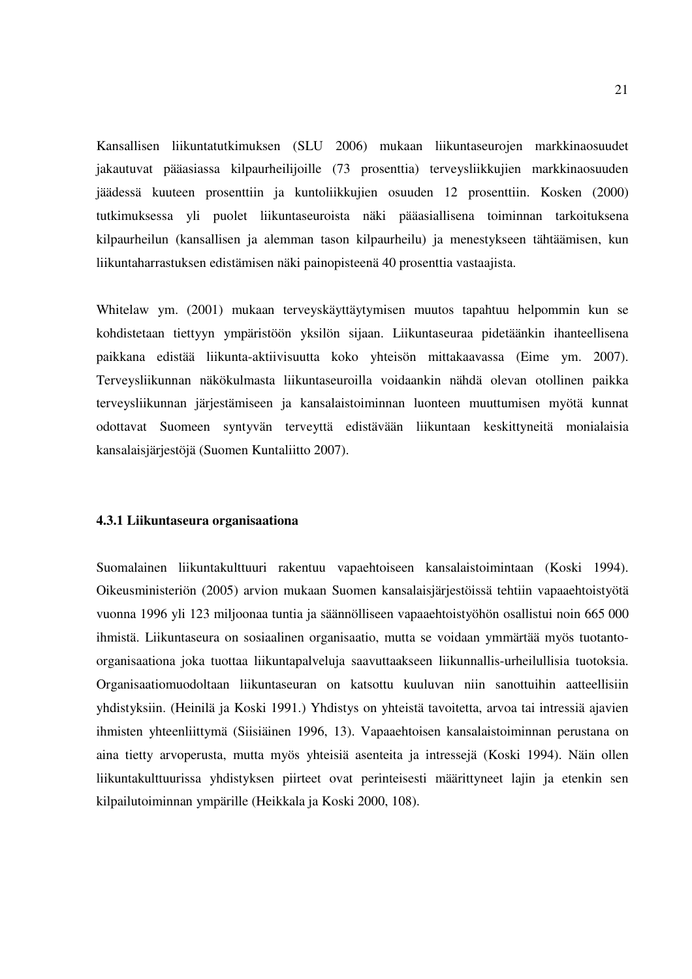Kansallisen liikuntatutkimuksen (SLU 2006) mukaan liikuntaseurojen markkinaosuudet jakautuvat pääasiassa kilpaurheilijoille (73 prosenttia) terveysliikkujien markkinaosuuden jäädessä kuuteen prosenttiin ja kuntoliikkujien osuuden 12 prosenttiin. Kosken (2000) tutkimuksessa yli puolet liikuntaseuroista näki pääasiallisena toiminnan tarkoituksena kilpaurheilun (kansallisen ja alemman tason kilpaurheilu) ja menestykseen tähtäämisen, kun liikuntaharrastuksen edistämisen näki painopisteenä 40 prosenttia vastaajista.

Whitelaw ym. (2001) mukaan terveyskäyttäytymisen muutos tapahtuu helpommin kun se kohdistetaan tiettyyn ympäristöön yksilön sijaan. Liikuntaseuraa pidetäänkin ihanteellisena paikkana edistää liikunta-aktiivisuutta koko yhteisön mittakaavassa (Eime ym. 2007). Terveysliikunnan näkökulmasta liikuntaseuroilla voidaankin nähdä olevan otollinen paikka terveysliikunnan järjestämiseen ja kansalaistoiminnan luonteen muuttumisen myötä kunnat odottavat Suomeen syntyvän terveyttä edistävään liikuntaan keskittyneitä monialaisia kansalaisjärjestöjä (Suomen Kuntaliitto 2007).

#### **4.3.1 Liikuntaseura organisaationa**

Suomalainen liikuntakulttuuri rakentuu vapaehtoiseen kansalaistoimintaan (Koski 1994). Oikeusministeriön (2005) arvion mukaan Suomen kansalaisjärjestöissä tehtiin vapaaehtoistyötä vuonna 1996 yli 123 miljoonaa tuntia ja säännölliseen vapaaehtoistyöhön osallistui noin 665 000 ihmistä. Liikuntaseura on sosiaalinen organisaatio, mutta se voidaan ymmärtää myös tuotantoorganisaationa joka tuottaa liikuntapalveluja saavuttaakseen liikunnallis-urheilullisia tuotoksia. Organisaatiomuodoltaan liikuntaseuran on katsottu kuuluvan niin sanottuihin aatteellisiin yhdistyksiin. (Heinilä ja Koski 1991.) Yhdistys on yhteistä tavoitetta, arvoa tai intressiä ajavien ihmisten yhteenliittymä (Siisiäinen 1996, 13). Vapaaehtoisen kansalaistoiminnan perustana on aina tietty arvoperusta, mutta myös yhteisiä asenteita ja intressejä (Koski 1994). Näin ollen liikuntakulttuurissa yhdistyksen piirteet ovat perinteisesti määrittyneet lajin ja etenkin sen kilpailutoiminnan ympärille (Heikkala ja Koski 2000, 108).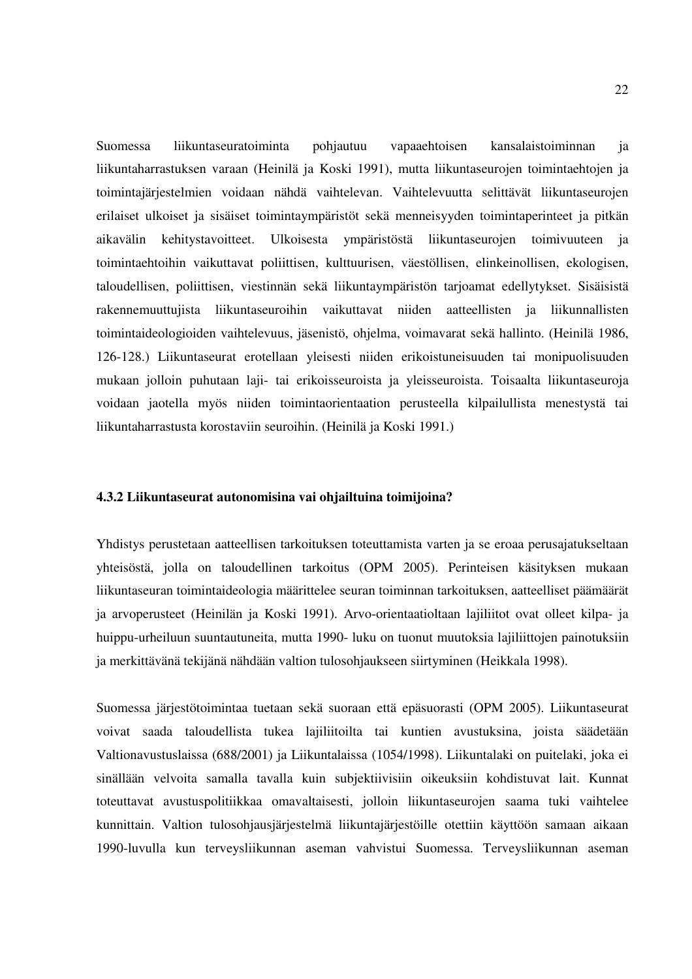Suomessa liikuntaseuratoiminta pohjautuu vapaaehtoisen kansalaistoiminnan ja liikuntaharrastuksen varaan (Heinilä ja Koski 1991), mutta liikuntaseurojen toimintaehtojen ja toimintajärjestelmien voidaan nähdä vaihtelevan. Vaihtelevuutta selittävät liikuntaseurojen erilaiset ulkoiset ja sisäiset toimintaympäristöt sekä menneisyyden toimintaperinteet ja pitkän aikavälin kehitystavoitteet. Ulkoisesta ympäristöstä liikuntaseurojen toimivuuteen ja toimintaehtoihin vaikuttavat poliittisen, kulttuurisen, väestöllisen, elinkeinollisen, ekologisen, taloudellisen, poliittisen, viestinnän sekä liikuntaympäristön tarjoamat edellytykset. Sisäisistä rakennemuuttujista liikuntaseuroihin vaikuttavat niiden aatteellisten ja liikunnallisten toimintaideologioiden vaihtelevuus, jäsenistö, ohjelma, voimavarat sekä hallinto. (Heinilä 1986, 126-128.) Liikuntaseurat erotellaan yleisesti niiden erikoistuneisuuden tai monipuolisuuden mukaan jolloin puhutaan laji- tai erikoisseuroista ja yleisseuroista. Toisaalta liikuntaseuroja voidaan jaotella myös niiden toimintaorientaation perusteella kilpailullista menestystä tai liikuntaharrastusta korostaviin seuroihin. (Heinilä ja Koski 1991.)

#### **4.3.2 Liikuntaseurat autonomisina vai ohjailtuina toimijoina?**

Yhdistys perustetaan aatteellisen tarkoituksen toteuttamista varten ja se eroaa perusajatukseltaan yhteisöstä, jolla on taloudellinen tarkoitus (OPM 2005). Perinteisen käsityksen mukaan liikuntaseuran toimintaideologia määrittelee seuran toiminnan tarkoituksen, aatteelliset päämäärät ja arvoperusteet (Heinilän ja Koski 1991). Arvo-orientaatioltaan lajiliitot ovat olleet kilpa- ja huippu-urheiluun suuntautuneita, mutta 1990- luku on tuonut muutoksia lajiliittojen painotuksiin ja merkittävänä tekijänä nähdään valtion tulosohjaukseen siirtyminen (Heikkala 1998).

Suomessa järjestötoimintaa tuetaan sekä suoraan että epäsuorasti (OPM 2005). Liikuntaseurat voivat saada taloudellista tukea lajiliitoilta tai kuntien avustuksina, joista säädetään Valtionavustuslaissa (688/2001) ja Liikuntalaissa (1054/1998). Liikuntalaki on puitelaki, joka ei sinällään velvoita samalla tavalla kuin subjektiivisiin oikeuksiin kohdistuvat lait. Kunnat toteuttavat avustuspolitiikkaa omavaltaisesti, jolloin liikuntaseurojen saama tuki vaihtelee kunnittain. Valtion tulosohjausjärjestelmä liikuntajärjestöille otettiin käyttöön samaan aikaan 1990-luvulla kun terveysliikunnan aseman vahvistui Suomessa. Terveysliikunnan aseman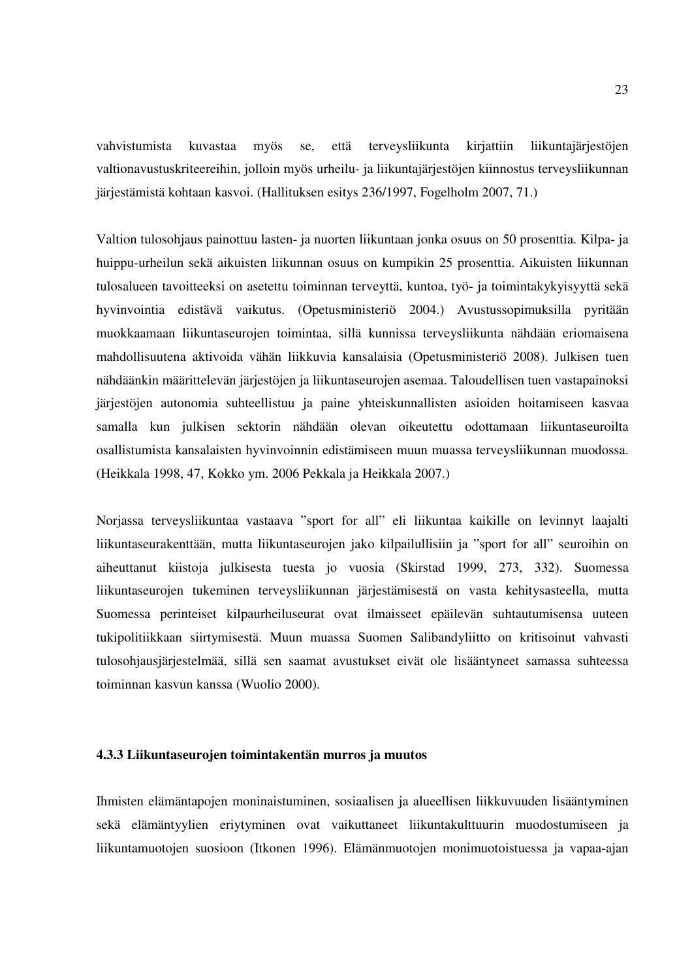vahvistumista kuvastaa myös se, että terveysliikunta kirjattiin liikuntajärjestöjen valtionavustuskriteereihin, jolloin myös urheilu- ja liikuntajärjestöjen kiinnostus terveysliikunnan järjestämistä kohtaan kasvoi. (Hallituksen esitys 236/1997, Fogelholm 2007, 71.)

Valtion tulosohjaus painottuu lasten- ja nuorten liikuntaan jonka osuus on 50 prosenttia. Kilpa- ja huippu-urheilun sekä aikuisten liikunnan osuus on kumpikin 25 prosenttia. Aikuisten liikunnan tulosalueen tavoitteeksi on asetettu toiminnan terveyttä, kuntoa, työ- ja toimintakykyisyyttä sekä hyvinvointia edistävä vaikutus. (Opetusministeriö 2004.) Avustussopimuksilla pyritään muokkaamaan liikuntaseurojen toimintaa, sillä kunnissa terveysliikunta nähdään eriomaisena mahdollisuutena aktivoida vähän liikkuvia kansalaisia (Opetusministeriö 2008). Julkisen tuen nähdäänkin määrittelevän järjestöjen ja liikuntaseurojen asemaa. Taloudellisen tuen vastapainoksi järjestöjen autonomia suhteellistuu ja paine yhteiskunnallisten asioiden hoitamiseen kasvaa samalla kun julkisen sektorin nähdään olevan oikeutettu odottamaan liikuntaseuroilta osallistumista kansalaisten hyvinvoinnin edistämiseen muun muassa terveysliikunnan muodossa. (Heikkala 1998, 47, Kokko ym. 2006 Pekkala ja Heikkala 2007.)

Norjassa terveysliikuntaa vastaava "sport for all" eli liikuntaa kaikille on levinnyt laajalti liikuntaseurakenttään, mutta liikuntaseurojen jako kilpailullisiin ja "sport for all" seuroihin on aiheuttanut kiistoja julkisesta tuesta jo vuosia (Skirstad 1999, 273, 332). Suomessa liikuntaseurojen tukeminen terveysliikunnan järjestämisestä on vasta kehitysasteella, mutta Suomessa perinteiset kilpaurheiluseurat ovat ilmaisseet epäilevän suhtautumisensa uuteen tukipolitiikkaan siirtymisestä. Muun muassa Suomen Salibandyliitto on kritisoinut vahvasti tulosohjausjärjestelmää, sillä sen saamat avustukset eivät ole lisääntyneet samassa suhteessa toiminnan kasvun kanssa (Wuolio 2000).

#### **4.3.3 Liikuntaseurojen toimintakentän murros ja muutos**

Ihmisten elämäntapojen moninaistuminen, sosiaalisen ja alueellisen liikkuvuuden lisääntyminen sekä elämäntyylien eriytyminen ovat vaikuttaneet liikuntakulttuurin muodostumiseen ja liikuntamuotojen suosioon (Itkonen 1996). Elämänmuotojen monimuotoistuessa ja vapaa-ajan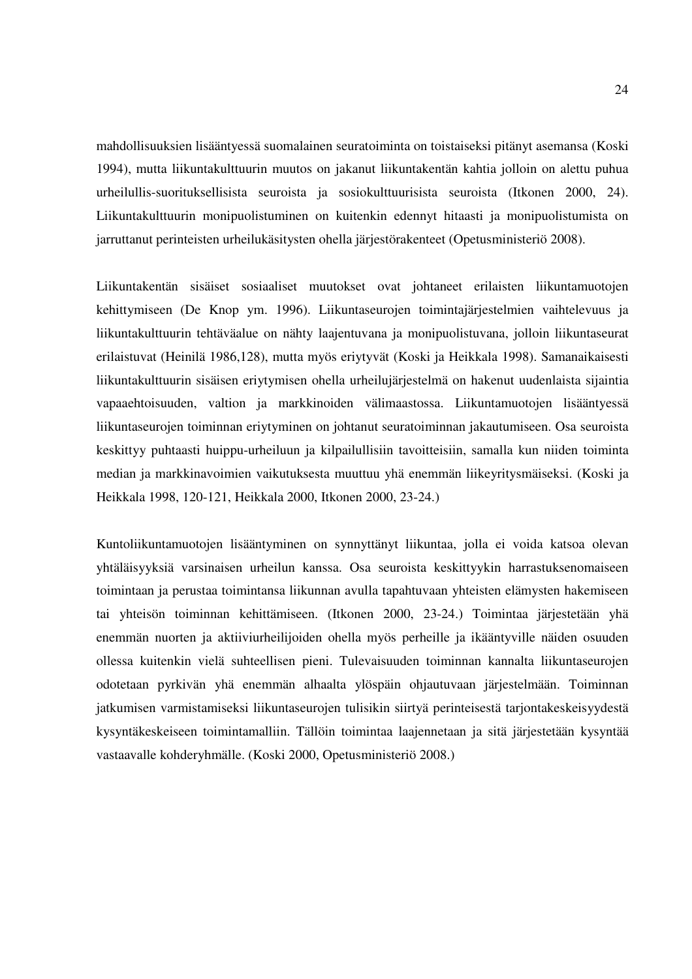mahdollisuuksien lisääntyessä suomalainen seuratoiminta on toistaiseksi pitänyt asemansa (Koski 1994), mutta liikuntakulttuurin muutos on jakanut liikuntakentän kahtia jolloin on alettu puhua urheilullis-suorituksellisista seuroista ja sosiokulttuurisista seuroista (Itkonen 2000, 24). Liikuntakulttuurin monipuolistuminen on kuitenkin edennyt hitaasti ja monipuolistumista on jarruttanut perinteisten urheilukäsitysten ohella järjestörakenteet (Opetusministeriö 2008).

Liikuntakentän sisäiset sosiaaliset muutokset ovat johtaneet erilaisten liikuntamuotojen kehittymiseen (De Knop ym. 1996). Liikuntaseurojen toimintajärjestelmien vaihtelevuus ja liikuntakulttuurin tehtäväalue on nähty laajentuvana ja monipuolistuvana, jolloin liikuntaseurat erilaistuvat (Heinilä 1986,128), mutta myös eriytyvät (Koski ja Heikkala 1998). Samanaikaisesti liikuntakulttuurin sisäisen eriytymisen ohella urheilujärjestelmä on hakenut uudenlaista sijaintia vapaaehtoisuuden, valtion ja markkinoiden välimaastossa. Liikuntamuotojen lisääntyessä liikuntaseurojen toiminnan eriytyminen on johtanut seuratoiminnan jakautumiseen. Osa seuroista keskittyy puhtaasti huippu-urheiluun ja kilpailullisiin tavoitteisiin, samalla kun niiden toiminta median ja markkinavoimien vaikutuksesta muuttuu yhä enemmän liikeyritysmäiseksi. (Koski ja Heikkala 1998, 120-121, Heikkala 2000, Itkonen 2000, 23-24.)

Kuntoliikuntamuotojen lisääntyminen on synnyttänyt liikuntaa, jolla ei voida katsoa olevan yhtäläisyyksiä varsinaisen urheilun kanssa. Osa seuroista keskittyykin harrastuksenomaiseen toimintaan ja perustaa toimintansa liikunnan avulla tapahtuvaan yhteisten elämysten hakemiseen tai yhteisön toiminnan kehittämiseen. (Itkonen 2000, 23-24.) Toimintaa järjestetään yhä enemmän nuorten ja aktiiviurheilijoiden ohella myös perheille ja ikääntyville näiden osuuden ollessa kuitenkin vielä suhteellisen pieni. Tulevaisuuden toiminnan kannalta liikuntaseurojen odotetaan pyrkivän yhä enemmän alhaalta ylöspäin ohjautuvaan järjestelmään. Toiminnan jatkumisen varmistamiseksi liikuntaseurojen tulisikin siirtyä perinteisestä tarjontakeskeisyydestä kysyntäkeskeiseen toimintamalliin. Tällöin toimintaa laajennetaan ja sitä järjestetään kysyntää vastaavalle kohderyhmälle. (Koski 2000, Opetusministeriö 2008.)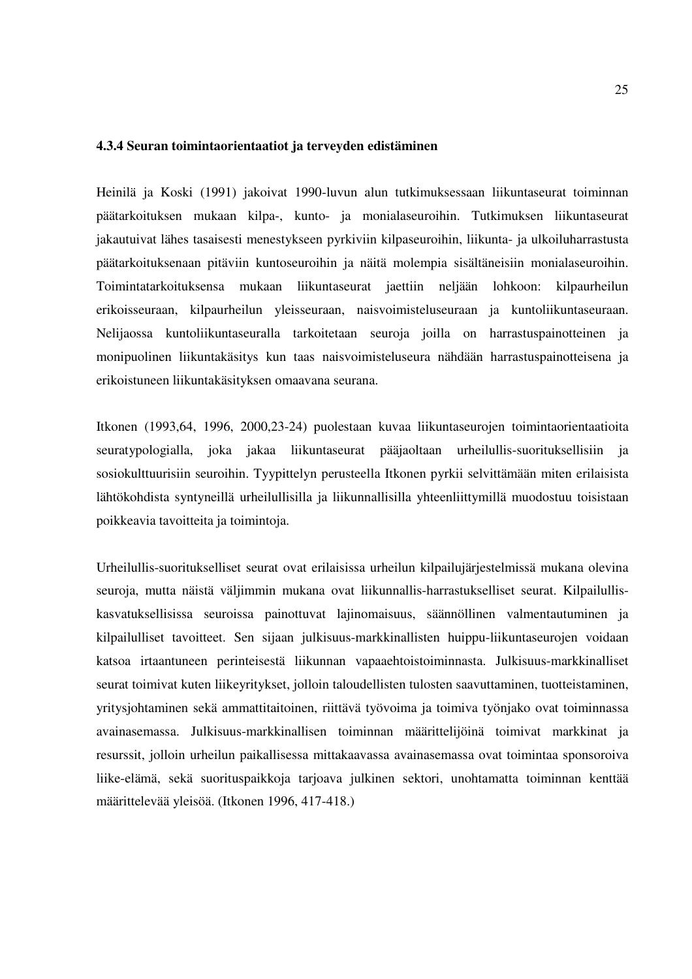#### **4.3.4 Seuran toimintaorientaatiot ja terveyden edistäminen**

Heinilä ja Koski (1991) jakoivat 1990-luvun alun tutkimuksessaan liikuntaseurat toiminnan päätarkoituksen mukaan kilpa-, kunto- ja monialaseuroihin. Tutkimuksen liikuntaseurat jakautuivat lähes tasaisesti menestykseen pyrkiviin kilpaseuroihin, liikunta- ja ulkoiluharrastusta päätarkoituksenaan pitäviin kuntoseuroihin ja näitä molempia sisältäneisiin monialaseuroihin. Toimintatarkoituksensa mukaan liikuntaseurat jaettiin neljään lohkoon: kilpaurheilun erikoisseuraan, kilpaurheilun yleisseuraan, naisvoimisteluseuraan ja kuntoliikuntaseuraan. Nelijaossa kuntoliikuntaseuralla tarkoitetaan seuroja joilla on harrastuspainotteinen ja monipuolinen liikuntakäsitys kun taas naisvoimisteluseura nähdään harrastuspainotteisena ja erikoistuneen liikuntakäsityksen omaavana seurana.

Itkonen (1993,64, 1996, 2000,23-24) puolestaan kuvaa liikuntaseurojen toimintaorientaatioita seuratypologialla, joka jakaa liikuntaseurat pääjaoltaan urheilullis-suorituksellisiin ja sosiokulttuurisiin seuroihin. Tyypittelyn perusteella Itkonen pyrkii selvittämään miten erilaisista lähtökohdista syntyneillä urheilullisilla ja liikunnallisilla yhteenliittymillä muodostuu toisistaan poikkeavia tavoitteita ja toimintoja.

Urheilullis-suoritukselliset seurat ovat erilaisissa urheilun kilpailujärjestelmissä mukana olevina seuroja, mutta näistä väljimmin mukana ovat liikunnallis-harrastukselliset seurat. Kilpailulliskasvatuksellisissa seuroissa painottuvat lajinomaisuus, säännöllinen valmentautuminen ja kilpailulliset tavoitteet. Sen sijaan julkisuus-markkinallisten huippu-liikuntaseurojen voidaan katsoa irtaantuneen perinteisestä liikunnan vapaaehtoistoiminnasta. Julkisuus-markkinalliset seurat toimivat kuten liikeyritykset, jolloin taloudellisten tulosten saavuttaminen, tuotteistaminen, yritysjohtaminen sekä ammattitaitoinen, riittävä työvoima ja toimiva työnjako ovat toiminnassa avainasemassa. Julkisuus-markkinallisen toiminnan määrittelijöinä toimivat markkinat ja resurssit, jolloin urheilun paikallisessa mittakaavassa avainasemassa ovat toimintaa sponsoroiva liike-elämä, sekä suorituspaikkoja tarjoava julkinen sektori, unohtamatta toiminnan kenttää määrittelevää yleisöä. (Itkonen 1996, 417-418.)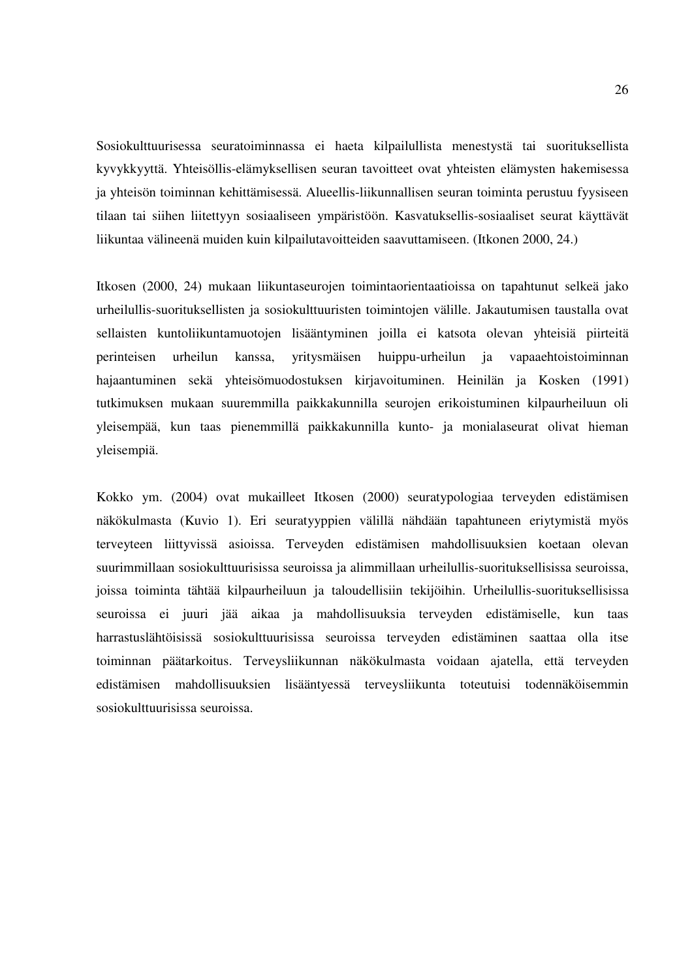Sosiokulttuurisessa seuratoiminnassa ei haeta kilpailullista menestystä tai suorituksellista kyvykkyyttä. Yhteisöllis-elämyksellisen seuran tavoitteet ovat yhteisten elämysten hakemisessa ja yhteisön toiminnan kehittämisessä. Alueellis-liikunnallisen seuran toiminta perustuu fyysiseen tilaan tai siihen liitettyyn sosiaaliseen ympäristöön. Kasvatuksellis-sosiaaliset seurat käyttävät liikuntaa välineenä muiden kuin kilpailutavoitteiden saavuttamiseen. (Itkonen 2000, 24.)

Itkosen (2000, 24) mukaan liikuntaseurojen toimintaorientaatioissa on tapahtunut selkeä jako urheilullis-suorituksellisten ja sosiokulttuuristen toimintojen välille. Jakautumisen taustalla ovat sellaisten kuntoliikuntamuotojen lisääntyminen joilla ei katsota olevan yhteisiä piirteitä perinteisen urheilun kanssa, yritysmäisen huippu-urheilun ja vapaaehtoistoiminnan hajaantuminen sekä yhteisömuodostuksen kirjavoituminen. Heinilän ja Kosken (1991) tutkimuksen mukaan suuremmilla paikkakunnilla seurojen erikoistuminen kilpaurheiluun oli yleisempää, kun taas pienemmillä paikkakunnilla kunto- ja monialaseurat olivat hieman yleisempiä.

Kokko ym. (2004) ovat mukailleet Itkosen (2000) seuratypologiaa terveyden edistämisen näkökulmasta (Kuvio 1). Eri seuratyyppien välillä nähdään tapahtuneen eriytymistä myös terveyteen liittyvissä asioissa. Terveyden edistämisen mahdollisuuksien koetaan olevan suurimmillaan sosiokulttuurisissa seuroissa ja alimmillaan urheilullis-suorituksellisissa seuroissa, joissa toiminta tähtää kilpaurheiluun ja taloudellisiin tekijöihin. Urheilullis-suorituksellisissa seuroissa ei juuri jää aikaa ja mahdollisuuksia terveyden edistämiselle, kun taas harrastuslähtöisissä sosiokulttuurisissa seuroissa terveyden edistäminen saattaa olla itse toiminnan päätarkoitus. Terveysliikunnan näkökulmasta voidaan ajatella, että terveyden edistämisen mahdollisuuksien lisääntyessä terveysliikunta toteutuisi todennäköisemmin sosiokulttuurisissa seuroissa.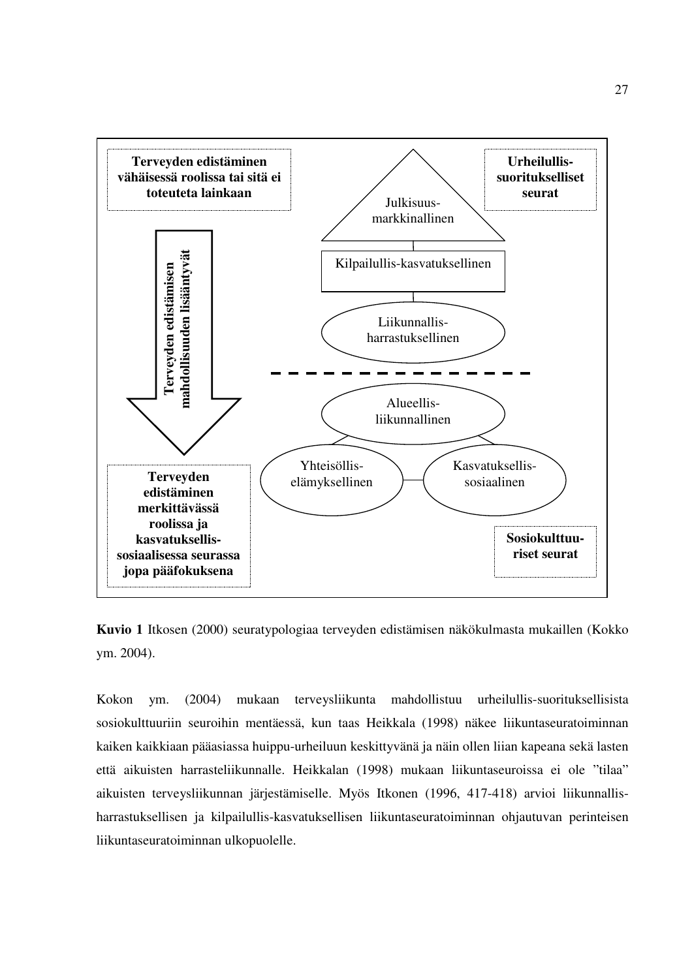

**Kuvio 1** Itkosen (2000) seuratypologiaa terveyden edistämisen näkökulmasta mukaillen (Kokko ym. 2004).

Kokon ym. (2004) mukaan terveysliikunta mahdollistuu urheilullis-suorituksellisista sosiokulttuuriin seuroihin mentäessä, kun taas Heikkala (1998) näkee liikuntaseuratoiminnan kaiken kaikkiaan pääasiassa huippu-urheiluun keskittyvänä ja näin ollen liian kapeana sekä lasten että aikuisten harrasteliikunnalle. Heikkalan (1998) mukaan liikuntaseuroissa ei ole "tilaa" aikuisten terveysliikunnan järjestämiselle. Myös Itkonen (1996, 417-418) arvioi liikunnallisharrastuksellisen ja kilpailullis-kasvatuksellisen liikuntaseuratoiminnan ohjautuvan perinteisen liikuntaseuratoiminnan ulkopuolelle.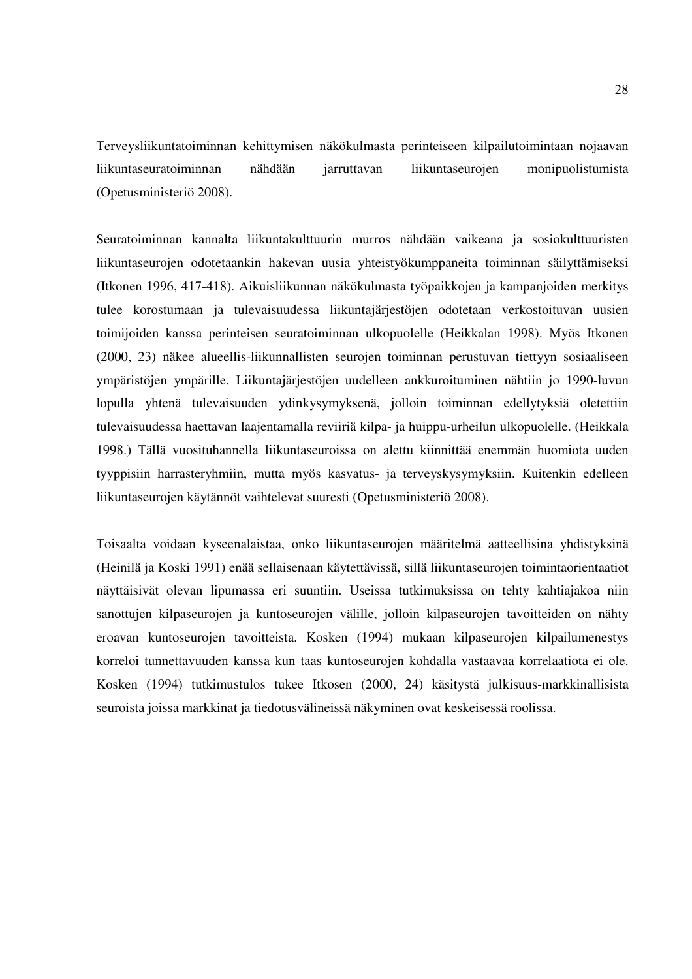Terveysliikuntatoiminnan kehittymisen näkökulmasta perinteiseen kilpailutoimintaan nojaavan liikuntaseuratoiminnan nähdään jarruttavan liikuntaseurojen monipuolistumista (Opetusministeriö 2008).

Seuratoiminnan kannalta liikuntakulttuurin murros nähdään vaikeana ja sosiokulttuuristen liikuntaseurojen odotetaankin hakevan uusia yhteistyökumppaneita toiminnan säilyttämiseksi (Itkonen 1996, 417-418). Aikuisliikunnan näkökulmasta työpaikkojen ja kampanjoiden merkitys tulee korostumaan ja tulevaisuudessa liikuntajärjestöjen odotetaan verkostoituvan uusien toimijoiden kanssa perinteisen seuratoiminnan ulkopuolelle (Heikkalan 1998). Myös Itkonen (2000, 23) näkee alueellis-liikunnallisten seurojen toiminnan perustuvan tiettyyn sosiaaliseen ympäristöjen ympärille. Liikuntajärjestöjen uudelleen ankkuroituminen nähtiin jo 1990-luvun lopulla yhtenä tulevaisuuden ydinkysymyksenä, jolloin toiminnan edellytyksiä oletettiin tulevaisuudessa haettavan laajentamalla reviiriä kilpa- ja huippu-urheilun ulkopuolelle. (Heikkala 1998.) Tällä vuosituhannella liikuntaseuroissa on alettu kiinnittää enemmän huomiota uuden tyyppisiin harrasteryhmiin, mutta myös kasvatus- ja terveyskysymyksiin. Kuitenkin edelleen liikuntaseurojen käytännöt vaihtelevat suuresti (Opetusministeriö 2008).

Toisaalta voidaan kyseenalaistaa, onko liikuntaseurojen määritelmä aatteellisina yhdistyksinä (Heinilä ja Koski 1991) enää sellaisenaan käytettävissä, sillä liikuntaseurojen toimintaorientaatiot näyttäisivät olevan lipumassa eri suuntiin. Useissa tutkimuksissa on tehty kahtiajakoa niin sanottujen kilpaseurojen ja kuntoseurojen välille, jolloin kilpaseurojen tavoitteiden on nähty eroavan kuntoseurojen tavoitteista. Kosken (1994) mukaan kilpaseurojen kilpailumenestys korreloi tunnettavuuden kanssa kun taas kuntoseurojen kohdalla vastaavaa korrelaatiota ei ole. Kosken (1994) tutkimustulos tukee Itkosen (2000, 24) käsitystä julkisuus-markkinallisista seuroista joissa markkinat ja tiedotusvälineissä näkyminen ovat keskeisessä roolissa.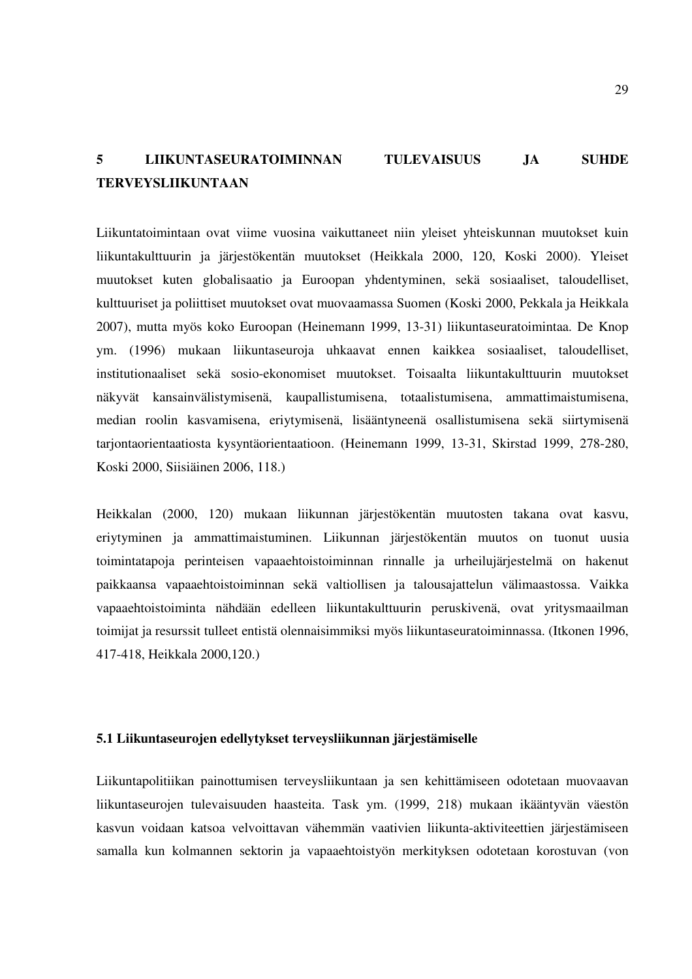# **5 LIIKUNTASEURATOIMINNAN TULEVAISUUS JA SUHDE TERVEYSLIIKUNTAAN**

Liikuntatoimintaan ovat viime vuosina vaikuttaneet niin yleiset yhteiskunnan muutokset kuin liikuntakulttuurin ja järjestökentän muutokset (Heikkala 2000, 120, Koski 2000). Yleiset muutokset kuten globalisaatio ja Euroopan yhdentyminen, sekä sosiaaliset, taloudelliset, kulttuuriset ja poliittiset muutokset ovat muovaamassa Suomen (Koski 2000, Pekkala ja Heikkala 2007), mutta myös koko Euroopan (Heinemann 1999, 13-31) liikuntaseuratoimintaa. De Knop ym. (1996) mukaan liikuntaseuroja uhkaavat ennen kaikkea sosiaaliset, taloudelliset, institutionaaliset sekä sosio-ekonomiset muutokset. Toisaalta liikuntakulttuurin muutokset näkyvät kansainvälistymisenä, kaupallistumisena, totaalistumisena, ammattimaistumisena, median roolin kasvamisena, eriytymisenä, lisääntyneenä osallistumisena sekä siirtymisenä tarjontaorientaatiosta kysyntäorientaatioon. (Heinemann 1999, 13-31, Skirstad 1999, 278-280, Koski 2000, Siisiäinen 2006, 118.)

Heikkalan (2000, 120) mukaan liikunnan järjestökentän muutosten takana ovat kasvu, eriytyminen ja ammattimaistuminen. Liikunnan järjestökentän muutos on tuonut uusia toimintatapoja perinteisen vapaaehtoistoiminnan rinnalle ja urheilujärjestelmä on hakenut paikkaansa vapaaehtoistoiminnan sekä valtiollisen ja talousajattelun välimaastossa. Vaikka vapaaehtoistoiminta nähdään edelleen liikuntakulttuurin peruskivenä, ovat yritysmaailman toimijat ja resurssit tulleet entistä olennaisimmiksi myös liikuntaseuratoiminnassa. (Itkonen 1996, 417-418, Heikkala 2000,120.)

#### **5.1 Liikuntaseurojen edellytykset terveysliikunnan järjestämiselle**

Liikuntapolitiikan painottumisen terveysliikuntaan ja sen kehittämiseen odotetaan muovaavan liikuntaseurojen tulevaisuuden haasteita. Task ym. (1999, 218) mukaan ikääntyvän väestön kasvun voidaan katsoa velvoittavan vähemmän vaativien liikunta-aktiviteettien järjestämiseen samalla kun kolmannen sektorin ja vapaaehtoistyön merkityksen odotetaan korostuvan (von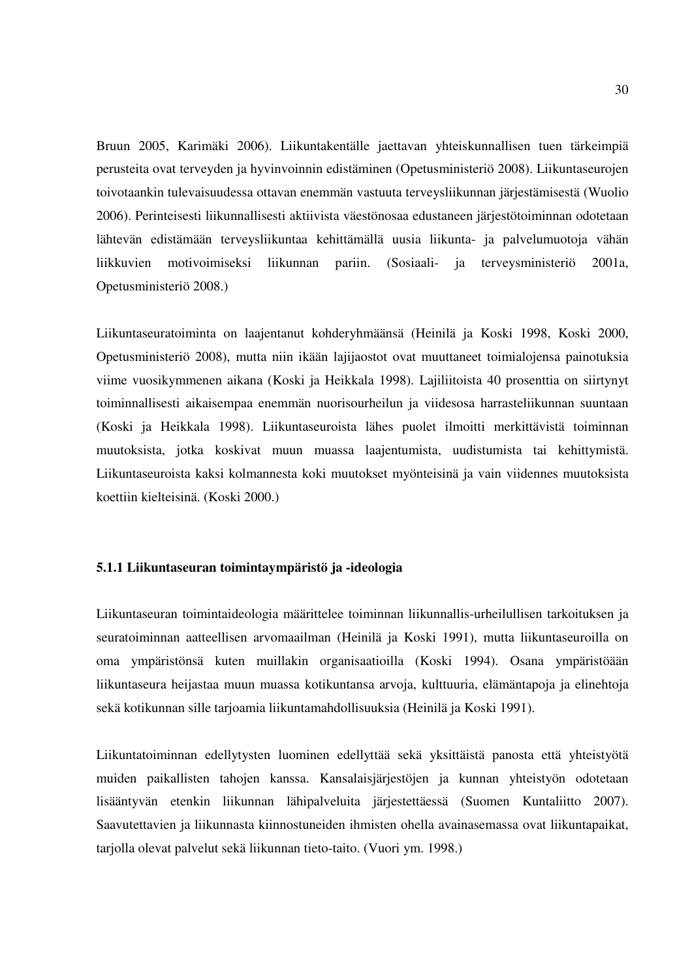Bruun 2005, Karimäki 2006). Liikuntakentälle jaettavan yhteiskunnallisen tuen tärkeimpiä perusteita ovat terveyden ja hyvinvoinnin edistäminen (Opetusministeriö 2008). Liikuntaseurojen toivotaankin tulevaisuudessa ottavan enemmän vastuuta terveysliikunnan järjestämisestä (Wuolio 2006). Perinteisesti liikunnallisesti aktiivista väestönosaa edustaneen järjestötoiminnan odotetaan lähtevän edistämään terveysliikuntaa kehittämällä uusia liikunta- ja palvelumuotoja vähän liikkuvien motivoimiseksi liikunnan pariin. (Sosiaali- ja terveysministeriö 2001a, Opetusministeriö 2008.)

Liikuntaseuratoiminta on laajentanut kohderyhmäänsä (Heinilä ja Koski 1998, Koski 2000, Opetusministeriö 2008), mutta niin ikään lajijaostot ovat muuttaneet toimialojensa painotuksia viime vuosikymmenen aikana (Koski ja Heikkala 1998). Lajiliitoista 40 prosenttia on siirtynyt toiminnallisesti aikaisempaa enemmän nuorisourheilun ja viidesosa harrasteliikunnan suuntaan (Koski ja Heikkala 1998). Liikuntaseuroista lähes puolet ilmoitti merkittävistä toiminnan muutoksista, jotka koskivat muun muassa laajentumista, uudistumista tai kehittymistä. Liikuntaseuroista kaksi kolmannesta koki muutokset myönteisinä ja vain viidennes muutoksista koettiin kielteisinä. (Koski 2000.)

### **5.1.1 Liikuntaseuran toimintaympäristö ja -ideologia**

Liikuntaseuran toimintaideologia määrittelee toiminnan liikunnallis-urheilullisen tarkoituksen ja seuratoiminnan aatteellisen arvomaailman (Heinilä ja Koski 1991), mutta liikuntaseuroilla on oma ympäristönsä kuten muillakin organisaatioilla (Koski 1994). Osana ympäristöään liikuntaseura heijastaa muun muassa kotikuntansa arvoja, kulttuuria, elämäntapoja ja elinehtoja sekä kotikunnan sille tarjoamia liikuntamahdollisuuksia (Heinilä ja Koski 1991).

Liikuntatoiminnan edellytysten luominen edellyttää sekä yksittäistä panosta että yhteistyötä muiden paikallisten tahojen kanssa. Kansalaisjärjestöjen ja kunnan yhteistyön odotetaan lisääntyvän etenkin liikunnan lähipalveluita järjestettäessä (Suomen Kuntaliitto 2007). Saavutettavien ja liikunnasta kiinnostuneiden ihmisten ohella avainasemassa ovat liikuntapaikat, tariolla olevat palvelut sekä liikunnan tieto-taito. (Vuori ym. 1998.)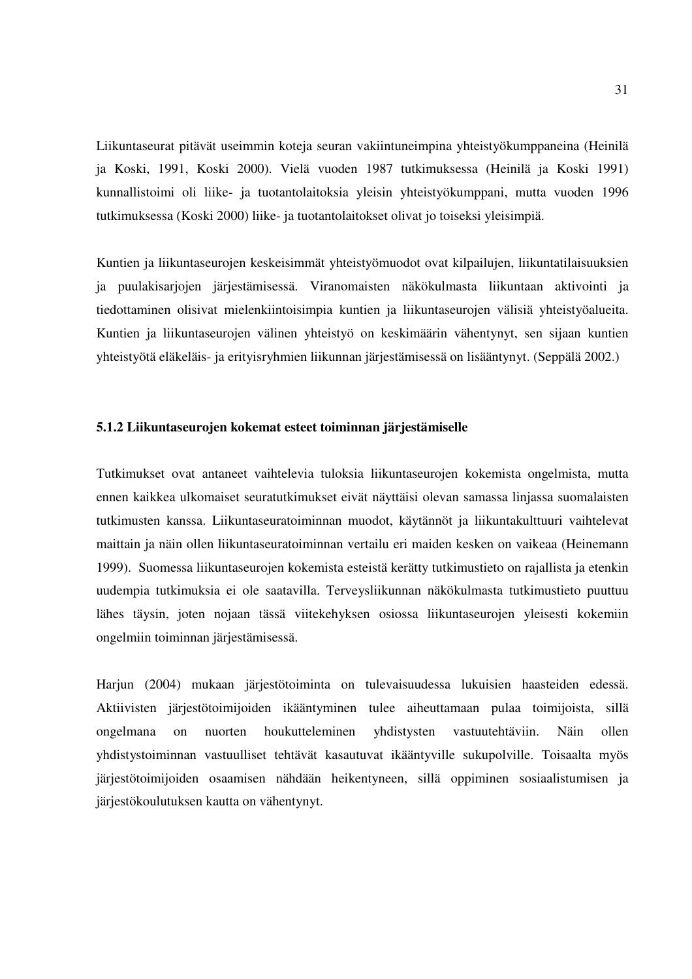Liikuntaseurat pitävät useimmin koteja seuran vakiintuneimpina yhteistyökumppaneina (Heinilä ja Koski, 1991, Koski 2000). Vielä vuoden 1987 tutkimuksessa (Heinilä ja Koski 1991) kunnallistoimi oli liike- ja tuotantolaitoksia yleisin yhteistyökumppani, mutta vuoden 1996 tutkimuksessa (Koski 2000) liike- ja tuotantolaitokset olivat jo toiseksi yleisimpiä.

Kuntien ja liikuntaseurojen keskeisimmät yhteistyömuodot ovat kilpailujen, liikuntatilaisuuksien ja puulakisarjojen järjestämisessä. Viranomaisten näkökulmasta liikuntaan aktivointi ja tiedottaminen olisivat mielenkiintoisimpia kuntien ja liikuntaseurojen välisiä yhteistyöalueita. Kuntien ja liikuntaseurojen välinen yhteistyö on keskimäärin vähentynyt, sen sijaan kuntien yhteistyötä eläkeläis- ja erityisryhmien liikunnan järjestämisessä on lisääntynyt. (Seppälä 2002.)

#### **5.1.2 Liikuntaseurojen kokemat esteet toiminnan järjestämiselle**

Tutkimukset ovat antaneet vaihtelevia tuloksia liikuntaseurojen kokemista ongelmista, mutta ennen kaikkea ulkomaiset seuratutkimukset eivät näyttäisi olevan samassa linjassa suomalaisten tutkimusten kanssa. Liikuntaseuratoiminnan muodot, käytännöt ja liikuntakulttuuri vaihtelevat maittain ja näin ollen liikuntaseuratoiminnan vertailu eri maiden kesken on vaikeaa (Heinemann 1999). Suomessa liikuntaseurojen kokemista esteistä kerätty tutkimustieto on rajallista ja etenkin uudempia tutkimuksia ei ole saatavilla. Terveysliikunnan näkökulmasta tutkimustieto puuttuu lähes täysin, joten nojaan tässä viitekehyksen osiossa liikuntaseurojen yleisesti kokemiin ongelmiin toiminnan järjestämisessä.

Harjun (2004) mukaan järjestötoiminta on tulevaisuudessa lukuisien haasteiden edessä. Aktiivisten järjestötoimijoiden ikääntyminen tulee aiheuttamaan pulaa toimijoista, sillä ongelmana on nuorten houkutteleminen yhdistysten vastuutehtäviin. Näin ollen yhdistystoiminnan vastuulliset tehtävät kasautuvat ikääntyville sukupolville. Toisaalta myös järjestötoimijoiden osaamisen nähdään heikentyneen, sillä oppiminen sosiaalistumisen ja järjestökoulutuksen kautta on vähentynyt.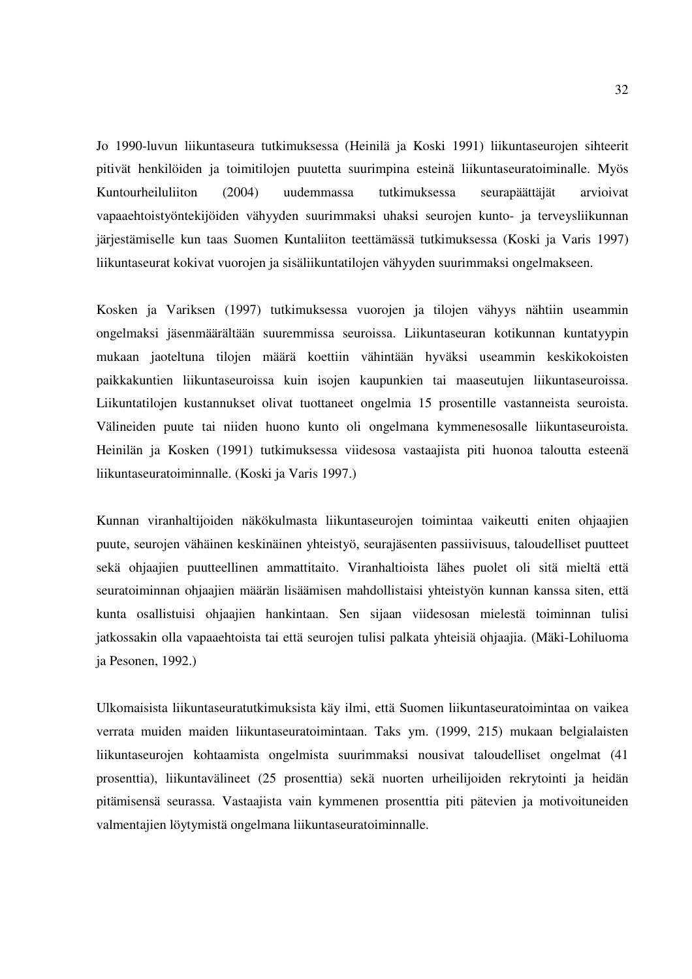Jo 1990-luvun liikuntaseura tutkimuksessa (Heinilä ja Koski 1991) liikuntaseurojen sihteerit pitivät henkilöiden ja toimitilojen puutetta suurimpina esteinä liikuntaseuratoiminalle. Myös Kuntourheiluliiton (2004) uudemmassa tutkimuksessa seurapäättäjät arvioivat vapaaehtoistyöntekijöiden vähyyden suurimmaksi uhaksi seurojen kunto- ja terveysliikunnan järjestämiselle kun taas Suomen Kuntaliiton teettämässä tutkimuksessa (Koski ja Varis 1997) liikuntaseurat kokivat vuorojen ja sisäliikuntatilojen vähyyden suurimmaksi ongelmakseen.

Kosken ja Variksen (1997) tutkimuksessa vuorojen ja tilojen vähyys nähtiin useammin ongelmaksi jäsenmäärältään suuremmissa seuroissa. Liikuntaseuran kotikunnan kuntatyypin mukaan jaoteltuna tilojen määrä koettiin vähintään hyväksi useammin keskikokoisten paikkakuntien liikuntaseuroissa kuin isojen kaupunkien tai maaseutujen liikuntaseuroissa. Liikuntatilojen kustannukset olivat tuottaneet ongelmia 15 prosentille vastanneista seuroista. Välineiden puute tai niiden huono kunto oli ongelmana kymmenesosalle liikuntaseuroista. Heinilän ja Kosken (1991) tutkimuksessa viidesosa vastaajista piti huonoa taloutta esteenä liikuntaseuratoiminnalle. (Koski ja Varis 1997.)

Kunnan viranhaltijoiden näkökulmasta liikuntaseurojen toimintaa vaikeutti eniten ohjaajien puute, seurojen vähäinen keskinäinen yhteistyö, seurajäsenten passiivisuus, taloudelliset puutteet sekä ohjaajien puutteellinen ammattitaito. Viranhaltioista lähes puolet oli sitä mieltä että seuratoiminnan ohjaajien määrän lisäämisen mahdollistaisi yhteistyön kunnan kanssa siten, että kunta osallistuisi ohjaajien hankintaan. Sen sijaan viidesosan mielestä toiminnan tulisi jatkossakin olla vapaaehtoista tai että seurojen tulisi palkata yhteisiä ohjaajia. (Mäki-Lohiluoma ja Pesonen, 1992.)

Ulkomaisista liikuntaseuratutkimuksista käy ilmi, että Suomen liikuntaseuratoimintaa on vaikea verrata muiden maiden liikuntaseuratoimintaan. Taks ym. (1999, 215) mukaan belgialaisten liikuntaseurojen kohtaamista ongelmista suurimmaksi nousivat taloudelliset ongelmat (41 prosenttia), liikuntavälineet (25 prosenttia) sekä nuorten urheilijoiden rekrytointi ja heidän pitämisensä seurassa. Vastaajista vain kymmenen prosenttia piti pätevien ja motivoituneiden valmentajien löytymistä ongelmana liikuntaseuratoiminnalle.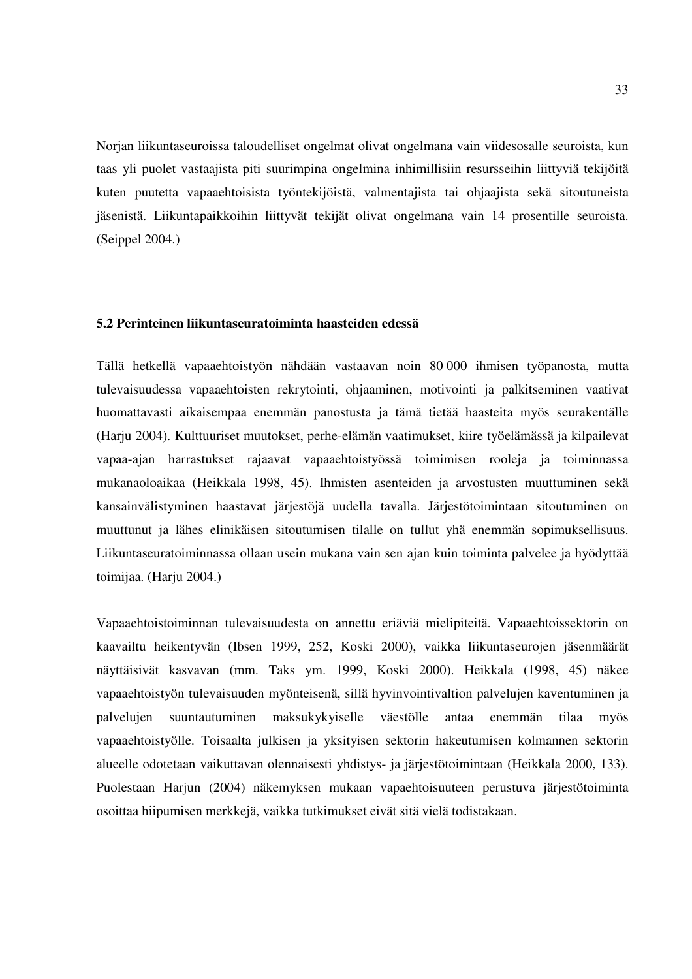Norjan liikuntaseuroissa taloudelliset ongelmat olivat ongelmana vain viidesosalle seuroista, kun taas yli puolet vastaajista piti suurimpina ongelmina inhimillisiin resursseihin liittyviä tekijöitä kuten puutetta vapaaehtoisista työntekijöistä, valmentajista tai ohjaajista sekä sitoutuneista jäsenistä. Liikuntapaikkoihin liittyvät tekijät olivat ongelmana vain 14 prosentille seuroista. (Seippel 2004.)

### **5.2 Perinteinen liikuntaseuratoiminta haasteiden edessä**

Tällä hetkellä vapaaehtoistyön nähdään vastaavan noin 80 000 ihmisen työpanosta, mutta tulevaisuudessa vapaaehtoisten rekrytointi, ohjaaminen, motivointi ja palkitseminen vaativat huomattavasti aikaisempaa enemmän panostusta ja tämä tietää haasteita myös seurakentälle (Harju 2004). Kulttuuriset muutokset, perhe-elämän vaatimukset, kiire työelämässä ja kilpailevat vapaa-ajan harrastukset rajaavat vapaaehtoistyössä toimimisen rooleja ja toiminnassa mukanaoloaikaa (Heikkala 1998, 45). Ihmisten asenteiden ja arvostusten muuttuminen sekä kansainvälistyminen haastavat järjestöjä uudella tavalla. Järjestötoimintaan sitoutuminen on muuttunut ja lähes elinikäisen sitoutumisen tilalle on tullut yhä enemmän sopimuksellisuus. Liikuntaseuratoiminnassa ollaan usein mukana vain sen ajan kuin toiminta palvelee ja hyödyttää toimijaa. (Harju 2004.)

Vapaaehtoistoiminnan tulevaisuudesta on annettu eriäviä mielipiteitä. Vapaaehtoissektorin on kaavailtu heikentyvän (Ibsen 1999, 252, Koski 2000), vaikka liikuntaseurojen jäsenmäärät näyttäisivät kasvavan (mm. Taks ym. 1999, Koski 2000). Heikkala (1998, 45) näkee vapaaehtoistyön tulevaisuuden myönteisenä, sillä hyvinvointivaltion palvelujen kaventuminen ja palvelujen suuntautuminen maksukykyiselle väestölle antaa enemmän tilaa myös vapaaehtoistyölle. Toisaalta julkisen ja yksityisen sektorin hakeutumisen kolmannen sektorin alueelle odotetaan vaikuttavan olennaisesti yhdistys- ja järjestötoimintaan (Heikkala 2000, 133). Puolestaan Harjun (2004) näkemyksen mukaan vapaehtoisuuteen perustuva järjestötoiminta osoittaa hiipumisen merkkejä, vaikka tutkimukset eivät sitä vielä todistakaan.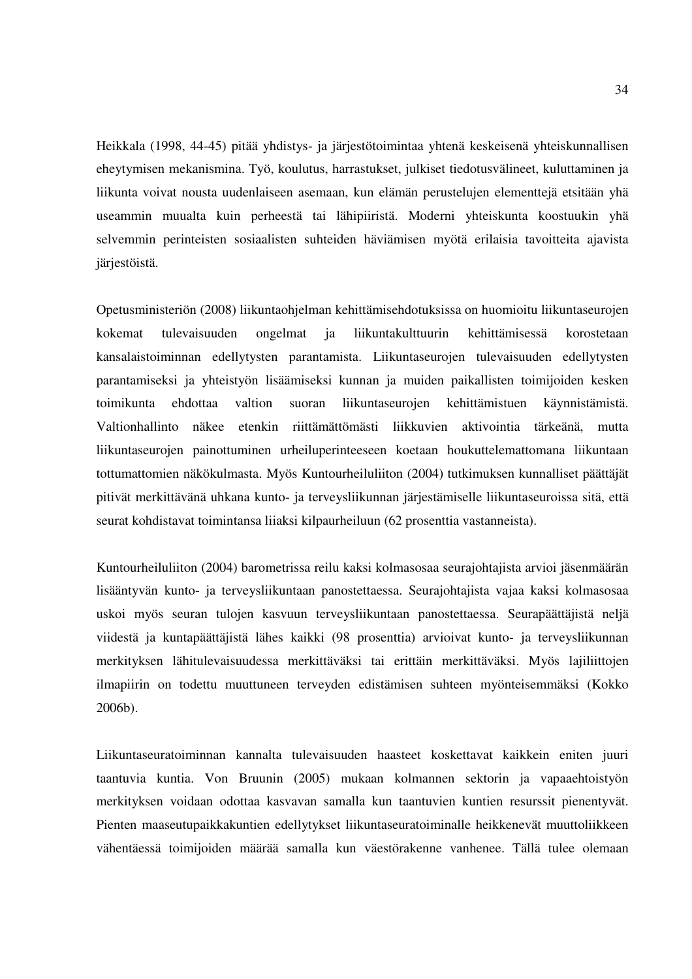Heikkala (1998, 44-45) pitää yhdistys- ja järjestötoimintaa yhtenä keskeisenä yhteiskunnallisen eheytymisen mekanismina. Työ, koulutus, harrastukset, julkiset tiedotusvälineet, kuluttaminen ja liikunta voivat nousta uudenlaiseen asemaan, kun elämän perustelujen elementtejä etsitään yhä useammin muualta kuin perheestä tai lähipiiristä. Moderni yhteiskunta koostuukin yhä selvemmin perinteisten sosiaalisten suhteiden häviämisen myötä erilaisia tavoitteita ajavista järjestöistä.

Opetusministeriön (2008) liikuntaohjelman kehittämisehdotuksissa on huomioitu liikuntaseurojen kokemat tulevaisuuden ongelmat ja liikuntakulttuurin kehittämisessä korostetaan kansalaistoiminnan edellytysten parantamista. Liikuntaseurojen tulevaisuuden edellytysten parantamiseksi ja yhteistyön lisäämiseksi kunnan ja muiden paikallisten toimijoiden kesken toimikunta ehdottaa valtion suoran liikuntaseurojen kehittämistuen käynnistämistä. Valtionhallinto näkee etenkin riittämättömästi liikkuvien aktivointia tärkeänä, mutta liikuntaseurojen painottuminen urheiluperinteeseen koetaan houkuttelemattomana liikuntaan tottumattomien näkökulmasta. Myös Kuntourheiluliiton (2004) tutkimuksen kunnalliset päättäjät pitivät merkittävänä uhkana kunto- ja terveysliikunnan järjestämiselle liikuntaseuroissa sitä, että seurat kohdistavat toimintansa liiaksi kilpaurheiluun (62 prosenttia vastanneista).

Kuntourheiluliiton (2004) barometrissa reilu kaksi kolmasosaa seurajohtajista arvioi jäsenmäärän lisääntyvän kunto- ja terveysliikuntaan panostettaessa. Seurajohtajista vajaa kaksi kolmasosaa uskoi myös seuran tulojen kasvuun terveysliikuntaan panostettaessa. Seurapäättäjistä neljä viidestä ja kuntapäättäjistä lähes kaikki (98 prosenttia) arvioivat kunto- ja terveysliikunnan merkityksen lähitulevaisuudessa merkittäväksi tai erittäin merkittäväksi. Myös lajiliittojen ilmapiirin on todettu muuttuneen terveyden edistämisen suhteen myönteisemmäksi (Kokko 2006b).

Liikuntaseuratoiminnan kannalta tulevaisuuden haasteet koskettavat kaikkein eniten juuri taantuvia kuntia. Von Bruunin (2005) mukaan kolmannen sektorin ja vapaaehtoistyön merkityksen voidaan odottaa kasvavan samalla kun taantuvien kuntien resurssit pienentyvät. Pienten maaseutupaikkakuntien edellytykset liikuntaseuratoiminalle heikkenevät muuttoliikkeen vähentäessä toimijoiden määrää samalla kun väestörakenne vanhenee. Tällä tulee olemaan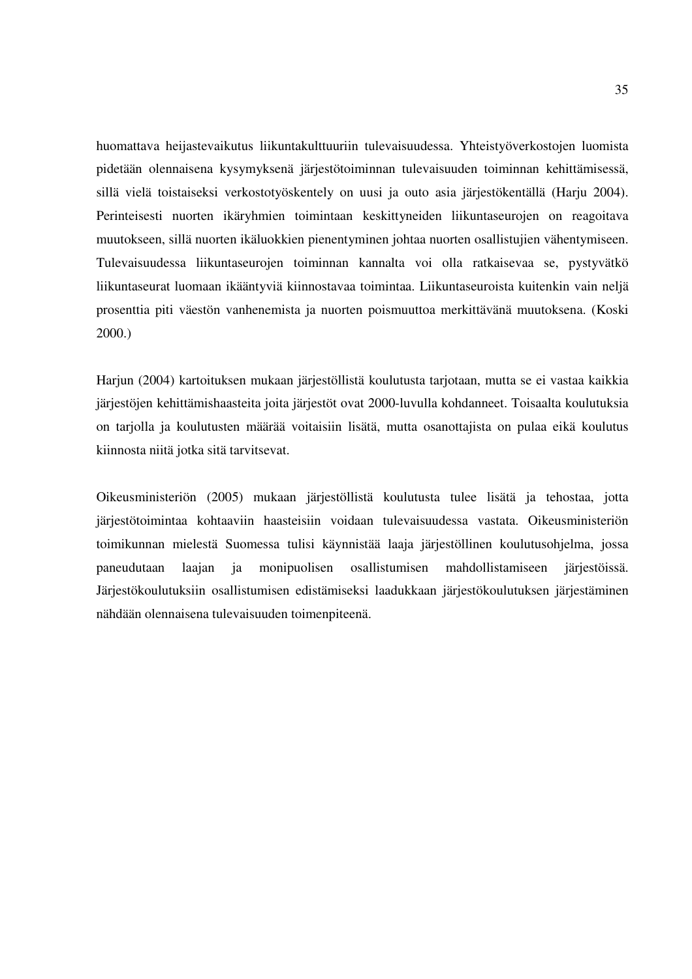huomattava heijastevaikutus liikuntakulttuuriin tulevaisuudessa. Yhteistyöverkostojen luomista pidetään olennaisena kysymyksenä järjestötoiminnan tulevaisuuden toiminnan kehittämisessä, sillä vielä toistaiseksi verkostotyöskentely on uusi ja outo asia järjestökentällä (Harju 2004). Perinteisesti nuorten ikäryhmien toimintaan keskittyneiden liikuntaseurojen on reagoitava muutokseen, sillä nuorten ikäluokkien pienentyminen johtaa nuorten osallistujien vähentymiseen. Tulevaisuudessa liikuntaseurojen toiminnan kannalta voi olla ratkaisevaa se, pystyvätkö liikuntaseurat luomaan ikääntyviä kiinnostavaa toimintaa. Liikuntaseuroista kuitenkin vain neljä prosenttia piti väestön vanhenemista ja nuorten poismuuttoa merkittävänä muutoksena. (Koski 2000.)

Harjun (2004) kartoituksen mukaan järjestöllistä koulutusta tarjotaan, mutta se ei vastaa kaikkia järjestöjen kehittämishaasteita joita järjestöt ovat 2000-luvulla kohdanneet. Toisaalta koulutuksia on tarjolla ja koulutusten määrää voitaisiin lisätä, mutta osanottajista on pulaa eikä koulutus kiinnosta niitä jotka sitä tarvitsevat.

Oikeusministeriön (2005) mukaan järjestöllistä koulutusta tulee lisätä ja tehostaa, jotta järjestötoimintaa kohtaaviin haasteisiin voidaan tulevaisuudessa vastata. Oikeusministeriön toimikunnan mielestä Suomessa tulisi käynnistää laaja järjestöllinen koulutusohjelma, jossa paneudutaan laajan ja monipuolisen osallistumisen mahdollistamiseen järjestöissä. Järjestökoulutuksiin osallistumisen edistämiseksi laadukkaan järjestökoulutuksen järjestäminen nähdään olennaisena tulevaisuuden toimenpiteenä.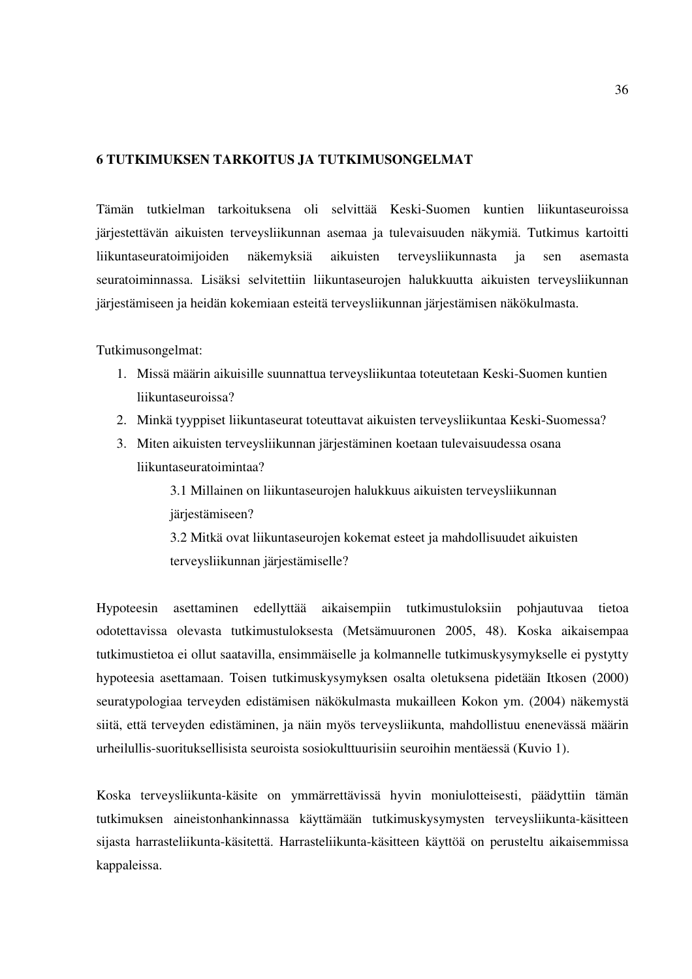# **6 TUTKIMUKSEN TARKOITUS JA TUTKIMUSONGELMAT**

Tämän tutkielman tarkoituksena oli selvittää Keski-Suomen kuntien liikuntaseuroissa järjestettävän aikuisten terveysliikunnan asemaa ja tulevaisuuden näkymiä. Tutkimus kartoitti liikuntaseuratoimijoiden näkemyksiä aikuisten terveysliikunnasta ja sen asemasta seuratoiminnassa. Lisäksi selvitettiin liikuntaseurojen halukkuutta aikuisten terveysliikunnan järjestämiseen ja heidän kokemiaan esteitä terveysliikunnan järjestämisen näkökulmasta.

Tutkimusongelmat:

- 1. Missä määrin aikuisille suunnattua terveysliikuntaa toteutetaan Keski-Suomen kuntien liikuntaseuroissa?
- 2. Minkä tyyppiset liikuntaseurat toteuttavat aikuisten terveysliikuntaa Keski-Suomessa?
- 3. Miten aikuisten terveysliikunnan järjestäminen koetaan tulevaisuudessa osana liikuntaseuratoimintaa?

3.1 Millainen on liikuntaseurojen halukkuus aikuisten terveysliikunnan järjestämiseen?

3.2 Mitkä ovat liikuntaseurojen kokemat esteet ja mahdollisuudet aikuisten terveysliikunnan järjestämiselle?

Hypoteesin asettaminen edellyttää aikaisempiin tutkimustuloksiin pohjautuvaa tietoa odotettavissa olevasta tutkimustuloksesta (Metsämuuronen 2005, 48). Koska aikaisempaa tutkimustietoa ei ollut saatavilla, ensimmäiselle ja kolmannelle tutkimuskysymykselle ei pystytty hypoteesia asettamaan. Toisen tutkimuskysymyksen osalta oletuksena pidetään Itkosen (2000) seuratypologiaa terveyden edistämisen näkökulmasta mukailleen Kokon ym. (2004) näkemystä siitä, että terveyden edistäminen, ja näin myös terveysliikunta, mahdollistuu enenevässä määrin urheilullis-suorituksellisista seuroista sosiokulttuurisiin seuroihin mentäessä (Kuvio 1).

Koska terveysliikunta-käsite on ymmärrettävissä hyvin moniulotteisesti, päädyttiin tämän tutkimuksen aineistonhankinnassa käyttämään tutkimuskysymysten terveysliikunta-käsitteen sijasta harrasteliikunta-käsitettä. Harrasteliikunta-käsitteen käyttöä on perusteltu aikaisemmissa kappaleissa.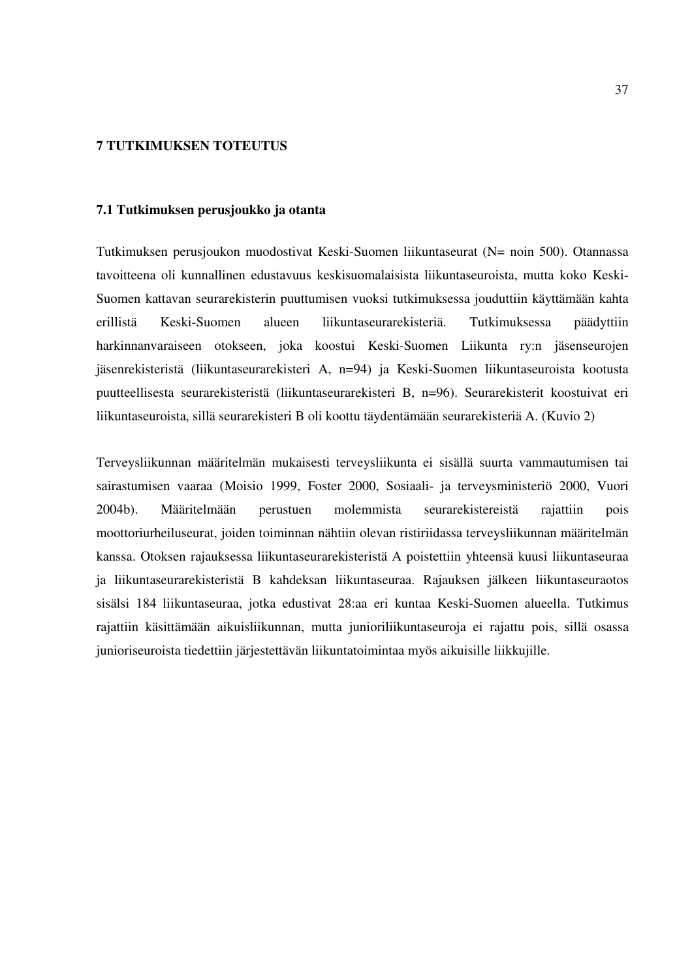## **7 TUTKIMUKSEN TOTEUTUS**

### **7.1 Tutkimuksen perusjoukko ja otanta**

Tutkimuksen perusjoukon muodostivat Keski-Suomen liikuntaseurat (N= noin 500). Otannassa tavoitteena oli kunnallinen edustavuus keskisuomalaisista liikuntaseuroista, mutta koko Keski-Suomen kattavan seurarekisterin puuttumisen vuoksi tutkimuksessa jouduttiin käyttämään kahta erillistä Keski-Suomen alueen liikuntaseurarekisteriä. Tutkimuksessa päädyttiin harkinnanvaraiseen otokseen, joka koostui Keski-Suomen Liikunta ry:n jäsenseurojen jäsenrekisteristä (liikuntaseurarekisteri A, n=94) ja Keski-Suomen liikuntaseuroista kootusta puutteellisesta seurarekisteristä (liikuntaseurarekisteri B, n=96). Seurarekisterit koostuivat eri liikuntaseuroista, sillä seurarekisteri B oli koottu täydentämään seurarekisteriä A. (Kuvio 2)

Terveysliikunnan määritelmän mukaisesti terveysliikunta ei sisällä suurta vammautumisen tai sairastumisen vaaraa (Moisio 1999, Foster 2000, Sosiaali- ja terveysministeriö 2000, Vuori 2004b). Määritelmään perustuen molemmista seurarekistereistä rajattiin pois moottoriurheiluseurat, joiden toiminnan nähtiin olevan ristiriidassa terveysliikunnan määritelmän kanssa. Otoksen rajauksessa liikuntaseurarekisteristä A poistettiin yhteensä kuusi liikuntaseuraa ja liikuntaseurarekisteristä B kahdeksan liikuntaseuraa. Rajauksen jälkeen liikuntaseuraotos sisälsi 184 liikuntaseuraa, jotka edustivat 28:aa eri kuntaa Keski-Suomen alueella. Tutkimus rajattiin käsittämään aikuisliikunnan, mutta junioriliikuntaseuroja ei rajattu pois, sillä osassa junioriseuroista tiedettiin järjestettävän liikuntatoimintaa myös aikuisille liikkujille.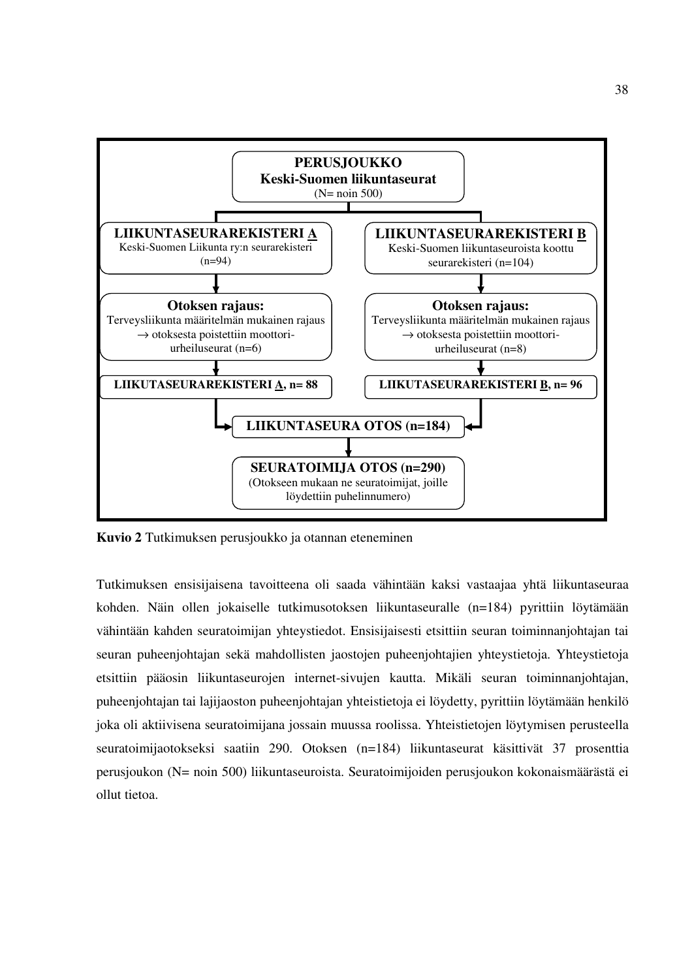

**Kuvio 2** Tutkimuksen perusjoukko ja otannan eteneminen

Tutkimuksen ensisijaisena tavoitteena oli saada vähintään kaksi vastaajaa yhtä liikuntaseuraa kohden. Näin ollen jokaiselle tutkimusotoksen liikuntaseuralle (n=184) pyrittiin löytämään vähintään kahden seuratoimijan yhteystiedot. Ensisijaisesti etsittiin seuran toiminnanjohtajan tai seuran puheenjohtajan sekä mahdollisten jaostojen puheenjohtajien yhteystietoja. Yhteystietoja etsittiin pääosin liikuntaseurojen internet-sivujen kautta. Mikäli seuran toiminnanjohtajan, puheenjohtajan tai lajijaoston puheenjohtajan yhteistietoja ei löydetty, pyrittiin löytämään henkilö joka oli aktiivisena seuratoimijana jossain muussa roolissa. Yhteistietojen löytymisen perusteella seuratoimijaotokseksi saatiin 290. Otoksen (n=184) liikuntaseurat käsittivät 37 prosenttia perusjoukon (N= noin 500) liikuntaseuroista. Seuratoimijoiden perusjoukon kokonaismäärästä ei ollut tietoa.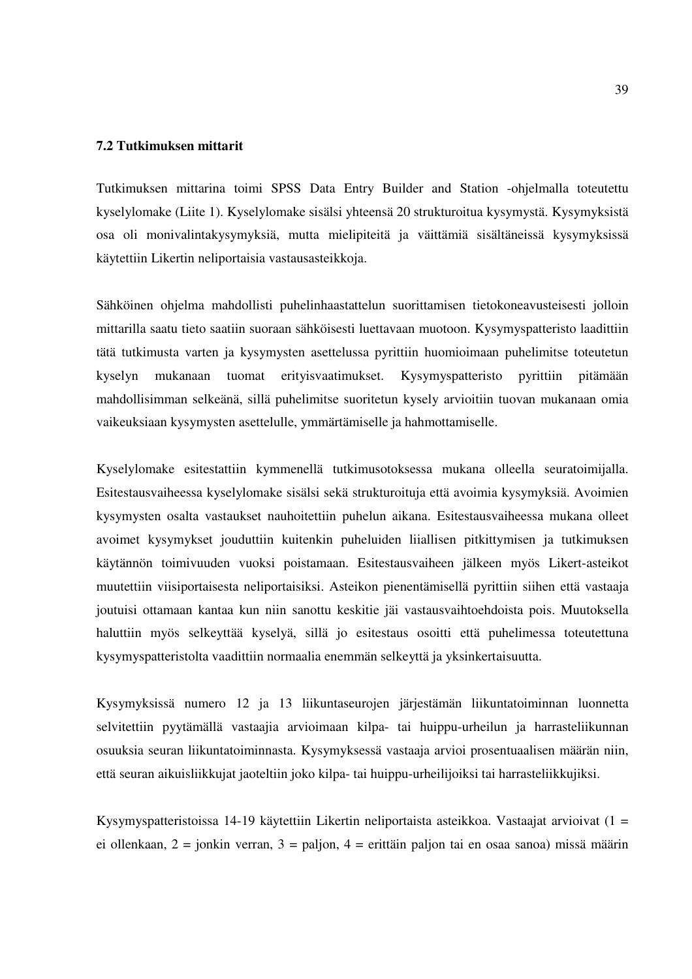## **7.2 Tutkimuksen mittarit**

Tutkimuksen mittarina toimi SPSS Data Entry Builder and Station -ohjelmalla toteutettu kyselylomake (Liite 1). Kyselylomake sisälsi yhteensä 20 strukturoitua kysymystä. Kysymyksistä osa oli monivalintakysymyksiä, mutta mielipiteitä ja väittämiä sisältäneissä kysymyksissä käytettiin Likertin neliportaisia vastausasteikkoja.

Sähköinen ohjelma mahdollisti puhelinhaastattelun suorittamisen tietokoneavusteisesti jolloin mittarilla saatu tieto saatiin suoraan sähköisesti luettavaan muotoon. Kysymyspatteristo laadittiin tätä tutkimusta varten ja kysymysten asettelussa pyrittiin huomioimaan puhelimitse toteutetun kyselyn mukanaan tuomat erityisvaatimukset. Kysymyspatteristo pyrittiin pitämään mahdollisimman selkeänä, sillä puhelimitse suoritetun kysely arvioitiin tuovan mukanaan omia vaikeuksiaan kysymysten asettelulle, ymmärtämiselle ja hahmottamiselle.

Kyselylomake esitestattiin kymmenellä tutkimusotoksessa mukana olleella seuratoimijalla. Esitestausvaiheessa kyselylomake sisälsi sekä strukturoituja että avoimia kysymyksiä. Avoimien kysymysten osalta vastaukset nauhoitettiin puhelun aikana. Esitestausvaiheessa mukana olleet avoimet kysymykset jouduttiin kuitenkin puheluiden liiallisen pitkittymisen ja tutkimuksen käytännön toimivuuden vuoksi poistamaan. Esitestausvaiheen jälkeen myös Likert-asteikot muutettiin viisiportaisesta neliportaisiksi. Asteikon pienentämisellä pyrittiin siihen että vastaaja joutuisi ottamaan kantaa kun niin sanottu keskitie jäi vastausvaihtoehdoista pois. Muutoksella haluttiin myös selkeyttää kyselyä, sillä jo esitestaus osoitti että puhelimessa toteutettuna kysymyspatteristolta vaadittiin normaalia enemmän selkeyttä ja yksinkertaisuutta.

Kysymyksissä numero 12 ja 13 liikuntaseurojen järjestämän liikuntatoiminnan luonnetta selvitettiin pyytämällä vastaajia arvioimaan kilpa- tai huippu-urheilun ja harrasteliikunnan osuuksia seuran liikuntatoiminnasta. Kysymyksessä vastaaja arvioi prosentuaalisen määrän niin, että seuran aikuisliikkujat jaoteltiin joko kilpa- tai huippu-urheilijoiksi tai harrasteliikkujiksi.

Kysymyspatteristoissa 14-19 käytettiin Likertin neliportaista asteikkoa. Vastaajat arvioivat (1 = ei ollenkaan, 2 = jonkin verran, 3 = paljon, 4 = erittäin paljon tai en osaa sanoa) missä määrin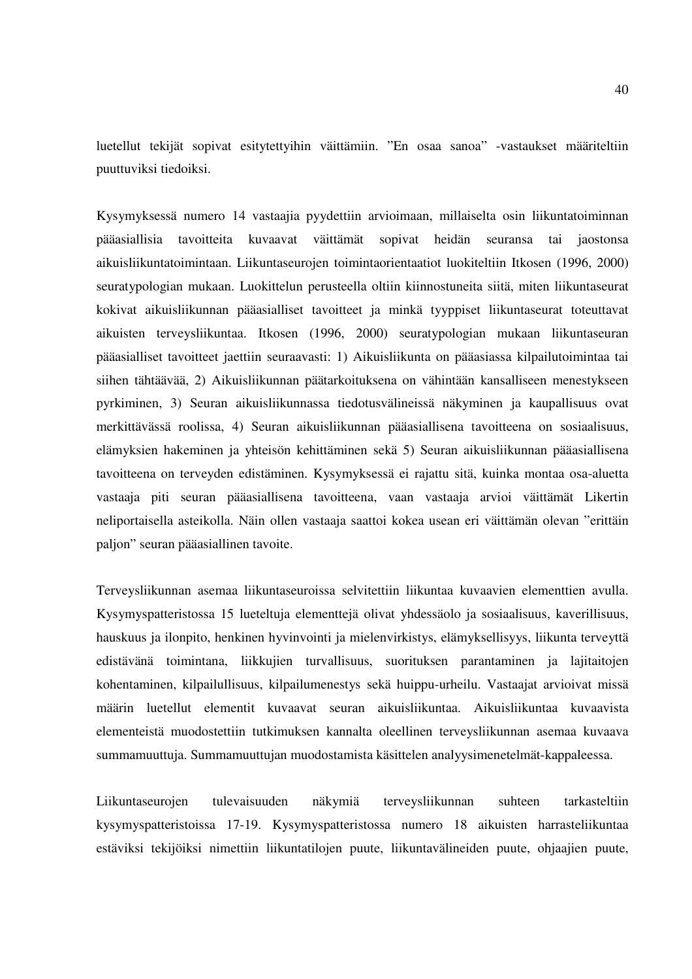luetellut tekijät sopivat esitytettyihin väittämiin. "En osaa sanoa" -vastaukset määriteltiin puuttuviksi tiedoiksi.

Kysymyksessä numero 14 vastaajia pyydettiin arvioimaan, millaiselta osin liikuntatoiminnan pääasiallisia tavoitteita kuvaavat väittämät sopivat heidän seuransa tai jaostonsa aikuisliikuntatoimintaan. Liikuntaseurojen toimintaorientaatiot luokiteltiin Itkosen (1996, 2000) seuratypologian mukaan. Luokittelun perusteella oltiin kiinnostuneita siitä, miten liikuntaseurat kokivat aikuisliikunnan pääasialliset tavoitteet ja minkä tyyppiset liikuntaseurat toteuttavat aikuisten terveysliikuntaa. Itkosen (1996, 2000) seuratypologian mukaan liikuntaseuran pääasialliset tavoitteet jaettiin seuraavasti: 1) Aikuisliikunta on pääasiassa kilpailutoimintaa tai siihen tähtäävää, 2) Aikuisliikunnan päätarkoituksena on vähintään kansalliseen menestykseen pyrkiminen, 3) Seuran aikuisliikunnassa tiedotusvälineissä näkyminen ja kaupallisuus ovat merkittävässä roolissa, 4) Seuran aikuisliikunnan pääasiallisena tavoitteena on sosiaalisuus, elämyksien hakeminen ja yhteisön kehittäminen sekä 5) Seuran aikuisliikunnan pääasiallisena tavoitteena on terveyden edistäminen. Kysymyksessä ei rajattu sitä, kuinka montaa osa-aluetta vastaaja piti seuran pääasiallisena tavoitteena, vaan vastaaja arvioi väittämät Likertin neliportaisella asteikolla. Näin ollen vastaaja saattoi kokea usean eri väittämän olevan "erittäin paljon" seuran pääasiallinen tavoite.

Terveysliikunnan asemaa liikuntaseuroissa selvitettiin liikuntaa kuvaavien elementtien avulla. Kysymyspatteristossa 15 lueteltuja elementtejä olivat yhdessäolo ja sosiaalisuus, kaverillisuus, hauskuus ja ilonpito, henkinen hyvinvointi ja mielenvirkistys, elämyksellisyys, liikunta terveyttä edistävänä toimintana, liikkujien turvallisuus, suorituksen parantaminen ja lajitaitojen kohentaminen, kilpailullisuus, kilpailumenestys sekä huippu-urheilu. Vastaajat arvioivat missä määrin luetellut elementit kuvaavat seuran aikuisliikuntaa. Aikuisliikuntaa kuvaavista elementeistä muodostettiin tutkimuksen kannalta oleellinen terveysliikunnan asemaa kuvaava summamuuttuja. Summamuuttujan muodostamista käsittelen analyysimenetelmät-kappaleessa.

Liikuntaseurojen tulevaisuuden näkymiä terveysliikunnan suhteen tarkasteltiin kysymyspatteristoissa 17-19. Kysymyspatteristossa numero 18 aikuisten harrasteliikuntaa estäviksi tekijöiksi nimettiin liikuntatilojen puute, liikuntavälineiden puute, ohjaajien puute,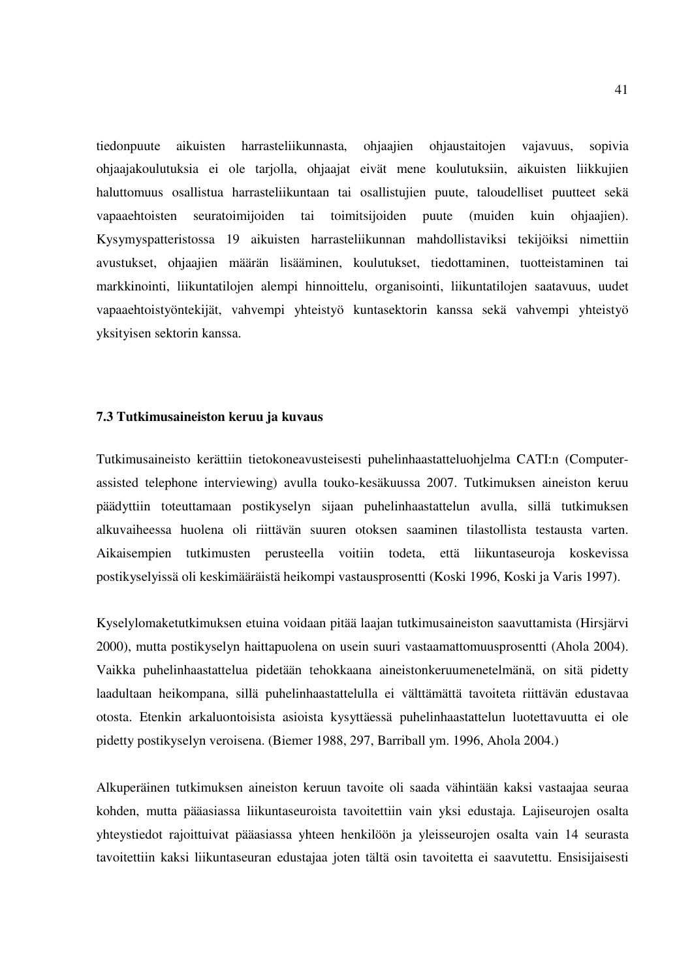tiedonpuute aikuisten harrasteliikunnasta, ohjaajien ohjaustaitojen vajavuus, sopivia ohjaajakoulutuksia ei ole tarjolla, ohjaajat eivät mene koulutuksiin, aikuisten liikkujien haluttomuus osallistua harrasteliikuntaan tai osallistujien puute, taloudelliset puutteet sekä vapaaehtoisten seuratoimijoiden tai toimitsijoiden puute (muiden kuin ohjaajien). Kysymyspatteristossa 19 aikuisten harrasteliikunnan mahdollistaviksi tekijöiksi nimettiin avustukset, ohjaajien määrän lisääminen, koulutukset, tiedottaminen, tuotteistaminen tai markkinointi, liikuntatilojen alempi hinnoittelu, organisointi, liikuntatilojen saatavuus, uudet vapaaehtoistyöntekijät, vahvempi yhteistyö kuntasektorin kanssa sekä vahvempi yhteistyö yksityisen sektorin kanssa.

### **7.3 Tutkimusaineiston keruu ja kuvaus**

Tutkimusaineisto kerättiin tietokoneavusteisesti puhelinhaastatteluohjelma CATI:n (Computerassisted telephone interviewing) avulla touko-kesäkuussa 2007. Tutkimuksen aineiston keruu päädyttiin toteuttamaan postikyselyn sijaan puhelinhaastattelun avulla, sillä tutkimuksen alkuvaiheessa huolena oli riittävän suuren otoksen saaminen tilastollista testausta varten. Aikaisempien tutkimusten perusteella voitiin todeta, että liikuntaseuroja koskevissa postikyselyissä oli keskimääräistä heikompi vastausprosentti (Koski 1996, Koski ja Varis 1997).

Kyselylomaketutkimuksen etuina voidaan pitää laajan tutkimusaineiston saavuttamista (Hirsjärvi 2000), mutta postikyselyn haittapuolena on usein suuri vastaamattomuusprosentti (Ahola 2004). Vaikka puhelinhaastattelua pidetään tehokkaana aineistonkeruumenetelmänä, on sitä pidetty laadultaan heikompana, sillä puhelinhaastattelulla ei välttämättä tavoiteta riittävän edustavaa otosta. Etenkin arkaluontoisista asioista kysyttäessä puhelinhaastattelun luotettavuutta ei ole pidetty postikyselyn veroisena. (Biemer 1988, 297, Barriball ym. 1996, Ahola 2004.)

Alkuperäinen tutkimuksen aineiston keruun tavoite oli saada vähintään kaksi vastaajaa seuraa kohden, mutta pääasiassa liikuntaseuroista tavoitettiin vain yksi edustaja. Lajiseurojen osalta yhteystiedot rajoittuivat pääasiassa yhteen henkilöön ja yleisseurojen osalta vain 14 seurasta tavoitettiin kaksi liikuntaseuran edustajaa joten tältä osin tavoitetta ei saavutettu. Ensisijaisesti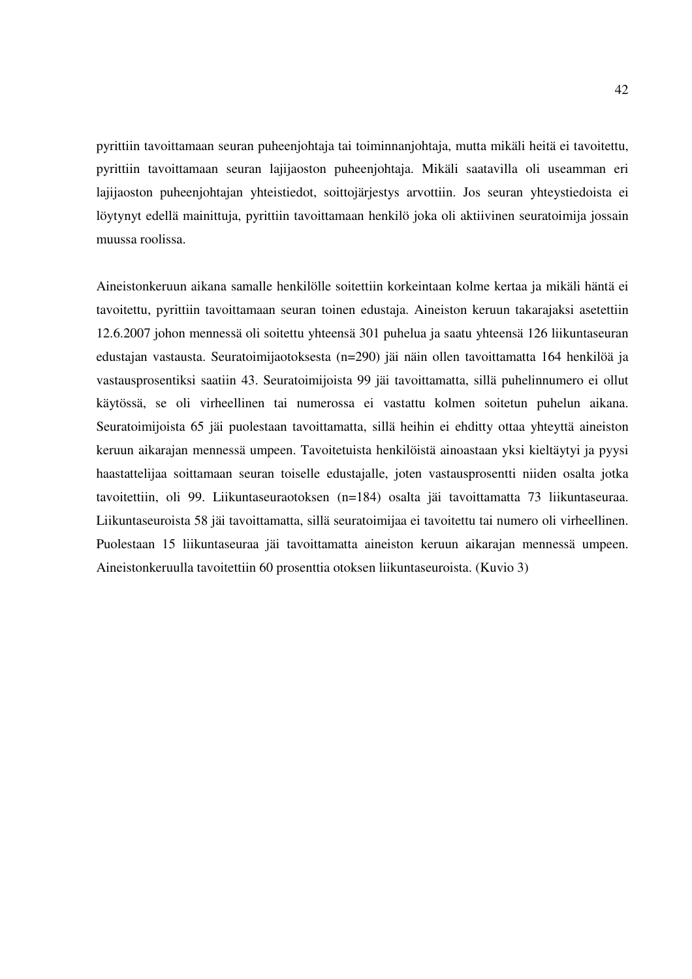pyrittiin tavoittamaan seuran puheenjohtaja tai toiminnanjohtaja, mutta mikäli heitä ei tavoitettu, pyrittiin tavoittamaan seuran lajijaoston puheenjohtaja. Mikäli saatavilla oli useamman eri lajijaoston puheenjohtajan yhteistiedot, soittojärjestys arvottiin. Jos seuran yhteystiedoista ei löytynyt edellä mainittuja, pyrittiin tavoittamaan henkilö joka oli aktiivinen seuratoimija jossain muussa roolissa.

Aineistonkeruun aikana samalle henkilölle soitettiin korkeintaan kolme kertaa ja mikäli häntä ei tavoitettu, pyrittiin tavoittamaan seuran toinen edustaja. Aineiston keruun takarajaksi asetettiin 12.6.2007 johon mennessä oli soitettu yhteensä 301 puhelua ja saatu yhteensä 126 liikuntaseuran edustajan vastausta. Seuratoimijaotoksesta (n=290) jäi näin ollen tavoittamatta 164 henkilöä ja vastausprosentiksi saatiin 43. Seuratoimijoista 99 jäi tavoittamatta, sillä puhelinnumero ei ollut käytössä, se oli virheellinen tai numerossa ei vastattu kolmen soitetun puhelun aikana. Seuratoimijoista 65 jäi puolestaan tavoittamatta, sillä heihin ei ehditty ottaa yhteyttä aineiston keruun aikarajan mennessä umpeen. Tavoitetuista henkilöistä ainoastaan yksi kieltäytyi ja pyysi haastattelijaa soittamaan seuran toiselle edustajalle, joten vastausprosentti niiden osalta jotka tavoitettiin, oli 99. Liikuntaseuraotoksen (n=184) osalta jäi tavoittamatta 73 liikuntaseuraa. Liikuntaseuroista 58 jäi tavoittamatta, sillä seuratoimijaa ei tavoitettu tai numero oli virheellinen. Puolestaan 15 liikuntaseuraa jäi tavoittamatta aineiston keruun aikarajan mennessä umpeen. Aineistonkeruulla tavoitettiin 60 prosenttia otoksen liikuntaseuroista. (Kuvio 3)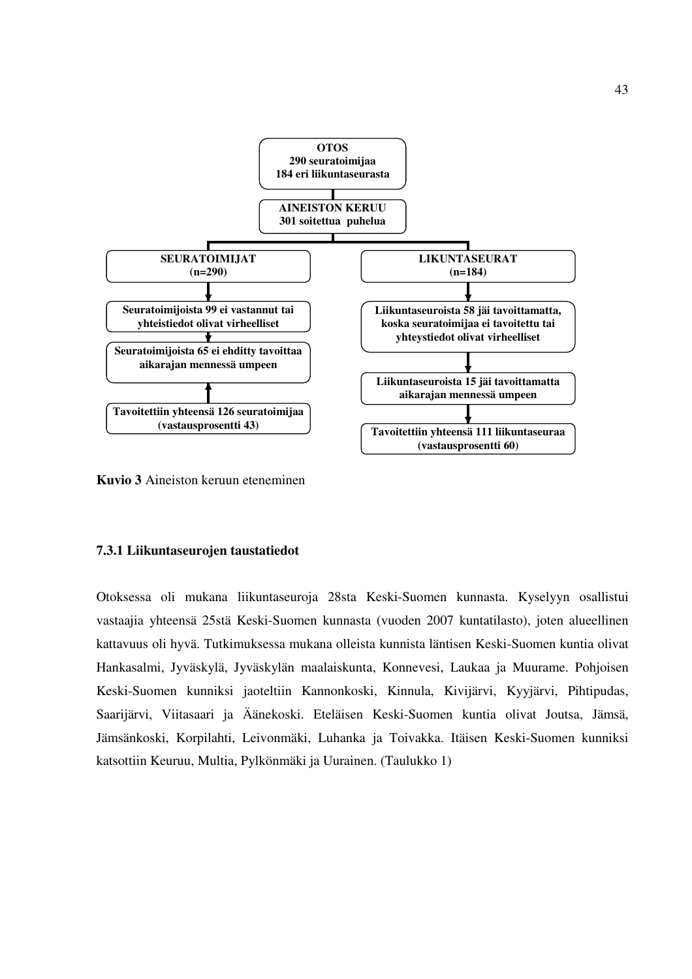

**Kuvio 3** Aineiston keruun eteneminen

### **7.3.1 Liikuntaseurojen taustatiedot**

Otoksessa oli mukana liikuntaseuroja 28sta Keski-Suomen kunnasta. Kyselyyn osallistui vastaajia yhteensä 25stä Keski-Suomen kunnasta (vuoden 2007 kuntatilasto), joten alueellinen kattavuus oli hyvä. Tutkimuksessa mukana olleista kunnista läntisen Keski-Suomen kuntia olivat Hankasalmi, Jyväskylä, Jyväskylän maalaiskunta, Konnevesi, Laukaa ja Muurame. Pohjoisen Keski-Suomen kunniksi jaoteltiin Kannonkoski, Kinnula, Kivijärvi, Kyyjärvi, Pihtipudas, Saarijärvi, Viitasaari ja Äänekoski. Eteläisen Keski-Suomen kuntia olivat Joutsa, Jämsä, Jämsänkoski, Korpilahti, Leivonmäki, Luhanka ja Toivakka. Itäisen Keski-Suomen kunniksi katsottiin Keuruu, Multia, Pylkönmäki ja Uurainen. (Taulukko 1)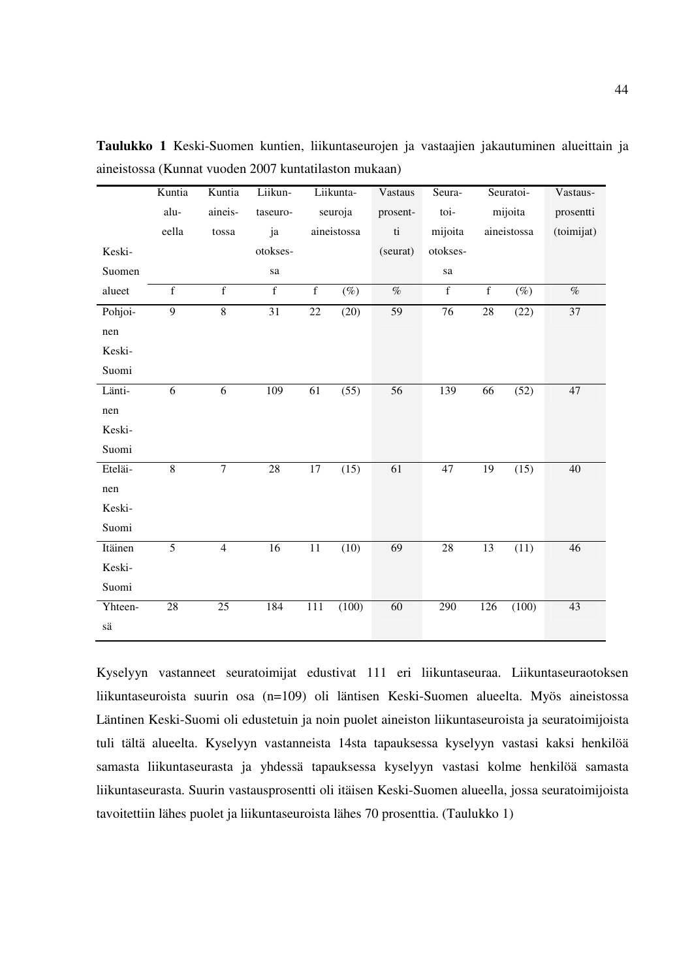|                               | Kuntia          | Kuntia          | Liikun-         |                | Liikunta-   | Vastaus                          | Seura-       |             | Seuratoi-   | Vastaus-   |
|-------------------------------|-----------------|-----------------|-----------------|----------------|-------------|----------------------------------|--------------|-------------|-------------|------------|
|                               | alu-            | aineis-         | taseuro-        |                | seuroja     | prosent-                         | toi-         |             | mijoita     | prosentti  |
|                               | eella           | tossa           | ja              |                | aineistossa | $\mathbf{t}$                     | mijoita      |             | aineistossa | (toimijat) |
| Keski-                        |                 |                 | otokses-        |                |             | (seurat)                         | otokses-     |             |             |            |
| Suomen                        |                 |                 | sa              |                |             |                                  | sa           |             |             |            |
| alueet                        | $\overline{f}$  | $\mathbf{f}$    | $\mathbf{f}$    | $\overline{f}$ | $(\%)$      | $\overline{\mathcal{O}_{\!\!O}}$ | $\mathbf{f}$ | $\mathbf f$ | $(\%)$      | $\%$       |
| Pohjoi-                       | 9               | $\overline{8}$  | 31              | $22\,$         | (20)        | 59                               | 76           | 28          | (22)        | 37         |
| nen                           |                 |                 |                 |                |             |                                  |              |             |             |            |
| Keski-                        |                 |                 |                 |                |             |                                  |              |             |             |            |
| Suomi                         |                 |                 |                 |                |             |                                  |              |             |             |            |
| Länti-                        | 6               | 6               | 109             | 61             | (55)        | 56                               | 139          | 66          | (52)        | 47         |
| nen                           |                 |                 |                 |                |             |                                  |              |             |             |            |
| Keski-                        |                 |                 |                 |                |             |                                  |              |             |             |            |
| Suomi                         |                 |                 |                 |                |             |                                  |              |             |             |            |
| Eteläi-                       | $\overline{8}$  | $\overline{7}$  | $28\,$          | $17\,$         | (15)        | 61                               | $47\,$       | 19          | (15)        | 40         |
| nen                           |                 |                 |                 |                |             |                                  |              |             |             |            |
| Keski-                        |                 |                 |                 |                |             |                                  |              |             |             |            |
| Suomi                         |                 |                 |                 |                |             |                                  |              |             |             |            |
| Itäinen                       | $\overline{5}$  | $\overline{4}$  | $\overline{16}$ | 11             | (10)        | 69                               | $28\,$       | 13          | (11)        | 46         |
| Keski-                        |                 |                 |                 |                |             |                                  |              |             |             |            |
| Suomi                         |                 |                 |                 |                |             |                                  |              |             |             |            |
| Yhteen-                       | $\overline{28}$ | $\overline{25}$ | 184             | 111            | (100)       | 60                               | 290          | 126         | (100)       | 43         |
| $\mathrm{s}\ddot{\mathrm{a}}$ |                 |                 |                 |                |             |                                  |              |             |             |            |

**Taulukko 1** Keski-Suomen kuntien, liikuntaseurojen ja vastaajien jakautuminen alueittain ja aineistossa (Kunnat vuoden 2007 kuntatilaston mukaan)

Kyselyyn vastanneet seuratoimijat edustivat 111 eri liikuntaseuraa. Liikuntaseuraotoksen liikuntaseuroista suurin osa (n=109) oli läntisen Keski-Suomen alueelta. Myös aineistossa Läntinen Keski-Suomi oli edustetuin ja noin puolet aineiston liikuntaseuroista ja seuratoimijoista tuli tältä alueelta. Kyselyyn vastanneista 14sta tapauksessa kyselyyn vastasi kaksi henkilöä samasta liikuntaseurasta ja yhdessä tapauksessa kyselyyn vastasi kolme henkilöä samasta liikuntaseurasta. Suurin vastausprosentti oli itäisen Keski-Suomen alueella, jossa seuratoimijoista tavoitettiin lähes puolet ja liikuntaseuroista lähes 70 prosenttia. (Taulukko 1)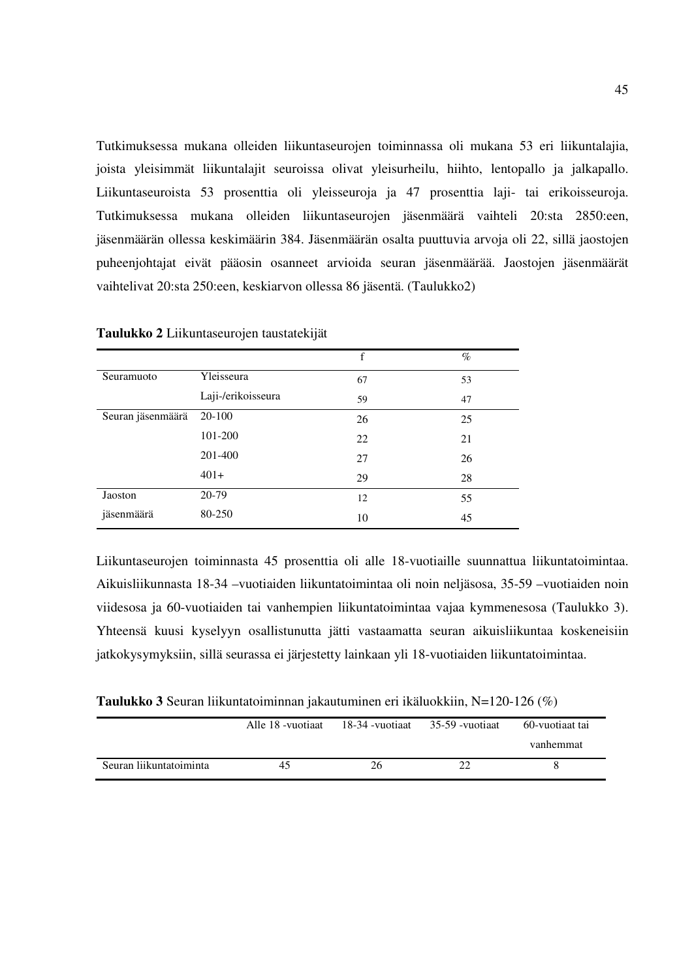Tutkimuksessa mukana olleiden liikuntaseurojen toiminnassa oli mukana 53 eri liikuntalajia, joista yleisimmät liikuntalajit seuroissa olivat yleisurheilu, hiihto, lentopallo ja jalkapallo. Liikuntaseuroista 53 prosenttia oli yleisseuroja ja 47 prosenttia laji- tai erikoisseuroja. Tutkimuksessa mukana olleiden liikuntaseurojen jäsenmäärä vaihteli 20:sta 2850:een, jäsenmäärän ollessa keskimäärin 384. Jäsenmäärän osalta puuttuvia arvoja oli 22, sillä jaostojen puheenjohtajat eivät pääosin osanneet arvioida seuran jäsenmäärää. Jaostojen jäsenmäärät vaihtelivat 20:sta 250:een, keskiarvon ollessa 86 jäsentä. (Taulukko2)

|                   |                    | f  | $\%$ |
|-------------------|--------------------|----|------|
| Seuramuoto        | Yleisseura         | 67 | 53   |
|                   | Laji-/erikoisseura | 59 | 47   |
| Seuran jäsenmäärä | 20-100             | 26 | 25   |
|                   | 101-200            | 22 | 21   |
|                   | 201-400            | 27 | 26   |
|                   | $401+$             | 29 | 28   |
| Jaoston           | 20-79              | 12 | 55   |
| jäsenmäärä        | 80-250             | 10 | 45   |

**Taulukko 2** Liikuntaseurojen taustatekijät

Liikuntaseurojen toiminnasta 45 prosenttia oli alle 18-vuotiaille suunnattua liikuntatoimintaa. Aikuisliikunnasta 18-34 –vuotiaiden liikuntatoimintaa oli noin neljäsosa, 35-59 –vuotiaiden noin viidesosa ja 60-vuotiaiden tai vanhempien liikuntatoimintaa vajaa kymmenesosa (Taulukko 3). Yhteensä kuusi kyselyyn osallistunutta jätti vastaamatta seuran aikuisliikuntaa koskeneisiin jatkokysymyksiin, sillä seurassa ei järjestetty lainkaan yli 18-vuotiaiden liikuntatoimintaa.

**Taulukko 3** Seuran liikuntatoiminnan jakautuminen eri ikäluokkiin, N=120-126 (%)

|                         | Alle 18 - vuotiaat | 18-34 -vuotiaat | 35-59 -vuotiaat | 60-vuotiaat tai |
|-------------------------|--------------------|-----------------|-----------------|-----------------|
|                         |                    |                 |                 | vanhemmat       |
| Seuran liikuntatoiminta | 45                 | 26.             |                 |                 |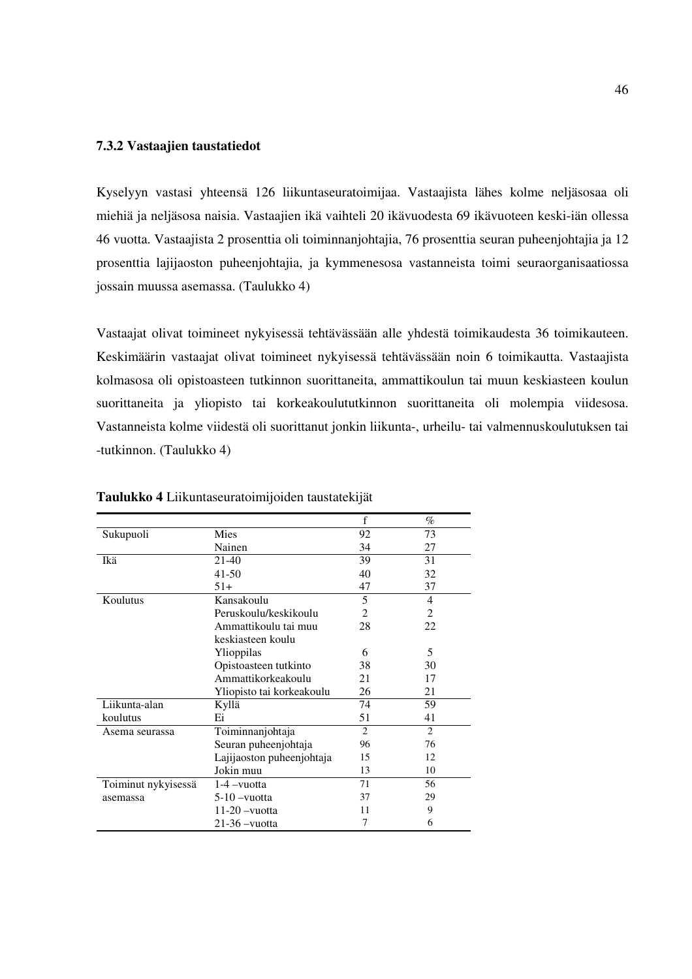## **7.3.2 Vastaajien taustatiedot**

Kyselyyn vastasi yhteensä 126 liikuntaseuratoimijaa. Vastaajista lähes kolme neljäsosaa oli miehiä ja neljäsosa naisia. Vastaajien ikä vaihteli 20 ikävuodesta 69 ikävuoteen keski-iän ollessa 46 vuotta. Vastaajista 2 prosenttia oli toiminnanjohtajia, 76 prosenttia seuran puheenjohtajia ja 12 prosenttia lajijaoston puheenjohtajia, ja kymmenesosa vastanneista toimi seuraorganisaatiossa jossain muussa asemassa. (Taulukko 4)

Vastaajat olivat toimineet nykyisessä tehtävässään alle yhdestä toimikaudesta 36 toimikauteen. Keskimäärin vastaajat olivat toimineet nykyisessä tehtävässään noin 6 toimikautta. Vastaajista kolmasosa oli opistoasteen tutkinnon suorittaneita, ammattikoulun tai muun keskiasteen koulun suorittaneita ja yliopisto tai korkeakoulututkinnon suorittaneita oli molempia viidesosa. Vastanneista kolme viidestä oli suorittanut jonkin liikunta-, urheilu- tai valmennuskoulutuksen tai -tutkinnon. (Taulukko 4)

|                     |                           | f              | $\%$           |
|---------------------|---------------------------|----------------|----------------|
| Sukupuoli           | Mies                      | 92             | 73             |
|                     | Nainen                    | 34             | 27             |
| Ikä                 | 21-40                     | 39             | 31             |
|                     | 41-50                     | 40             | 32             |
|                     | $51+$                     | 47             | 37             |
| Koulutus            | Kansakoulu                | 5              | $\overline{4}$ |
|                     | Peruskoulu/keskikoulu     | 2              | $\overline{c}$ |
|                     | Ammattikoulu tai muu      | 28             | 22             |
|                     | keskiasteen koulu         |                |                |
|                     | Ylioppilas                | 6              | 5              |
|                     | Opistoasteen tutkinto     | 38             | 30             |
|                     | Ammattikorkeakoulu        | 21             | 17             |
|                     | Yliopisto tai korkeakoulu | 26             | 21             |
| Liikunta-alan       | Kyllä                     | 74             | 59             |
| koulutus            | Ei                        | 51             | 41             |
| Asema seurassa      | Toiminnanjohtaja          | $\overline{2}$ | $\overline{c}$ |
|                     | Seuran puheenjohtaja      | 96             | 76             |
|                     | Lajijaoston puheenjohtaja | 15             | 12             |
|                     | Jokin muu                 | 13             | 10             |
| Toiminut nykyisessä | $1-4$ -vuotta             | 71             | 56             |
| asemassa            | $5-10$ -vuotta            | 37             | 29             |
|                     | $11-20$ -vuotta           | 11             | 9              |
|                     | $21-36$ -vuotta           | 7              | 6              |

**Taulukko 4** Liikuntaseuratoimijoiden taustatekijät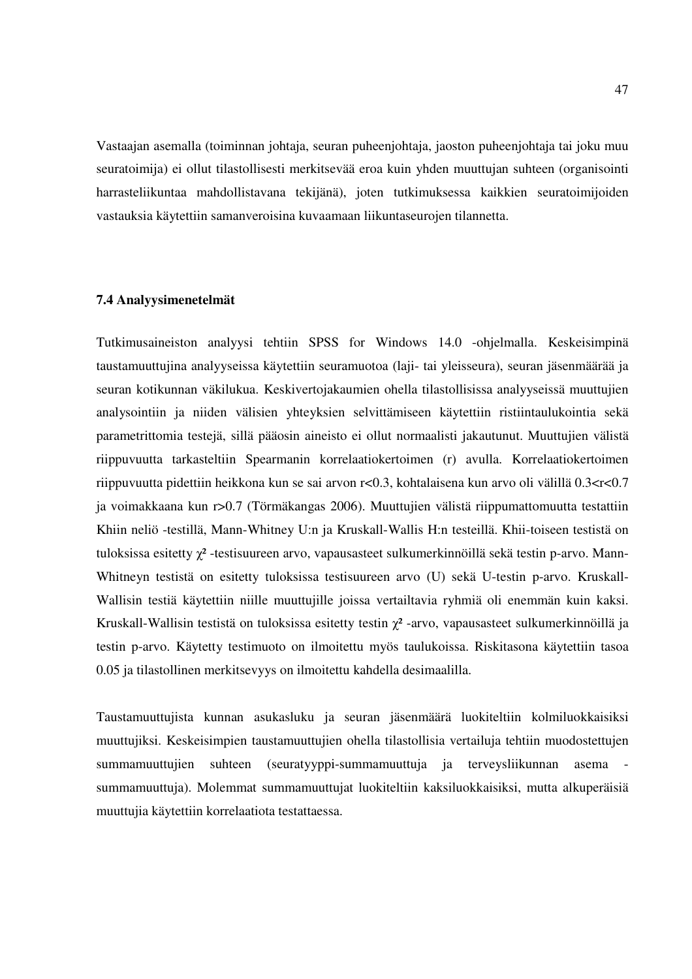Vastaajan asemalla (toiminnan johtaja, seuran puheenjohtaja, jaoston puheenjohtaja tai joku muu seuratoimija) ei ollut tilastollisesti merkitsevää eroa kuin yhden muuttujan suhteen (organisointi harrasteliikuntaa mahdollistavana tekijänä), joten tutkimuksessa kaikkien seuratoimijoiden vastauksia käytettiin samanveroisina kuvaamaan liikuntaseurojen tilannetta.

### **7.4 Analyysimenetelmät**

Tutkimusaineiston analyysi tehtiin SPSS for Windows 14.0 -ohjelmalla. Keskeisimpinä taustamuuttujina analyyseissa käytettiin seuramuotoa (laji- tai yleisseura), seuran jäsenmäärää ja seuran kotikunnan väkilukua. Keskivertojakaumien ohella tilastollisissa analyyseissä muuttujien analysointiin ja niiden välisien yhteyksien selvittämiseen käytettiin ristiintaulukointia sekä parametrittomia testejä, sillä pääosin aineisto ei ollut normaalisti jakautunut. Muuttujien välistä riippuvuutta tarkasteltiin Spearmanin korrelaatiokertoimen (r) avulla. Korrelaatiokertoimen riippuvuutta pidettiin heikkona kun se sai arvon r<0.3, kohtalaisena kun arvo oli välillä 0.3<r<0.7 ja voimakkaana kun r>0.7 (Törmäkangas 2006). Muuttujien välistä riippumattomuutta testattiin Khiin neliö -testillä, Mann-Whitney U:n ja Kruskall-Wallis H:n testeillä. Khii-toiseen testistä on tuloksissa esitetty γ<sup>2</sup>-testisuureen arvo, vapausasteet sulkumerkinnöillä sekä testin p-arvo. Mann-Whitneyn testistä on esitetty tuloksissa testisuureen arvo (U) sekä U-testin p-arvo. Kruskall-Wallisin testiä käytettiin niille muuttujille joissa vertailtavia ryhmiä oli enemmän kuin kaksi. Kruskall-Wallisin testistä on tuloksissa esitetty testin  $\chi^2$ -arvo, vapausasteet sulkumerkinnöillä ja testin p-arvo. Käytetty testimuoto on ilmoitettu myös taulukoissa. Riskitasona käytettiin tasoa 0.05 ja tilastollinen merkitsevyys on ilmoitettu kahdella desimaalilla.

Taustamuuttujista kunnan asukasluku ja seuran jäsenmäärä luokiteltiin kolmiluokkaisiksi muuttujiksi. Keskeisimpien taustamuuttujien ohella tilastollisia vertailuja tehtiin muodostettujen summamuuttujien suhteen (seuratyyppi-summamuuttuja ja terveysliikunnan asema summamuuttuja). Molemmat summamuuttujat luokiteltiin kaksiluokkaisiksi, mutta alkuperäisiä muuttujia käytettiin korrelaatiota testattaessa.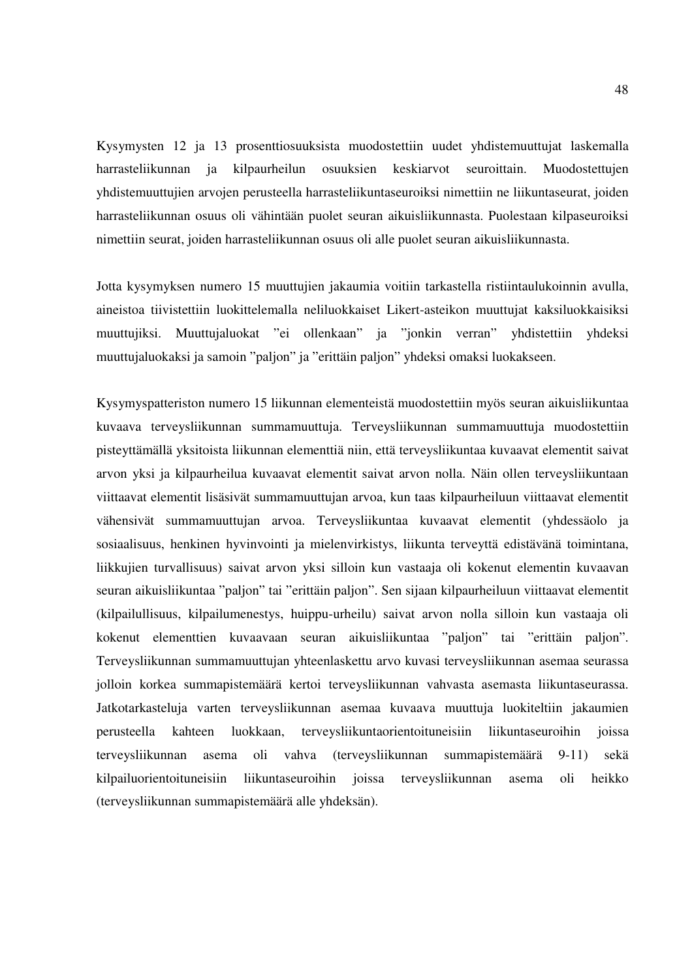Kysymysten 12 ja 13 prosenttiosuuksista muodostettiin uudet yhdistemuuttujat laskemalla harrasteliikunnan ja kilpaurheilun osuuksien keskiarvot seuroittain. Muodostettujen yhdistemuuttujien arvojen perusteella harrasteliikuntaseuroiksi nimettiin ne liikuntaseurat, joiden harrasteliikunnan osuus oli vähintään puolet seuran aikuisliikunnasta. Puolestaan kilpaseuroiksi nimettiin seurat, joiden harrasteliikunnan osuus oli alle puolet seuran aikuisliikunnasta.

Jotta kysymyksen numero 15 muuttujien jakaumia voitiin tarkastella ristiintaulukoinnin avulla, aineistoa tiivistettiin luokittelemalla neliluokkaiset Likert-asteikon muuttujat kaksiluokkaisiksi muuttujiksi. Muuttujaluokat "ei ollenkaan" ja "jonkin verran" yhdistettiin yhdeksi muuttujaluokaksi ja samoin "paljon" ja "erittäin paljon" yhdeksi omaksi luokakseen.

Kysymyspatteriston numero 15 liikunnan elementeistä muodostettiin myös seuran aikuisliikuntaa kuvaava terveysliikunnan summamuuttuja. Terveysliikunnan summamuuttuja muodostettiin pisteyttämällä yksitoista liikunnan elementtiä niin, että terveysliikuntaa kuvaavat elementit saivat arvon yksi ja kilpaurheilua kuvaavat elementit saivat arvon nolla. Näin ollen terveysliikuntaan viittaavat elementit lisäsivät summamuuttujan arvoa, kun taas kilpaurheiluun viittaavat elementit vähensivät summamuuttujan arvoa. Terveysliikuntaa kuvaavat elementit (yhdessäolo ja sosiaalisuus, henkinen hyvinvointi ja mielenvirkistys, liikunta terveyttä edistävänä toimintana, liikkujien turvallisuus) saivat arvon yksi silloin kun vastaaja oli kokenut elementin kuvaavan seuran aikuisliikuntaa "paljon" tai "erittäin paljon". Sen sijaan kilpaurheiluun viittaavat elementit (kilpailullisuus, kilpailumenestys, huippu-urheilu) saivat arvon nolla silloin kun vastaaja oli kokenut elementtien kuvaavaan seuran aikuisliikuntaa "paljon" tai "erittäin paljon". Terveysliikunnan summamuuttujan yhteenlaskettu arvo kuvasi terveysliikunnan asemaa seurassa jolloin korkea summapistemäärä kertoi terveysliikunnan vahvasta asemasta liikuntaseurassa. Jatkotarkasteluja varten terveysliikunnan asemaa kuvaava muuttuja luokiteltiin jakaumien perusteella kahteen luokkaan, terveysliikuntaorientoituneisiin liikuntaseuroihin joissa terveysliikunnan asema oli vahva (terveysliikunnan summapistemäärä 9-11) sekä kilpailuorientoituneisiin liikuntaseuroihin joissa terveysliikunnan asema oli heikko (terveysliikunnan summapistemäärä alle yhdeksän).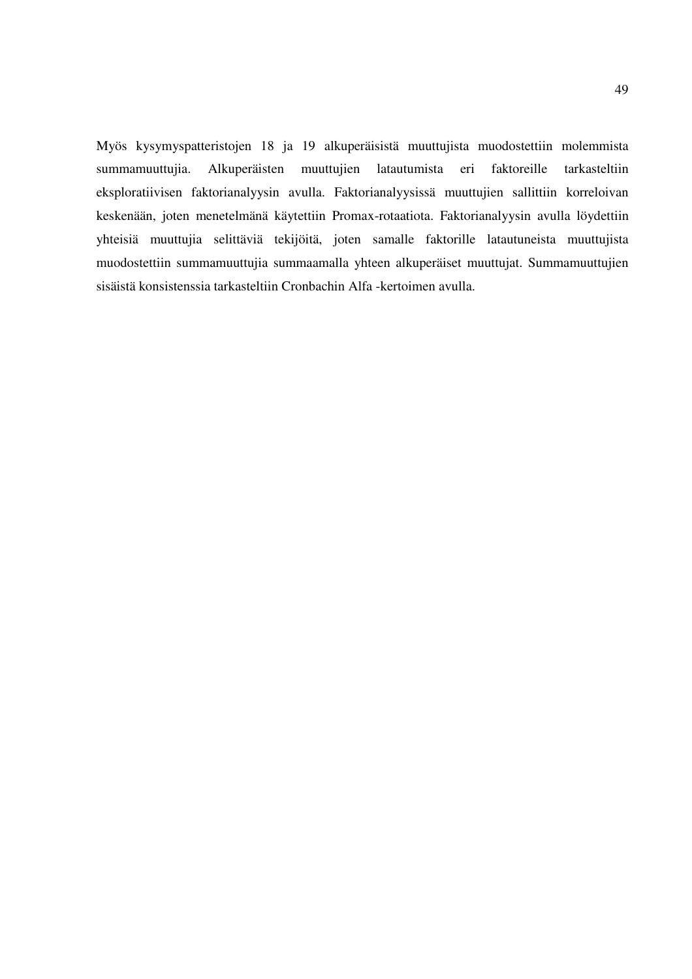Myös kysymyspatteristojen 18 ja 19 alkuperäisistä muuttujista muodostettiin molemmista summamuuttujia. Alkuperäisten muuttujien latautumista eri faktoreille tarkasteltiin eksploratiivisen faktorianalyysin avulla. Faktorianalyysissä muuttujien sallittiin korreloivan keskenään, joten menetelmänä käytettiin Promax-rotaatiota. Faktorianalyysin avulla löydettiin yhteisiä muuttujia selittäviä tekijöitä, joten samalle faktorille latautuneista muuttujista muodostettiin summamuuttujia summaamalla yhteen alkuperäiset muuttujat. Summamuuttujien sisäistä konsistenssia tarkasteltiin Cronbachin Alfa -kertoimen avulla.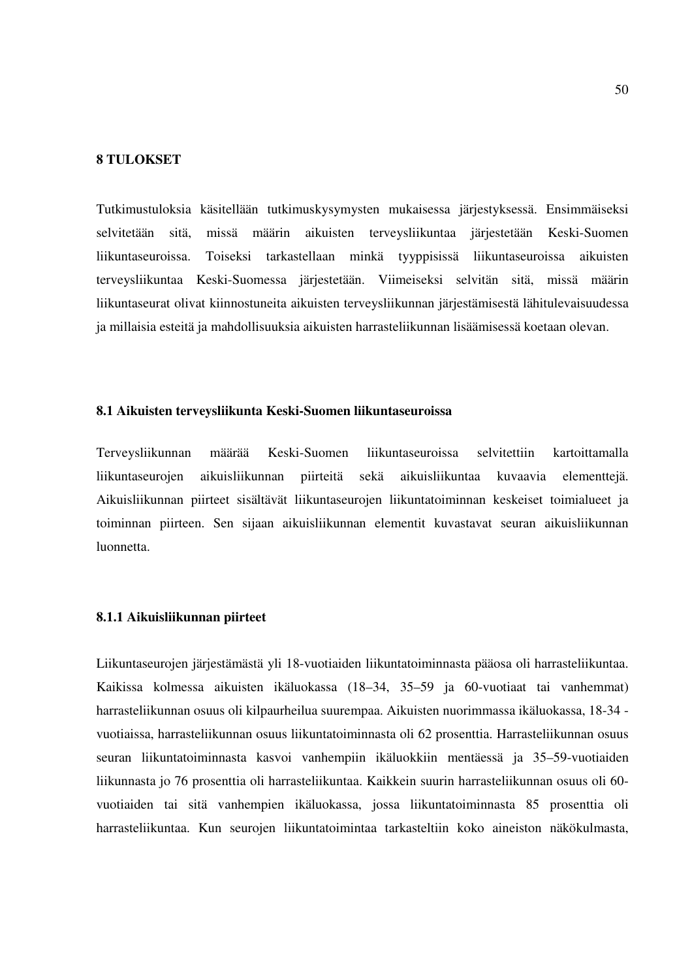### **8 TULOKSET**

Tutkimustuloksia käsitellään tutkimuskysymysten mukaisessa järjestyksessä. Ensimmäiseksi selvitetään sitä, missä määrin aikuisten terveysliikuntaa järjestetään Keski-Suomen liikuntaseuroissa. Toiseksi tarkastellaan minkä tyyppisissä liikuntaseuroissa aikuisten terveysliikuntaa Keski-Suomessa järjestetään. Viimeiseksi selvitän sitä, missä määrin liikuntaseurat olivat kiinnostuneita aikuisten terveysliikunnan järjestämisestä lähitulevaisuudessa ja millaisia esteitä ja mahdollisuuksia aikuisten harrasteliikunnan lisäämisessä koetaan olevan.

### **8.1 Aikuisten terveysliikunta Keski-Suomen liikuntaseuroissa**

Terveysliikunnan määrää Keski-Suomen liikuntaseuroissa selvitettiin kartoittamalla liikuntaseurojen aikuisliikunnan piirteitä sekä aikuisliikuntaa kuvaavia elementtejä. Aikuisliikunnan piirteet sisältävät liikuntaseurojen liikuntatoiminnan keskeiset toimialueet ja toiminnan piirteen. Sen sijaan aikuisliikunnan elementit kuvastavat seuran aikuisliikunnan luonnetta.

## **8.1.1 Aikuisliikunnan piirteet**

Liikuntaseurojen järjestämästä yli 18-vuotiaiden liikuntatoiminnasta pääosa oli harrasteliikuntaa. Kaikissa kolmessa aikuisten ikäluokassa (18–34, 35–59 ja 60-vuotiaat tai vanhemmat) harrasteliikunnan osuus oli kilpaurheilua suurempaa. Aikuisten nuorimmassa ikäluokassa, 18-34 vuotiaissa, harrasteliikunnan osuus liikuntatoiminnasta oli 62 prosenttia. Harrasteliikunnan osuus seuran liikuntatoiminnasta kasvoi vanhempiin ikäluokkiin mentäessä ja 35–59-vuotiaiden liikunnasta jo 76 prosenttia oli harrasteliikuntaa. Kaikkein suurin harrasteliikunnan osuus oli 60 vuotiaiden tai sitä vanhempien ikäluokassa, jossa liikuntatoiminnasta 85 prosenttia oli harrasteliikuntaa. Kun seurojen liikuntatoimintaa tarkasteltiin koko aineiston näkökulmasta,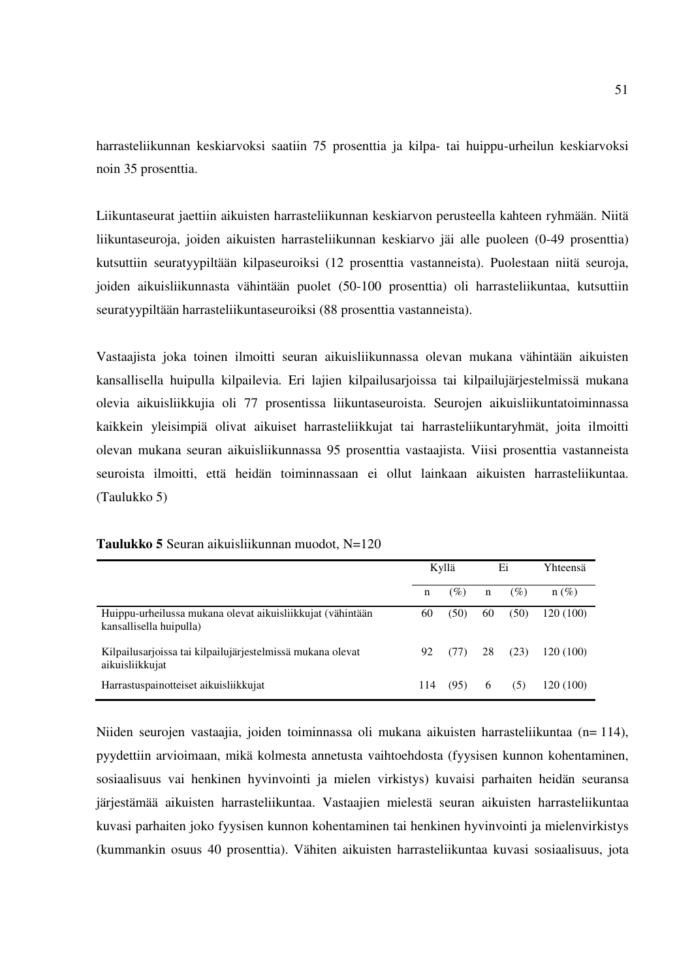harrasteliikunnan keskiarvoksi saatiin 75 prosenttia ja kilpa- tai huippu-urheilun keskiarvoksi noin 35 prosenttia.

Liikuntaseurat jaettiin aikuisten harrasteliikunnan keskiarvon perusteella kahteen ryhmään. Niitä liikuntaseuroja, joiden aikuisten harrasteliikunnan keskiarvo jäi alle puoleen (0-49 prosenttia) kutsuttiin seuratyypiltään kilpaseuroiksi (12 prosenttia vastanneista). Puolestaan niitä seuroja, joiden aikuisliikunnasta vähintään puolet (50-100 prosenttia) oli harrasteliikuntaa, kutsuttiin seuratyypiltään harrasteliikuntaseuroiksi (88 prosenttia vastanneista).

Vastaajista joka toinen ilmoitti seuran aikuisliikunnassa olevan mukana vähintään aikuisten kansallisella huipulla kilpailevia. Eri lajien kilpailusarjoissa tai kilpailujärjestelmissä mukana olevia aikuisliikkujia oli 77 prosentissa liikuntaseuroista. Seurojen aikuisliikuntatoiminnassa kaikkein yleisimpiä olivat aikuiset harrasteliikkujat tai harrasteliikuntaryhmät, joita ilmoitti olevan mukana seuran aikuisliikunnassa 95 prosenttia vastaajista. Viisi prosenttia vastanneista seuroista ilmoitti, että heidän toiminnassaan ei ollut lainkaan aikuisten harrasteliikuntaa. (Taulukko 5)

|                                                                                       |     | Kyllä | Ei |      | Yhteensä  |
|---------------------------------------------------------------------------------------|-----|-------|----|------|-----------|
|                                                                                       | n   | (%)   | n  | (%)  | $n(\%)$   |
| Huippu-urheilussa mukana olevat aikuisliikkujat (vähintään<br>kansallisella huipulla) | 60  | (50)  | 60 | (50) | 120 (100) |
| Kilpailusarjoissa tai kilpailujärjestelmissä mukana olevat<br>aikuisliikkujat         | 92  | (77)  | 28 | (23) | 120 (100) |
| Harrastuspainotteiset aikuisliikkujat                                                 | 114 | (95)  | 6  | (5)  | 120 (100) |

### **Taulukko 5** Seuran aikuisliikunnan muodot, N=120

Niiden seurojen vastaajia, joiden toiminnassa oli mukana aikuisten harrasteliikuntaa (n= 114), pyydettiin arvioimaan, mikä kolmesta annetusta vaihtoehdosta (fyysisen kunnon kohentaminen, sosiaalisuus vai henkinen hyvinvointi ja mielen virkistys) kuvaisi parhaiten heidän seuransa järjestämää aikuisten harrasteliikuntaa. Vastaajien mielestä seuran aikuisten harrasteliikuntaa kuvasi parhaiten joko fyysisen kunnon kohentaminen tai henkinen hyvinvointi ja mielenvirkistys (kummankin osuus 40 prosenttia). Vähiten aikuisten harrasteliikuntaa kuvasi sosiaalisuus, jota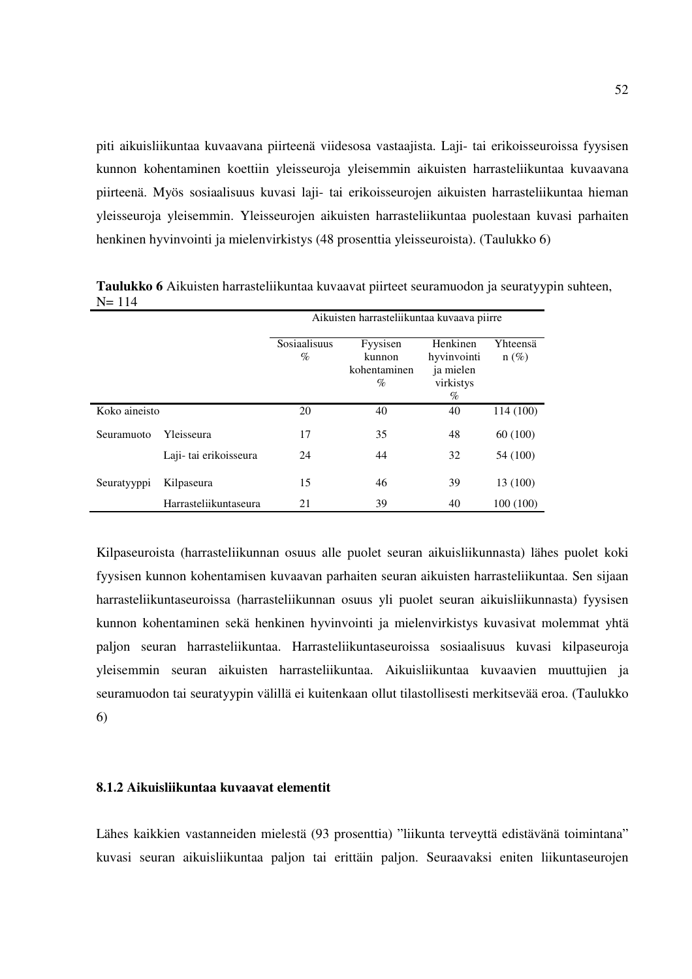piti aikuisliikuntaa kuvaavana piirteenä viidesosa vastaajista. Laji- tai erikoisseuroissa fyysisen kunnon kohentaminen koettiin yleisseuroja yleisemmin aikuisten harrasteliikuntaa kuvaavana piirteenä. Myös sosiaalisuus kuvasi laji- tai erikoisseurojen aikuisten harrasteliikuntaa hieman yleisseuroja yleisemmin. Yleisseurojen aikuisten harrasteliikuntaa puolestaan kuvasi parhaiten henkinen hyvinvointi ja mielenvirkistys (48 prosenttia yleisseuroista). (Taulukko 6)

|               |                        | Aikuisten harrasteliikuntaa kuvaava piirre |                                         |                                                           |                     |  |  |  |  |
|---------------|------------------------|--------------------------------------------|-----------------------------------------|-----------------------------------------------------------|---------------------|--|--|--|--|
|               |                        | Sosiaalisuus<br>$\%$                       | Fyysisen<br>kunnon<br>kohentaminen<br>% | Henkinen<br>hyvinvointi<br>ja mielen<br>virkistys<br>$\%$ | Yhteensä<br>$n(\%)$ |  |  |  |  |
| Koko aineisto |                        | 20                                         | 40                                      | 40                                                        | 114 (100)           |  |  |  |  |
| Seuramuoto    | Yleisseura             | 17                                         | 35                                      | 48                                                        | 60 (100)            |  |  |  |  |
|               | Laji- tai erikoisseura | 24                                         | 44                                      | 32                                                        | 54 (100)            |  |  |  |  |
| Seuratyyppi   | Kilpaseura             | 15                                         | 46                                      | 39                                                        | 13 (100)            |  |  |  |  |
|               | Harrasteliikuntaseura  | 21                                         | 39                                      | 40                                                        | 100(100)            |  |  |  |  |

**Taulukko 6** Aikuisten harrasteliikuntaa kuvaavat piirteet seuramuodon ja seuratyypin suhteen, N= 114

Kilpaseuroista (harrasteliikunnan osuus alle puolet seuran aikuisliikunnasta) lähes puolet koki fyysisen kunnon kohentamisen kuvaavan parhaiten seuran aikuisten harrasteliikuntaa. Sen sijaan harrasteliikuntaseuroissa (harrasteliikunnan osuus yli puolet seuran aikuisliikunnasta) fyysisen kunnon kohentaminen sekä henkinen hyvinvointi ja mielenvirkistys kuvasivat molemmat yhtä paljon seuran harrasteliikuntaa. Harrasteliikuntaseuroissa sosiaalisuus kuvasi kilpaseuroja yleisemmin seuran aikuisten harrasteliikuntaa. Aikuisliikuntaa kuvaavien muuttujien ja seuramuodon tai seuratyypin välillä ei kuitenkaan ollut tilastollisesti merkitsevää eroa. (Taulukko 6)

## **8.1.2 Aikuisliikuntaa kuvaavat elementit**

Lähes kaikkien vastanneiden mielestä (93 prosenttia) "liikunta terveyttä edistävänä toimintana" kuvasi seuran aikuisliikuntaa paljon tai erittäin paljon. Seuraavaksi eniten liikuntaseurojen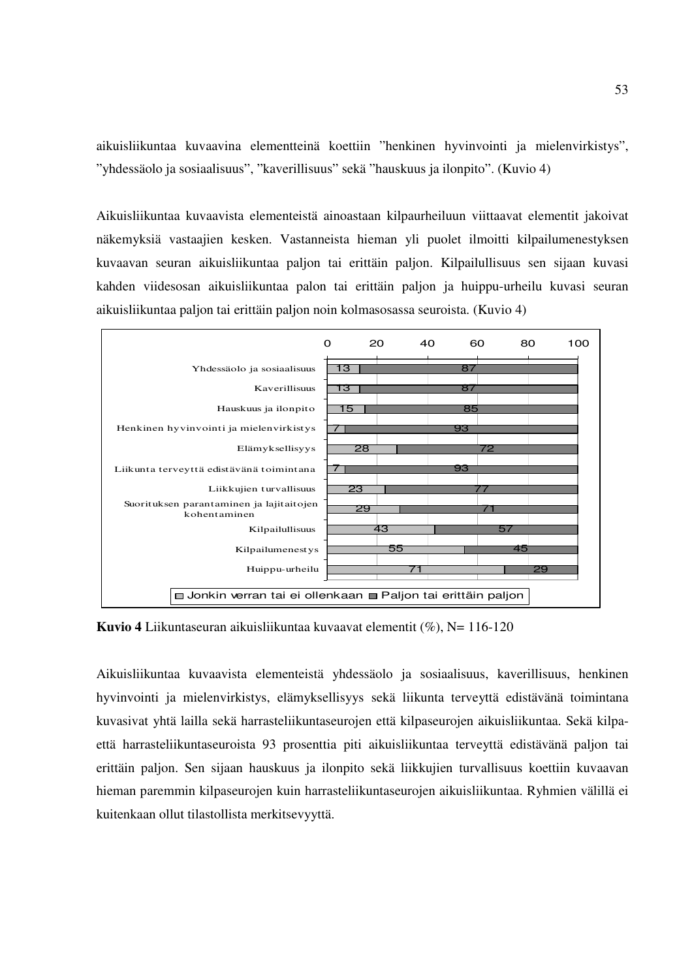aikuisliikuntaa kuvaavina elementteinä koettiin "henkinen hyvinvointi ja mielenvirkistys", "yhdessäolo ja sosiaalisuus", "kaverillisuus" sekä "hauskuus ja ilonpito". (Kuvio 4)

Aikuisliikuntaa kuvaavista elementeistä ainoastaan kilpaurheiluun viittaavat elementit jakoivat näkemyksiä vastaajien kesken. Vastanneista hieman yli puolet ilmoitti kilpailumenestyksen kuvaavan seuran aikuisliikuntaa paljon tai erittäin paljon. Kilpailullisuus sen sijaan kuvasi kahden viidesosan aikuisliikuntaa palon tai erittäin paljon ja huippu-urheilu kuvasi seuran aikuisliikuntaa paljon tai erittäin paljon noin kolmasosassa seuroista. (Kuvio 4)



**Kuvio 4** Liikuntaseuran aikuisliikuntaa kuvaavat elementit (%), N= 116-120

Aikuisliikuntaa kuvaavista elementeistä yhdessäolo ja sosiaalisuus, kaverillisuus, henkinen hyvinvointi ja mielenvirkistys, elämyksellisyys sekä liikunta terveyttä edistävänä toimintana kuvasivat yhtä lailla sekä harrasteliikuntaseurojen että kilpaseurojen aikuisliikuntaa. Sekä kilpaettä harrasteliikuntaseuroista 93 prosenttia piti aikuisliikuntaa terveyttä edistävänä paljon tai erittäin paljon. Sen sijaan hauskuus ja ilonpito sekä liikkujien turvallisuus koettiin kuvaavan hieman paremmin kilpaseurojen kuin harrasteliikuntaseurojen aikuisliikuntaa. Ryhmien välillä ei kuitenkaan ollut tilastollista merkitsevyyttä.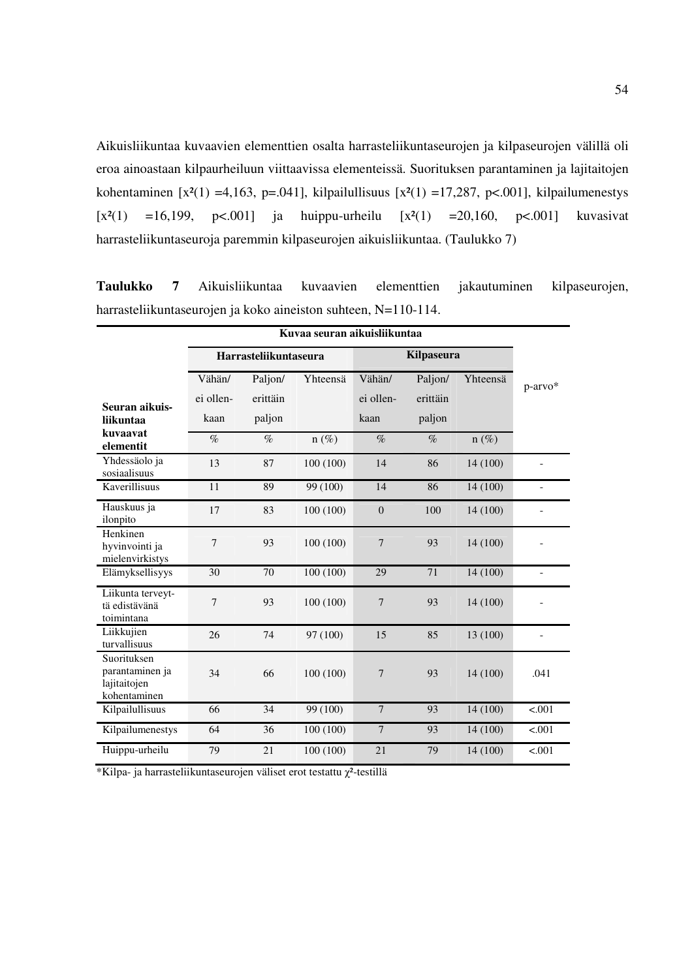Aikuisliikuntaa kuvaavien elementtien osalta harrasteliikuntaseurojen ja kilpaseurojen välillä oli eroa ainoastaan kilpaurheiluun viittaavissa elementeissä. Suorituksen parantaminen ja lajitaitojen kohentaminen [x<sup>2</sup>(1) =4,163, p=.041], kilpailullisuus [x<sup>2</sup>(1) =17,287, p<.001], kilpailumenestys  $[x^{2}(1) = 16,199, p<.001]$  ja huippu-urheilu  $[x^{2}(1) = 20,160, p<.001]$  kuvasivat harrasteliikuntaseuroja paremmin kilpaseurojen aikuisliikuntaa. (Taulukko 7)

**Taulukko 7** Aikuisliikuntaa kuvaavien elementtien jakautuminen kilpaseurojen, harrasteliikuntaseurojen ja koko aineiston suhteen, N=110-114.

|                                                                | Kuvaa seuran aikuisliikuntaa |                               |           |                             |                               |          |                              |  |  |  |
|----------------------------------------------------------------|------------------------------|-------------------------------|-----------|-----------------------------|-------------------------------|----------|------------------------------|--|--|--|
|                                                                |                              | <b>Harrasteliikuntaseura</b>  |           |                             | Kilpaseura                    |          |                              |  |  |  |
| Seuran aikuis-<br>liikuntaa                                    | Vähän/<br>ei ollen-<br>kaan  | Paljon/<br>erittäin<br>paljon | Yhteensä  | Vähän/<br>ei ollen-<br>kaan | Paljon/<br>erittäin<br>paljon | Yhteensä | p-arvo*                      |  |  |  |
| kuvaavat<br>elementit                                          | $\%$                         | $\%$                          | $n(\%)$   | $\%$                        | $\%$                          | $n(\%)$  |                              |  |  |  |
| Yhdessäolo ja<br>sosiaalisuus                                  | 13                           | 87                            | 100 (100) | 14                          | 86                            | 14 (100) | $\qquad \qquad \blacksquare$ |  |  |  |
| <b>Kaverillisuus</b>                                           | 11                           | 89                            | 99 (100)  | 14                          | 86                            | 14 (100) | $\qquad \qquad -$            |  |  |  |
| Hauskuus ja<br>ilonpito                                        | 17                           | 83                            | 100 (100) | $\overline{0}$              | 100                           | 14 (100) | $\overline{\phantom{0}}$     |  |  |  |
| Henkinen<br>hyvinvointi ja<br>mielenvirkistys                  | 7                            | 93                            | 100(100)  | 7                           | 93                            | 14 (100) |                              |  |  |  |
| Elämyksellisyys                                                | 30                           | 70                            | 100 (100) | 29                          | 71                            | 14 (100) | $\overline{\phantom{0}}$     |  |  |  |
| Liikunta terveyt-<br>tä edistävänä<br>toimintana               | 7                            | 93                            | 100 (100) | 7                           | 93                            | 14 (100) |                              |  |  |  |
| Liikkujien<br>turvallisuus                                     | 26                           | 74                            | 97 (100)  | 15                          | 85                            | 13 (100) |                              |  |  |  |
| Suorituksen<br>parantaminen ja<br>lajitaitojen<br>kohentaminen | 34                           | 66                            | 100(100)  | 7                           | 93                            | 14 (100) | .041                         |  |  |  |
| Kilpailullisuus                                                | 66                           | 34                            | 99 (100)  | $\overline{7}$              | 93                            | 14 (100) | < .001                       |  |  |  |
| Kilpailumenestys                                               | 64                           | 36                            | 100 (100) | $\overline{7}$              | 93                            | 14 (100) | < .001                       |  |  |  |
| Huippu-urheilu                                                 | 79                           | 21                            | 100 (100) | 21                          | 79                            | 14 (100) | < .001                       |  |  |  |

 $*$ Kilpa- ja harrasteliikuntaseurojen väliset erot testattu  $\chi^2$ -testillä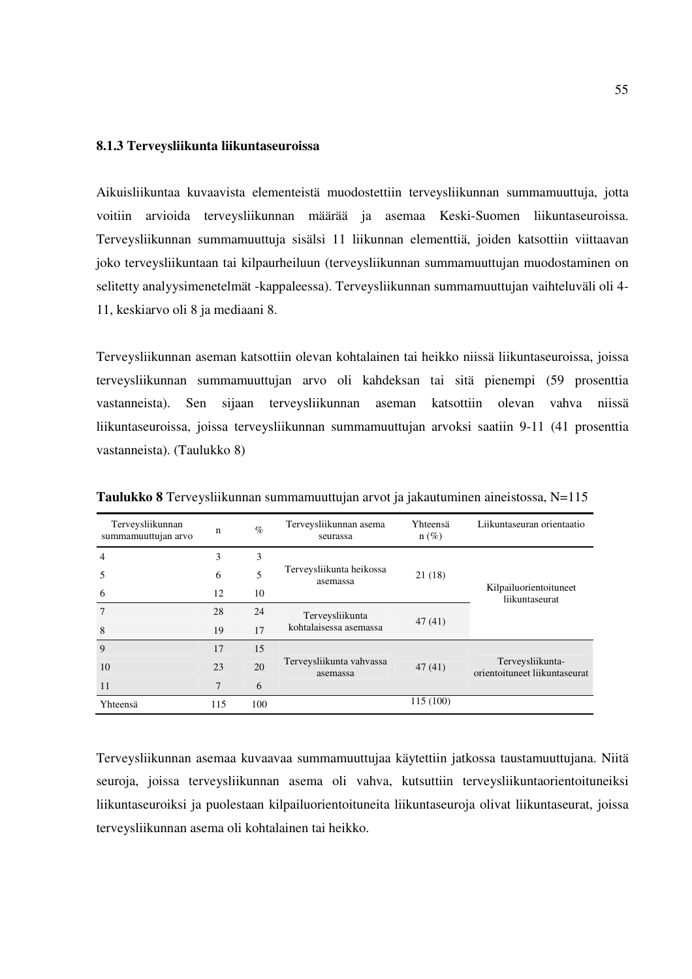## **8.1.3 Terveysliikunta liikuntaseuroissa**

Aikuisliikuntaa kuvaavista elementeistä muodostettiin terveysliikunnan summamuuttuja, jotta voitiin arvioida terveysliikunnan määrää ja asemaa Keski-Suomen liikuntaseuroissa. Terveysliikunnan summamuuttuja sisälsi 11 liikunnan elementtiä, joiden katsottiin viittaavan joko terveysliikuntaan tai kilpaurheiluun (terveysliikunnan summamuuttujan muodostaminen on selitetty analyysimenetelmät -kappaleessa). Terveysliikunnan summamuuttujan vaihteluväli oli 4- 11, keskiarvo oli 8 ja mediaani 8.

Terveysliikunnan aseman katsottiin olevan kohtalainen tai heikko niissä liikuntaseuroissa, joissa terveysliikunnan summamuuttujan arvo oli kahdeksan tai sitä pienempi (59 prosenttia vastanneista). Sen sijaan terveysliikunnan aseman katsottiin olevan vahva niissä liikuntaseuroissa, joissa terveysliikunnan summamuuttujan arvoksi saatiin 9-11 (41 prosenttia vastanneista). (Taulukko 8)

| Terveysliikunnan<br>summamuuttujan arvo | n               | $\%$ | Yhteensä<br>Terveysliikunnan asema<br>$n(\%)$<br>seurassa |           | Liikuntaseuran orientaatio                        |  |
|-----------------------------------------|-----------------|------|-----------------------------------------------------------|-----------|---------------------------------------------------|--|
| $\overline{4}$                          | 3               | 3    |                                                           |           |                                                   |  |
| 5                                       | 6               | 5    | Terveysliikunta heikossa<br>asemassa                      | 21 (18)   | Kilpailuorientoituneet<br>liikuntaseurat          |  |
| 6                                       | 12              | 10   |                                                           |           |                                                   |  |
| $\overline{7}$                          | 28              | 24   | Terveysliikunta                                           | 47(41)    |                                                   |  |
| 8                                       | 19              | 17   | kohtalaisessa asemassa                                    |           |                                                   |  |
| 9                                       | 17              | 15   |                                                           |           | Terveysliikunta-<br>orientoituneet liikuntaseurat |  |
| 10                                      | 23              | 20   | Terveysliikunta vahvassa<br>asemassa                      | 47(41)    |                                                   |  |
| 11                                      | $7\phantom{.0}$ | 6    |                                                           |           |                                                   |  |
| Yhteensä                                | 115             | 100  |                                                           | 115 (100) |                                                   |  |

**Taulukko 8** Terveysliikunnan summamuuttujan arvot ja jakautuminen aineistossa, N=115

Terveysliikunnan asemaa kuvaavaa summamuuttujaa käytettiin jatkossa taustamuuttujana. Niitä seuroja, joissa terveysliikunnan asema oli vahva, kutsuttiin terveysliikuntaorientoituneiksi liikuntaseuroiksi ja puolestaan kilpailuorientoituneita liikuntaseuroja olivat liikuntaseurat, joissa terveysliikunnan asema oli kohtalainen tai heikko.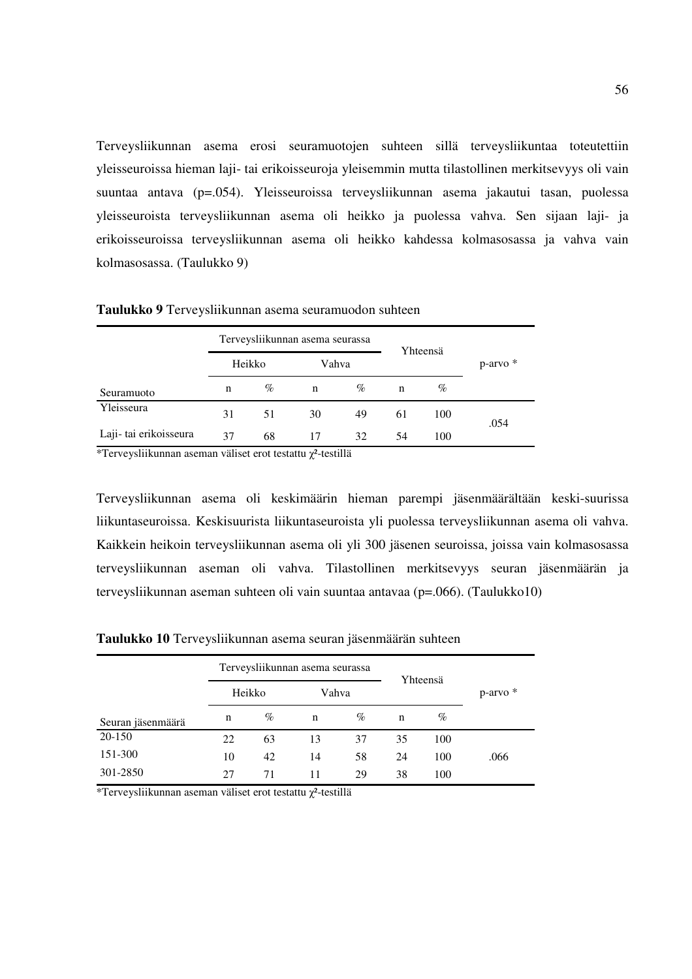Terveysliikunnan asema erosi seuramuotojen suhteen sillä terveysliikuntaa toteutettiin yleisseuroissa hieman laji- tai erikoisseuroja yleisemmin mutta tilastollinen merkitsevyys oli vain suuntaa antava (p=.054). Yleisseuroissa terveysliikunnan asema jakautui tasan, puolessa yleisseuroista terveysliikunnan asema oli heikko ja puolessa vahva. Sen sijaan laji- ja erikoisseuroissa terveysliikunnan asema oli heikko kahdessa kolmasosassa ja vahva vain kolmasosassa. (Taulukko 9)

|                        |        |      | Terveysliikunnan asema seurassa |    |          |      |          |
|------------------------|--------|------|---------------------------------|----|----------|------|----------|
|                        | Heikko |      | Vahva                           |    | Yhteensä |      | p-arvo * |
| Seuramuoto             | n      | $\%$ | n                               | %  | n        | $\%$ |          |
| Yleisseura             | 31     | 51   | 30                              | 49 | 61       | 100  | .054     |
| Laji- tai erikoisseura | 37     | 68   | 17                              | 32 | 54       | 100  |          |

**Taulukko 9** Terveysliikunnan asema seuramuodon suhteen

\*Terveysliikunnan aseman väliset erot testattu χ²-testillä

Terveysliikunnan asema oli keskimäärin hieman parempi jäsenmäärältään keski-suurissa liikuntaseuroissa. Keskisuurista liikuntaseuroista yli puolessa terveysliikunnan asema oli vahva. Kaikkein heikoin terveysliikunnan asema oli yli 300 jäsenen seuroissa, joissa vain kolmasosassa terveysliikunnan aseman oli vahva. Tilastollinen merkitsevyys seuran jäsenmäärän ja terveysliikunnan aseman suhteen oli vain suuntaa antavaa (p=.066). (Taulukko10)

|                   | Terveysliikunnan asema seurassa |      |             |      |          |      |          |
|-------------------|---------------------------------|------|-------------|------|----------|------|----------|
|                   | Heikko                          |      | Vahva       |      | Yhteensä |      | p-arvo * |
| Seuran jäsenmäärä | n                               | $\%$ | $\mathbf n$ | $\%$ | n        | $\%$ |          |
| 20-150            | 22                              | 63   | 13          | 37   | 35       | 100  |          |
| 151-300           | 10                              | 42   | 14          | 58   | 24       | 100  | .066     |
| 301-2850          | 27                              | 71   | 11          | 29   | 38       | 100  |          |

**Taulukko 10** Terveysliikunnan asema seuran jäsenmäärän suhteen

\*Terveysliikunnan aseman väliset erot testattu  $\chi^2$ -testillä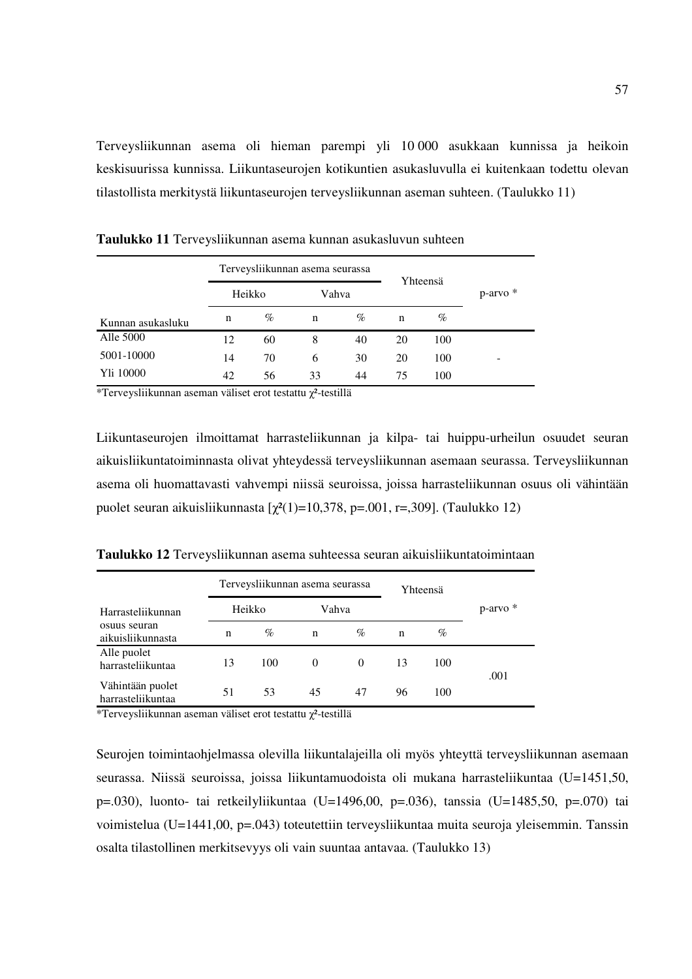Terveysliikunnan asema oli hieman parempi yli 10 000 asukkaan kunnissa ja heikoin keskisuurissa kunnissa. Liikuntaseurojen kotikuntien asukasluvulla ei kuitenkaan todettu olevan tilastollista merkitystä liikuntaseurojen terveysliikunnan aseman suhteen. (Taulukko 11)

|                   |        | Terveysliikunnan asema seurassa |       |      |    | Yhteensä |          |  |
|-------------------|--------|---------------------------------|-------|------|----|----------|----------|--|
|                   | Heikko |                                 | Vahva |      |    |          | p-arvo * |  |
| Kunnan asukasluku | n      | $\%$                            | n     | $\%$ | n  | %        |          |  |
| Alle 5000         | 12     | 60                              | 8     | 40   | 20 | 100      |          |  |
| 5001-10000        | 14     | 70                              | 6     | 30   | 20 | 100      | -        |  |
| Yli 10000         | 42     | 56                              | 33    | 44   | 75 | 100      |          |  |

**Taulukko 11** Terveysliikunnan asema kunnan asukasluvun suhteen

\*Terveysliikunnan aseman väliset erot testattu  $\chi^2$ -testillä

Liikuntaseurojen ilmoittamat harrasteliikunnan ja kilpa- tai huippu-urheilun osuudet seuran aikuisliikuntatoiminnasta olivat yhteydessä terveysliikunnan asemaan seurassa. Terveysliikunnan asema oli huomattavasti vahvempi niissä seuroissa, joissa harrasteliikunnan osuus oli vähintään puolet seuran aikuisliikunnasta  $[\chi^2(1)=10,378, p=.001, r=.309]$ . (Taulukko 12)

**Taulukko 12** Terveysliikunnan asema suhteessa seuran aikuisliikuntatoimintaan

|                                                        |    | Terveysliikunnan asema seurassa |          |          |    | Yhteensä |          |  |
|--------------------------------------------------------|----|---------------------------------|----------|----------|----|----------|----------|--|
| Harrasteliikunnan<br>osuus seuran<br>aikuisliikunnasta |    | Heikko                          |          | Vahva    |    |          | p-arvo * |  |
|                                                        | n  | $\%$                            | n        | $\%$     | n  | $\%$     |          |  |
| Alle puolet<br>harrasteliikuntaa                       | 13 | 100                             | $\theta$ | $\Omega$ | 13 | 100      |          |  |
| Vähintään puolet<br>harrasteliikuntaa                  | 51 | 53                              | 45       | 47       | 96 | 100      | .001     |  |

\*Terveysliikunnan aseman väliset erot testattu χ²-testillä

Seurojen toimintaohjelmassa olevilla liikuntalajeilla oli myös yhteyttä terveysliikunnan asemaan seurassa. Niissä seuroissa, joissa liikuntamuodoista oli mukana harrasteliikuntaa (U=1451,50, p=.030), luonto- tai retkeilyliikuntaa (U=1496,00, p=.036), tanssia (U=1485,50, p=.070) tai voimistelua (U=1441,00, p=.043) toteutettiin terveysliikuntaa muita seuroja yleisemmin. Tanssin osalta tilastollinen merkitsevyys oli vain suuntaa antavaa. (Taulukko 13)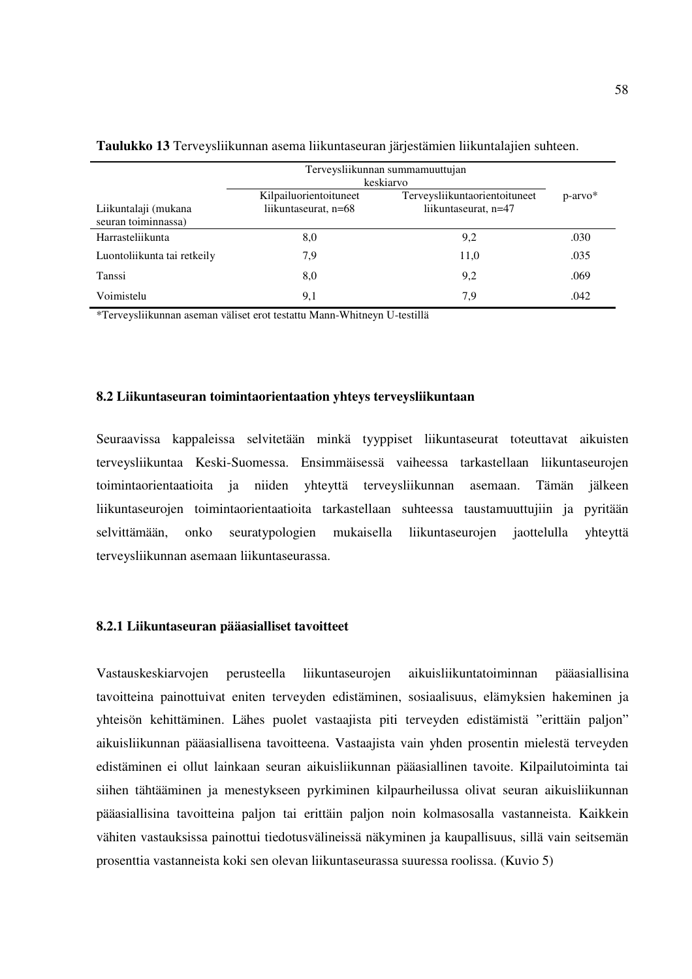|                                             | Terveysliikunnan summamuuttujan<br>keskiarvo   |                                                       |            |
|---------------------------------------------|------------------------------------------------|-------------------------------------------------------|------------|
| Liikuntalaji (mukana<br>seuran toiminnassa) | Kilpailuorientoituneet<br>liikuntaseurat, n=68 | Terveysliikuntaorientoituneet<br>liikuntaseurat, n=47 | $p-arrow*$ |
| Harrasteliikunta                            | 8,0                                            | 9,2                                                   | .030       |
| Luontoliikunta tai retkeily                 | 7.9                                            | 11,0                                                  | .035       |
| Tanssi                                      | 8,0                                            | 9,2                                                   | .069       |
| Voimistelu                                  | 9,1                                            | 7,9                                                   | .042       |

**Taulukko 13** Terveysliikunnan asema liikuntaseuran järjestämien liikuntalajien suhteen.

\*Terveysliikunnan aseman väliset erot testattu Mann-Whitneyn U-testillä

### **8.2 Liikuntaseuran toimintaorientaation yhteys terveysliikuntaan**

Seuraavissa kappaleissa selvitetään minkä tyyppiset liikuntaseurat toteuttavat aikuisten terveysliikuntaa Keski-Suomessa. Ensimmäisessä vaiheessa tarkastellaan liikuntaseurojen toimintaorientaatioita ja niiden yhteyttä terveysliikunnan asemaan. Tämän jälkeen liikuntaseurojen toimintaorientaatioita tarkastellaan suhteessa taustamuuttujiin ja pyritään selvittämään, onko seuratypologien mukaisella liikuntaseurojen jaottelulla yhteyttä terveysliikunnan asemaan liikuntaseurassa.

#### **8.2.1 Liikuntaseuran pääasialliset tavoitteet**

Vastauskeskiarvojen perusteella liikuntaseurojen aikuisliikuntatoiminnan pääasiallisina tavoitteina painottuivat eniten terveyden edistäminen, sosiaalisuus, elämyksien hakeminen ja yhteisön kehittäminen. Lähes puolet vastaajista piti terveyden edistämistä "erittäin paljon" aikuisliikunnan pääasiallisena tavoitteena. Vastaajista vain yhden prosentin mielestä terveyden edistäminen ei ollut lainkaan seuran aikuisliikunnan pääasiallinen tavoite. Kilpailutoiminta tai siihen tähtääminen ja menestykseen pyrkiminen kilpaurheilussa olivat seuran aikuisliikunnan pääasiallisina tavoitteina paljon tai erittäin paljon noin kolmasosalla vastanneista. Kaikkein vähiten vastauksissa painottui tiedotusvälineissä näkyminen ja kaupallisuus, sillä vain seitsemän prosenttia vastanneista koki sen olevan liikuntaseurassa suuressa roolissa. (Kuvio 5)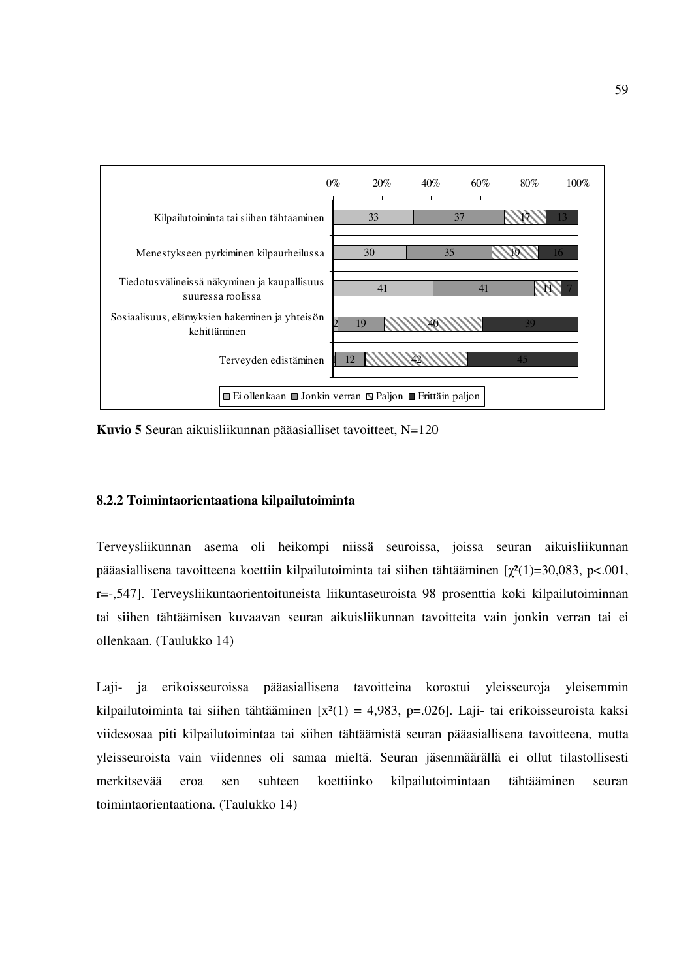

**Kuvio 5** Seuran aikuisliikunnan pääasialliset tavoitteet, N=120

### **8.2.2 Toimintaorientaationa kilpailutoiminta**

Terveysliikunnan asema oli heikompi niissä seuroissa, joissa seuran aikuisliikunnan pääasiallisena tavoitteena koettiin kilpailutoiminta tai siihen tähtääminen  $[\gamma^2(1)=30,083, \; p<.001,$ r=-,547]. Terveysliikuntaorientoituneista liikuntaseuroista 98 prosenttia koki kilpailutoiminnan tai siihen tähtäämisen kuvaavan seuran aikuisliikunnan tavoitteita vain jonkin verran tai ei ollenkaan. (Taulukko 14)

Laji- ja erikoisseuroissa pääasiallisena tavoitteina korostui yleisseuroja yleisemmin kilpailutoiminta tai siihen tähtääminen  $[x^2(1) = 4,983, p=.026]$ . Laji- tai erikoisseuroista kaksi viidesosaa piti kilpailutoimintaa tai siihen tähtäämistä seuran pääasiallisena tavoitteena, mutta yleisseuroista vain viidennes oli samaa mieltä. Seuran jäsenmäärällä ei ollut tilastollisesti merkitsevää eroa sen suhteen koettiinko kilpailutoimintaan tähtääminen seuran toimintaorientaationa. (Taulukko 14)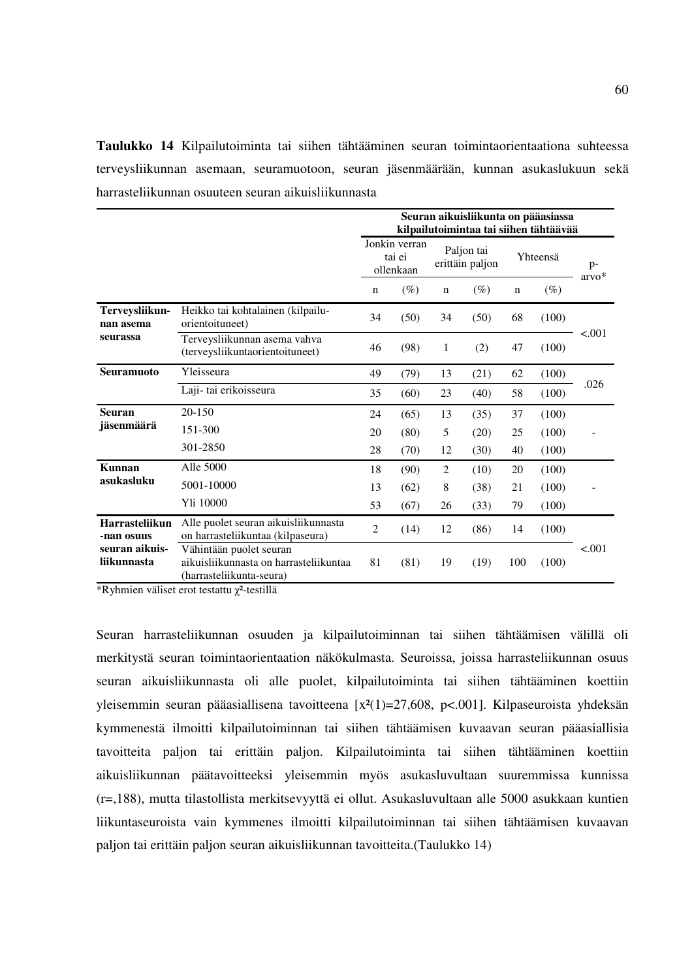**Taulukko 14** Kilpailutoiminta tai siihen tähtääminen seuran toimintaorientaationa suhteessa terveysliikunnan asemaan, seuramuotoon, seuran jäsenmäärään, kunnan asukaslukuun sekä harrasteliikunnan osuuteen seuran aikuisliikunnasta

|                               |                                                                                               | Seuran aikuisliikunta on pääasiassa<br>kilpailutoimintaa tai siihen tähtäävää |        |                |                               |             |          |               |  |  |
|-------------------------------|-----------------------------------------------------------------------------------------------|-------------------------------------------------------------------------------|--------|----------------|-------------------------------|-------------|----------|---------------|--|--|
|                               |                                                                                               | Jonkin verran<br>tai ei<br>ollenkaan                                          |        |                | Paljon tai<br>erittäin paljon |             | Yhteensä | p-<br>$arvo*$ |  |  |
|                               |                                                                                               | $\mathbf n$                                                                   | $(\%)$ | $\mathbf n$    | $(\%)$                        | $\mathbf n$ | $(\%)$   |               |  |  |
| Terveysliikun-<br>nan asema   | Heikko tai kohtalainen (kilpailu-<br>orientoituneet)                                          | 34                                                                            | (50)   | 34             | (50)                          | 68          | (100)    | < .001        |  |  |
| seurassa                      | Terveysliikunnan asema vahva<br>(terveysliikuntaorientoituneet)                               | 46                                                                            | (98)   | 1              | (2)                           | 47          | (100)    |               |  |  |
| <b>Seuramuoto</b>             | Yleisseura                                                                                    | 49                                                                            | (79)   | 13             | (21)                          | 62          | (100)    | .026          |  |  |
|                               | Laji-tai erikoisseura                                                                         | 35                                                                            | (60)   | 23             | (40)                          | 58          | (100)    |               |  |  |
| <b>Seuran</b><br>jäsenmäärä   | 20-150                                                                                        | 24                                                                            | (65)   | 13             | (35)                          | 37          | (100)    |               |  |  |
|                               | 151-300                                                                                       | 20                                                                            | (80)   | 5              | (20)                          | 25          | (100)    |               |  |  |
|                               | 301-2850                                                                                      | 28                                                                            | (70)   | 12             | (30)                          | 40          | (100)    |               |  |  |
| Kunnan                        | Alle 5000                                                                                     | 18                                                                            | (90)   | $\mathfrak{2}$ | (10)                          | 20          | (100)    |               |  |  |
| asukasluku                    | 5001-10000                                                                                    | 13                                                                            | (62)   | $\,$ 8 $\,$    | (38)                          | 21          | (100)    |               |  |  |
|                               | Yli 10000                                                                                     | 53                                                                            | (67)   | 26             | (33)                          | 79          | (100)    |               |  |  |
| Harrasteliikun<br>-nan osuus  | Alle puolet seuran aikuisliikunnasta<br>on harrasteliikuntaa (kilpaseura)                     | $\overline{c}$                                                                | (14)   | 12             | (86)                          | 14          | (100)    |               |  |  |
| seuran aikuis-<br>liikunnasta | Vähintään puolet seuran<br>aikuisliikunnasta on harrasteliikuntaa<br>(harrasteliikunta-seura) | 81                                                                            | (81)   | 19             | (19)                          | 100         | (100)    | < .001        |  |  |

\*Ryhmien väliset erot testattu  $\chi^2$ -testillä

Seuran harrasteliikunnan osuuden ja kilpailutoiminnan tai siihen tähtäämisen välillä oli merkitystä seuran toimintaorientaation näkökulmasta. Seuroissa, joissa harrasteliikunnan osuus seuran aikuisliikunnasta oli alle puolet, kilpailutoiminta tai siihen tähtääminen koettiin yleisemmin seuran pääasiallisena tavoitteena  $[x^2(1)=27,608, p<.001]$ . Kilpaseuroista yhdeksän kymmenestä ilmoitti kilpailutoiminnan tai siihen tähtäämisen kuvaavan seuran pääasiallisia tavoitteita paljon tai erittäin paljon. Kilpailutoiminta tai siihen tähtääminen koettiin aikuisliikunnan päätavoitteeksi yleisemmin myös asukasluvultaan suuremmissa kunnissa (r=,188), mutta tilastollista merkitsevyyttä ei ollut. Asukasluvultaan alle 5000 asukkaan kuntien liikuntaseuroista vain kymmenes ilmoitti kilpailutoiminnan tai siihen tähtäämisen kuvaavan paljon tai erittäin paljon seuran aikuisliikunnan tavoitteita.(Taulukko 14)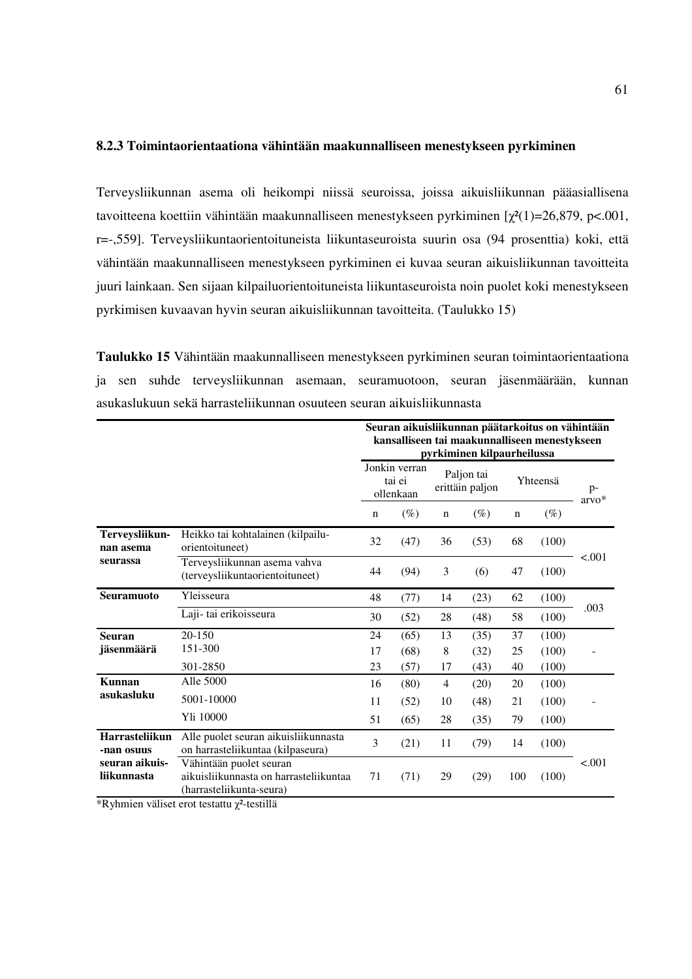## **8.2.3 Toimintaorientaationa vähintään maakunnalliseen menestykseen pyrkiminen**

Terveysliikunnan asema oli heikompi niissä seuroissa, joissa aikuisliikunnan pääasiallisena tavoitteena koettiin vähintään maakunnalliseen menestykseen pyrkiminen  $\lceil \chi^2(1) = 26,879, \, \text{pc}.001,$ r=-,559]. Terveysliikuntaorientoituneista liikuntaseuroista suurin osa (94 prosenttia) koki, että vähintään maakunnalliseen menestykseen pyrkiminen ei kuvaa seuran aikuisliikunnan tavoitteita juuri lainkaan. Sen sijaan kilpailuorientoituneista liikuntaseuroista noin puolet koki menestykseen pyrkimisen kuvaavan hyvin seuran aikuisliikunnan tavoitteita. (Taulukko 15)

**Taulukko 15** Vähintään maakunnalliseen menestykseen pyrkiminen seuran toimintaorientaationa ja sen suhde terveysliikunnan asemaan, seuramuotoon, seuran jäsenmäärään, kunnan asukaslukuun sekä harrasteliikunnan osuuteen seuran aikuisliikunnasta

|                                         |                                                                                               | Seuran aikuisliikunnan päätarkoitus on vähintään<br>kansalliseen tai maakunnalliseen menestykseen<br>pyrkiminen kilpaurheilussa |        |             |                               |             |          |                 |  |
|-----------------------------------------|-----------------------------------------------------------------------------------------------|---------------------------------------------------------------------------------------------------------------------------------|--------|-------------|-------------------------------|-------------|----------|-----------------|--|
|                                         |                                                                                               | Jonkin verran<br>tai ei<br>ollenkaan                                                                                            |        |             | Paljon tai<br>erittäin paljon |             | Yhteensä | $p-$<br>$arvo*$ |  |
|                                         |                                                                                               | $\mathbf n$                                                                                                                     | $(\%)$ | $\mathbf n$ | $(\%)$                        | $\mathbf n$ | $(\%)$   |                 |  |
| Terveysliikun-<br>nan asema<br>seurassa | Heikko tai kohtalainen (kilpailu-<br>orientoituneet)                                          | 32                                                                                                                              | (47)   | 36          | (53)                          | 68          | (100)    | < 0.001         |  |
|                                         | Terveysliikunnan asema vahva<br>(terveysliikuntaorientoituneet)                               | 44                                                                                                                              | (94)   | 3           | (6)                           | 47          | (100)    |                 |  |
| <b>Seuramuoto</b>                       | Yleisseura                                                                                    | 48                                                                                                                              | (77)   | 14          | (23)                          | 62          | (100)    | .003            |  |
|                                         | Laji-tai erikoisseura                                                                         | 30                                                                                                                              | (52)   | 28          | (48)                          | 58          | (100)    |                 |  |
| <b>Seuran</b>                           | 20-150                                                                                        | 24                                                                                                                              | (65)   | 13          | (35)                          | 37          | (100)    |                 |  |
| jäsenmäärä                              | 151-300                                                                                       | 17                                                                                                                              | (68)   | 8           | (32)                          | 25          | (100)    |                 |  |
|                                         | 301-2850                                                                                      | 23                                                                                                                              | (57)   | 17          | (43)                          | 40          | (100)    |                 |  |
| Kunnan                                  | Alle 5000                                                                                     | 16                                                                                                                              | (80)   | 4           | (20)                          | 20          | (100)    |                 |  |
| asukasluku                              | 5001-10000                                                                                    | 11                                                                                                                              | (52)   | 10          | (48)                          | 21          | (100)    |                 |  |
|                                         | Yli 10000                                                                                     | 51                                                                                                                              | (65)   | 28          | (35)                          | 79          | (100)    |                 |  |
| Harrasteliikun<br>-nan osuus            | Alle puolet seuran aikuisliikunnasta<br>on harrasteliikuntaa (kilpaseura)                     | 3                                                                                                                               | (21)   | 11          | (79)                          | 14          | (100)    |                 |  |
| seuran aikuis-<br>liikunnasta           | Vähintään puolet seuran<br>aikuisliikunnasta on harrasteliikuntaa<br>(harrasteliikunta-seura) | 71                                                                                                                              | (71)   | 29          | (29)                          | 100         | (100)    | < .001          |  |

\*Ryhmien väliset erot testattu  $\chi^2$ -testillä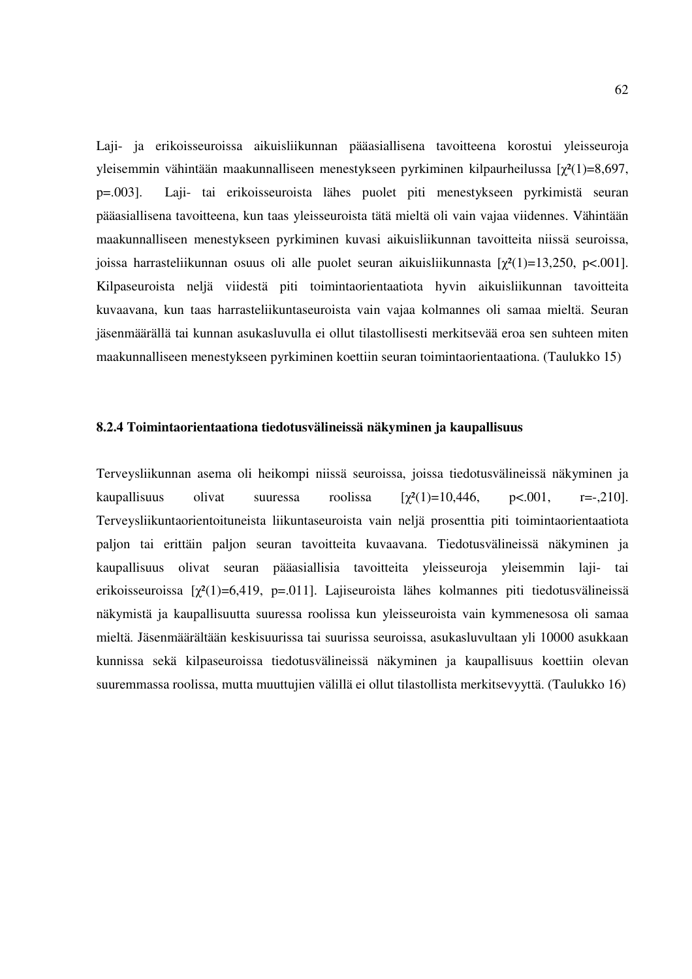Laji- ja erikoisseuroissa aikuisliikunnan pääasiallisena tavoitteena korostui yleisseuroja yleisemmin vähintään maakunnalliseen menestykseen pyrkiminen kilpaurheilussa  $[\chi^2(1)=8,697,$ p=.003]. Laji- tai erikoisseuroista lähes puolet piti menestykseen pyrkimistä seuran pääasiallisena tavoitteena, kun taas yleisseuroista tätä mieltä oli vain vajaa viidennes. Vähintään maakunnalliseen menestykseen pyrkiminen kuvasi aikuisliikunnan tavoitteita niissä seuroissa, joissa harrasteliikunnan osuus oli alle puolet seuran aikuisliikunnasta  $[\chi^2(1)=13,250, p<.001]$ . Kilpaseuroista neljä viidestä piti toimintaorientaatiota hyvin aikuisliikunnan tavoitteita kuvaavana, kun taas harrasteliikuntaseuroista vain vajaa kolmannes oli samaa mieltä. Seuran jäsenmäärällä tai kunnan asukasluvulla ei ollut tilastollisesti merkitsevää eroa sen suhteen miten maakunnalliseen menestykseen pyrkiminen koettiin seuran toimintaorientaationa. (Taulukko 15)

### **8.2.4 Toimintaorientaationa tiedotusvälineissä näkyminen ja kaupallisuus**

Terveysliikunnan asema oli heikompi niissä seuroissa, joissa tiedotusvälineissä näkyminen ja kaupallisuus olivat suuressa roolissa  $[\gamma^2(1)=10,446, \gamma^2(0)1, \gamma^2=0.01]$ . Terveysliikuntaorientoituneista liikuntaseuroista vain neljä prosenttia piti toimintaorientaatiota paljon tai erittäin paljon seuran tavoitteita kuvaavana. Tiedotusvälineissä näkyminen ja kaupallisuus olivat seuran pääasiallisia tavoitteita yleisseuroja yleisemmin laji- tai erikoisseuroissa  $[\chi^2(1)=6,419, p=.011]$ . Lajiseuroista lähes kolmannes piti tiedotusvälineissä näkymistä ja kaupallisuutta suuressa roolissa kun yleisseuroista vain kymmenesosa oli samaa mieltä. Jäsenmäärältään keskisuurissa tai suurissa seuroissa, asukasluvultaan yli 10000 asukkaan kunnissa sekä kilpaseuroissa tiedotusvälineissä näkyminen ja kaupallisuus koettiin olevan suuremmassa roolissa, mutta muuttujien välillä ei ollut tilastollista merkitsevyyttä. (Taulukko 16)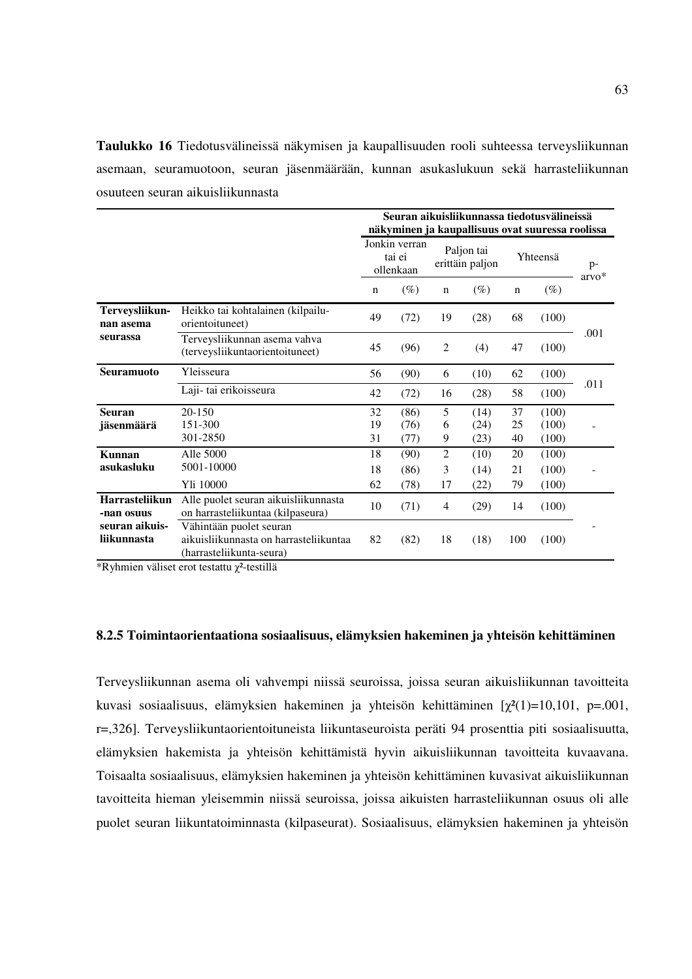**Taulukko 16** Tiedotusvälineissä näkymisen ja kaupallisuuden rooli suhteessa terveysliikunnan asemaan, seuramuotoon, seuran jäsenmäärään, kunnan asukaslukuun sekä harrasteliikunnan osuuteen seuran aikuisliikunnasta

|                               |                                                                                               | Seuran aikuisliikunnassa tiedotusvälineissä<br>näkyminen ja kaupallisuus ovat suuressa roolissa |                      |                |                               |                |                         |                 |  |  |
|-------------------------------|-----------------------------------------------------------------------------------------------|-------------------------------------------------------------------------------------------------|----------------------|----------------|-------------------------------|----------------|-------------------------|-----------------|--|--|
|                               |                                                                                               | Jonkin verran<br>tai ei<br>ollenkaan                                                            |                      |                | Paljon tai<br>erittäin paljon | Yhteensä       |                         | $p-$<br>$arvo*$ |  |  |
|                               |                                                                                               | n                                                                                               | $(\%)$               | $\mathbf n$    | $(\%)$                        | $\mathbf n$    | $(\%)$                  |                 |  |  |
| Terveysliikun-<br>nan asema   | Heikko tai kohtalainen (kilpailu-<br>orientoituneet)                                          | 49                                                                                              | (72)                 | 19             | (28)                          | 68             | (100)                   | .001            |  |  |
| seurassa                      | Terveysliikunnan asema vahva<br>(terveysliikuntaorientoituneet)                               | 45                                                                                              | (96)                 | $\overline{c}$ | (4)                           | 47             | (100)                   |                 |  |  |
| <b>Seuramuoto</b>             | Yleisseura                                                                                    | 56                                                                                              | (90)                 | 6              | (10)                          | 62             | (100)                   |                 |  |  |
|                               | Laji- tai erikoisseura                                                                        | 42                                                                                              | (72)                 | 16             | (28)                          | 58             | (100)                   | .011            |  |  |
| <b>Seuran</b><br>jäsenmäärä   | $20 - 150$<br>151-300<br>301-2850                                                             | 32<br>19<br>31                                                                                  | (86)<br>(76)<br>(77) | 5<br>6<br>9    | (14)<br>(24)<br>(23)          | 37<br>25<br>40 | (100)<br>(100)<br>(100) |                 |  |  |
| Kunnan<br>asukasluku          | Alle 5000<br>5001-10000<br>Yli 10000                                                          | 18<br>18<br>62                                                                                  | (90)<br>(86)<br>(78) | 2<br>3<br>17   | (10)<br>(14)<br>(22)          | 20<br>21<br>79 | (100)<br>(100)<br>(100) |                 |  |  |
| Harrasteliikun<br>-nan osuus  | Alle puolet seuran aikuisliikunnasta<br>on harrasteliikuntaa (kilpaseura)                     | 10                                                                                              | (71)                 | 4              | (29)                          | 14             | (100)                   |                 |  |  |
| seuran aikuis-<br>liikunnasta | Vähintään puolet seuran<br>aikuisliikunnasta on harrasteliikuntaa<br>(harrasteliikunta-seura) | 82                                                                                              | (82)                 | 18             | (18)                          | 100            | (100)                   |                 |  |  |

\*Ryhmien väliset erot testattu χ²-testillä

#### **8.2.5 Toimintaorientaationa sosiaalisuus, elämyksien hakeminen ja yhteisön kehittäminen**

Terveysliikunnan asema oli vahvempi niissä seuroissa, joissa seuran aikuisliikunnan tavoitteita kuvasi sosiaalisuus, elämyksien hakeminen ja yhteisön kehittäminen  $[\chi^2(1)=10,101, p=.001,$ r=,326]. Terveysliikuntaorientoituneista liikuntaseuroista peräti 94 prosenttia piti sosiaalisuutta, elämyksien hakemista ja yhteisön kehittämistä hyvin aikuisliikunnan tavoitteita kuvaavana. Toisaalta sosiaalisuus, elämyksien hakeminen ja yhteisön kehittäminen kuvasivat aikuisliikunnan tavoitteita hieman yleisemmin niissä seuroissa, joissa aikuisten harrasteliikunnan osuus oli alle puolet seuran liikuntatoiminnasta (kilpaseurat). Sosiaalisuus, elämyksien hakeminen ja yhteisön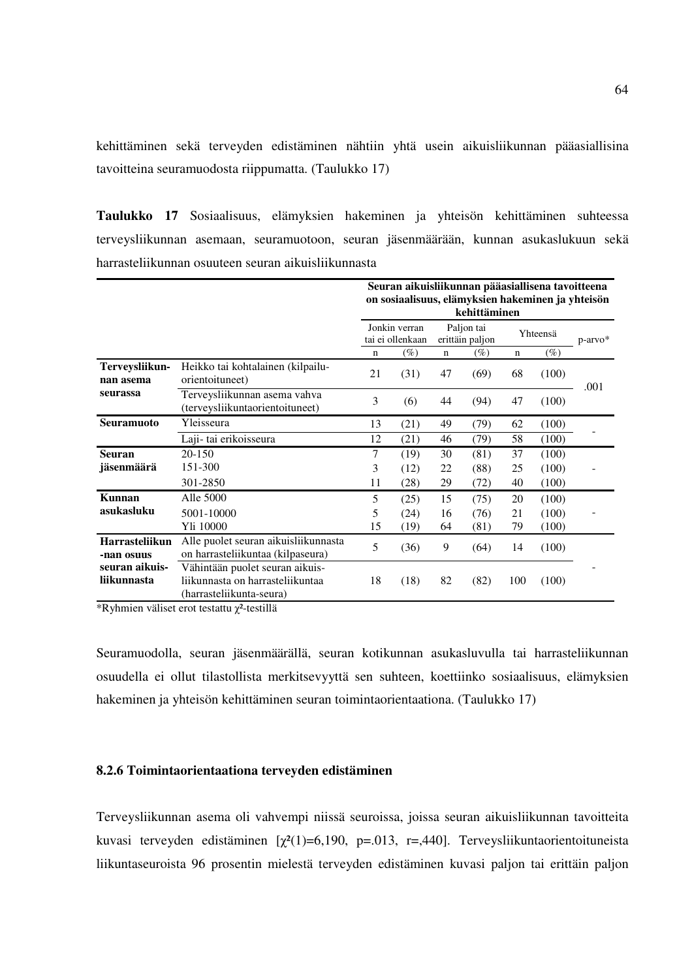kehittäminen sekä terveyden edistäminen nähtiin yhtä usein aikuisliikunnan pääasiallisina tavoitteina seuramuodosta riippumatta. (Taulukko 17)

**Taulukko 17** Sosiaalisuus, elämyksien hakeminen ja yhteisön kehittäminen suhteessa terveysliikunnan asemaan, seuramuotoon, seuran jäsenmäärään, kunnan asukaslukuun sekä harrasteliikunnan osuuteen seuran aikuisliikunnasta

|                                         |                                                                                                 | Seuran aikuisliikunnan pääasiallisena tavoitteena<br>on sosiaalisuus, elämyksien hakeminen ja yhteisön<br>kehittäminen |        |                               |        |             |        |            |  |
|-----------------------------------------|-------------------------------------------------------------------------------------------------|------------------------------------------------------------------------------------------------------------------------|--------|-------------------------------|--------|-------------|--------|------------|--|
|                                         |                                                                                                 | Jonkin verran<br>tai ei ollenkaan                                                                                      |        | Paljon tai<br>erittäin paljon |        | Yhteensä    |        | $p-arrow*$ |  |
|                                         |                                                                                                 | $\mathbf n$                                                                                                            | $(\%)$ | $\mathbf n$                   | $(\%)$ | $\mathbf n$ | $(\%)$ |            |  |
| Terveysliikun-<br>nan asema<br>seurassa | Heikko tai kohtalainen (kilpailu-<br>orientoituneet)                                            | 21                                                                                                                     | (31)   | 47                            | (69)   | 68          | (100)  | .001       |  |
|                                         | Terveysliikunnan asema vahva<br>(terveysliikuntaorientoituneet)                                 | 3                                                                                                                      | (6)    | 44                            | (94)   | 47          | (100)  |            |  |
| Seuramuoto                              | Yleisseura                                                                                      | 13                                                                                                                     | (21)   | 49                            | (79)   | 62          | (100)  |            |  |
|                                         | Laji-tai erikoisseura                                                                           | 12                                                                                                                     | (21)   | 46                            | (79)   | 58          | (100)  |            |  |
| <b>Seuran</b>                           | 20-150                                                                                          | 7                                                                                                                      | (19)   | 30                            | (81)   | 37          | (100)  |            |  |
| jäsenmäärä                              | 151-300                                                                                         | 3                                                                                                                      | (12)   | 22                            | (88)   | 25          | (100)  |            |  |
|                                         | 301-2850                                                                                        | 11                                                                                                                     | (28)   | 29                            | (72)   | 40          | (100)  |            |  |
| Kunnan                                  | Alle 5000                                                                                       | 5                                                                                                                      | (25)   | 15                            | (75)   | 20          | (100)  |            |  |
| asukasluku                              | 5001-10000                                                                                      | 5                                                                                                                      | (24)   | 16                            | (76)   | 21          | (100)  |            |  |
|                                         | Yli 10000                                                                                       | 15                                                                                                                     | (19)   | 64                            | (81)   | 79          | (100)  |            |  |
| <b>Harrasteliikun</b><br>-nan osuus     | Alle puolet seuran aikuisliikunnasta<br>on harrasteliikuntaa (kilpaseura)                       | 5                                                                                                                      | (36)   | 9                             | (64)   | 14          | (100)  |            |  |
| seuran aikuis-<br>liikunnasta           | Vähintään puolet seuran aikuis-<br>liikunnasta on harrasteliikuntaa<br>(harrasteliikunta-seura) | 18                                                                                                                     | (18)   | 82                            | (82)   | 100         | (100)  |            |  |

\*Ryhmien väliset erot testattu  $\chi^2$ -testillä

Seuramuodolla, seuran jäsenmäärällä, seuran kotikunnan asukasluvulla tai harrasteliikunnan osuudella ei ollut tilastollista merkitsevyyttä sen suhteen, koettiinko sosiaalisuus, elämyksien hakeminen ja yhteisön kehittäminen seuran toimintaorientaationa. (Taulukko 17)

### **8.2.6 Toimintaorientaationa terveyden edistäminen**

Terveysliikunnan asema oli vahvempi niissä seuroissa, joissa seuran aikuisliikunnan tavoitteita kuvasi terveyden edistäminen  $[\chi^2(1)=6,190, p=.013, r=.440]$ . Terveysliikuntaorientoituneista liikuntaseuroista 96 prosentin mielestä terveyden edistäminen kuvasi paljon tai erittäin paljon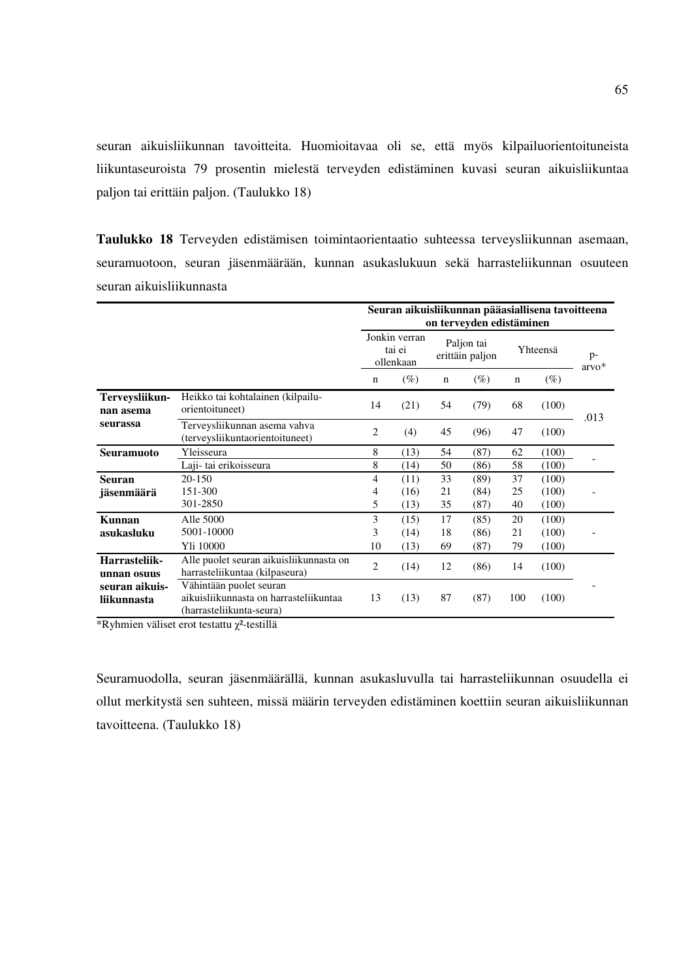seuran aikuisliikunnan tavoitteita. Huomioitavaa oli se, että myös kilpailuorientoituneista liikuntaseuroista 79 prosentin mielestä terveyden edistäminen kuvasi seuran aikuisliikuntaa paljon tai erittäin paljon. (Taulukko 18)

**Taulukko 18** Terveyden edistämisen toimintaorientaatio suhteessa terveysliikunnan asemaan, seuramuotoon, seuran jäsenmäärään, kunnan asukaslukuun sekä harrasteliikunnan osuuteen seuran aikuisliikunnasta

|                                         |                                                                                               | Seuran aikuisliikunnan pääasiallisena tavoitteena<br>on terveyden edistäminen |        |                               |        |             |        |                 |  |
|-----------------------------------------|-----------------------------------------------------------------------------------------------|-------------------------------------------------------------------------------|--------|-------------------------------|--------|-------------|--------|-----------------|--|
|                                         |                                                                                               | Jonkin verran<br>tai ei<br>ollenkaan                                          |        | Paljon tai<br>erittäin paljon |        | Yhteensä    |        | $p-$<br>$arvo*$ |  |
|                                         |                                                                                               | n                                                                             | $(\%)$ | $\mathbf n$                   | $(\%)$ | $\mathbf n$ | $(\%)$ |                 |  |
| Terveysliikun-<br>nan asema<br>seurassa | Heikko tai kohtalainen (kilpailu-<br>orientoituneet)                                          | 14                                                                            | (21)   | 54                            | (79)   | 68          | (100)  | .013            |  |
|                                         | Terveysliikunnan asema vahva<br>(terveysliikuntaorientoituneet)                               | 2                                                                             | (4)    | 45                            | (96)   | 47          | (100)  |                 |  |
| <b>Seuramuoto</b>                       | Yleisseura                                                                                    | 8                                                                             | (13)   | 54                            | (87)   | 62          | (100)  |                 |  |
|                                         | Laji- tai erikoisseura                                                                        | 8                                                                             | (14)   | 50                            | (86)   | 58          | (100)  |                 |  |
| <b>Seuran</b>                           | 20-150                                                                                        | 4                                                                             | (11)   | 33                            | (89)   | 37          | (100)  |                 |  |
| jäsenmäärä                              | 151-300                                                                                       | 4                                                                             | (16)   | 21                            | (84)   | 25          | (100)  |                 |  |
|                                         | 301-2850                                                                                      | 5                                                                             | (13)   | 35                            | (87)   | 40          | (100)  |                 |  |
| Kunnan                                  | Alle 5000                                                                                     | 3                                                                             | (15)   | 17                            | (85)   | 20          | (100)  |                 |  |
| asukasluku                              | 5001-10000                                                                                    | 3                                                                             | (14)   | 18                            | (86)   | 21          | (100)  |                 |  |
|                                         | Yli 10000                                                                                     | 10                                                                            | (13)   | 69                            | (87)   | 79          | (100)  |                 |  |
| Harrasteliik-<br>unnan osuus            | Alle puolet seuran aikuisliikunnasta on<br>harrasteliikuntaa (kilpaseura)                     | $\overline{2}$                                                                | (14)   | 12                            | (86)   | 14          | (100)  |                 |  |
| seuran aikuis-<br>liikunnasta           | Vähintään puolet seuran<br>aikuisliikunnasta on harrasteliikuntaa<br>(harrasteliikunta-seura) | 13                                                                            | (13)   | 87                            | (87)   | 100         | (100)  |                 |  |

\*Ryhmien väliset erot testattu χ²-testillä

Seuramuodolla, seuran jäsenmäärällä, kunnan asukasluvulla tai harrasteliikunnan osuudella ei ollut merkitystä sen suhteen, missä määrin terveyden edistäminen koettiin seuran aikuisliikunnan tavoitteena. (Taulukko 18)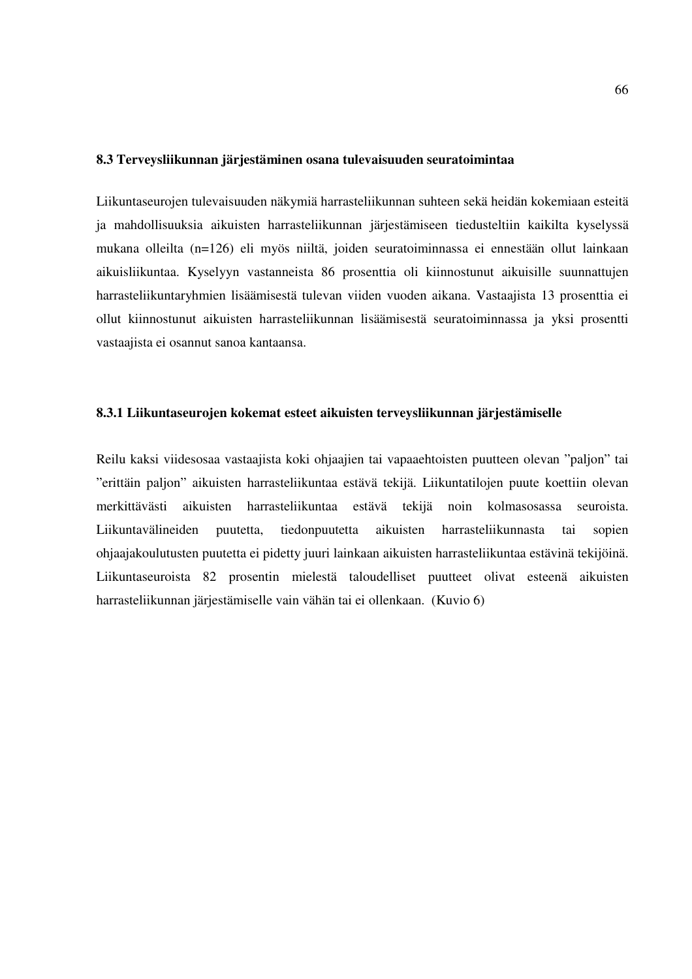## **8.3 Terveysliikunnan järjestäminen osana tulevaisuuden seuratoimintaa**

Liikuntaseurojen tulevaisuuden näkymiä harrasteliikunnan suhteen sekä heidän kokemiaan esteitä ja mahdollisuuksia aikuisten harrasteliikunnan järjestämiseen tiedusteltiin kaikilta kyselyssä mukana olleilta (n=126) eli myös niiltä, joiden seuratoiminnassa ei ennestään ollut lainkaan aikuisliikuntaa. Kyselyyn vastanneista 86 prosenttia oli kiinnostunut aikuisille suunnattujen harrasteliikuntaryhmien lisäämisestä tulevan viiden vuoden aikana. Vastaajista 13 prosenttia ei ollut kiinnostunut aikuisten harrasteliikunnan lisäämisestä seuratoiminnassa ja yksi prosentti vastaajista ei osannut sanoa kantaansa.

## **8.3.1 Liikuntaseurojen kokemat esteet aikuisten terveysliikunnan järjestämiselle**

Reilu kaksi viidesosaa vastaajista koki ohjaajien tai vapaaehtoisten puutteen olevan "paljon" tai "erittäin paljon" aikuisten harrasteliikuntaa estävä tekijä. Liikuntatilojen puute koettiin olevan merkittävästi aikuisten harrasteliikuntaa estävä tekijä noin kolmasosassa seuroista. Liikuntavälineiden puutetta, tiedonpuutetta aikuisten harrasteliikunnasta tai sopien ohjaajakoulutusten puutetta ei pidetty juuri lainkaan aikuisten harrasteliikuntaa estävinä tekijöinä. Liikuntaseuroista 82 prosentin mielestä taloudelliset puutteet olivat esteenä aikuisten harrasteliikunnan järjestämiselle vain vähän tai ei ollenkaan. (Kuvio 6)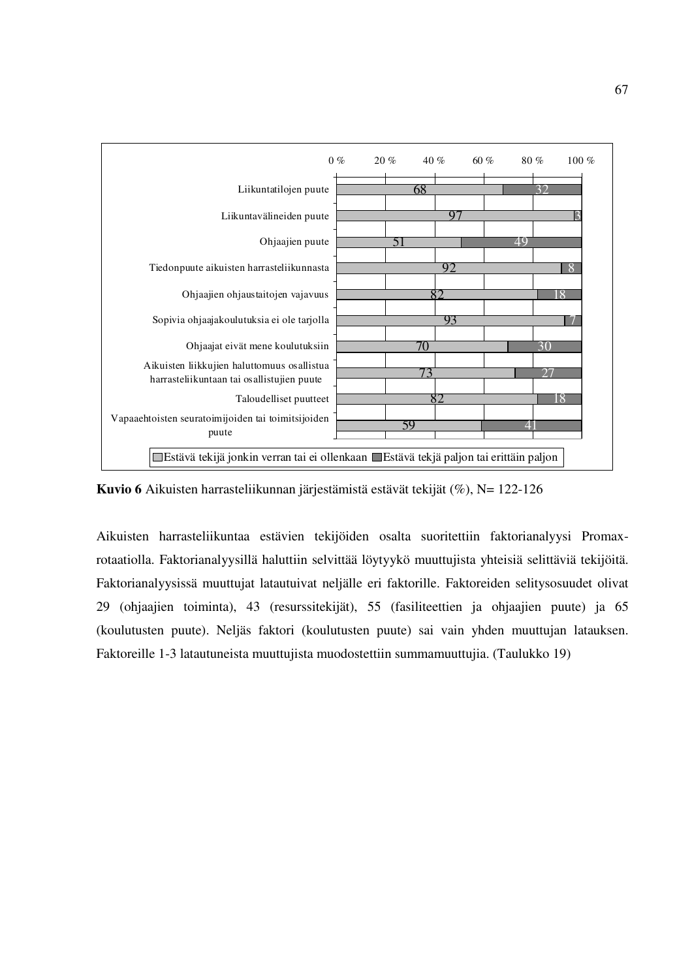

**Kuvio 6** Aikuisten harrasteliikunnan järjestämistä estävät tekijät (%), N= 122-126

Aikuisten harrasteliikuntaa estävien tekijöiden osalta suoritettiin faktorianalyysi Promaxrotaatiolla. Faktorianalyysillä haluttiin selvittää löytyykö muuttujista yhteisiä selittäviä tekijöitä. Faktorianalyysissä muuttujat latautuivat neljälle eri faktorille. Faktoreiden selitysosuudet olivat 29 (ohjaajien toiminta), 43 (resurssitekijät), 55 (fasiliteettien ja ohjaajien puute) ja 65 (koulutusten puute). Neljäs faktori (koulutusten puute) sai vain yhden muuttujan latauksen. Faktoreille 1-3 latautuneista muuttujista muodostettiin summamuuttujia. (Taulukko 19)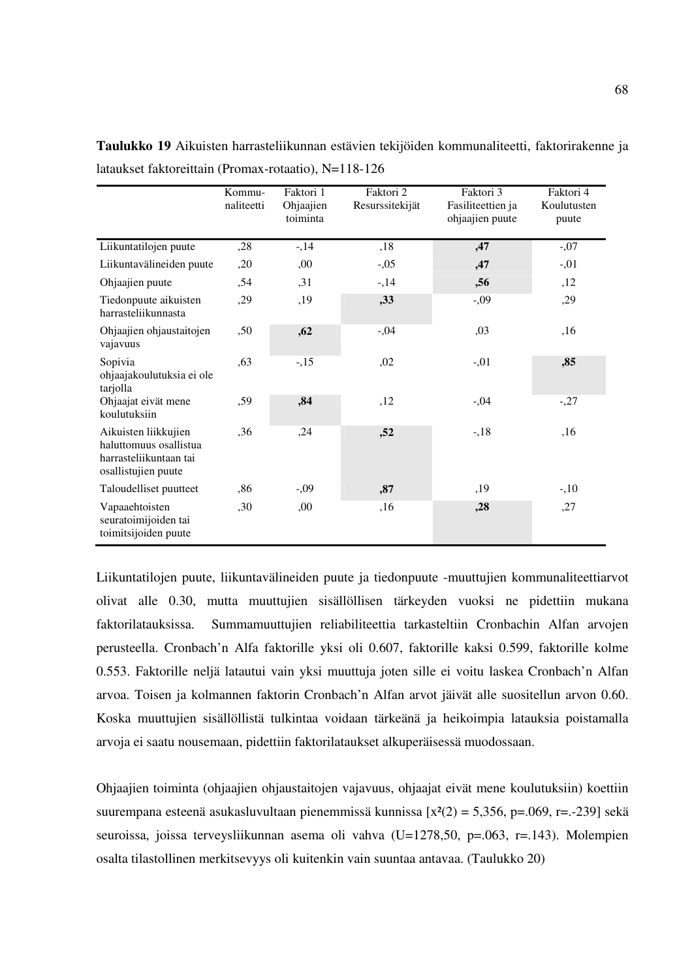|                                                                                                 | Kommu-<br>naliteetti | Faktori 1<br>Ohjaajien<br>toiminta | Faktori 2<br>Resurssitekijät | Faktori 3<br>Fasiliteettien ja<br>ohjaajien puute | Faktori 4<br>Koulutusten<br>puute |
|-------------------------------------------------------------------------------------------------|----------------------|------------------------------------|------------------------------|---------------------------------------------------|-----------------------------------|
| Liikuntatilojen puute                                                                           | ,28                  | $-14$                              | ,18                          | ,47                                               | $-0.07$                           |
| Liikuntavälineiden puute                                                                        | ,20                  | ,00                                | $-0.05$                      | ,47                                               | $-0.01$                           |
| Ohjaajien puute                                                                                 | .54                  | ,31                                | $-14$                        | ,56                                               | ,12                               |
| Tiedonpuute aikuisten<br>harrasteliikunnasta                                                    | ,29                  | ,19                                | ,33                          | $-0.09$                                           | ,29                               |
| Ohjaajien ohjaustaitojen<br>vajavuus                                                            | ,50                  | ,62                                | $-0.04$                      | .03                                               | ,16                               |
| Sopivia<br>ohjaajakoulutuksia ei ole<br>tarjolla                                                | ,63                  | $-15$                              | ,02                          | $-0.01$                                           | ,85                               |
| Ohjaajat eivät mene<br>koulutuksiin                                                             | ,59                  | ,84                                | ,12                          | $-0.04$                                           | $-27$                             |
| Aikuisten liikkujien<br>haluttomuus osallistua<br>harrasteliikuntaan tai<br>osallistujien puute | ,36                  | ,24                                | ,52                          | $-18$                                             | ,16                               |
| Taloudelliset puutteet                                                                          | .86                  | $-0.09$                            | ,87                          | ,19                                               | $-10$                             |
| Vapaaehtoisten<br>seuratoimijoiden tai<br>toimitsijoiden puute                                  | ,30                  | ,00                                | ,16                          | ,28                                               | ,27                               |

**Taulukko 19** Aikuisten harrasteliikunnan estävien tekijöiden kommunaliteetti, faktorirakenne ja lataukset faktoreittain (Promax-rotaatio), N=118-126

Liikuntatilojen puute, liikuntavälineiden puute ja tiedonpuute -muuttujien kommunaliteettiarvot olivat alle 0.30, mutta muuttujien sisällöllisen tärkeyden vuoksi ne pidettiin mukana faktorilatauksissa. Summamuuttujien reliabiliteettia tarkasteltiin Cronbachin Alfan arvojen perusteella. Cronbach'n Alfa faktorille yksi oli 0.607, faktorille kaksi 0.599, faktorille kolme 0.553. Faktorille neljä latautui vain yksi muuttuja joten sille ei voitu laskea Cronbach'n Alfan arvoa. Toisen ja kolmannen faktorin Cronbach'n Alfan arvot jäivät alle suositellun arvon 0.60. Koska muuttujien sisällöllistä tulkintaa voidaan tärkeänä ja heikoimpia latauksia poistamalla arvoja ei saatu nousemaan, pidettiin faktorilataukset alkuperäisessä muodossaan.

Ohjaajien toiminta (ohjaajien ohjaustaitojen vajavuus, ohjaajat eivät mene koulutuksiin) koettiin suurempana esteenä asukasluvultaan pienemmissä kunnissa  $[x^2(2) = 5,356, p=.069, r=.239]$  sekä seuroissa, joissa terveysliikunnan asema oli vahva (U=1278,50, p=.063, r=.143). Molempien osalta tilastollinen merkitsevyys oli kuitenkin vain suuntaa antavaa. (Taulukko 20)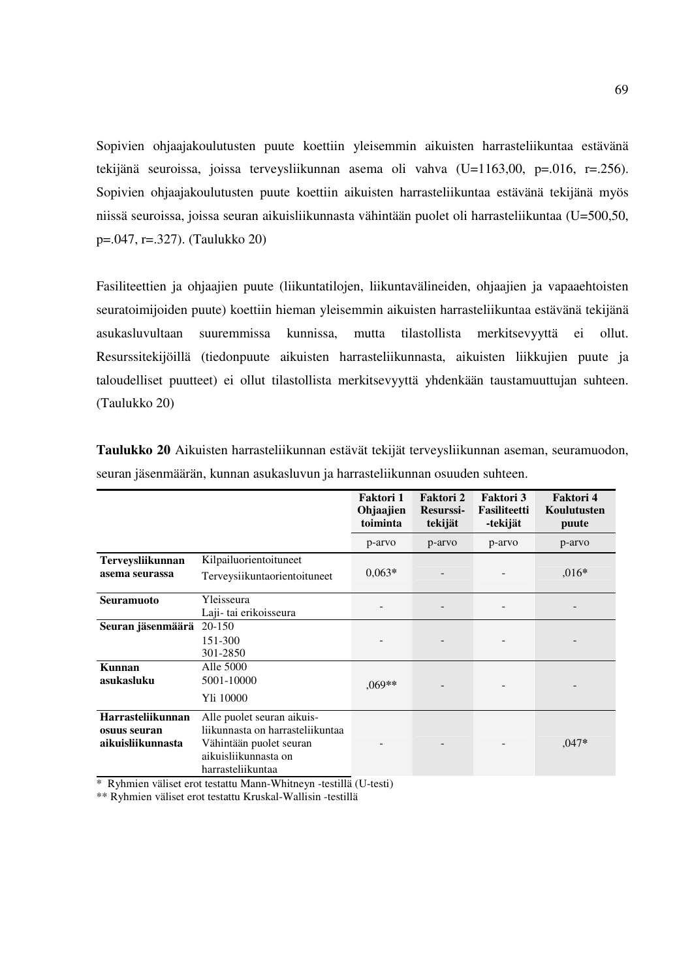Sopivien ohjaajakoulutusten puute koettiin yleisemmin aikuisten harrasteliikuntaa estävänä tekijänä seuroissa, joissa terveysliikunnan asema oli vahva (U=1163,00, p=.016, r=.256). Sopivien ohjaajakoulutusten puute koettiin aikuisten harrasteliikuntaa estävänä tekijänä myös niissä seuroissa, joissa seuran aikuisliikunnasta vähintään puolet oli harrasteliikuntaa (U=500,50, p=.047, r=.327). (Taulukko 20)

Fasiliteettien ja ohjaajien puute (liikuntatilojen, liikuntavälineiden, ohjaajien ja vapaaehtoisten seuratoimijoiden puute) koettiin hieman yleisemmin aikuisten harrasteliikuntaa estävänä tekijänä asukasluvultaan suuremmissa kunnissa, mutta tilastollista merkitsevyyttä ei ollut. Resurssitekijöillä (tiedonpuute aikuisten harrasteliikunnasta, aikuisten liikkujien puute ja taloudelliset puutteet) ei ollut tilastollista merkitsevyyttä yhdenkään taustamuuttujan suhteen. (Taulukko 20)

|                                                        |                                                                                                                                        | Faktori 1<br>Ohjaajien<br>toiminta | Faktori 2<br><b>Resurssi-</b><br>tekijät | <b>Faktori 3</b><br><b>Fasiliteetti</b><br>-tekijät | Faktori 4<br>Koulutusten<br>puute |
|--------------------------------------------------------|----------------------------------------------------------------------------------------------------------------------------------------|------------------------------------|------------------------------------------|-----------------------------------------------------|-----------------------------------|
|                                                        |                                                                                                                                        | p-arvo                             | p-arvo                                   | p-arvo                                              | p-arvo                            |
| Terveysliikunnan<br>asema seurassa                     | Kilpailuorientoituneet<br>Terveysiikuntaorientoituneet                                                                                 | $0,063*$                           |                                          |                                                     | $0.016*$                          |
| <b>Seuramuoto</b>                                      | Yleisseura<br>Laji- tai erikoisseura                                                                                                   |                                    |                                          |                                                     |                                   |
| Seuran jäsenmäärä                                      | 20-150<br>151-300<br>301-2850                                                                                                          |                                    |                                          |                                                     |                                   |
| Kunnan<br>asukasluku                                   | Alle 5000<br>5001-10000<br>Yli 10000                                                                                                   | ,069**                             |                                          |                                                     |                                   |
| Harrasteliikunnan<br>osuus seuran<br>aikuisliikunnasta | Alle puolet seuran aikuis-<br>liikunnasta on harrasteliikuntaa<br>Vähintään puolet seuran<br>aikuisliikunnasta on<br>harrasteliikuntaa |                                    |                                          |                                                     | $,047*$                           |

**Taulukko 20** Aikuisten harrasteliikunnan estävät tekijät terveysliikunnan aseman, seuramuodon, seuran jäsenmäärän, kunnan asukasluvun ja harrasteliikunnan osuuden suhteen.

\* Ryhmien väliset erot testattu Mann-Whitneyn -testillä (U-testi)

\*\* Ryhmien väliset erot testattu Kruskal-Wallisin -testillä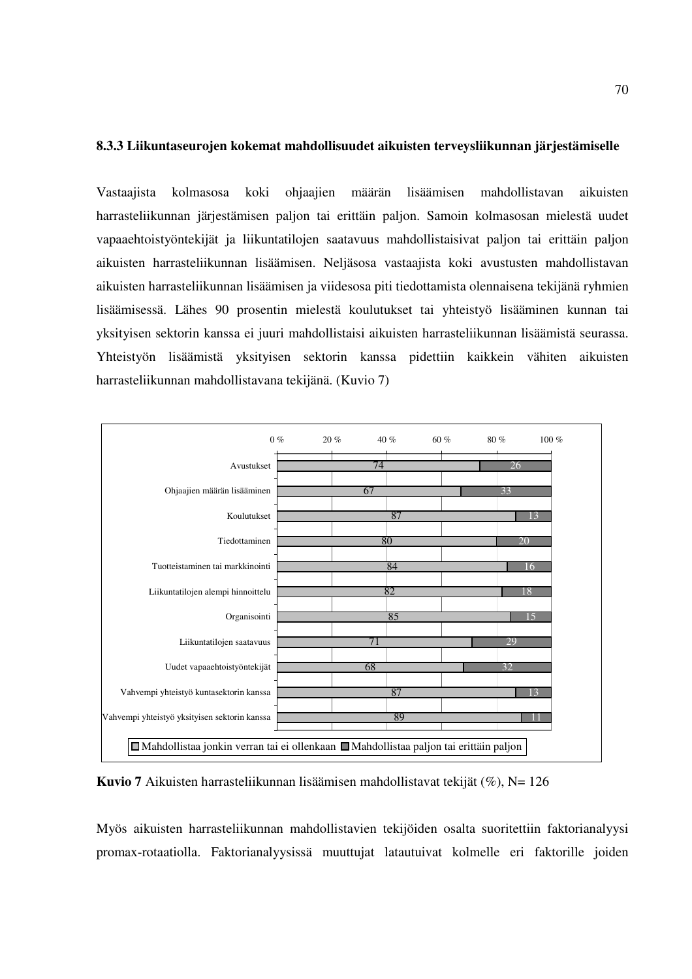#### **8.3.3 Liikuntaseurojen kokemat mahdollisuudet aikuisten terveysliikunnan järjestämiselle**

Vastaajista kolmasosa koki ohjaajien määrän lisäämisen mahdollistavan aikuisten harrasteliikunnan järjestämisen paljon tai erittäin paljon. Samoin kolmasosan mielestä uudet vapaaehtoistyöntekijät ja liikuntatilojen saatavuus mahdollistaisivat paljon tai erittäin paljon aikuisten harrasteliikunnan lisäämisen. Neljäsosa vastaajista koki avustusten mahdollistavan aikuisten harrasteliikunnan lisäämisen ja viidesosa piti tiedottamista olennaisena tekijänä ryhmien lisäämisessä. Lähes 90 prosentin mielestä koulutukset tai yhteistyö lisääminen kunnan tai yksityisen sektorin kanssa ei juuri mahdollistaisi aikuisten harrasteliikunnan lisäämistä seurassa. Yhteistyön lisäämistä yksityisen sektorin kanssa pidettiin kaikkein vähiten aikuisten harrasteliikunnan mahdollistavana tekijänä. (Kuvio 7)



**Kuvio 7** Aikuisten harrasteliikunnan lisäämisen mahdollistavat tekijät (%), N= 126

Myös aikuisten harrasteliikunnan mahdollistavien tekijöiden osalta suoritettiin faktorianalyysi promax-rotaatiolla. Faktorianalyysissä muuttujat latautuivat kolmelle eri faktorille joiden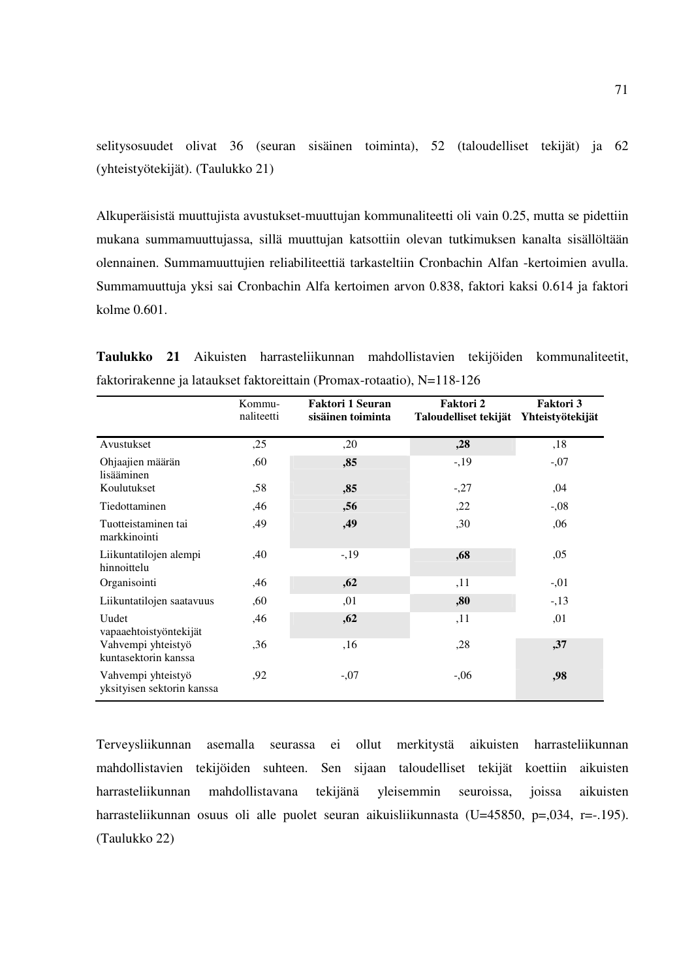selitysosuudet olivat 36 (seuran sisäinen toiminta), 52 (taloudelliset tekijät) ja 62 (yhteistyötekijät). (Taulukko 21)

Alkuperäisistä muuttujista avustukset-muuttujan kommunaliteetti oli vain 0.25, mutta se pidettiin mukana summamuuttujassa, sillä muuttujan katsottiin olevan tutkimuksen kanalta sisällöltään olennainen. Summamuuttujien reliabiliteettiä tarkasteltiin Cronbachin Alfan -kertoimien avulla. Summamuuttuja yksi sai Cronbachin Alfa kertoimen arvon 0.838, faktori kaksi 0.614 ja faktori kolme 0.601.

**Taulukko 21** Aikuisten harrasteliikunnan mahdollistavien tekijöiden kommunaliteetit, faktorirakenne ja lataukset faktoreittain (Promax-rotaatio), N=118-126

|                                                  | Kommu-<br>naliteetti | <b>Faktori 1 Seuran</b><br>sisäinen toiminta | Faktori 2<br>Taloudelliset tekijät | Faktori 3<br>Yhteistyötekijät |
|--------------------------------------------------|----------------------|----------------------------------------------|------------------------------------|-------------------------------|
| Avustukset                                       | ,25                  | ,20                                          | , 28                               | ,18                           |
| Ohjaajien määrän<br>lisääminen                   | ,60                  | ,85                                          | $-1,19$                            | $-0.07$                       |
| Koulutukset                                      | ,58                  | ,85                                          | $-27$                              | ,04                           |
| Tiedottaminen                                    | ,46                  | ,56                                          | ,22                                | $-0.08$                       |
| Tuotteistaminen tai<br>markkinointi              | ,49                  | ,49                                          | ,30                                | ,06                           |
| Liikuntatilojen alempi<br>hinnoittelu            | ,40                  | $-1,19$                                      | ,68                                | ,05                           |
| Organisointi                                     | ,46                  | ,62                                          | ,11                                | $-0.01$                       |
| Liikuntatilojen saatavuus                        | ,60                  | ,01                                          | ,80                                | $-13$                         |
| Uudet<br>vapaaehtoistyöntekijät                  | ,46                  | ,62                                          | ,11                                | ,01                           |
| Vahvempi yhteistyö<br>kuntasektorin kanssa       | ,36                  | ,16                                          | ,28                                | ,37                           |
| Vahvempi yhteistyö<br>yksityisen sektorin kanssa | .92                  | $-0.07$                                      | $-0.06$                            | ,98                           |

Terveysliikunnan asemalla seurassa ei ollut merkitystä aikuisten harrasteliikunnan mahdollistavien tekijöiden suhteen. Sen sijaan taloudelliset tekijät koettiin aikuisten harrasteliikunnan mahdollistavana tekijänä yleisemmin seuroissa, joissa aikuisten harrasteliikunnan osuus oli alle puolet seuran aikuisliikunnasta (U=45850, p=,034, r=-.195). (Taulukko 22)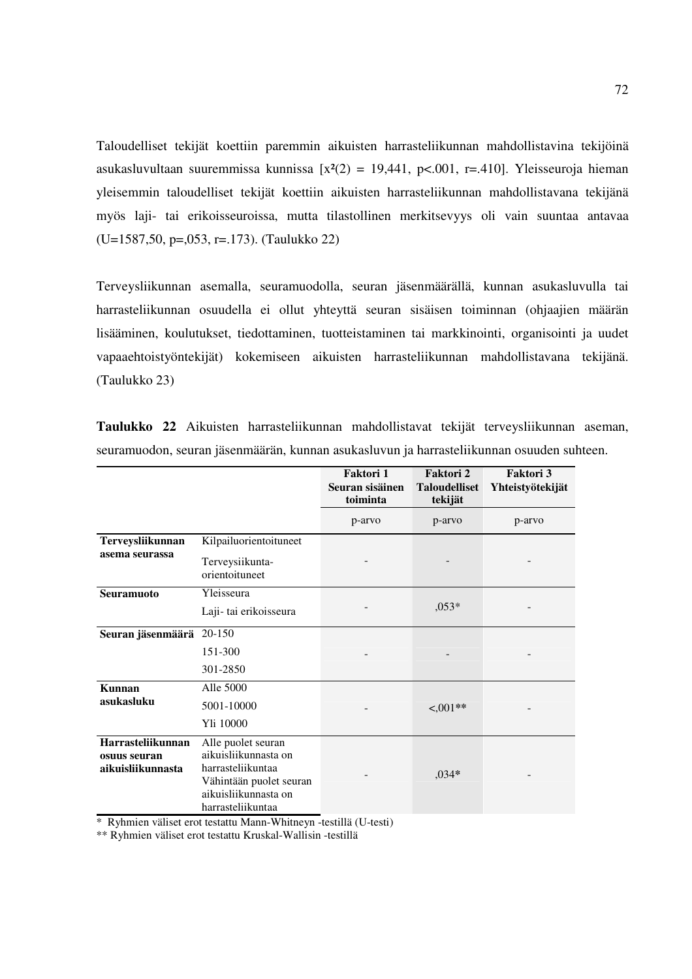Taloudelliset tekijät koettiin paremmin aikuisten harrasteliikunnan mahdollistavina tekijöinä asukasluvultaan suuremmissa kunnissa  $[x^{2}(2) = 19,441, p<.001, r=.410]$ . Yleisseuroja hieman yleisemmin taloudelliset tekijät koettiin aikuisten harrasteliikunnan mahdollistavana tekijänä myös laji- tai erikoisseuroissa, mutta tilastollinen merkitsevyys oli vain suuntaa antavaa (U=1587,50, p=,053, r=.173). (Taulukko 22)

Terveysliikunnan asemalla, seuramuodolla, seuran jäsenmäärällä, kunnan asukasluvulla tai harrasteliikunnan osuudella ei ollut yhteyttä seuran sisäisen toiminnan (ohjaajien määrän lisääminen, koulutukset, tiedottaminen, tuotteistaminen tai markkinointi, organisointi ja uudet vapaaehtoistyöntekijät) kokemiseen aikuisten harrasteliikunnan mahdollistavana tekijänä. (Taulukko 23)

|                                   |                                           | Faktori 1<br>Seuran sisäinen<br>toiminta | Faktori 2<br><b>Taloudelliset</b><br>tekijät | <b>Faktori 3</b><br>Yhteistyötekijät |
|-----------------------------------|-------------------------------------------|------------------------------------------|----------------------------------------------|--------------------------------------|
|                                   |                                           | p-arvo                                   | p-arvo                                       | p-arvo                               |
| Terveysliikunnan                  | Kilpailuorientoituneet                    |                                          |                                              |                                      |
| asema seurassa                    | Terveysiikunta-<br>orientoituneet         |                                          |                                              |                                      |
| Seuramuoto                        | Yleisseura                                |                                          |                                              |                                      |
|                                   | Laji-tai erikoisseura                     | $0.053*$                                 |                                              |                                      |
| Seuran jäsenmäärä                 | 20-150                                    |                                          |                                              |                                      |
|                                   | 151-300                                   |                                          |                                              |                                      |
|                                   | 301-2850                                  |                                          |                                              |                                      |
| Kunnan<br>asukasluku              | Alle 5000                                 |                                          |                                              |                                      |
|                                   | 5001-10000                                |                                          | $<001**$                                     |                                      |
|                                   | Yli 10000                                 |                                          |                                              |                                      |
| Harrasteliikunnan                 | Alle puolet seuran                        |                                          |                                              |                                      |
| osuus seuran<br>aikuisliikunnasta | aikuisliikunnasta on                      |                                          | $,034*$                                      |                                      |
|                                   | harrasteliikuntaa                         |                                          |                                              |                                      |
|                                   | Vähintään puolet seuran                   |                                          |                                              |                                      |
|                                   | aikuisliikunnasta on<br>harrasteliikuntaa |                                          |                                              |                                      |
|                                   |                                           |                                          |                                              |                                      |

**Taulukko 22** Aikuisten harrasteliikunnan mahdollistavat tekijät terveysliikunnan aseman, seuramuodon, seuran jäsenmäärän, kunnan asukasluvun ja harrasteliikunnan osuuden suhteen.

\* Ryhmien väliset erot testattu Mann-Whitneyn -testillä (U-testi)

\*\* Ryhmien väliset erot testattu Kruskal-Wallisin -testillä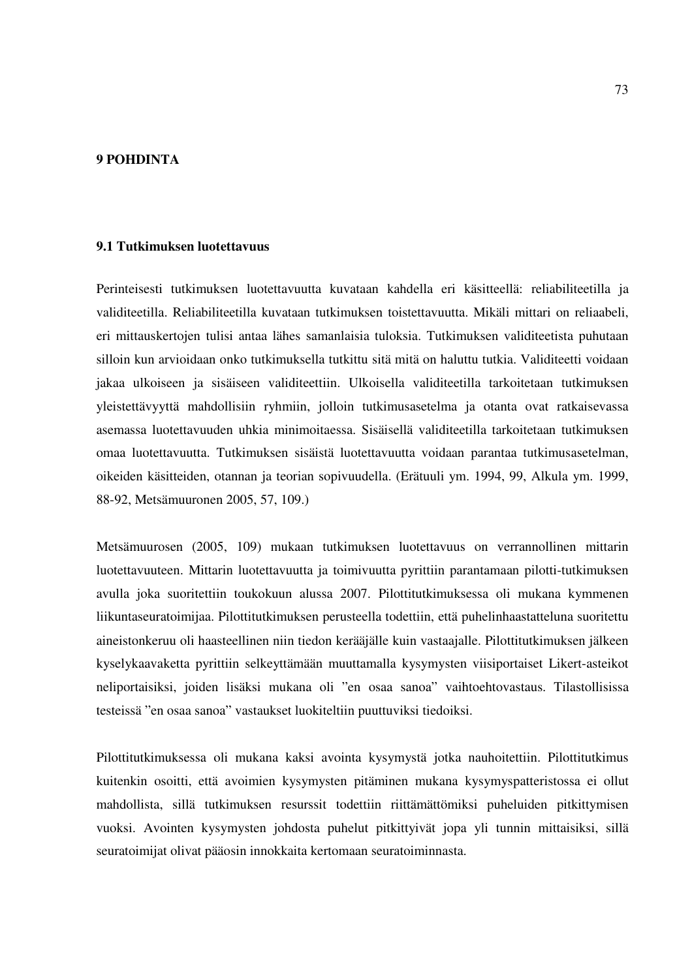## **9 POHDINTA**

#### **9.1 Tutkimuksen luotettavuus**

Perinteisesti tutkimuksen luotettavuutta kuvataan kahdella eri käsitteellä: reliabiliteetilla ja validiteetilla. Reliabiliteetilla kuvataan tutkimuksen toistettavuutta. Mikäli mittari on reliaabeli, eri mittauskertojen tulisi antaa lähes samanlaisia tuloksia. Tutkimuksen validiteetista puhutaan silloin kun arvioidaan onko tutkimuksella tutkittu sitä mitä on haluttu tutkia. Validiteetti voidaan jakaa ulkoiseen ja sisäiseen validiteettiin. Ulkoisella validiteetilla tarkoitetaan tutkimuksen yleistettävyyttä mahdollisiin ryhmiin, jolloin tutkimusasetelma ja otanta ovat ratkaisevassa asemassa luotettavuuden uhkia minimoitaessa. Sisäisellä validiteetilla tarkoitetaan tutkimuksen omaa luotettavuutta. Tutkimuksen sisäistä luotettavuutta voidaan parantaa tutkimusasetelman, oikeiden käsitteiden, otannan ja teorian sopivuudella. (Erätuuli ym. 1994, 99, Alkula ym. 1999, 88-92, Metsämuuronen 2005, 57, 109.)

Metsämuurosen (2005, 109) mukaan tutkimuksen luotettavuus on verrannollinen mittarin luotettavuuteen. Mittarin luotettavuutta ja toimivuutta pyrittiin parantamaan pilotti-tutkimuksen avulla joka suoritettiin toukokuun alussa 2007. Pilottitutkimuksessa oli mukana kymmenen liikuntaseuratoimijaa. Pilottitutkimuksen perusteella todettiin, että puhelinhaastatteluna suoritettu aineistonkeruu oli haasteellinen niin tiedon kerääjälle kuin vastaajalle. Pilottitutkimuksen jälkeen kyselykaavaketta pyrittiin selkeyttämään muuttamalla kysymysten viisiportaiset Likert-asteikot neliportaisiksi, joiden lisäksi mukana oli "en osaa sanoa" vaihtoehtovastaus. Tilastollisissa testeissä "en osaa sanoa" vastaukset luokiteltiin puuttuviksi tiedoiksi.

Pilottitutkimuksessa oli mukana kaksi avointa kysymystä jotka nauhoitettiin. Pilottitutkimus kuitenkin osoitti, että avoimien kysymysten pitäminen mukana kysymyspatteristossa ei ollut mahdollista, sillä tutkimuksen resurssit todettiin riittämättömiksi puheluiden pitkittymisen vuoksi. Avointen kysymysten johdosta puhelut pitkittyivät jopa yli tunnin mittaisiksi, sillä seuratoimijat olivat pääosin innokkaita kertomaan seuratoiminnasta.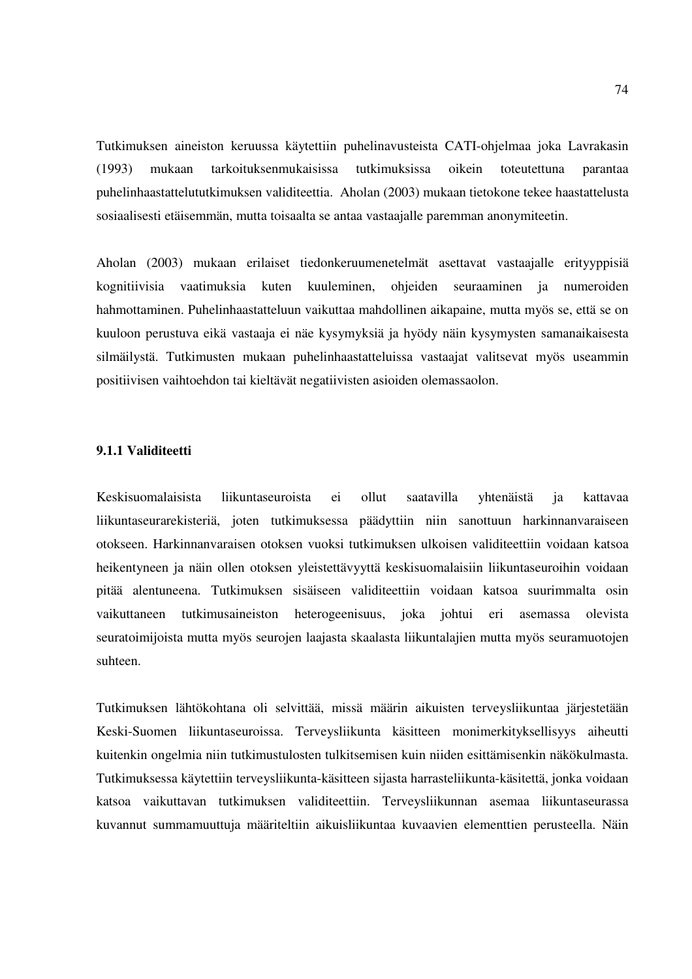Tutkimuksen aineiston keruussa käytettiin puhelinavusteista CATI-ohjelmaa joka Lavrakasin (1993) mukaan tarkoituksenmukaisissa tutkimuksissa oikein toteutettuna parantaa puhelinhaastattelututkimuksen validiteettia. Aholan (2003) mukaan tietokone tekee haastattelusta sosiaalisesti etäisemmän, mutta toisaalta se antaa vastaajalle paremman anonymiteetin.

Aholan (2003) mukaan erilaiset tiedonkeruumenetelmät asettavat vastaajalle erityyppisiä kognitiivisia vaatimuksia kuten kuuleminen, ohjeiden seuraaminen ja numeroiden hahmottaminen. Puhelinhaastatteluun vaikuttaa mahdollinen aikapaine, mutta myös se, että se on kuuloon perustuva eikä vastaaja ei näe kysymyksiä ja hyödy näin kysymysten samanaikaisesta silmäilystä. Tutkimusten mukaan puhelinhaastatteluissa vastaajat valitsevat myös useammin positiivisen vaihtoehdon tai kieltävät negatiivisten asioiden olemassaolon.

## **9.1.1 Validiteetti**

Keskisuomalaisista liikuntaseuroista ei ollut saatavilla yhtenäistä ja kattavaa liikuntaseurarekisteriä, joten tutkimuksessa päädyttiin niin sanottuun harkinnanvaraiseen otokseen. Harkinnanvaraisen otoksen vuoksi tutkimuksen ulkoisen validiteettiin voidaan katsoa heikentyneen ja näin ollen otoksen yleistettävyyttä keskisuomalaisiin liikuntaseuroihin voidaan pitää alentuneena. Tutkimuksen sisäiseen validiteettiin voidaan katsoa suurimmalta osin vaikuttaneen tutkimusaineiston heterogeenisuus, joka johtui eri asemassa olevista seuratoimijoista mutta myös seurojen laajasta skaalasta liikuntalajien mutta myös seuramuotojen suhteen.

Tutkimuksen lähtökohtana oli selvittää, missä määrin aikuisten terveysliikuntaa järjestetään Keski-Suomen liikuntaseuroissa. Terveysliikunta käsitteen monimerkityksellisyys aiheutti kuitenkin ongelmia niin tutkimustulosten tulkitsemisen kuin niiden esittämisenkin näkökulmasta. Tutkimuksessa käytettiin terveysliikunta-käsitteen sijasta harrasteliikunta-käsitettä, jonka voidaan katsoa vaikuttavan tutkimuksen validiteettiin. Terveysliikunnan asemaa liikuntaseurassa kuvannut summamuuttuja määriteltiin aikuisliikuntaa kuvaavien elementtien perusteella. Näin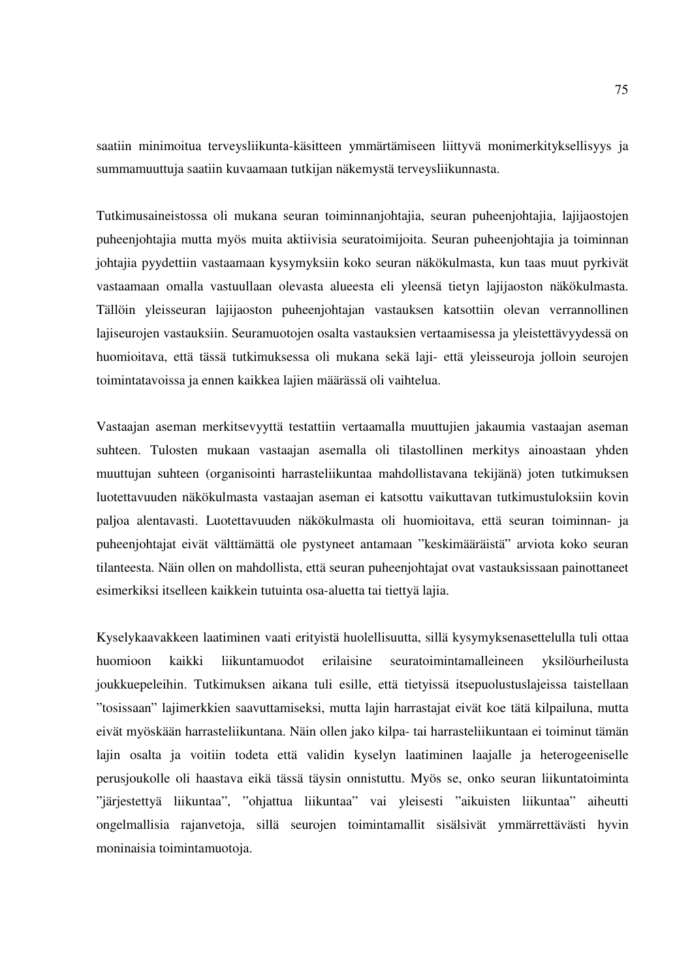saatiin minimoitua terveysliikunta-käsitteen ymmärtämiseen liittyvä monimerkityksellisyys ja summamuuttuja saatiin kuvaamaan tutkijan näkemystä terveysliikunnasta.

Tutkimusaineistossa oli mukana seuran toiminnanjohtajia, seuran puheenjohtajia, lajijaostojen puheenjohtajia mutta myös muita aktiivisia seuratoimijoita. Seuran puheenjohtajia ja toiminnan johtajia pyydettiin vastaamaan kysymyksiin koko seuran näkökulmasta, kun taas muut pyrkivät vastaamaan omalla vastuullaan olevasta alueesta eli yleensä tietyn lajijaoston näkökulmasta. Tällöin yleisseuran lajijaoston puheenjohtajan vastauksen katsottiin olevan verrannollinen lajiseurojen vastauksiin. Seuramuotojen osalta vastauksien vertaamisessa ja yleistettävyydessä on huomioitava, että tässä tutkimuksessa oli mukana sekä laji- että yleisseuroja jolloin seurojen toimintatavoissa ja ennen kaikkea lajien määrässä oli vaihtelua.

Vastaajan aseman merkitsevyyttä testattiin vertaamalla muuttujien jakaumia vastaajan aseman suhteen. Tulosten mukaan vastaajan asemalla oli tilastollinen merkitys ainoastaan yhden muuttujan suhteen (organisointi harrasteliikuntaa mahdollistavana tekijänä) joten tutkimuksen luotettavuuden näkökulmasta vastaajan aseman ei katsottu vaikuttavan tutkimustuloksiin kovin paljoa alentavasti. Luotettavuuden näkökulmasta oli huomioitava, että seuran toiminnan- ja puheenjohtajat eivät välttämättä ole pystyneet antamaan "keskimääräistä" arviota koko seuran tilanteesta. Näin ollen on mahdollista, että seuran puheenjohtajat ovat vastauksissaan painottaneet esimerkiksi itselleen kaikkein tutuinta osa-aluetta tai tiettyä lajia.

Kyselykaavakkeen laatiminen vaati erityistä huolellisuutta, sillä kysymyksenasettelulla tuli ottaa huomioon kaikki liikuntamuodot erilaisine seuratoimintamalleineen yksilöurheilusta joukkuepeleihin. Tutkimuksen aikana tuli esille, että tietyissä itsepuolustuslajeissa taistellaan "tosissaan" lajimerkkien saavuttamiseksi, mutta lajin harrastajat eivät koe tätä kilpailuna, mutta eivät myöskään harrasteliikuntana. Näin ollen jako kilpa- tai harrasteliikuntaan ei toiminut tämän lajin osalta ja voitiin todeta että validin kyselyn laatiminen laajalle ja heterogeeniselle perusjoukolle oli haastava eikä tässä täysin onnistuttu. Myös se, onko seuran liikuntatoiminta "järjestettyä liikuntaa", "ohjattua liikuntaa" vai yleisesti "aikuisten liikuntaa" aiheutti ongelmallisia rajanvetoja, sillä seurojen toimintamallit sisälsivät ymmärrettävästi hyvin moninaisia toimintamuotoja.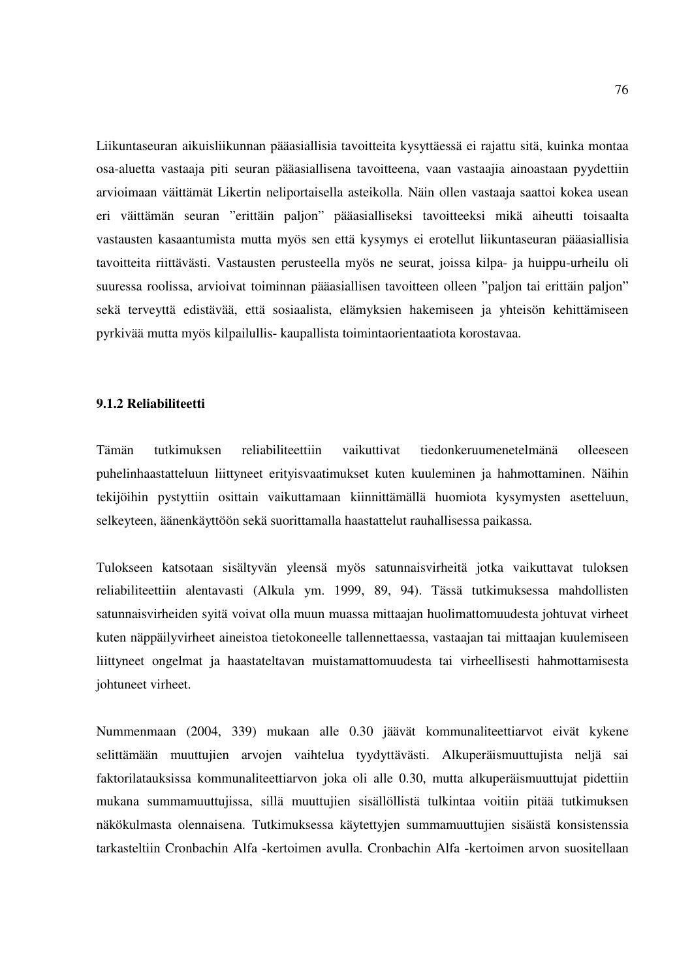Liikuntaseuran aikuisliikunnan pääasiallisia tavoitteita kysyttäessä ei rajattu sitä, kuinka montaa osa-aluetta vastaaja piti seuran pääasiallisena tavoitteena, vaan vastaajia ainoastaan pyydettiin arvioimaan väittämät Likertin neliportaisella asteikolla. Näin ollen vastaaja saattoi kokea usean eri väittämän seuran "erittäin paljon" pääasialliseksi tavoitteeksi mikä aiheutti toisaalta vastausten kasaantumista mutta myös sen että kysymys ei erotellut liikuntaseuran pääasiallisia tavoitteita riittävästi. Vastausten perusteella myös ne seurat, joissa kilpa- ja huippu-urheilu oli suuressa roolissa, arvioivat toiminnan pääasiallisen tavoitteen olleen "paljon tai erittäin paljon" sekä terveyttä edistävää, että sosiaalista, elämyksien hakemiseen ja yhteisön kehittämiseen pyrkivää mutta myös kilpailullis- kaupallista toimintaorientaatiota korostavaa.

## **9.1.2 Reliabiliteetti**

Tämän tutkimuksen reliabiliteettiin vaikuttivat tiedonkeruumenetelmänä olleeseen puhelinhaastatteluun liittyneet erityisvaatimukset kuten kuuleminen ja hahmottaminen. Näihin tekijöihin pystyttiin osittain vaikuttamaan kiinnittämällä huomiota kysymysten asetteluun, selkeyteen, äänenkäyttöön sekä suorittamalla haastattelut rauhallisessa paikassa.

Tulokseen katsotaan sisältyvän yleensä myös satunnaisvirheitä jotka vaikuttavat tuloksen reliabiliteettiin alentavasti (Alkula ym. 1999, 89, 94). Tässä tutkimuksessa mahdollisten satunnaisvirheiden syitä voivat olla muun muassa mittaajan huolimattomuudesta johtuvat virheet kuten näppäilyvirheet aineistoa tietokoneelle tallennettaessa, vastaajan tai mittaajan kuulemiseen liittyneet ongelmat ja haastateltavan muistamattomuudesta tai virheellisesti hahmottamisesta johtuneet virheet.

Nummenmaan (2004, 339) mukaan alle 0.30 jäävät kommunaliteettiarvot eivät kykene selittämään muuttujien arvojen vaihtelua tyydyttävästi. Alkuperäismuuttujista neljä sai faktorilatauksissa kommunaliteettiarvon joka oli alle 0.30, mutta alkuperäismuuttujat pidettiin mukana summamuuttujissa, sillä muuttujien sisällöllistä tulkintaa voitiin pitää tutkimuksen näkökulmasta olennaisena. Tutkimuksessa käytettyjen summamuuttujien sisäistä konsistenssia tarkasteltiin Cronbachin Alfa -kertoimen avulla. Cronbachin Alfa -kertoimen arvon suositellaan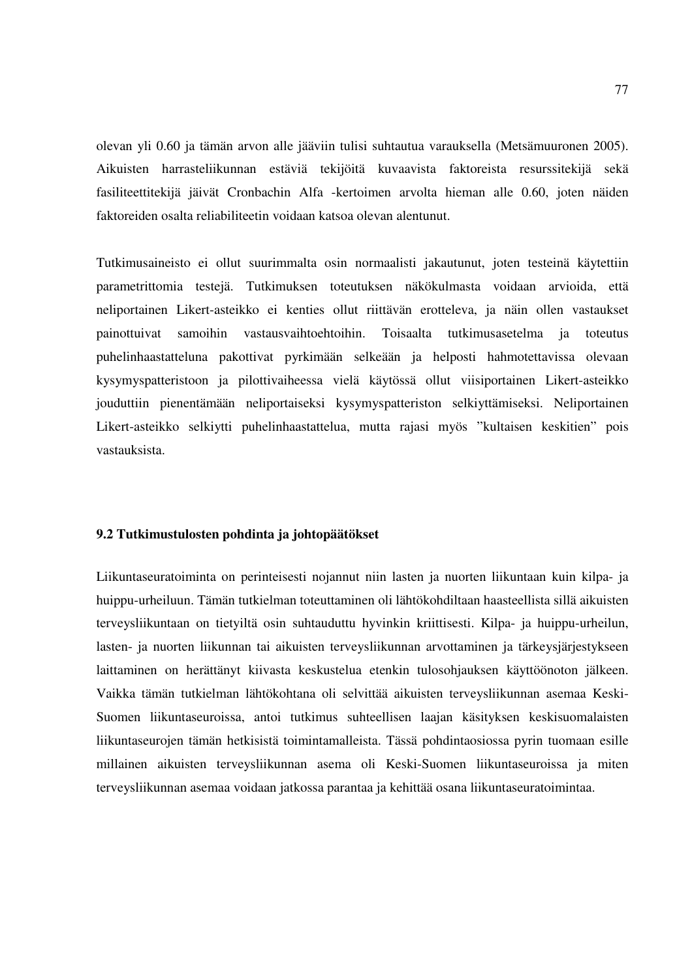olevan yli 0.60 ja tämän arvon alle jääviin tulisi suhtautua varauksella (Metsämuuronen 2005). Aikuisten harrasteliikunnan estäviä tekijöitä kuvaavista faktoreista resurssitekijä sekä fasiliteettitekijä jäivät Cronbachin Alfa -kertoimen arvolta hieman alle 0.60, joten näiden faktoreiden osalta reliabiliteetin voidaan katsoa olevan alentunut.

Tutkimusaineisto ei ollut suurimmalta osin normaalisti jakautunut, joten testeinä käytettiin parametrittomia testejä. Tutkimuksen toteutuksen näkökulmasta voidaan arvioida, että neliportainen Likert-asteikko ei kenties ollut riittävän erotteleva, ja näin ollen vastaukset painottuivat samoihin vastausvaihtoehtoihin. Toisaalta tutkimusasetelma ja toteutus puhelinhaastatteluna pakottivat pyrkimään selkeään ja helposti hahmotettavissa olevaan kysymyspatteristoon ja pilottivaiheessa vielä käytössä ollut viisiportainen Likert-asteikko jouduttiin pienentämään neliportaiseksi kysymyspatteriston selkiyttämiseksi. Neliportainen Likert-asteikko selkiytti puhelinhaastattelua, mutta rajasi myös "kultaisen keskitien" pois vastauksista.

#### **9.2 Tutkimustulosten pohdinta ja johtopäätökset**

Liikuntaseuratoiminta on perinteisesti nojannut niin lasten ja nuorten liikuntaan kuin kilpa- ja huippu-urheiluun. Tämän tutkielman toteuttaminen oli lähtökohdiltaan haasteellista sillä aikuisten terveysliikuntaan on tietyiltä osin suhtauduttu hyvinkin kriittisesti. Kilpa- ja huippu-urheilun, lasten- ja nuorten liikunnan tai aikuisten terveysliikunnan arvottaminen ja tärkeysjärjestykseen laittaminen on herättänyt kiivasta keskustelua etenkin tulosohjauksen käyttöönoton jälkeen. Vaikka tämän tutkielman lähtökohtana oli selvittää aikuisten terveysliikunnan asemaa Keski-Suomen liikuntaseuroissa, antoi tutkimus suhteellisen laajan käsityksen keskisuomalaisten liikuntaseurojen tämän hetkisistä toimintamalleista. Tässä pohdintaosiossa pyrin tuomaan esille millainen aikuisten terveysliikunnan asema oli Keski-Suomen liikuntaseuroissa ja miten terveysliikunnan asemaa voidaan jatkossa parantaa ja kehittää osana liikuntaseuratoimintaa.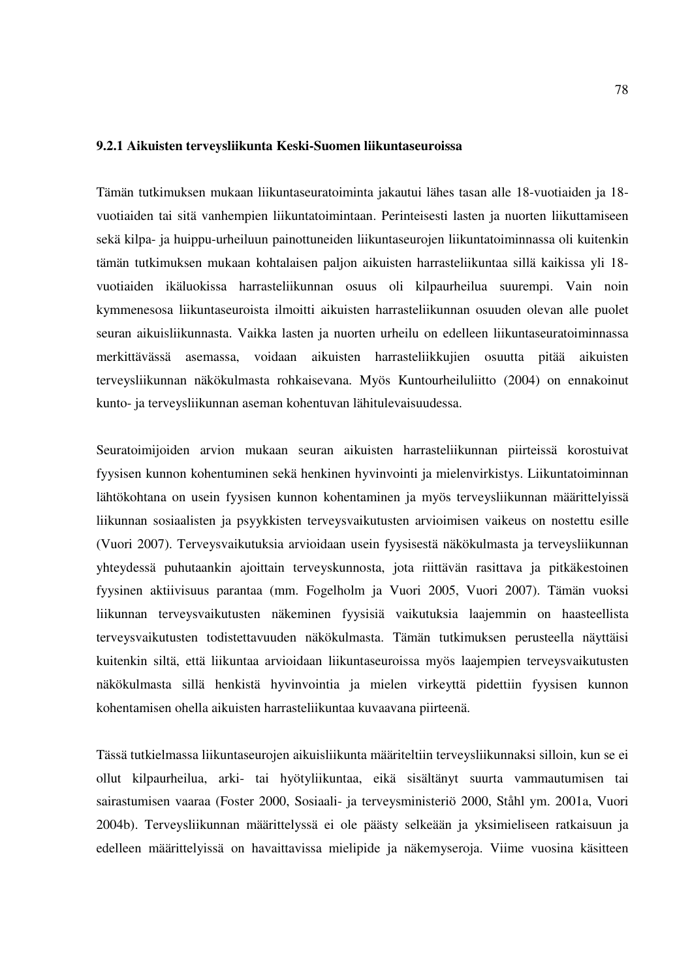#### **9.2.1 Aikuisten terveysliikunta Keski-Suomen liikuntaseuroissa**

Tämän tutkimuksen mukaan liikuntaseuratoiminta jakautui lähes tasan alle 18-vuotiaiden ja 18 vuotiaiden tai sitä vanhempien liikuntatoimintaan. Perinteisesti lasten ja nuorten liikuttamiseen sekä kilpa- ja huippu-urheiluun painottuneiden liikuntaseurojen liikuntatoiminnassa oli kuitenkin tämän tutkimuksen mukaan kohtalaisen paljon aikuisten harrasteliikuntaa sillä kaikissa yli 18 vuotiaiden ikäluokissa harrasteliikunnan osuus oli kilpaurheilua suurempi. Vain noin kymmenesosa liikuntaseuroista ilmoitti aikuisten harrasteliikunnan osuuden olevan alle puolet seuran aikuisliikunnasta. Vaikka lasten ja nuorten urheilu on edelleen liikuntaseuratoiminnassa merkittävässä asemassa, voidaan aikuisten harrasteliikkujien osuutta pitää aikuisten terveysliikunnan näkökulmasta rohkaisevana. Myös Kuntourheiluliitto (2004) on ennakoinut kunto- ja terveysliikunnan aseman kohentuvan lähitulevaisuudessa.

Seuratoimijoiden arvion mukaan seuran aikuisten harrasteliikunnan piirteissä korostuivat fyysisen kunnon kohentuminen sekä henkinen hyvinvointi ja mielenvirkistys. Liikuntatoiminnan lähtökohtana on usein fyysisen kunnon kohentaminen ja myös terveysliikunnan määrittelyissä liikunnan sosiaalisten ja psyykkisten terveysvaikutusten arvioimisen vaikeus on nostettu esille (Vuori 2007). Terveysvaikutuksia arvioidaan usein fyysisestä näkökulmasta ja terveysliikunnan yhteydessä puhutaankin ajoittain terveyskunnosta, jota riittävän rasittava ja pitkäkestoinen fyysinen aktiivisuus parantaa (mm. Fogelholm ja Vuori 2005, Vuori 2007). Tämän vuoksi liikunnan terveysvaikutusten näkeminen fyysisiä vaikutuksia laajemmin on haasteellista terveysvaikutusten todistettavuuden näkökulmasta. Tämän tutkimuksen perusteella näyttäisi kuitenkin siltä, että liikuntaa arvioidaan liikuntaseuroissa myös laajempien terveysvaikutusten näkökulmasta sillä henkistä hyvinvointia ja mielen virkeyttä pidettiin fyysisen kunnon kohentamisen ohella aikuisten harrasteliikuntaa kuvaavana piirteenä.

Tässä tutkielmassa liikuntaseurojen aikuisliikunta määriteltiin terveysliikunnaksi silloin, kun se ei ollut kilpaurheilua, arki- tai hyötyliikuntaa, eikä sisältänyt suurta vammautumisen tai sairastumisen vaaraa (Foster 2000, Sosiaali- ja terveysministeriö 2000, Ståhl ym. 2001a, Vuori 2004b). Terveysliikunnan määrittelyssä ei ole päästy selkeään ja yksimieliseen ratkaisuun ja edelleen määrittelyissä on havaittavissa mielipide ja näkemyseroja. Viime vuosina käsitteen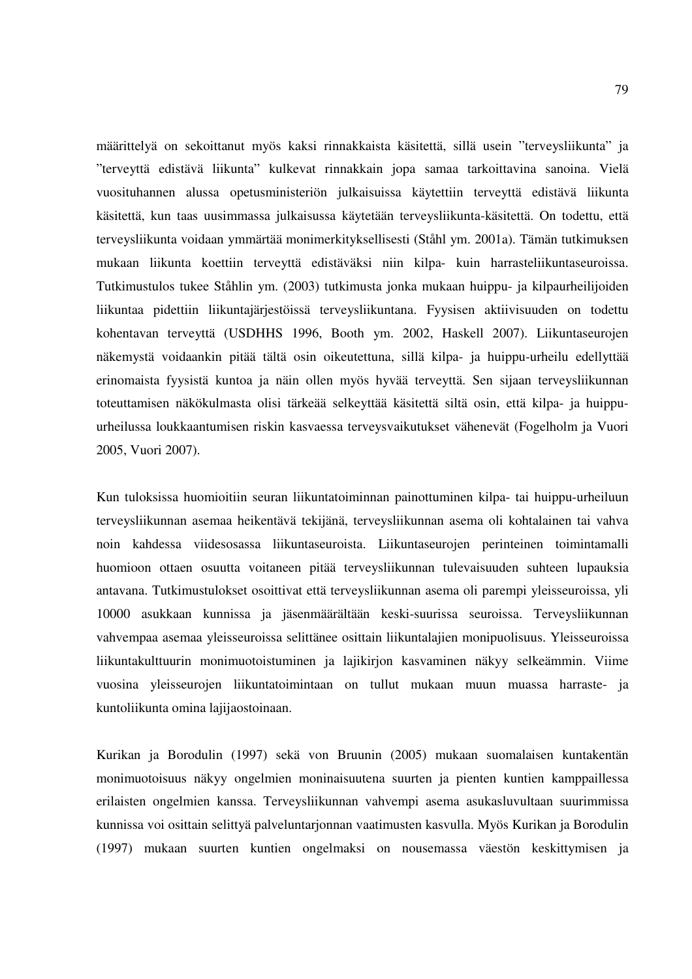määrittelyä on sekoittanut myös kaksi rinnakkaista käsitettä, sillä usein "terveysliikunta" ja "terveyttä edistävä liikunta" kulkevat rinnakkain jopa samaa tarkoittavina sanoina. Vielä vuosituhannen alussa opetusministeriön julkaisuissa käytettiin terveyttä edistävä liikunta käsitettä, kun taas uusimmassa julkaisussa käytetään terveysliikunta-käsitettä. On todettu, että terveysliikunta voidaan ymmärtää monimerkityksellisesti (Ståhl ym. 2001a). Tämän tutkimuksen mukaan liikunta koettiin terveyttä edistäväksi niin kilpa- kuin harrasteliikuntaseuroissa. Tutkimustulos tukee Ståhlin ym. (2003) tutkimusta jonka mukaan huippu- ja kilpaurheilijoiden liikuntaa pidettiin liikuntajärjestöissä terveysliikuntana. Fyysisen aktiivisuuden on todettu kohentavan terveyttä (USDHHS 1996, Booth ym. 2002, Haskell 2007). Liikuntaseurojen näkemystä voidaankin pitää tältä osin oikeutettuna, sillä kilpa- ja huippu-urheilu edellyttää erinomaista fyysistä kuntoa ja näin ollen myös hyvää terveyttä. Sen sijaan terveysliikunnan toteuttamisen näkökulmasta olisi tärkeää selkeyttää käsitettä siltä osin, että kilpa- ja huippuurheilussa loukkaantumisen riskin kasvaessa terveysvaikutukset vähenevät (Fogelholm ja Vuori 2005, Vuori 2007).

Kun tuloksissa huomioitiin seuran liikuntatoiminnan painottuminen kilpa- tai huippu-urheiluun terveysliikunnan asemaa heikentävä tekijänä, terveysliikunnan asema oli kohtalainen tai vahva noin kahdessa viidesosassa liikuntaseuroista. Liikuntaseurojen perinteinen toimintamalli huomioon ottaen osuutta voitaneen pitää terveysliikunnan tulevaisuuden suhteen lupauksia antavana. Tutkimustulokset osoittivat että terveysliikunnan asema oli parempi yleisseuroissa, yli 10000 asukkaan kunnissa ja jäsenmäärältään keski-suurissa seuroissa. Terveysliikunnan vahvempaa asemaa yleisseuroissa selittänee osittain liikuntalajien monipuolisuus. Yleisseuroissa liikuntakulttuurin monimuotoistuminen ja lajikirjon kasvaminen näkyy selkeämmin. Viime vuosina yleisseurojen liikuntatoimintaan on tullut mukaan muun muassa harraste- ja kuntoliikunta omina lajijaostoinaan.

Kurikan ja Borodulin (1997) sekä von Bruunin (2005) mukaan suomalaisen kuntakentän monimuotoisuus näkyy ongelmien moninaisuutena suurten ja pienten kuntien kamppaillessa erilaisten ongelmien kanssa. Terveysliikunnan vahvempi asema asukasluvultaan suurimmissa kunnissa voi osittain selittyä palveluntarjonnan vaatimusten kasvulla. Myös Kurikan ja Borodulin (1997) mukaan suurten kuntien ongelmaksi on nousemassa väestön keskittymisen ja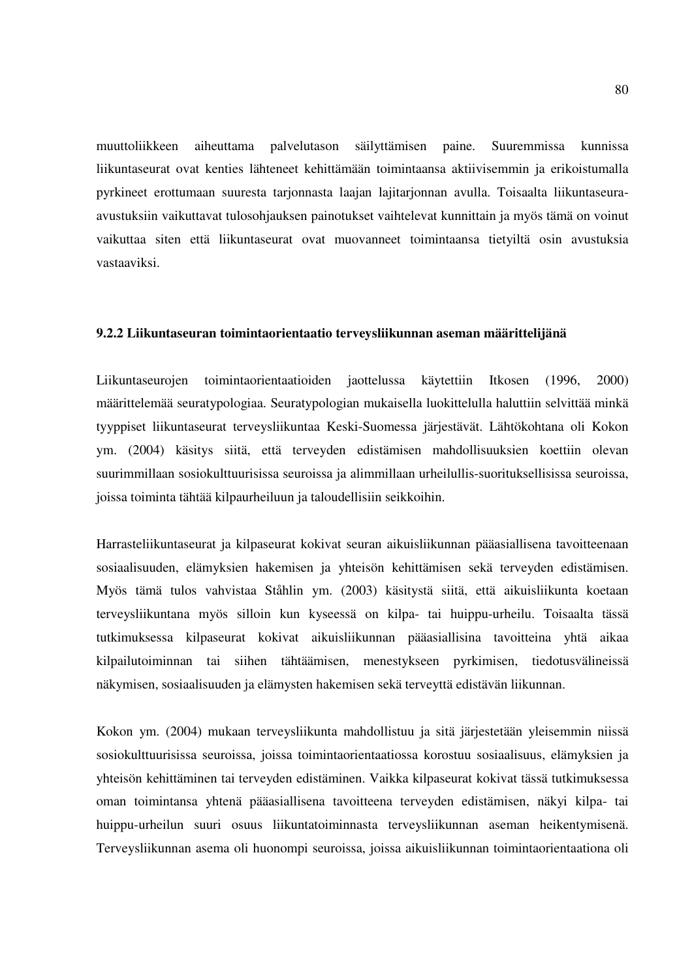muuttoliikkeen aiheuttama palvelutason säilyttämisen paine. Suuremmissa kunnissa liikuntaseurat ovat kenties lähteneet kehittämään toimintaansa aktiivisemmin ja erikoistumalla pyrkineet erottumaan suuresta tarjonnasta laajan lajitarjonnan avulla. Toisaalta liikuntaseuraavustuksiin vaikuttavat tulosohjauksen painotukset vaihtelevat kunnittain ja myös tämä on voinut vaikuttaa siten että liikuntaseurat ovat muovanneet toimintaansa tietyiltä osin avustuksia vastaaviksi.

#### **9.2.2 Liikuntaseuran toimintaorientaatio terveysliikunnan aseman määrittelijänä**

Liikuntaseurojen toimintaorientaatioiden jaottelussa käytettiin Itkosen (1996, 2000) määrittelemää seuratypologiaa. Seuratypologian mukaisella luokittelulla haluttiin selvittää minkä tyyppiset liikuntaseurat terveysliikuntaa Keski-Suomessa järjestävät. Lähtökohtana oli Kokon ym. (2004) käsitys siitä, että terveyden edistämisen mahdollisuuksien koettiin olevan suurimmillaan sosiokulttuurisissa seuroissa ja alimmillaan urheilullis-suorituksellisissa seuroissa, joissa toiminta tähtää kilpaurheiluun ja taloudellisiin seikkoihin.

Harrasteliikuntaseurat ja kilpaseurat kokivat seuran aikuisliikunnan pääasiallisena tavoitteenaan sosiaalisuuden, elämyksien hakemisen ja yhteisön kehittämisen sekä terveyden edistämisen. Myös tämä tulos vahvistaa Ståhlin ym. (2003) käsitystä siitä, että aikuisliikunta koetaan terveysliikuntana myös silloin kun kyseessä on kilpa- tai huippu-urheilu. Toisaalta tässä tutkimuksessa kilpaseurat kokivat aikuisliikunnan pääasiallisina tavoitteina yhtä aikaa kilpailutoiminnan tai siihen tähtäämisen, menestykseen pyrkimisen, tiedotusvälineissä näkymisen, sosiaalisuuden ja elämysten hakemisen sekä terveyttä edistävän liikunnan.

Kokon ym. (2004) mukaan terveysliikunta mahdollistuu ja sitä järjestetään yleisemmin niissä sosiokulttuurisissa seuroissa, joissa toimintaorientaatiossa korostuu sosiaalisuus, elämyksien ja yhteisön kehittäminen tai terveyden edistäminen. Vaikka kilpaseurat kokivat tässä tutkimuksessa oman toimintansa yhtenä pääasiallisena tavoitteena terveyden edistämisen, näkyi kilpa- tai huippu-urheilun suuri osuus liikuntatoiminnasta terveysliikunnan aseman heikentymisenä. Terveysliikunnan asema oli huonompi seuroissa, joissa aikuisliikunnan toimintaorientaationa oli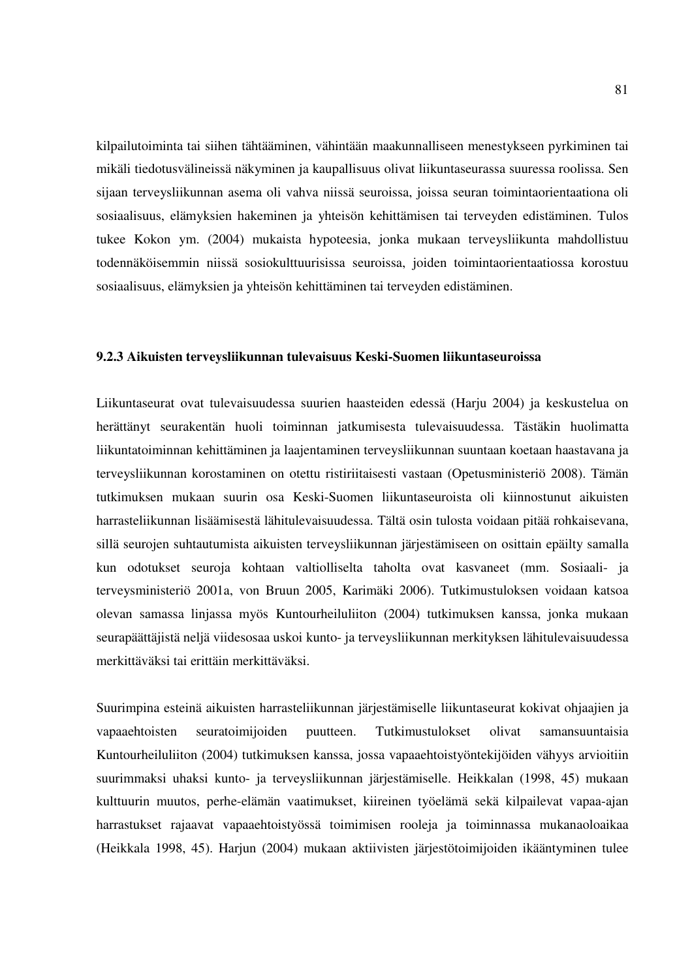kilpailutoiminta tai siihen tähtääminen, vähintään maakunnalliseen menestykseen pyrkiminen tai mikäli tiedotusvälineissä näkyminen ja kaupallisuus olivat liikuntaseurassa suuressa roolissa. Sen sijaan terveysliikunnan asema oli vahva niissä seuroissa, joissa seuran toimintaorientaationa oli sosiaalisuus, elämyksien hakeminen ja yhteisön kehittämisen tai terveyden edistäminen. Tulos tukee Kokon ym. (2004) mukaista hypoteesia, jonka mukaan terveysliikunta mahdollistuu todennäköisemmin niissä sosiokulttuurisissa seuroissa, joiden toimintaorientaatiossa korostuu sosiaalisuus, elämyksien ja yhteisön kehittäminen tai terveyden edistäminen.

#### **9.2.3 Aikuisten terveysliikunnan tulevaisuus Keski-Suomen liikuntaseuroissa**

Liikuntaseurat ovat tulevaisuudessa suurien haasteiden edessä (Harju 2004) ja keskustelua on herättänyt seurakentän huoli toiminnan jatkumisesta tulevaisuudessa. Tästäkin huolimatta liikuntatoiminnan kehittäminen ja laajentaminen terveysliikunnan suuntaan koetaan haastavana ja terveysliikunnan korostaminen on otettu ristiriitaisesti vastaan (Opetusministeriö 2008). Tämän tutkimuksen mukaan suurin osa Keski-Suomen liikuntaseuroista oli kiinnostunut aikuisten harrasteliikunnan lisäämisestä lähitulevaisuudessa. Tältä osin tulosta voidaan pitää rohkaisevana, sillä seurojen suhtautumista aikuisten terveysliikunnan järjestämiseen on osittain epäilty samalla kun odotukset seuroja kohtaan valtiolliselta taholta ovat kasvaneet (mm. Sosiaali- ja terveysministeriö 2001a, von Bruun 2005, Karimäki 2006). Tutkimustuloksen voidaan katsoa olevan samassa linjassa myös Kuntourheiluliiton (2004) tutkimuksen kanssa, jonka mukaan seurapäättäjistä neljä viidesosaa uskoi kunto- ja terveysliikunnan merkityksen lähitulevaisuudessa merkittäväksi tai erittäin merkittäväksi.

Suurimpina esteinä aikuisten harrasteliikunnan järjestämiselle liikuntaseurat kokivat ohjaajien ja vapaaehtoisten seuratoimijoiden puutteen. Tutkimustulokset olivat samansuuntaisia Kuntourheiluliiton (2004) tutkimuksen kanssa, jossa vapaaehtoistyöntekijöiden vähyys arvioitiin suurimmaksi uhaksi kunto- ja terveysliikunnan järjestämiselle. Heikkalan (1998, 45) mukaan kulttuurin muutos, perhe-elämän vaatimukset, kiireinen työelämä sekä kilpailevat vapaa-ajan harrastukset rajaavat vapaaehtoistyössä toimimisen rooleja ja toiminnassa mukanaoloaikaa (Heikkala 1998, 45). Harjun (2004) mukaan aktiivisten järjestötoimijoiden ikääntyminen tulee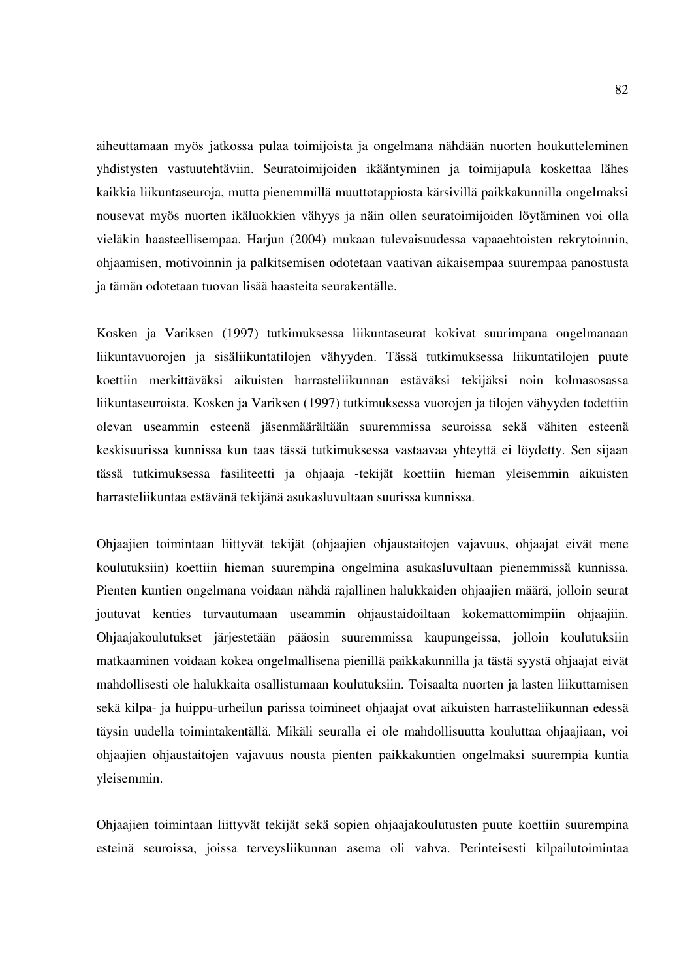aiheuttamaan myös jatkossa pulaa toimijoista ja ongelmana nähdään nuorten houkutteleminen yhdistysten vastuutehtäviin. Seuratoimijoiden ikääntyminen ja toimijapula koskettaa lähes kaikkia liikuntaseuroja, mutta pienemmillä muuttotappiosta kärsivillä paikkakunnilla ongelmaksi nousevat myös nuorten ikäluokkien vähyys ja näin ollen seuratoimijoiden löytäminen voi olla vieläkin haasteellisempaa. Harjun (2004) mukaan tulevaisuudessa vapaaehtoisten rekrytoinnin, ohjaamisen, motivoinnin ja palkitsemisen odotetaan vaativan aikaisempaa suurempaa panostusta ja tämän odotetaan tuovan lisää haasteita seurakentälle.

Kosken ja Variksen (1997) tutkimuksessa liikuntaseurat kokivat suurimpana ongelmanaan liikuntavuorojen ja sisäliikuntatilojen vähyyden. Tässä tutkimuksessa liikuntatilojen puute koettiin merkittäväksi aikuisten harrasteliikunnan estäväksi tekijäksi noin kolmasosassa liikuntaseuroista. Kosken ja Variksen (1997) tutkimuksessa vuorojen ja tilojen vähyyden todettiin olevan useammin esteenä jäsenmäärältään suuremmissa seuroissa sekä vähiten esteenä keskisuurissa kunnissa kun taas tässä tutkimuksessa vastaavaa yhteyttä ei löydetty. Sen sijaan tässä tutkimuksessa fasiliteetti ja ohjaaja -tekijät koettiin hieman yleisemmin aikuisten harrasteliikuntaa estävänä tekijänä asukasluvultaan suurissa kunnissa.

Ohjaajien toimintaan liittyvät tekijät (ohjaajien ohjaustaitojen vajavuus, ohjaajat eivät mene koulutuksiin) koettiin hieman suurempina ongelmina asukasluvultaan pienemmissä kunnissa. Pienten kuntien ongelmana voidaan nähdä rajallinen halukkaiden ohjaajien määrä, jolloin seurat joutuvat kenties turvautumaan useammin ohjaustaidoiltaan kokemattomimpiin ohjaajiin. Ohjaajakoulutukset järjestetään pääosin suuremmissa kaupungeissa, jolloin koulutuksiin matkaaminen voidaan kokea ongelmallisena pienillä paikkakunnilla ja tästä syystä ohjaajat eivät mahdollisesti ole halukkaita osallistumaan koulutuksiin. Toisaalta nuorten ja lasten liikuttamisen sekä kilpa- ja huippu-urheilun parissa toimineet ohjaajat ovat aikuisten harrasteliikunnan edessä täysin uudella toimintakentällä. Mikäli seuralla ei ole mahdollisuutta kouluttaa ohjaajiaan, voi ohjaajien ohjaustaitojen vajavuus nousta pienten paikkakuntien ongelmaksi suurempia kuntia yleisemmin.

Ohjaajien toimintaan liittyvät tekijät sekä sopien ohjaajakoulutusten puute koettiin suurempina esteinä seuroissa, joissa terveysliikunnan asema oli vahva. Perinteisesti kilpailutoimintaa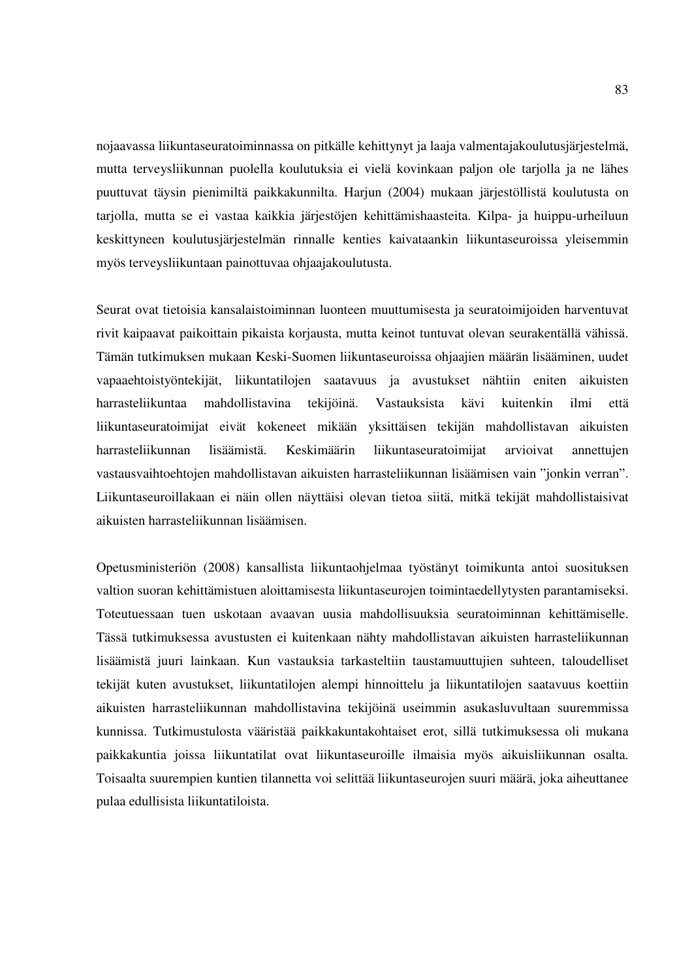nojaavassa liikuntaseuratoiminnassa on pitkälle kehittynyt ja laaja valmentajakoulutusjärjestelmä, mutta terveysliikunnan puolella koulutuksia ei vielä kovinkaan paljon ole tarjolla ja ne lähes puuttuvat täysin pienimiltä paikkakunnilta. Harjun (2004) mukaan järjestöllistä koulutusta on tarjolla, mutta se ei vastaa kaikkia järjestöjen kehittämishaasteita. Kilpa- ja huippu-urheiluun keskittyneen koulutusjärjestelmän rinnalle kenties kaivataankin liikuntaseuroissa yleisemmin myös terveysliikuntaan painottuvaa ohjaajakoulutusta.

Seurat ovat tietoisia kansalaistoiminnan luonteen muuttumisesta ja seuratoimijoiden harventuvat rivit kaipaavat paikoittain pikaista korjausta, mutta keinot tuntuvat olevan seurakentällä vähissä. Tämän tutkimuksen mukaan Keski-Suomen liikuntaseuroissa ohjaajien määrän lisääminen, uudet vapaaehtoistyöntekijät, liikuntatilojen saatavuus ja avustukset nähtiin eniten aikuisten harrasteliikuntaa mahdollistavina tekijöinä. Vastauksista kävi kuitenkin ilmi että liikuntaseuratoimijat eivät kokeneet mikään yksittäisen tekijän mahdollistavan aikuisten harrasteliikunnan lisäämistä. Keskimäärin liikuntaseuratoimijat arvioivat annettujen vastausvaihtoehtojen mahdollistavan aikuisten harrasteliikunnan lisäämisen vain "jonkin verran". Liikuntaseuroillakaan ei näin ollen näyttäisi olevan tietoa siitä, mitkä tekijät mahdollistaisivat aikuisten harrasteliikunnan lisäämisen.

Opetusministeriön (2008) kansallista liikuntaohjelmaa työstänyt toimikunta antoi suosituksen valtion suoran kehittämistuen aloittamisesta liikuntaseurojen toimintaedellytysten parantamiseksi. Toteutuessaan tuen uskotaan avaavan uusia mahdollisuuksia seuratoiminnan kehittämiselle. Tässä tutkimuksessa avustusten ei kuitenkaan nähty mahdollistavan aikuisten harrasteliikunnan lisäämistä juuri lainkaan. Kun vastauksia tarkasteltiin taustamuuttujien suhteen, taloudelliset tekijät kuten avustukset, liikuntatilojen alempi hinnoittelu ja liikuntatilojen saatavuus koettiin aikuisten harrasteliikunnan mahdollistavina tekijöinä useimmin asukasluvultaan suuremmissa kunnissa. Tutkimustulosta vääristää paikkakuntakohtaiset erot, sillä tutkimuksessa oli mukana paikkakuntia joissa liikuntatilat ovat liikuntaseuroille ilmaisia myös aikuisliikunnan osalta. Toisaalta suurempien kuntien tilannetta voi selittää liikuntaseurojen suuri määrä, joka aiheuttanee pulaa edullisista liikuntatiloista.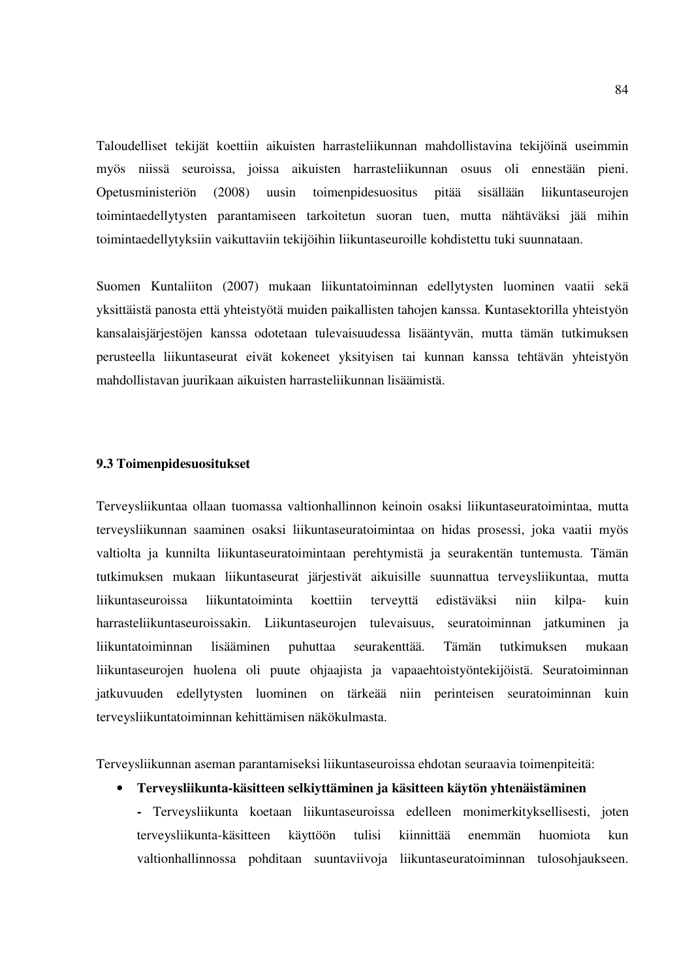Taloudelliset tekijät koettiin aikuisten harrasteliikunnan mahdollistavina tekijöinä useimmin myös niissä seuroissa, joissa aikuisten harrasteliikunnan osuus oli ennestään pieni. Opetusministeriön (2008) uusin toimenpidesuositus pitää sisällään liikuntaseurojen toimintaedellytysten parantamiseen tarkoitetun suoran tuen, mutta nähtäväksi jää mihin toimintaedellytyksiin vaikuttaviin tekijöihin liikuntaseuroille kohdistettu tuki suunnataan.

Suomen Kuntaliiton (2007) mukaan liikuntatoiminnan edellytysten luominen vaatii sekä yksittäistä panosta että yhteistyötä muiden paikallisten tahojen kanssa. Kuntasektorilla yhteistyön kansalaisjärjestöjen kanssa odotetaan tulevaisuudessa lisääntyvän, mutta tämän tutkimuksen perusteella liikuntaseurat eivät kokeneet yksityisen tai kunnan kanssa tehtävän yhteistyön mahdollistavan juurikaan aikuisten harrasteliikunnan lisäämistä.

#### **9.3 Toimenpidesuositukset**

Terveysliikuntaa ollaan tuomassa valtionhallinnon keinoin osaksi liikuntaseuratoimintaa, mutta terveysliikunnan saaminen osaksi liikuntaseuratoimintaa on hidas prosessi, joka vaatii myös valtiolta ja kunnilta liikuntaseuratoimintaan perehtymistä ja seurakentän tuntemusta. Tämän tutkimuksen mukaan liikuntaseurat järjestivät aikuisille suunnattua terveysliikuntaa, mutta liikuntaseuroissa liikuntatoiminta koettiin terveyttä edistäväksi niin kilpa- kuin harrasteliikuntaseuroissakin. Liikuntaseurojen tulevaisuus, seuratoiminnan jatkuminen ja liikuntatoiminnan lisääminen puhuttaa seurakenttää. Tämän tutkimuksen mukaan liikuntaseurojen huolena oli puute ohjaajista ja vapaaehtoistyöntekijöistä. Seuratoiminnan jatkuvuuden edellytysten luominen on tärkeää niin perinteisen seuratoiminnan kuin terveysliikuntatoiminnan kehittämisen näkökulmasta.

Terveysliikunnan aseman parantamiseksi liikuntaseuroissa ehdotan seuraavia toimenpiteitä:

#### • **Terveysliikunta-käsitteen selkiyttäminen ja käsitteen käytön yhtenäistäminen**

**-** Terveysliikunta koetaan liikuntaseuroissa edelleen monimerkityksellisesti, joten terveysliikunta-käsitteen käyttöön tulisi kiinnittää enemmän huomiota kun valtionhallinnossa pohditaan suuntaviivoja liikuntaseuratoiminnan tulosohjaukseen.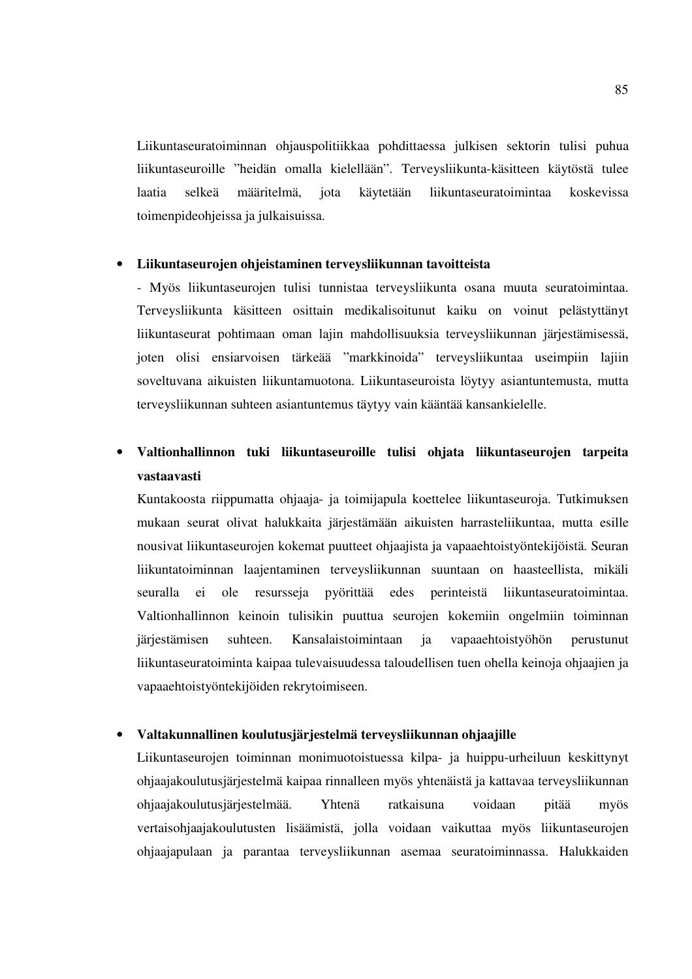Liikuntaseuratoiminnan ohjauspolitiikkaa pohdittaessa julkisen sektorin tulisi puhua liikuntaseuroille "heidän omalla kielellään". Terveysliikunta-käsitteen käytöstä tulee laatia selkeä määritelmä, jota käytetään liikuntaseuratoimintaa koskevissa toimenpideohjeissa ja julkaisuissa.

## • **Liikuntaseurojen ohjeistaminen terveysliikunnan tavoitteista**

- Myös liikuntaseurojen tulisi tunnistaa terveysliikunta osana muuta seuratoimintaa. Terveysliikunta käsitteen osittain medikalisoitunut kaiku on voinut pelästyttänyt liikuntaseurat pohtimaan oman lajin mahdollisuuksia terveysliikunnan järjestämisessä, joten olisi ensiarvoisen tärkeää "markkinoida" terveysliikuntaa useimpiin lajiin soveltuvana aikuisten liikuntamuotona. Liikuntaseuroista löytyy asiantuntemusta, mutta terveysliikunnan suhteen asiantuntemus täytyy vain kääntää kansankielelle.

## • **Valtionhallinnon tuki liikuntaseuroille tulisi ohjata liikuntaseurojen tarpeita vastaavasti**

Kuntakoosta riippumatta ohjaaja- ja toimijapula koettelee liikuntaseuroja. Tutkimuksen mukaan seurat olivat halukkaita järjestämään aikuisten harrasteliikuntaa, mutta esille nousivat liikuntaseurojen kokemat puutteet ohjaajista ja vapaaehtoistyöntekijöistä. Seuran liikuntatoiminnan laajentaminen terveysliikunnan suuntaan on haasteellista, mikäli seuralla ei ole resursseja pyörittää edes perinteistä liikuntaseuratoimintaa. Valtionhallinnon keinoin tulisikin puuttua seurojen kokemiin ongelmiin toiminnan järjestämisen suhteen. Kansalaistoimintaan ja vapaaehtoistyöhön perustunut liikuntaseuratoiminta kaipaa tulevaisuudessa taloudellisen tuen ohella keinoja ohjaajien ja vapaaehtoistyöntekijöiden rekrytoimiseen.

#### • **Valtakunnallinen koulutusjärjestelmä terveysliikunnan ohjaajille**

Liikuntaseurojen toiminnan monimuotoistuessa kilpa- ja huippu-urheiluun keskittynyt ohjaajakoulutusjärjestelmä kaipaa rinnalleen myös yhtenäistä ja kattavaa terveysliikunnan ohjaajakoulutusjärjestelmää. Yhtenä ratkaisuna voidaan pitää myös vertaisohjaajakoulutusten lisäämistä, jolla voidaan vaikuttaa myös liikuntaseurojen ohjaajapulaan ja parantaa terveysliikunnan asemaa seuratoiminnassa. Halukkaiden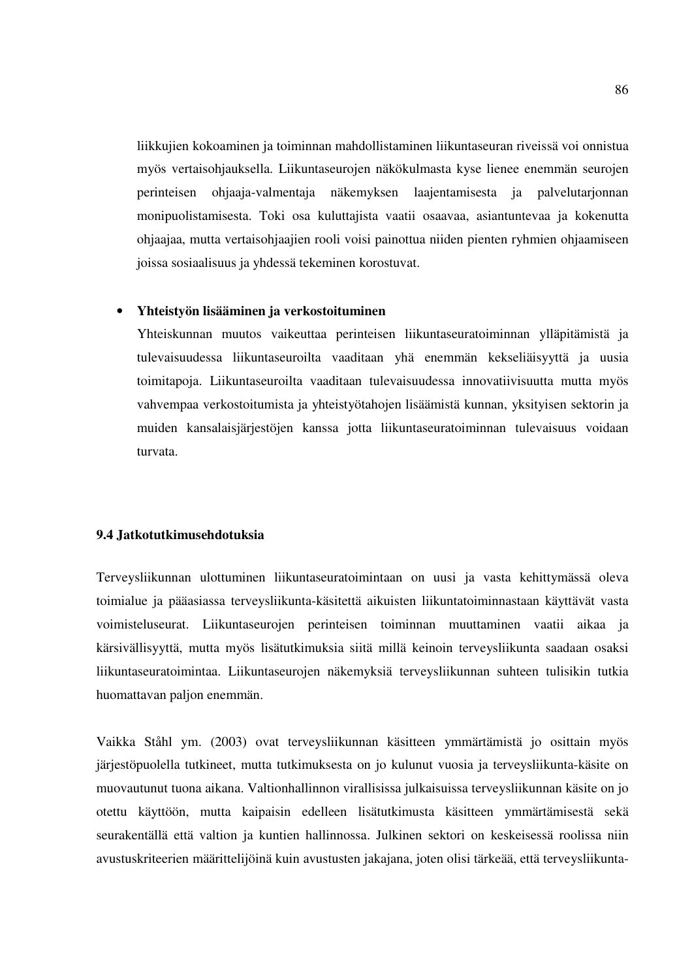liikkujien kokoaminen ja toiminnan mahdollistaminen liikuntaseuran riveissä voi onnistua myös vertaisohjauksella. Liikuntaseurojen näkökulmasta kyse lienee enemmän seurojen perinteisen ohjaaja-valmentaja näkemyksen laajentamisesta ja palvelutarjonnan monipuolistamisesta. Toki osa kuluttajista vaatii osaavaa, asiantuntevaa ja kokenutta ohjaajaa, mutta vertaisohjaajien rooli voisi painottua niiden pienten ryhmien ohjaamiseen joissa sosiaalisuus ja yhdessä tekeminen korostuvat.

#### • **Yhteistyön lisääminen ja verkostoituminen**

Yhteiskunnan muutos vaikeuttaa perinteisen liikuntaseuratoiminnan ylläpitämistä ja tulevaisuudessa liikuntaseuroilta vaaditaan yhä enemmän kekseliäisyyttä ja uusia toimitapoja. Liikuntaseuroilta vaaditaan tulevaisuudessa innovatiivisuutta mutta myös vahvempaa verkostoitumista ja yhteistyötahojen lisäämistä kunnan, yksityisen sektorin ja muiden kansalaisjärjestöjen kanssa jotta liikuntaseuratoiminnan tulevaisuus voidaan turvata.

### **9.4 Jatkotutkimusehdotuksia**

Terveysliikunnan ulottuminen liikuntaseuratoimintaan on uusi ja vasta kehittymässä oleva toimialue ja pääasiassa terveysliikunta-käsitettä aikuisten liikuntatoiminnastaan käyttävät vasta voimisteluseurat. Liikuntaseurojen perinteisen toiminnan muuttaminen vaatii aikaa ja kärsivällisyyttä, mutta myös lisätutkimuksia siitä millä keinoin terveysliikunta saadaan osaksi liikuntaseuratoimintaa. Liikuntaseurojen näkemyksiä terveysliikunnan suhteen tulisikin tutkia huomattavan paljon enemmän.

Vaikka Ståhl ym. (2003) ovat terveysliikunnan käsitteen ymmärtämistä jo osittain myös järjestöpuolella tutkineet, mutta tutkimuksesta on jo kulunut vuosia ja terveysliikunta-käsite on muovautunut tuona aikana. Valtionhallinnon virallisissa julkaisuissa terveysliikunnan käsite on jo otettu käyttöön, mutta kaipaisin edelleen lisätutkimusta käsitteen ymmärtämisestä sekä seurakentällä että valtion ja kuntien hallinnossa. Julkinen sektori on keskeisessä roolissa niin avustuskriteerien määrittelijöinä kuin avustusten jakajana, joten olisi tärkeää, että terveysliikunta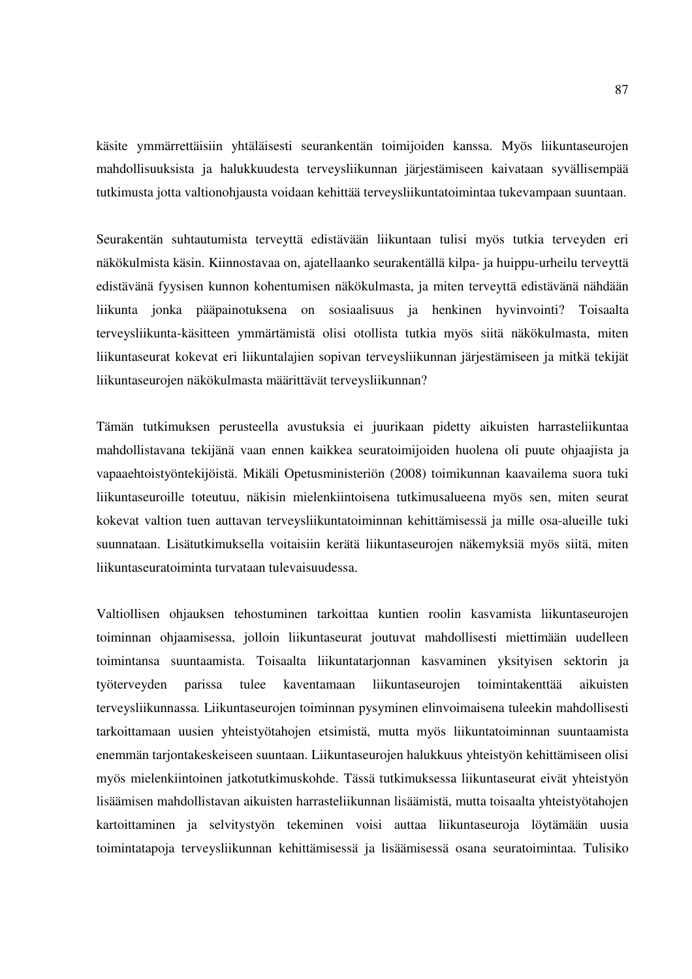käsite ymmärrettäisiin yhtäläisesti seurankentän toimijoiden kanssa. Myös liikuntaseurojen mahdollisuuksista ja halukkuudesta terveysliikunnan järjestämiseen kaivataan syvällisempää tutkimusta jotta valtionohjausta voidaan kehittää terveysliikuntatoimintaa tukevampaan suuntaan.

Seurakentän suhtautumista terveyttä edistävään liikuntaan tulisi myös tutkia terveyden eri näkökulmista käsin. Kiinnostavaa on, ajatellaanko seurakentällä kilpa- ja huippu-urheilu terveyttä edistävänä fyysisen kunnon kohentumisen näkökulmasta, ja miten terveyttä edistävänä nähdään liikunta jonka pääpainotuksena on sosiaalisuus ja henkinen hyvinvointi? Toisaalta terveysliikunta-käsitteen ymmärtämistä olisi otollista tutkia myös siitä näkökulmasta, miten liikuntaseurat kokevat eri liikuntalajien sopivan terveysliikunnan järjestämiseen ja mitkä tekijät liikuntaseurojen näkökulmasta määrittävät terveysliikunnan?

Tämän tutkimuksen perusteella avustuksia ei juurikaan pidetty aikuisten harrasteliikuntaa mahdollistavana tekijänä vaan ennen kaikkea seuratoimijoiden huolena oli puute ohjaajista ja vapaaehtoistyöntekijöistä. Mikäli Opetusministeriön (2008) toimikunnan kaavailema suora tuki liikuntaseuroille toteutuu, näkisin mielenkiintoisena tutkimusalueena myös sen, miten seurat kokevat valtion tuen auttavan terveysliikuntatoiminnan kehittämisessä ja mille osa-alueille tuki suunnataan. Lisätutkimuksella voitaisiin kerätä liikuntaseurojen näkemyksiä myös siitä, miten liikuntaseuratoiminta turvataan tulevaisuudessa.

Valtiollisen ohjauksen tehostuminen tarkoittaa kuntien roolin kasvamista liikuntaseurojen toiminnan ohjaamisessa, jolloin liikuntaseurat joutuvat mahdollisesti miettimään uudelleen toimintansa suuntaamista. Toisaalta liikuntatarjonnan kasvaminen yksityisen sektorin ja työterveyden parissa tulee kaventamaan liikuntaseurojen toimintakenttää aikuisten terveysliikunnassa. Liikuntaseurojen toiminnan pysyminen elinvoimaisena tuleekin mahdollisesti tarkoittamaan uusien yhteistyötahojen etsimistä, mutta myös liikuntatoiminnan suuntaamista enemmän tarjontakeskeiseen suuntaan. Liikuntaseurojen halukkuus yhteistyön kehittämiseen olisi myös mielenkiintoinen jatkotutkimuskohde. Tässä tutkimuksessa liikuntaseurat eivät yhteistyön lisäämisen mahdollistavan aikuisten harrasteliikunnan lisäämistä, mutta toisaalta yhteistyötahojen kartoittaminen ja selvitystyön tekeminen voisi auttaa liikuntaseuroja löytämään uusia toimintatapoja terveysliikunnan kehittämisessä ja lisäämisessä osana seuratoimintaa. Tulisiko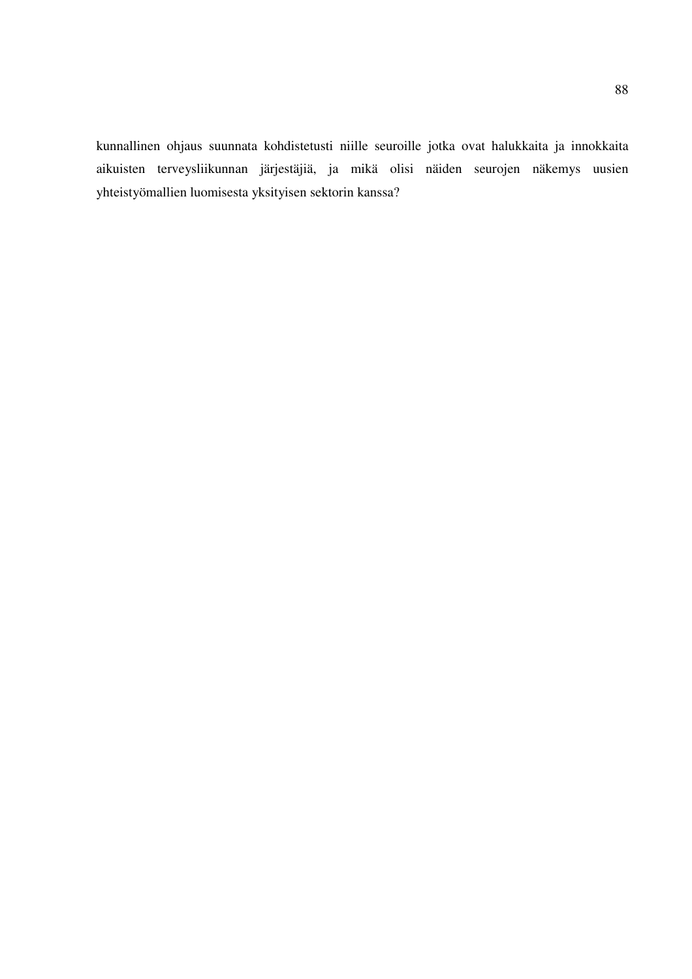kunnallinen ohjaus suunnata kohdistetusti niille seuroille jotka ovat halukkaita ja innokkaita aikuisten terveysliikunnan järjestäjiä, ja mikä olisi näiden seurojen näkemys uusien yhteistyömallien luomisesta yksityisen sektorin kanssa?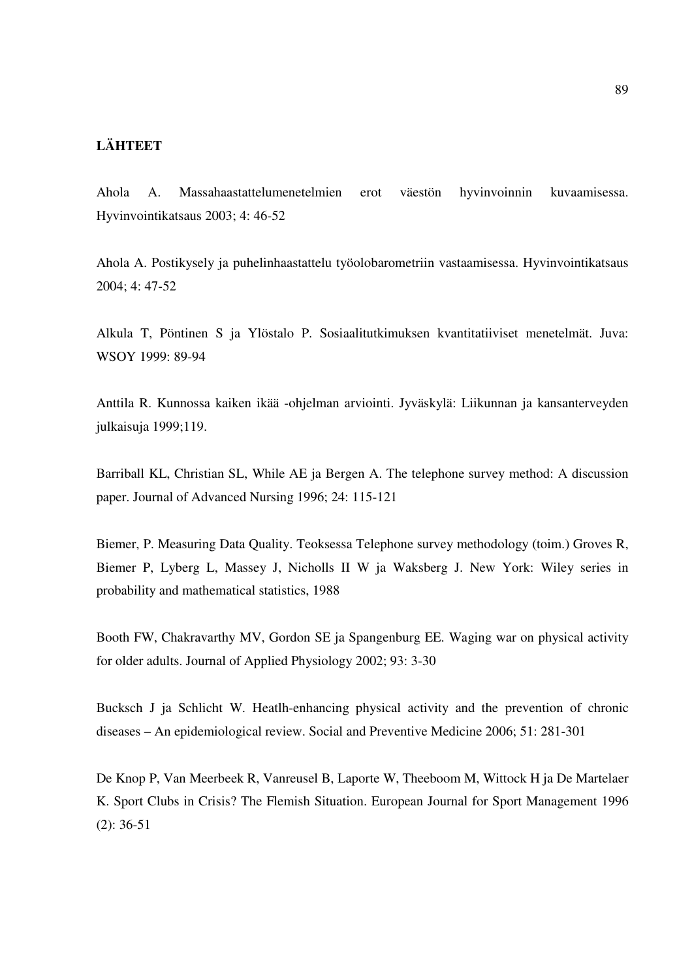## **LÄHTEET**

Ahola A. Massahaastattelumenetelmien erot väestön hyvinvoinnin kuvaamisessa. Hyvinvointikatsaus 2003; 4: 46-52

Ahola A. Postikysely ja puhelinhaastattelu työolobarometriin vastaamisessa. Hyvinvointikatsaus 2004; 4: 47-52

Alkula T, Pöntinen S ja Ylöstalo P. Sosiaalitutkimuksen kvantitatiiviset menetelmät. Juva: WSOY 1999: 89-94

Anttila R. Kunnossa kaiken ikää -ohjelman arviointi. Jyväskylä: Liikunnan ja kansanterveyden julkaisuja 1999;119.

Barriball KL, Christian SL, While AE ja Bergen A. The telephone survey method: A discussion paper. Journal of Advanced Nursing 1996; 24: 115-121

Biemer, P. Measuring Data Quality. Teoksessa Telephone survey methodology (toim.) Groves R, Biemer P, Lyberg L, Massey J, Nicholls II W ja Waksberg J. New York: Wiley series in probability and mathematical statistics, 1988

Booth FW, Chakravarthy MV, Gordon SE ja Spangenburg EE. Waging war on physical activity for older adults. Journal of Applied Physiology 2002; 93: 3-30

Bucksch J ja Schlicht W. Heatlh-enhancing physical activity and the prevention of chronic diseases – An epidemiological review. Social and Preventive Medicine 2006; 51: 281-301

De Knop P, Van Meerbeek R, Vanreusel B, Laporte W, Theeboom M, Wittock H ja De Martelaer K. Sport Clubs in Crisis? The Flemish Situation. European Journal for Sport Management 1996 (2): 36-51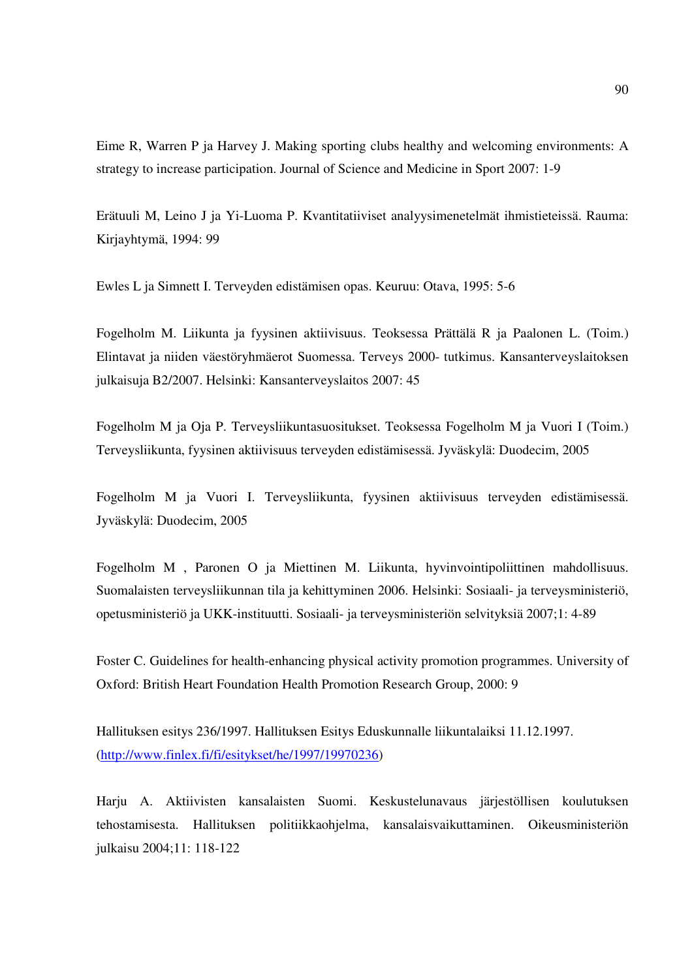Eime R, Warren P ja Harvey J. Making sporting clubs healthy and welcoming environments: A strategy to increase participation. Journal of Science and Medicine in Sport 2007: 1-9

Erätuuli M, Leino J ja Yi-Luoma P. Kvantitatiiviset analyysimenetelmät ihmistieteissä. Rauma: Kirjayhtymä, 1994: 99

Ewles L ja Simnett I. Terveyden edistämisen opas. Keuruu: Otava, 1995: 5-6

Fogelholm M. Liikunta ja fyysinen aktiivisuus. Teoksessa Prättälä R ja Paalonen L. (Toim.) Elintavat ja niiden väestöryhmäerot Suomessa. Terveys 2000- tutkimus. Kansanterveyslaitoksen julkaisuja B2/2007. Helsinki: Kansanterveyslaitos 2007: 45

Fogelholm M ja Oja P. Terveysliikuntasuositukset. Teoksessa Fogelholm M ja Vuori I (Toim.) Terveysliikunta, fyysinen aktiivisuus terveyden edistämisessä. Jyväskylä: Duodecim, 2005

Fogelholm M ja Vuori I. Terveysliikunta, fyysinen aktiivisuus terveyden edistämisessä. Jyväskylä: Duodecim, 2005

Fogelholm M , Paronen O ja Miettinen M. Liikunta, hyvinvointipoliittinen mahdollisuus. Suomalaisten terveysliikunnan tila ja kehittyminen 2006. Helsinki: Sosiaali- ja terveysministeriö, opetusministeriö ja UKK-instituutti. Sosiaali- ja terveysministeriön selvityksiä 2007;1: 4-89

Foster C. Guidelines for health-enhancing physical activity promotion programmes. University of Oxford: British Heart Foundation Health Promotion Research Group, 2000: 9

Hallituksen esitys 236/1997. Hallituksen Esitys Eduskunnalle liikuntalaiksi 11.12.1997. (http://www.finlex.fi/fi/esitykset/he/1997/19970236)

Harju A. Aktiivisten kansalaisten Suomi. Keskustelunavaus järjestöllisen koulutuksen tehostamisesta. Hallituksen politiikkaohjelma, kansalaisvaikuttaminen. Oikeusministeriön julkaisu 2004;11: 118-122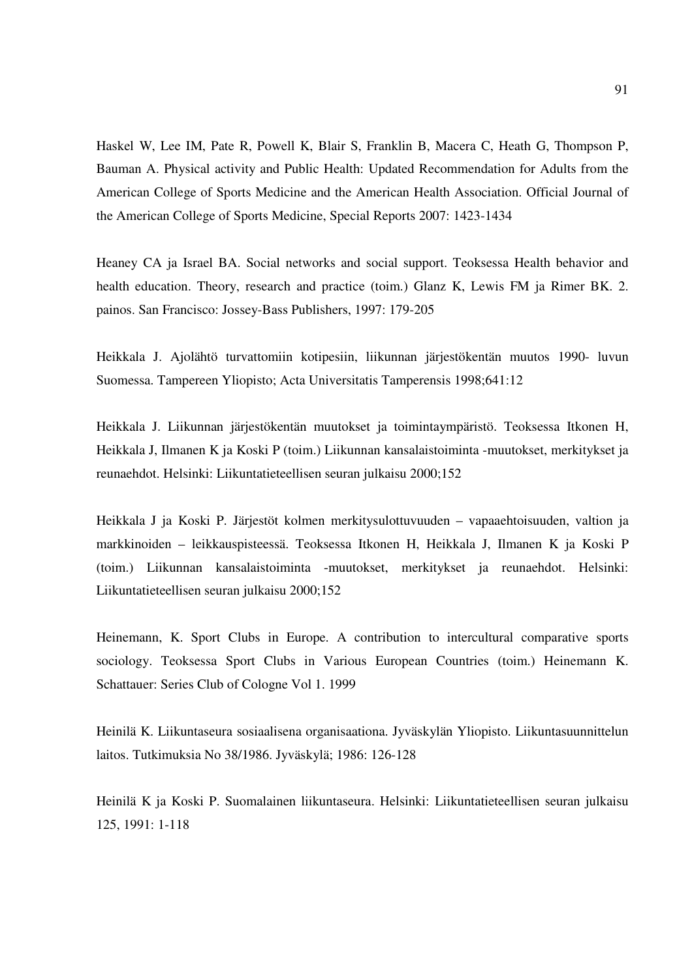Haskel W, Lee IM, Pate R, Powell K, Blair S, Franklin B, Macera C, Heath G, Thompson P, Bauman A. Physical activity and Public Health: Updated Recommendation for Adults from the American College of Sports Medicine and the American Health Association. Official Journal of the American College of Sports Medicine, Special Reports 2007: 1423-1434

Heaney CA ja Israel BA. Social networks and social support. Teoksessa Health behavior and health education. Theory, research and practice (toim.) Glanz K, Lewis FM ja Rimer BK. 2. painos. San Francisco: Jossey-Bass Publishers, 1997: 179-205

Heikkala J. Ajolähtö turvattomiin kotipesiin, liikunnan järjestökentän muutos 1990- luvun Suomessa. Tampereen Yliopisto; Acta Universitatis Tamperensis 1998;641:12

Heikkala J. Liikunnan järjestökentän muutokset ja toimintaympäristö. Teoksessa Itkonen H, Heikkala J, Ilmanen K ja Koski P (toim.) Liikunnan kansalaistoiminta -muutokset, merkitykset ja reunaehdot. Helsinki: Liikuntatieteellisen seuran julkaisu 2000;152

Heikkala J ja Koski P. Järjestöt kolmen merkitysulottuvuuden – vapaaehtoisuuden, valtion ja markkinoiden – leikkauspisteessä. Teoksessa Itkonen H, Heikkala J, Ilmanen K ja Koski P (toim.) Liikunnan kansalaistoiminta -muutokset, merkitykset ja reunaehdot. Helsinki: Liikuntatieteellisen seuran julkaisu 2000;152

Heinemann, K. Sport Clubs in Europe. A contribution to intercultural comparative sports sociology. Teoksessa Sport Clubs in Various European Countries (toim.) Heinemann K. Schattauer: Series Club of Cologne Vol 1. 1999

Heinilä K. Liikuntaseura sosiaalisena organisaationa. Jyväskylän Yliopisto. Liikuntasuunnittelun laitos. Tutkimuksia No 38/1986. Jyväskylä; 1986: 126-128

Heinilä K ja Koski P. Suomalainen liikuntaseura. Helsinki: Liikuntatieteellisen seuran julkaisu 125, 1991: 1-118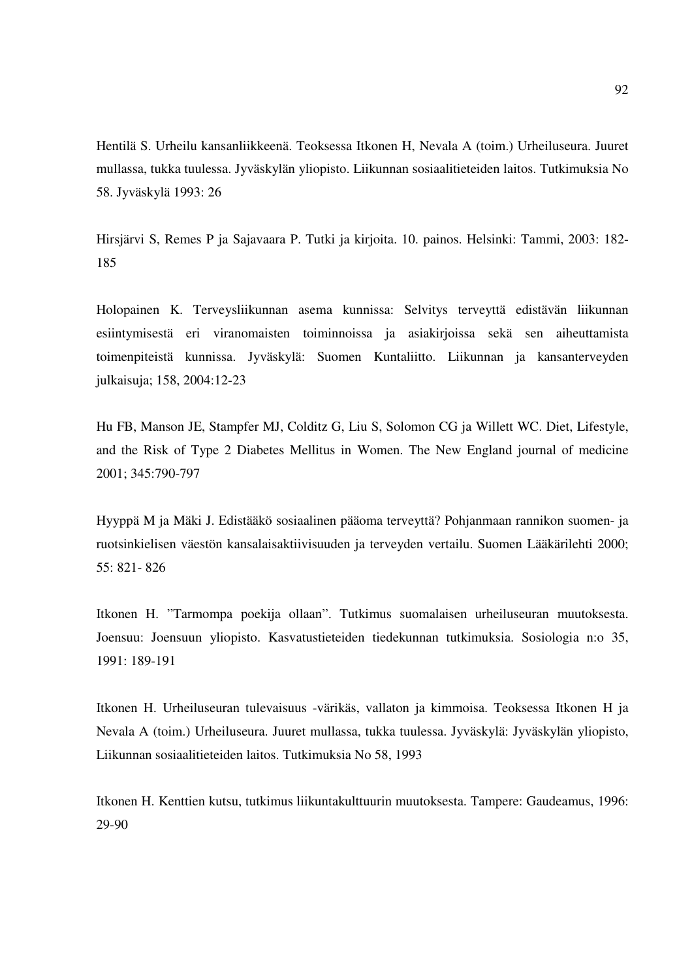Hentilä S. Urheilu kansanliikkeenä. Teoksessa Itkonen H, Nevala A (toim.) Urheiluseura. Juuret mullassa, tukka tuulessa. Jyväskylän yliopisto. Liikunnan sosiaalitieteiden laitos. Tutkimuksia No 58. Jyväskylä 1993: 26

Hirsjärvi S, Remes P ja Sajavaara P. Tutki ja kirjoita. 10. painos. Helsinki: Tammi, 2003: 182- 185

Holopainen K. Terveysliikunnan asema kunnissa: Selvitys terveyttä edistävän liikunnan esiintymisestä eri viranomaisten toiminnoissa ja asiakirjoissa sekä sen aiheuttamista toimenpiteistä kunnissa. Jyväskylä: Suomen Kuntaliitto. Liikunnan ja kansanterveyden julkaisuja; 158, 2004:12-23

Hu FB, Manson JE, Stampfer MJ, Colditz G, Liu S, Solomon CG ja Willett WC. Diet, Lifestyle, and the Risk of Type 2 Diabetes Mellitus in Women. The New England journal of medicine 2001; 345:790-797

Hyyppä M ja Mäki J. Edistääkö sosiaalinen pääoma terveyttä? Pohjanmaan rannikon suomen- ja ruotsinkielisen väestön kansalaisaktiivisuuden ja terveyden vertailu. Suomen Lääkärilehti 2000; 55: 821- 826

Itkonen H. "Tarmompa poekija ollaan". Tutkimus suomalaisen urheiluseuran muutoksesta. Joensuu: Joensuun yliopisto. Kasvatustieteiden tiedekunnan tutkimuksia. Sosiologia n:o 35, 1991: 189-191

Itkonen H. Urheiluseuran tulevaisuus -värikäs, vallaton ja kimmoisa. Teoksessa Itkonen H ja Nevala A (toim.) Urheiluseura. Juuret mullassa, tukka tuulessa. Jyväskylä: Jyväskylän yliopisto, Liikunnan sosiaalitieteiden laitos. Tutkimuksia No 58, 1993

Itkonen H. Kenttien kutsu, tutkimus liikuntakulttuurin muutoksesta. Tampere: Gaudeamus, 1996: 29-90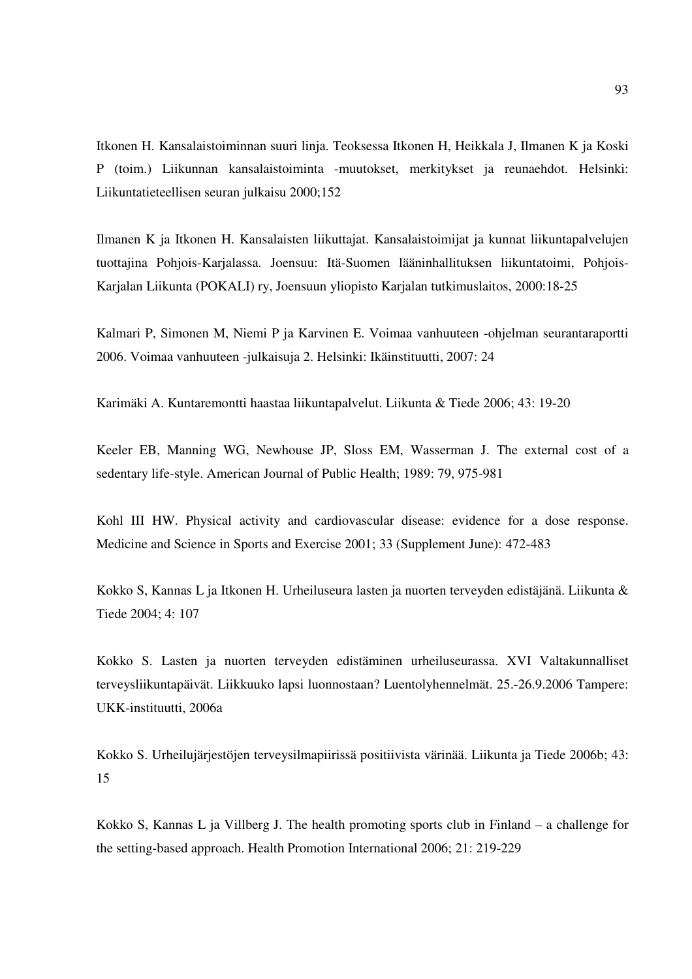Itkonen H. Kansalaistoiminnan suuri linja. Teoksessa Itkonen H, Heikkala J, Ilmanen K ja Koski P (toim.) Liikunnan kansalaistoiminta -muutokset, merkitykset ja reunaehdot. Helsinki: Liikuntatieteellisen seuran julkaisu 2000;152

Ilmanen K ja Itkonen H. Kansalaisten liikuttajat. Kansalaistoimijat ja kunnat liikuntapalvelujen tuottajina Pohjois-Karjalassa. Joensuu: Itä-Suomen lääninhallituksen liikuntatoimi, Pohjois-Karjalan Liikunta (POKALI) ry, Joensuun yliopisto Karjalan tutkimuslaitos, 2000:18-25

Kalmari P, Simonen M, Niemi P ja Karvinen E. Voimaa vanhuuteen -ohjelman seurantaraportti 2006. Voimaa vanhuuteen -julkaisuja 2. Helsinki: Ikäinstituutti, 2007: 24

Karimäki A. Kuntaremontti haastaa liikuntapalvelut. Liikunta & Tiede 2006; 43: 19-20

Keeler EB, Manning WG, Newhouse JP, Sloss EM, Wasserman J. The external cost of a sedentary life-style. American Journal of Public Health; 1989: 79, 975-981

Kohl III HW. Physical activity and cardiovascular disease: evidence for a dose response. Medicine and Science in Sports and Exercise 2001; 33 (Supplement June): 472-483

Kokko S, Kannas L ja Itkonen H. Urheiluseura lasten ja nuorten terveyden edistäjänä. Liikunta & Tiede 2004; 4: 107

Kokko S. Lasten ja nuorten terveyden edistäminen urheiluseurassa. XVI Valtakunnalliset terveysliikuntapäivät. Liikkuuko lapsi luonnostaan? Luentolyhennelmät. 25.-26.9.2006 Tampere: UKK-instituutti, 2006a

Kokko S. Urheilujärjestöjen terveysilmapiirissä positiivista värinää. Liikunta ja Tiede 2006b; 43: 15

Kokko S, Kannas L ja Villberg J. The health promoting sports club in Finland – a challenge for the setting-based approach. Health Promotion International 2006; 21: 219-229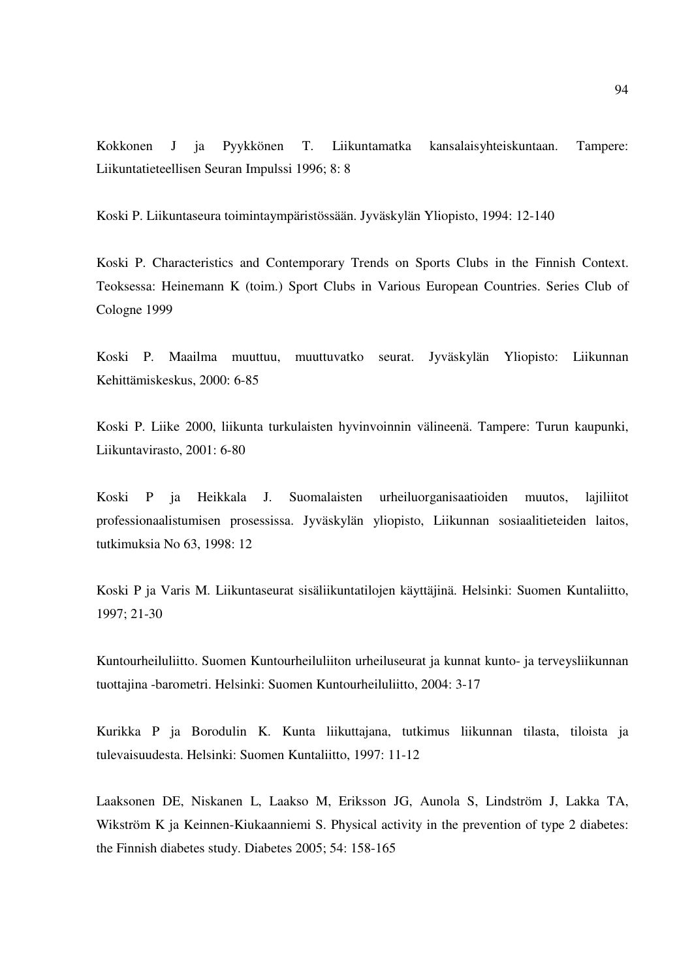Kokkonen J ja Pyykkönen T. Liikuntamatka kansalaisyhteiskuntaan. Tampere: Liikuntatieteellisen Seuran Impulssi 1996; 8: 8

Koski P. Liikuntaseura toimintaympäristössään. Jyväskylän Yliopisto, 1994: 12-140

Koski P. Characteristics and Contemporary Trends on Sports Clubs in the Finnish Context. Teoksessa: Heinemann K (toim.) Sport Clubs in Various European Countries. Series Club of Cologne 1999

Koski P. Maailma muuttuu, muuttuvatko seurat. Jyväskylän Yliopisto: Liikunnan Kehittämiskeskus, 2000: 6-85

Koski P. Liike 2000, liikunta turkulaisten hyvinvoinnin välineenä. Tampere: Turun kaupunki, Liikuntavirasto, 2001: 6-80

Koski P ja Heikkala J. Suomalaisten urheiluorganisaatioiden muutos, lajiliitot professionaalistumisen prosessissa. Jyväskylän yliopisto, Liikunnan sosiaalitieteiden laitos, tutkimuksia No 63, 1998: 12

Koski P ja Varis M. Liikuntaseurat sisäliikuntatilojen käyttäjinä. Helsinki: Suomen Kuntaliitto, 1997; 21-30

Kuntourheiluliitto. Suomen Kuntourheiluliiton urheiluseurat ja kunnat kunto- ja terveysliikunnan tuottajina -barometri. Helsinki: Suomen Kuntourheiluliitto, 2004: 3-17

Kurikka P ja Borodulin K. Kunta liikuttajana, tutkimus liikunnan tilasta, tiloista ja tulevaisuudesta. Helsinki: Suomen Kuntaliitto, 1997: 11-12

Laaksonen DE, Niskanen L, Laakso M, Eriksson JG, Aunola S, Lindström J, Lakka TA, Wikström K ja Keinnen-Kiukaanniemi S. Physical activity in the prevention of type 2 diabetes: the Finnish diabetes study. Diabetes 2005; 54: 158-165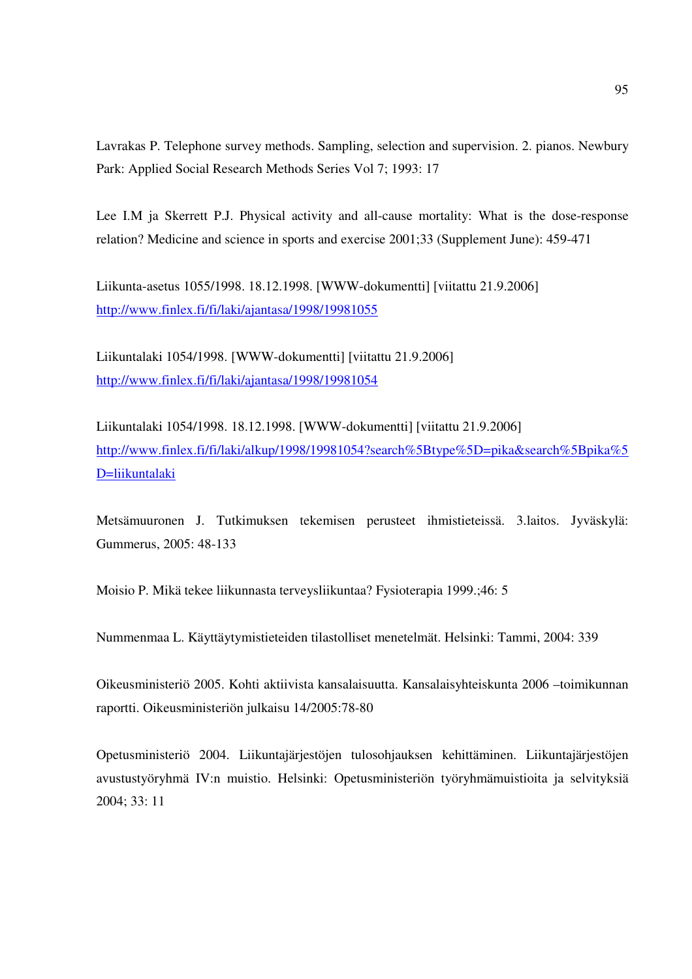Lavrakas P. Telephone survey methods. Sampling, selection and supervision. 2. pianos. Newbury Park: Applied Social Research Methods Series Vol 7; 1993: 17

Lee I.M ja Skerrett P.J. Physical activity and all-cause mortality: What is the dose-response relation? Medicine and science in sports and exercise 2001;33 (Supplement June): 459-471

Liikunta-asetus 1055/1998. 18.12.1998. [WWW-dokumentti] [viitattu 21.9.2006] http://www.finlex.fi/fi/laki/ajantasa/1998/19981055

Liikuntalaki 1054/1998. [WWW-dokumentti] [viitattu 21.9.2006] http://www.finlex.fi/fi/laki/ajantasa/1998/19981054

Liikuntalaki 1054/1998. 18.12.1998. [WWW-dokumentti] [viitattu 21.9.2006] http://www.finlex.fi/fi/laki/alkup/1998/19981054?search%5Btype%5D=pika&search%5Bpika%5 D=liikuntalaki

Metsämuuronen J. Tutkimuksen tekemisen perusteet ihmistieteissä. 3.laitos. Jyväskylä: Gummerus, 2005: 48-133

Moisio P. Mikä tekee liikunnasta terveysliikuntaa? Fysioterapia 1999.;46: 5

Nummenmaa L. Käyttäytymistieteiden tilastolliset menetelmät. Helsinki: Tammi, 2004: 339

Oikeusministeriö 2005. Kohti aktiivista kansalaisuutta. Kansalaisyhteiskunta 2006 –toimikunnan raportti. Oikeusministeriön julkaisu 14/2005:78-80

Opetusministeriö 2004. Liikuntajärjestöjen tulosohjauksen kehittäminen. Liikuntajärjestöjen avustustyöryhmä IV:n muistio. Helsinki: Opetusministeriön työryhmämuistioita ja selvityksiä 2004; 33: 11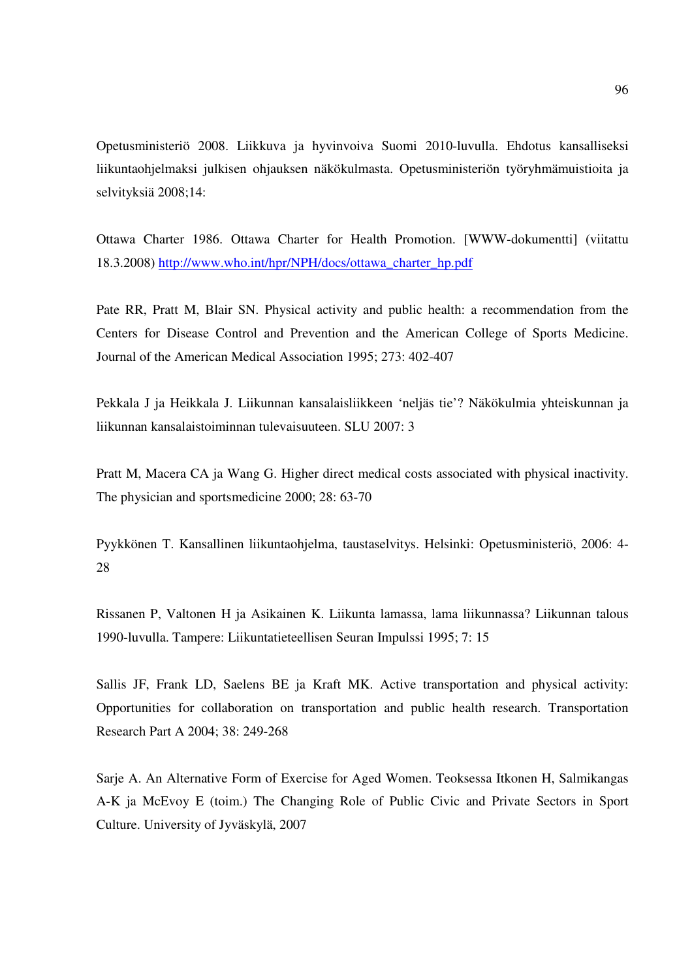Opetusministeriö 2008. Liikkuva ja hyvinvoiva Suomi 2010-luvulla. Ehdotus kansalliseksi liikuntaohjelmaksi julkisen ohjauksen näkökulmasta. Opetusministeriön työryhmämuistioita ja selvityksiä 2008;14:

Ottawa Charter 1986. Ottawa Charter for Health Promotion. [WWW-dokumentti] (viitattu 18.3.2008) http://www.who.int/hpr/NPH/docs/ottawa\_charter\_hp.pdf

Pate RR, Pratt M, Blair SN. Physical activity and public health: a recommendation from the Centers for Disease Control and Prevention and the American College of Sports Medicine. Journal of the American Medical Association 1995; 273: 402-407

Pekkala J ja Heikkala J. Liikunnan kansalaisliikkeen 'neljäs tie'? Näkökulmia yhteiskunnan ja liikunnan kansalaistoiminnan tulevaisuuteen. SLU 2007: 3

Pratt M, Macera CA ja Wang G. Higher direct medical costs associated with physical inactivity. The physician and sportsmedicine 2000; 28: 63-70

Pyykkönen T. Kansallinen liikuntaohjelma, taustaselvitys. Helsinki: Opetusministeriö, 2006: 4- 28

Rissanen P, Valtonen H ja Asikainen K. Liikunta lamassa, lama liikunnassa? Liikunnan talous 1990-luvulla. Tampere: Liikuntatieteellisen Seuran Impulssi 1995; 7: 15

Sallis JF, Frank LD, Saelens BE ja Kraft MK. Active transportation and physical activity: Opportunities for collaboration on transportation and public health research. Transportation Research Part A 2004; 38: 249-268

Sarje A. An Alternative Form of Exercise for Aged Women. Teoksessa Itkonen H, Salmikangas A-K ja McEvoy E (toim.) The Changing Role of Public Civic and Private Sectors in Sport Culture. University of Jyväskylä, 2007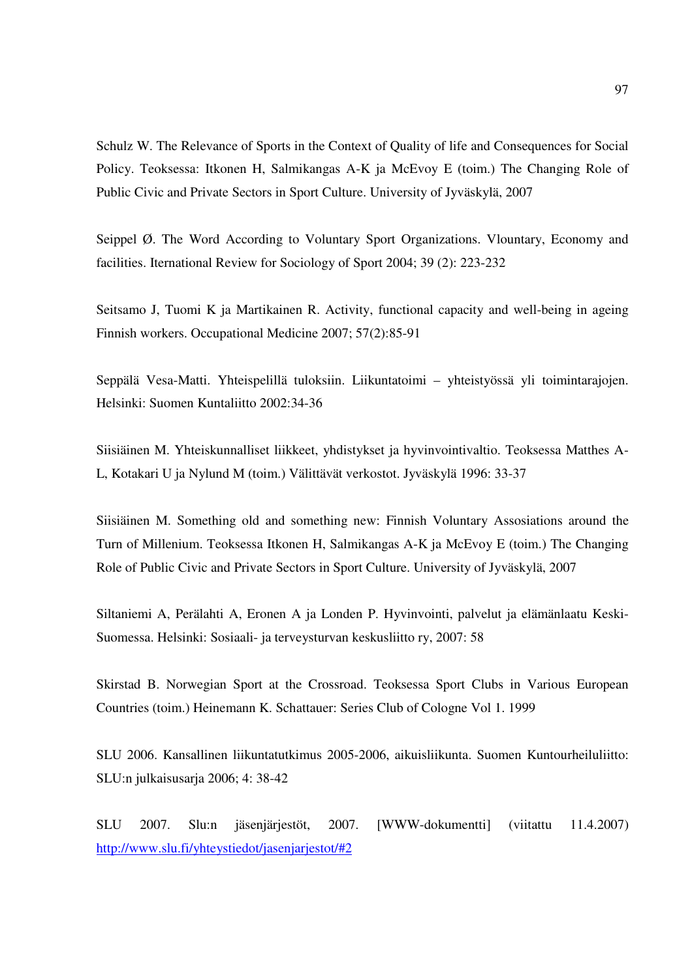Schulz W. The Relevance of Sports in the Context of Quality of life and Consequences for Social Policy. Teoksessa: Itkonen H, Salmikangas A-K ja McEvoy E (toim.) The Changing Role of Public Civic and Private Sectors in Sport Culture. University of Jyväskylä, 2007

Seippel  $\emptyset$ . The Word According to Voluntary Sport Organizations. Vlountary, Economy and facilities. Iternational Review for Sociology of Sport 2004; 39 (2): 223-232

Seitsamo J, Tuomi K ja Martikainen R. Activity, functional capacity and well-being in ageing Finnish workers. Occupational Medicine 2007; 57(2):85-91

Seppälä Vesa-Matti. Yhteispelillä tuloksiin. Liikuntatoimi – yhteistyössä yli toimintarajojen. Helsinki: Suomen Kuntaliitto 2002:34-36

Siisiäinen M. Yhteiskunnalliset liikkeet, yhdistykset ja hyvinvointivaltio. Teoksessa Matthes A-L, Kotakari U ja Nylund M (toim.) Välittävät verkostot. Jyväskylä 1996: 33-37

Siisiäinen M. Something old and something new: Finnish Voluntary Assosiations around the Turn of Millenium. Teoksessa Itkonen H, Salmikangas A-K ja McEvoy E (toim.) The Changing Role of Public Civic and Private Sectors in Sport Culture. University of Jyväskylä, 2007

Siltaniemi A, Perälahti A, Eronen A ja Londen P. Hyvinvointi, palvelut ja elämänlaatu Keski-Suomessa. Helsinki: Sosiaali- ja terveysturvan keskusliitto ry, 2007: 58

Skirstad B. Norwegian Sport at the Crossroad. Teoksessa Sport Clubs in Various European Countries (toim.) Heinemann K. Schattauer: Series Club of Cologne Vol 1. 1999

SLU 2006. Kansallinen liikuntatutkimus 2005-2006, aikuisliikunta. Suomen Kuntourheiluliitto: SLU:n julkaisusarja 2006; 4: 38-42

SLU 2007. Slu:n jäsenjärjestöt, 2007. [WWW-dokumentti] (viitattu 11.4.2007) http://www.slu.fi/yhteystiedot/jasenjarjestot/#2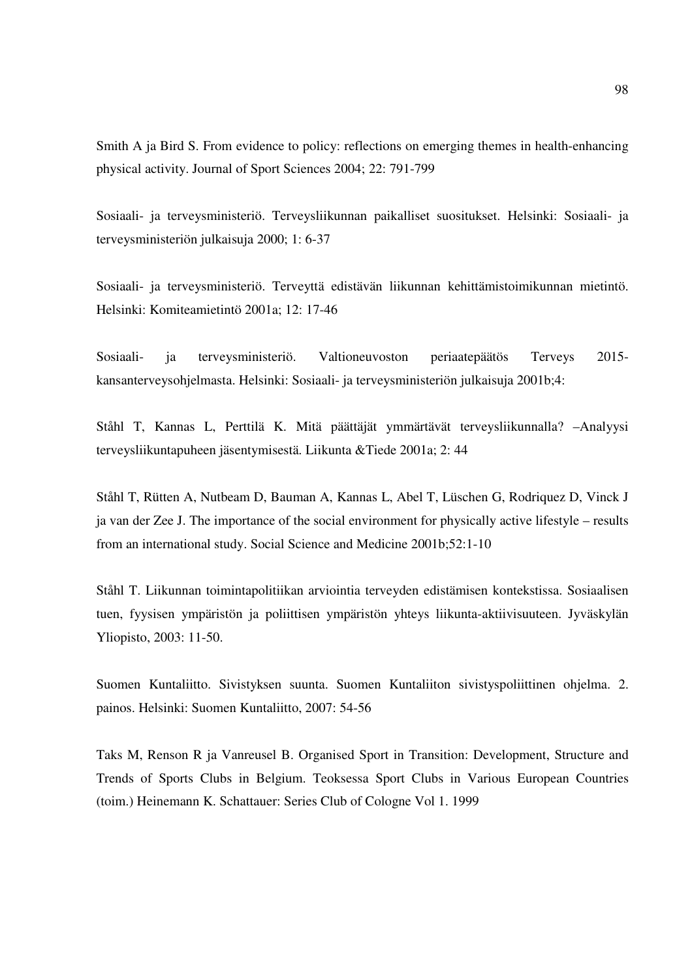Smith A ja Bird S. From evidence to policy: reflections on emerging themes in health-enhancing physical activity. Journal of Sport Sciences 2004; 22: 791-799

Sosiaali- ja terveysministeriö. Terveysliikunnan paikalliset suositukset. Helsinki: Sosiaali- ja terveysministeriön julkaisuja 2000; 1: 6-37

Sosiaali- ja terveysministeriö. Terveyttä edistävän liikunnan kehittämistoimikunnan mietintö. Helsinki: Komiteamietintö 2001a; 12: 17-46

Sosiaali- ja terveysministeriö. Valtioneuvoston periaatepäätös Terveys 2015 kansanterveysohjelmasta. Helsinki: Sosiaali- ja terveysministeriön julkaisuja 2001b;4:

Ståhl T, Kannas L, Perttilä K. Mitä päättäjät ymmärtävät terveysliikunnalla? –Analyysi terveysliikuntapuheen jäsentymisestä. Liikunta &Tiede 2001a; 2: 44

Ståhl T, Rütten A, Nutbeam D, Bauman A, Kannas L, Abel T, Lüschen G, Rodriquez D, Vinck J ja van der Zee J. The importance of the social environment for physically active lifestyle – results from an international study. Social Science and Medicine 2001b;52:1-10

Ståhl T. Liikunnan toimintapolitiikan arviointia terveyden edistämisen kontekstissa. Sosiaalisen tuen, fyysisen ympäristön ja poliittisen ympäristön yhteys liikunta-aktiivisuuteen. Jyväskylän Yliopisto, 2003: 11-50.

Suomen Kuntaliitto. Sivistyksen suunta. Suomen Kuntaliiton sivistyspoliittinen ohjelma. 2. painos. Helsinki: Suomen Kuntaliitto, 2007: 54-56

Taks M, Renson R ja Vanreusel B. Organised Sport in Transition: Development, Structure and Trends of Sports Clubs in Belgium. Teoksessa Sport Clubs in Various European Countries (toim.) Heinemann K. Schattauer: Series Club of Cologne Vol 1. 1999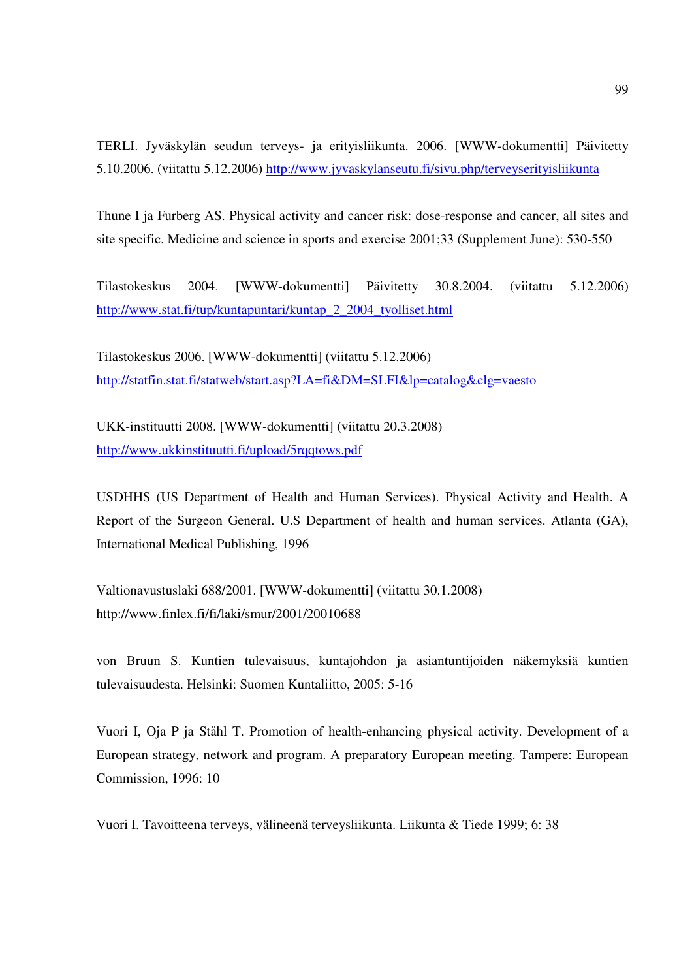TERLI. Jyväskylän seudun terveys- ja erityisliikunta. 2006. [WWW-dokumentti] Päivitetty 5.10.2006. (viitattu 5.12.2006) http://www.jyvaskylanseutu.fi/sivu.php/terveyserityisliikunta

Thune I ja Furberg AS. Physical activity and cancer risk: dose-response and cancer, all sites and site specific. Medicine and science in sports and exercise 2001;33 (Supplement June): 530-550

Tilastokeskus 2004. [WWW-dokumentti] Päivitetty 30.8.2004. (viitattu 5.12.2006) http://www.stat.fi/tup/kuntapuntari/kuntap\_2\_2004\_tyolliset.html

Tilastokeskus 2006. [WWW-dokumentti] (viitattu 5.12.2006) http://statfin.stat.fi/statweb/start.asp?LA=fi&DM=SLFI&lp=catalog&clg=vaesto

UKK-instituutti 2008. [WWW-dokumentti] (viitattu 20.3.2008) http://www.ukkinstituutti.fi/upload/5rqqtows.pdf

USDHHS (US Department of Health and Human Services). Physical Activity and Health. A Report of the Surgeon General. U.S Department of health and human services. Atlanta (GA), International Medical Publishing, 1996

Valtionavustuslaki 688/2001. [WWW-dokumentti] (viitattu 30.1.2008) http://www.finlex.fi/fi/laki/smur/2001/20010688

von Bruun S. Kuntien tulevaisuus, kuntajohdon ja asiantuntijoiden näkemyksiä kuntien tulevaisuudesta. Helsinki: Suomen Kuntaliitto, 2005: 5-16

Vuori I, Oja P ja Ståhl T. Promotion of health-enhancing physical activity. Development of a European strategy, network and program. A preparatory European meeting. Tampere: European Commission, 1996: 10

Vuori I. Tavoitteena terveys, välineenä terveysliikunta. Liikunta & Tiede 1999; 6: 38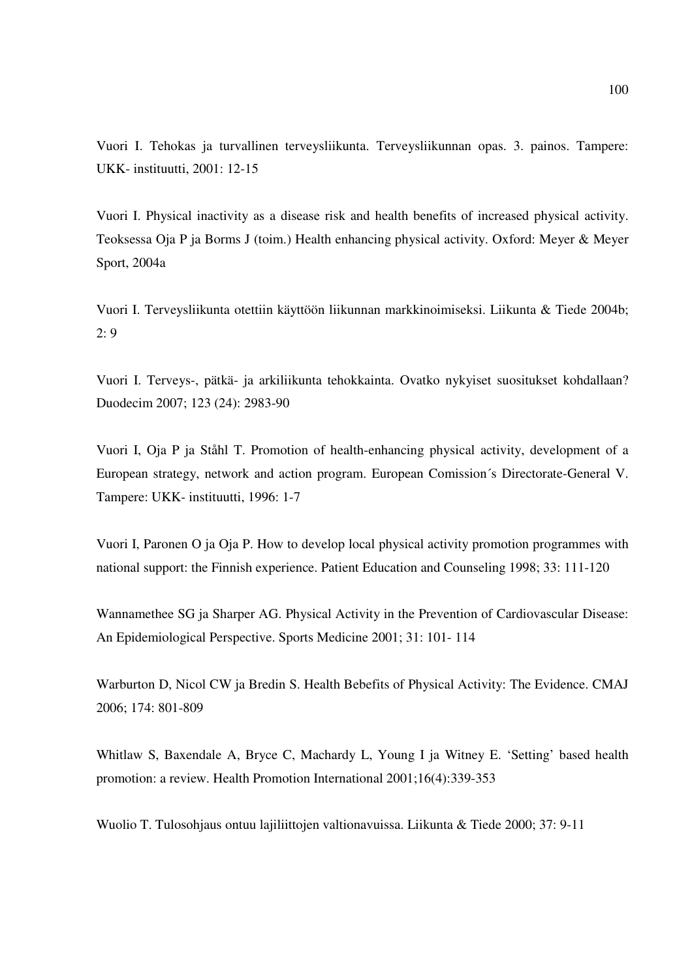Vuori I. Tehokas ja turvallinen terveysliikunta. Terveysliikunnan opas. 3. painos. Tampere: UKK- instituutti, 2001: 12-15

Vuori I. Physical inactivity as a disease risk and health benefits of increased physical activity. Teoksessa Oja P ja Borms J (toim.) Health enhancing physical activity. Oxford: Meyer & Meyer Sport, 2004a

Vuori I. Terveysliikunta otettiin käyttöön liikunnan markkinoimiseksi. Liikunta & Tiede 2004b;  $2: 9$ 

Vuori I. Terveys-, pätkä- ja arkiliikunta tehokkainta. Ovatko nykyiset suositukset kohdallaan? Duodecim 2007; 123 (24): 2983-90

Vuori I, Oja P ja Ståhl T. Promotion of health-enhancing physical activity, development of a European strategy, network and action program. European Comission´s Directorate-General V. Tampere: UKK- instituutti, 1996: 1-7

Vuori I, Paronen O ja Oja P. How to develop local physical activity promotion programmes with national support: the Finnish experience. Patient Education and Counseling 1998; 33: 111-120

Wannamethee SG ja Sharper AG. Physical Activity in the Prevention of Cardiovascular Disease: An Epidemiological Perspective. Sports Medicine 2001; 31: 101- 114

Warburton D, Nicol CW ja Bredin S. Health Bebefits of Physical Activity: The Evidence. CMAJ 2006; 174: 801-809

Whitlaw S, Baxendale A, Bryce C, Machardy L, Young I ja Witney E. 'Setting' based health promotion: a review. Health Promotion International 2001;16(4):339-353

Wuolio T. Tulosohjaus ontuu lajiliittojen valtionavuissa. Liikunta & Tiede 2000; 37: 9-11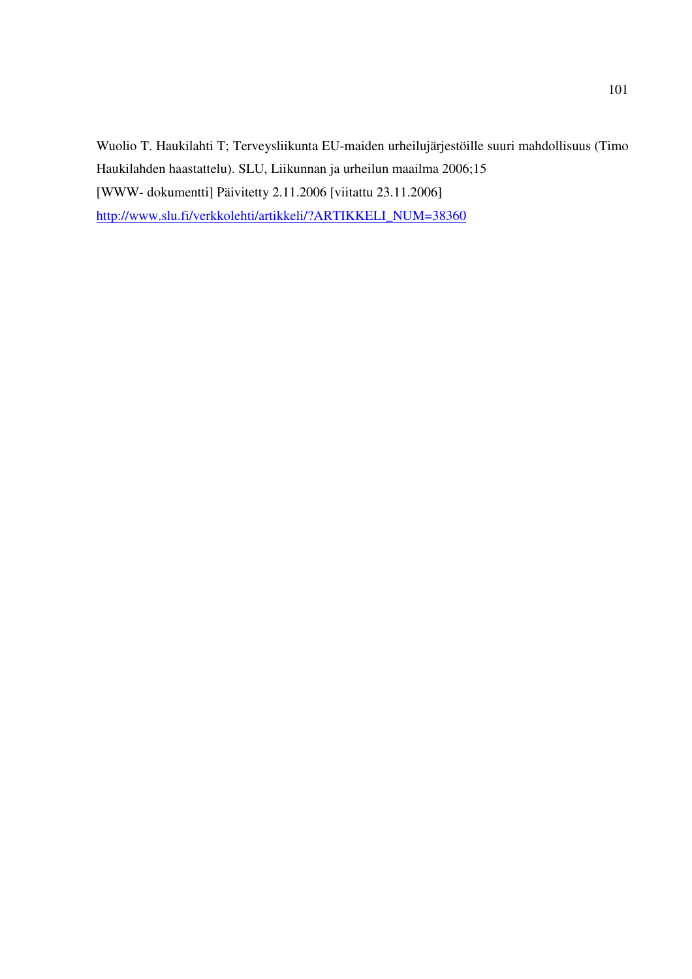Wuolio T. Haukilahti T; Terveysliikunta EU-maiden urheilujärjestöille suuri mahdollisuus (Timo Haukilahden haastattelu). SLU, Liikunnan ja urheilun maailma 2006;15 [WWW- dokumentti] Päivitetty 2.11.2006 [viitattu 23.11.2006] http://www.slu.fi/verkkolehti/artikkeli/?ARTIKKELI\_NUM=38360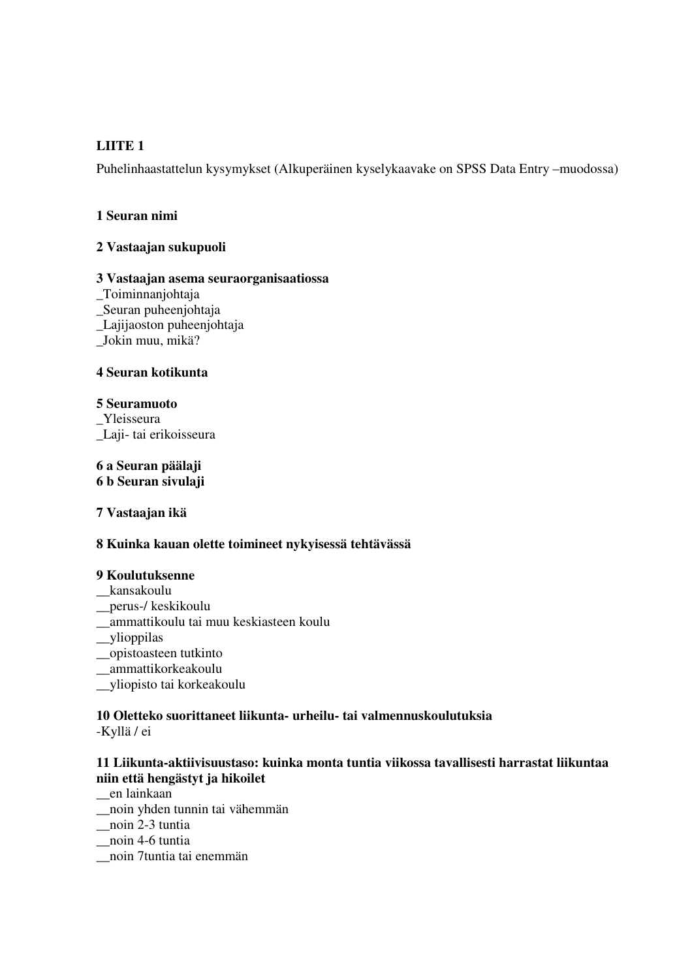## **LIITE 1**

Puhelinhaastattelun kysymykset (Alkuperäinen kyselykaavake on SPSS Data Entry –muodossa)

## **1 Seuran nimi**

## **2 Vastaajan sukupuoli**

## **3 Vastaajan asema seuraorganisaatiossa**

- \_Toiminnanjohtaja \_Seuran puheenjohtaja \_Lajijaoston puheenjohtaja
- \_Jokin muu, mikä?

## **4 Seuran kotikunta**

## **5 Seuramuoto**

\_Yleisseura \_Laji- tai erikoisseura

## **6 a Seuran päälaji 6 b Seuran sivulaji**

**7 Vastaajan ikä** 

## **8 Kuinka kauan olette toimineet nykyisessä tehtävässä**

## **9 Koulutuksenne**

- \_\_kansakoulu
- \_\_perus-/ keskikoulu
- \_\_ammattikoulu tai muu keskiasteen koulu
- \_\_ylioppilas
- \_\_opistoasteen tutkinto
- \_\_ammattikorkeakoulu
- \_\_yliopisto tai korkeakoulu

# **10 Oletteko suorittaneet liikunta- urheilu- tai valmennuskoulutuksia**

-Kyllä / ei

## **11 Liikunta-aktiivisuustaso: kuinka monta tuntia viikossa tavallisesti harrastat liikuntaa niin että hengästyt ja hikoilet**

\_\_en lainkaan

- \_\_noin yhden tunnin tai vähemmän
- \_\_noin 2-3 tuntia
- \_\_noin 4-6 tuntia
- \_\_noin 7tuntia tai enemmän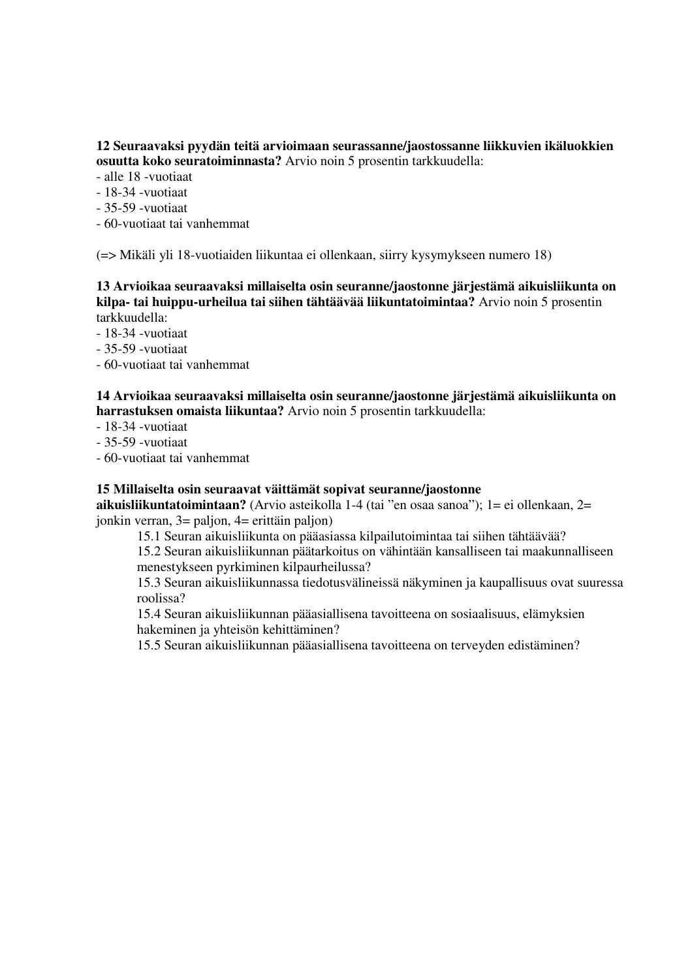## **12 Seuraavaksi pyydän teitä arvioimaan seurassanne/jaostossanne liikkuvien ikäluokkien osuutta koko seuratoiminnasta?** Arvio noin 5 prosentin tarkkuudella:

- alle 18 -vuotiaat

- 18-34 -vuotiaat
- 35-59 -vuotiaat
- 60-vuotiaat tai vanhemmat

(=> Mikäli yli 18-vuotiaiden liikuntaa ei ollenkaan, siirry kysymykseen numero 18)

**13 Arvioikaa seuraavaksi millaiselta osin seuranne/jaostonne järjestämä aikuisliikunta on kilpa- tai huippu-urheilua tai siihen tähtäävää liikuntatoimintaa?** Arvio noin 5 prosentin tarkkuudella:

- 18-34 -vuotiaat

- 35-59 -vuotiaat
- 60-vuotiaat tai vanhemmat

## **14 Arvioikaa seuraavaksi millaiselta osin seuranne/jaostonne järjestämä aikuisliikunta on harrastuksen omaista liikuntaa?** Arvio noin 5 prosentin tarkkuudella:

- 18-34 -vuotiaat

- 35-59 -vuotiaat

- 60-vuotiaat tai vanhemmat

## **15 Millaiselta osin seuraavat väittämät sopivat seuranne/jaostonne**

**aikuisliikuntatoimintaan?** (Arvio asteikolla 1-4 (tai "en osaa sanoa"); 1= ei ollenkaan, 2= jonkin verran, 3= paljon, 4= erittäin paljon)

15.1 Seuran aikuisliikunta on pääasiassa kilpailutoimintaa tai siihen tähtäävää?

15.2 Seuran aikuisliikunnan päätarkoitus on vähintään kansalliseen tai maakunnalliseen menestykseen pyrkiminen kilpaurheilussa?

15.3 Seuran aikuisliikunnassa tiedotusvälineissä näkyminen ja kaupallisuus ovat suuressa roolissa?

15.4 Seuran aikuisliikunnan pääasiallisena tavoitteena on sosiaalisuus, elämyksien hakeminen ja yhteisön kehittäminen?

15.5 Seuran aikuisliikunnan pääasiallisena tavoitteena on terveyden edistäminen?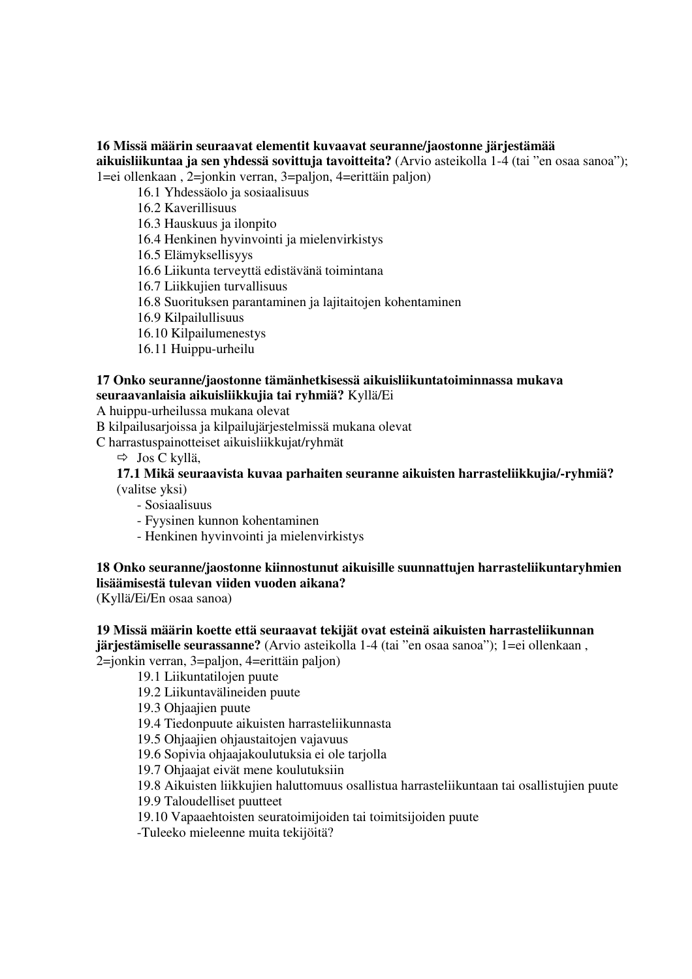### **16 Missä määrin seuraavat elementit kuvaavat seuranne/jaostonne järjestämää aikuisliikuntaa ja sen yhdessä sovittuja tavoitteita?** (Arvio asteikolla 1-4 (tai "en osaa sanoa"); 1=ei ollenkaan , 2=jonkin verran, 3=paljon, 4=erittäin paljon)

16.1 Yhdessäolo ja sosiaalisuus

# 16.2 Kaverillisuus

16.3 Hauskuus ja ilonpito

16.4 Henkinen hyvinvointi ja mielenvirkistys

16.5 Elämyksellisyys

16.6 Liikunta terveyttä edistävänä toimintana

16.7 Liikkujien turvallisuus

16.8 Suorituksen parantaminen ja lajitaitojen kohentaminen

16.9 Kilpailullisuus

16.10 Kilpailumenestys

16.11 Huippu-urheilu

### **17 Onko seuranne/jaostonne tämänhetkisessä aikuisliikuntatoiminnassa mukava seuraavanlaisia aikuisliikkujia tai ryhmiä?** Kyllä/Ei

A huippu-urheilussa mukana olevat

B kilpailusarjoissa ja kilpailujärjestelmissä mukana olevat

C harrastuspainotteiset aikuisliikkujat/ryhmät

 $\Rightarrow$  Jos C kyllä.

**17.1 Mikä seuraavista kuvaa parhaiten seuranne aikuisten harrasteliikkujia/-ryhmiä?**  (valitse yksi)

- Sosiaalisuus

- Fyysinen kunnon kohentaminen

- Henkinen hyvinvointi ja mielenvirkistys

## **18 Onko seuranne/jaostonne kiinnostunut aikuisille suunnattujen harrasteliikuntaryhmien lisäämisestä tulevan viiden vuoden aikana?**

(Kyllä/Ei/En osaa sanoa)

### **19 Missä määrin koette että seuraavat tekijät ovat esteinä aikuisten harrasteliikunnan**

**järjestämiselle seurassanne?** (Arvio asteikolla 1-4 (tai "en osaa sanoa"); 1=ei ollenkaan , 2=jonkin verran, 3=paljon, 4=erittäin paljon)

19.1 Liikuntatilojen puute

19.2 Liikuntavälineiden puute

19.3 Ohjaajien puute

19.4 Tiedonpuute aikuisten harrasteliikunnasta

19.5 Ohjaajien ohjaustaitojen vajavuus

19.6 Sopivia ohjaajakoulutuksia ei ole tarjolla

19.7 Ohjaajat eivät mene koulutuksiin

19.8 Aikuisten liikkujien haluttomuus osallistua harrasteliikuntaan tai osallistujien puute

19.9 Taloudelliset puutteet

19.10 Vapaaehtoisten seuratoimijoiden tai toimitsijoiden puute

-Tuleeko mieleenne muita tekijöitä?